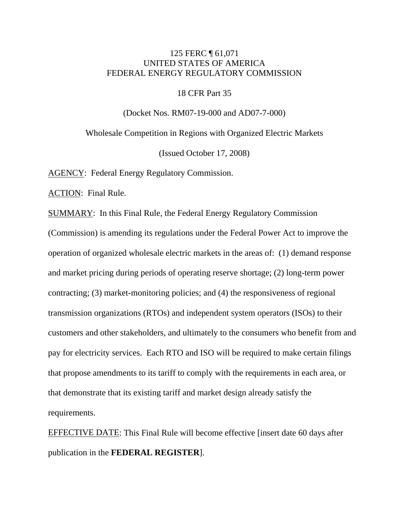## 125 FERC ¶ 61,071 UNITED STATES OF AMERICA FEDERAL ENERGY REGULATORY COMMISSION

#### 18 CFR Part 35

(Docket Nos. RM07-19-000 and AD07-7-000)

Wholesale Competition in Regions with Organized Electric Markets

(Issued October 17, 2008)

AGENCY: Federal Energy Regulatory Commission.

ACTION: Final Rule.

SUMMARY: In this Final Rule, the Federal Energy Regulatory Commission (Commission) is amending its regulations under the Federal Power Act to improve the operation of organized wholesale electric markets in the areas of: (1) demand response and market pricing during periods of operating reserve shortage; (2) long-term power contracting; (3) market-monitoring policies; and (4) the responsiveness of regional transmission organizations (RTOs) and independent system operators (ISOs) to their customers and other stakeholders, and ultimately to the consumers who benefit from and pay for electricity services. Each RTO and ISO will be required to make certain filings that propose amendments to its tariff to comply with the requirements in each area, or that demonstrate that its existing tariff and market design already satisfy the requirements.

EFFECTIVE DATE: This Final Rule will become effective [insert date 60 days after publication in the **FEDERAL REGISTER**].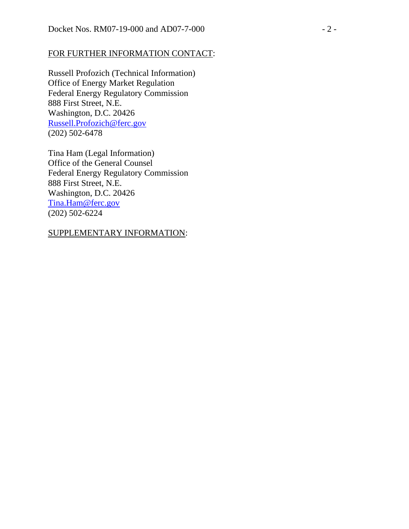## FOR FURTHER INFORMATION CONTACT:

Russell Profozich (Technical Information) Office of Energy Market Regulation Federal Energy Regulatory Commission 888 First Street, N.E. Washington, D.C. 20426 Russell.Profozich@ferc.gov (202) 502-6478

Tina Ham (Legal Information) Office of the General Counsel Federal Energy Regulatory Commission 888 First Street, N.E. Washington, D.C. 20426 Tina.Ham@ferc.gov (202) 502-6224

## SUPPLEMENTARY INFORMATION: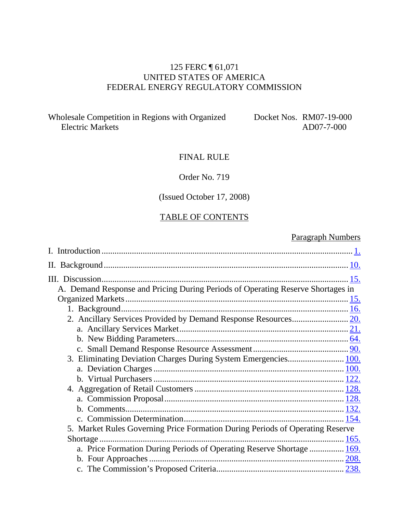# 125 FERC ¶ 61,071 UNITED STATES OF AMERICA FEDERAL ENERGY REGULATORY COMMISSION

Wholesale Competition in Regions with Organized Electric Markets

Docket Nos. RM07-19-000 AD07-7-000

## FINAL RULE

## Order No. 719

# (Issued October 17, 2008)

#### TABLE OF CONTENTS

# Paragraph Numbers

| A. Demand Response and Pricing During Periods of Operating Reserve Shortages in |  |
|---------------------------------------------------------------------------------|--|
|                                                                                 |  |
|                                                                                 |  |
|                                                                                 |  |
|                                                                                 |  |
|                                                                                 |  |
|                                                                                 |  |
| 3. Eliminating Deviation Charges During System Emergencies 100.                 |  |
|                                                                                 |  |
|                                                                                 |  |
|                                                                                 |  |
|                                                                                 |  |
|                                                                                 |  |
|                                                                                 |  |
| 5. Market Rules Governing Price Formation During Periods of Operating Reserve   |  |
| Shortage                                                                        |  |
| a. Price Formation During Periods of Operating Reserve Shortage  169.           |  |
|                                                                                 |  |
|                                                                                 |  |
|                                                                                 |  |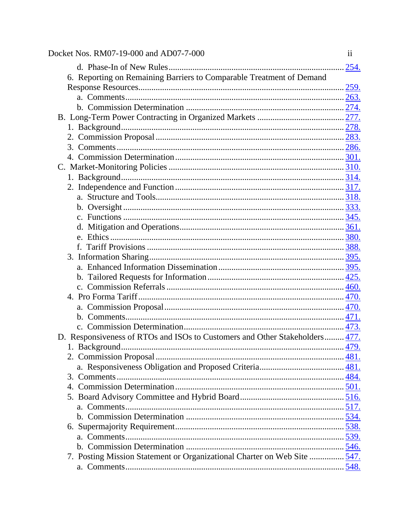| Docket Nos. RM07-19-000 and AD07-7-000                                      | $\overline{11}$ |
|-----------------------------------------------------------------------------|-----------------|
|                                                                             |                 |
| 6. Reporting on Remaining Barriers to Comparable Treatment of Demand        |                 |
|                                                                             |                 |
|                                                                             |                 |
|                                                                             |                 |
|                                                                             |                 |
|                                                                             |                 |
|                                                                             |                 |
|                                                                             |                 |
|                                                                             |                 |
|                                                                             |                 |
|                                                                             |                 |
|                                                                             |                 |
|                                                                             |                 |
|                                                                             |                 |
|                                                                             |                 |
|                                                                             |                 |
|                                                                             |                 |
|                                                                             |                 |
|                                                                             |                 |
|                                                                             |                 |
|                                                                             |                 |
|                                                                             |                 |
|                                                                             |                 |
|                                                                             |                 |
|                                                                             |                 |
|                                                                             |                 |
| D. Responsiveness of RTOs and ISOs to Customers and Other Stakeholders 477. |                 |
|                                                                             | 479.            |
|                                                                             |                 |
|                                                                             |                 |
|                                                                             |                 |
|                                                                             |                 |
|                                                                             |                 |
|                                                                             |                 |
|                                                                             |                 |
|                                                                             |                 |
|                                                                             |                 |
|                                                                             |                 |
| 7. Posting Mission Statement or Organizational Charter on Web Site  547.    |                 |
|                                                                             |                 |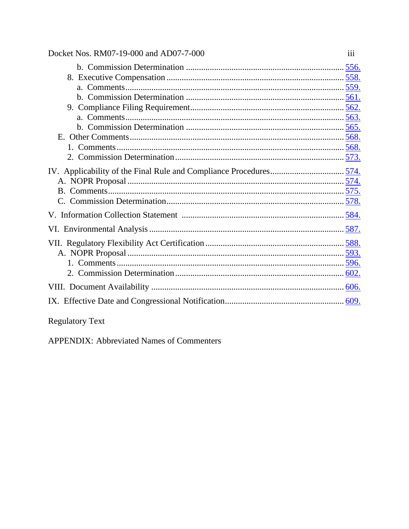| Docket Nos. RM07-19-000 and AD07-7-000 | 111 |
|----------------------------------------|-----|
|                                        |     |
|                                        |     |
|                                        |     |
|                                        |     |
|                                        |     |
|                                        |     |
|                                        |     |
|                                        |     |
|                                        |     |
|                                        |     |
|                                        |     |
|                                        |     |
|                                        |     |
|                                        |     |
|                                        |     |
|                                        |     |
|                                        |     |
|                                        |     |
|                                        |     |
|                                        |     |
|                                        |     |
|                                        |     |
|                                        |     |

# Regulatory Text

APPENDIX: Abbreviated Names of Commenters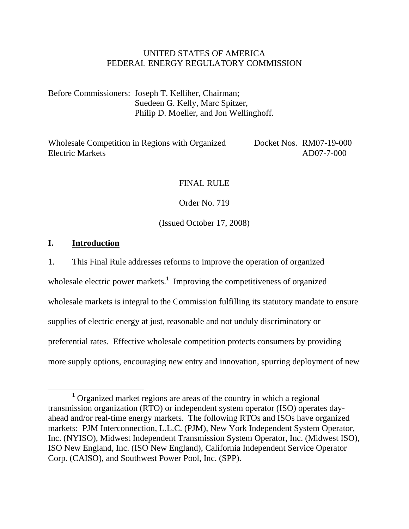## UNITED STATES OF AMERICA FEDERAL ENERGY REGULATORY COMMISSION

Before Commissioners: Joseph T. Kelliher, Chairman; Suedeen G. Kelly, Marc Spitzer, Philip D. Moeller, and Jon Wellinghoff.

Wholesale Competition in Regions with Organized Electric Markets Docket Nos. RM07-19-000 AD07-7-000

## FINAL RULE

Order No. 719

(Issued October 17, 2008)

#### **I. Introduction**

1. This Final Rule addresses reforms to improve the operation of organized

wholesale electric power markets.<sup>1</sup> Improving the competitiveness of organized

wholesale markets is integral to the Commission fulfilling its statutory mandate to ensure

supplies of electric energy at just, reasonable and not unduly discriminatory or

preferential rates. Effective wholesale competition protects consumers by providing

more supply options, encouraging new entry and innovation, spurring deployment of new

<sup>&</sup>lt;u>1</u> Organized market regions are areas of the country in which a regional transmission organization (RTO) or independent system operator (ISO) operates dayahead and/or real-time energy markets. The following RTOs and ISOs have organized markets: PJM Interconnection, L.L.C. (PJM), New York Independent System Operator, Inc. (NYISO), Midwest Independent Transmission System Operator, Inc. (Midwest ISO), ISO New England, Inc. (ISO New England), California Independent Service Operator Corp. (CAISO), and Southwest Power Pool, Inc. (SPP).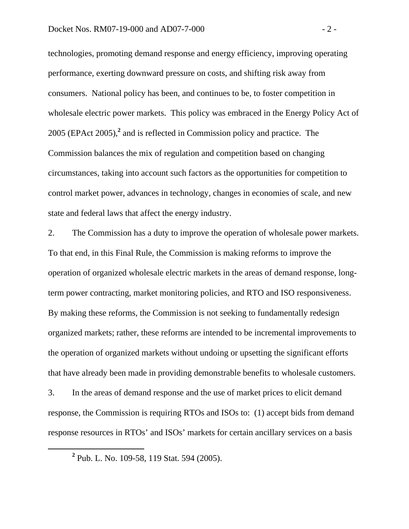technologies, promoting demand response and energy efficiency, improving operating performance, exerting downward pressure on costs, and shifting risk away from consumers. National policy has been, and continues to be, to foster competition in wholesale electric power markets. This policy was embraced in the Energy Policy Act of 2005 (EPAct 2005),**<sup>2</sup>** and is reflected in Commission policy and practice. The Commission balances the mix of regulation and competition based on changing circumstances, taking into account such factors as the opportunities for competition to control market power, advances in technology, changes in economies of scale, and new state and federal laws that affect the energy industry.

2. The Commission has a duty to improve the operation of wholesale power markets. To that end, in this Final Rule, the Commission is making reforms to improve the operation of organized wholesale electric markets in the areas of demand response, longterm power contracting, market monitoring policies, and RTO and ISO responsiveness. By making these reforms, the Commission is not seeking to fundamentally redesign organized markets; rather, these reforms are intended to be incremental improvements to the operation of organized markets without undoing or upsetting the significant efforts that have already been made in providing demonstrable benefits to wholesale customers. 3. In the areas of demand response and the use of market prices to elicit demand response, the Commission is requiring RTOs and ISOs to: (1) accept bids from demand

response resources in RTOs' and ISOs' markets for certain ancillary services on a basis

 **<sup>2</sup>** <sup>2</sup> Pub. L. No. 109-58, 119 Stat. 594 (2005).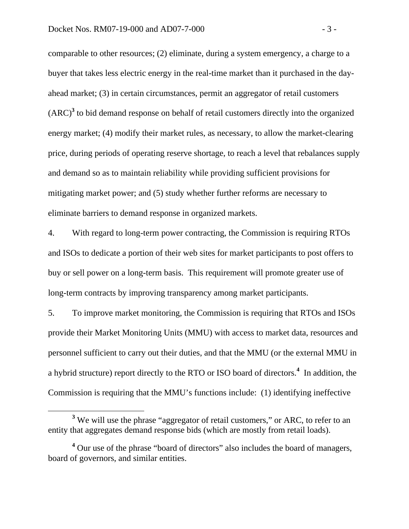comparable to other resources; (2) eliminate, during a system emergency, a charge to a buyer that takes less electric energy in the real-time market than it purchased in the dayahead market; (3) in certain circumstances, permit an aggregator of retail customers  $(ARC)<sup>3</sup>$  to bid demand response on behalf of retail customers directly into the organized energy market; (4) modify their market rules, as necessary, to allow the market-clearing price, during periods of operating reserve shortage, to reach a level that rebalances supply and demand so as to maintain reliability while providing sufficient provisions for mitigating market power; and (5) study whether further reforms are necessary to eliminate barriers to demand response in organized markets.

4. With regard to long-term power contracting, the Commission is requiring RTOs and ISOs to dedicate a portion of their web sites for market participants to post offers to buy or sell power on a long-term basis. This requirement will promote greater use of long-term contracts by improving transparency among market participants.

5. To improve market monitoring, the Commission is requiring that RTOs and ISOs provide their Market Monitoring Units (MMU) with access to market data, resources and personnel sufficient to carry out their duties, and that the MMU (or the external MMU in a hybrid structure) report directly to the RTO or ISO board of directors.**<sup>4</sup>** In addition, the Commission is requiring that the MMU's functions include: (1) identifying ineffective

**<sup>3</sup>**  $3$  We will use the phrase "aggregator of retail customers," or ARC, to refer to an entity that aggregates demand response bids (which are mostly from retail loads).

<sup>&</sup>lt;sup>4</sup> Our use of the phrase "board of directors" also includes the board of managers, board of governors, and similar entities.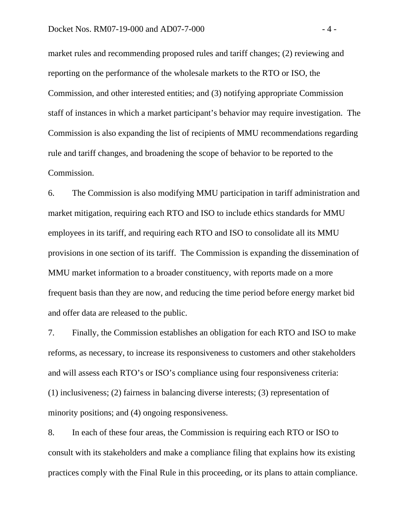market rules and recommending proposed rules and tariff changes; (2) reviewing and reporting on the performance of the wholesale markets to the RTO or ISO, the Commission, and other interested entities; and (3) notifying appropriate Commission staff of instances in which a market participant's behavior may require investigation. The Commission is also expanding the list of recipients of MMU recommendations regarding rule and tariff changes, and broadening the scope of behavior to be reported to the Commission.

6. The Commission is also modifying MMU participation in tariff administration and market mitigation, requiring each RTO and ISO to include ethics standards for MMU employees in its tariff, and requiring each RTO and ISO to consolidate all its MMU provisions in one section of its tariff. The Commission is expanding the dissemination of MMU market information to a broader constituency, with reports made on a more frequent basis than they are now, and reducing the time period before energy market bid and offer data are released to the public.

7. Finally, the Commission establishes an obligation for each RTO and ISO to make reforms, as necessary, to increase its responsiveness to customers and other stakeholders and will assess each RTO's or ISO's compliance using four responsiveness criteria: (1) inclusiveness; (2) fairness in balancing diverse interests; (3) representation of minority positions; and (4) ongoing responsiveness.

8. In each of these four areas, the Commission is requiring each RTO or ISO to consult with its stakeholders and make a compliance filing that explains how its existing practices comply with the Final Rule in this proceeding, or its plans to attain compliance.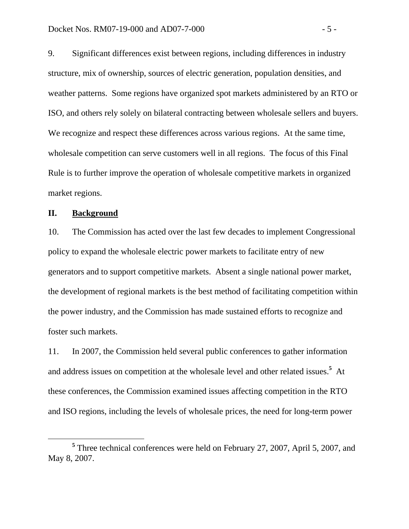9. Significant differences exist between regions, including differences in industry structure, mix of ownership, sources of electric generation, population densities, and weather patterns. Some regions have organized spot markets administered by an RTO or ISO, and others rely solely on bilateral contracting between wholesale sellers and buyers. We recognize and respect these differences across various regions. At the same time, wholesale competition can serve customers well in all regions. The focus of this Final Rule is to further improve the operation of wholesale competitive markets in organized market regions.

#### **II. Background**

10. The Commission has acted over the last few decades to implement Congressional policy to expand the wholesale electric power markets to facilitate entry of new generators and to support competitive markets. Absent a single national power market, the development of regional markets is the best method of facilitating competition within the power industry, and the Commission has made sustained efforts to recognize and foster such markets.

11. In 2007, the Commission held several public conferences to gather information and address issues on competition at the wholesale level and other related issues.**<sup>5</sup>** At these conferences, the Commission examined issues affecting competition in the RTO and ISO regions, including the levels of wholesale prices, the need for long-term power

**<sup>5</sup>** <sup>5</sup> Three technical conferences were held on February 27, 2007, April 5, 2007, and May 8, 2007.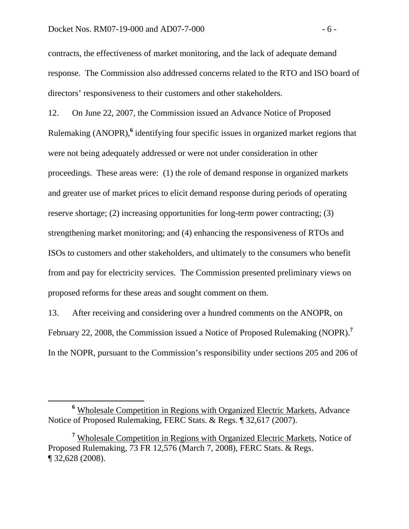contracts, the effectiveness of market monitoring, and the lack of adequate demand response. The Commission also addressed concerns related to the RTO and ISO board of directors' responsiveness to their customers and other stakeholders.

12. On June 22, 2007, the Commission issued an Advance Notice of Proposed Rulemaking (ANOPR),<sup>6</sup> identifying four specific issues in organized market regions that were not being adequately addressed or were not under consideration in other proceedings. These areas were: (1) the role of demand response in organized markets and greater use of market prices to elicit demand response during periods of operating reserve shortage; (2) increasing opportunities for long-term power contracting; (3) strengthening market monitoring; and (4) enhancing the responsiveness of RTOs and ISOs to customers and other stakeholders, and ultimately to the consumers who benefit from and pay for electricity services. The Commission presented preliminary views on proposed reforms for these areas and sought comment on them.

13. After receiving and considering over a hundred comments on the ANOPR, on February 22, 2008, the Commission issued a Notice of Proposed Rulemaking (NOPR).**<sup>7</sup>** In the NOPR, pursuant to the Commission's responsibility under sections 205 and 206 of

**<sup>6</sup>** Wholesale Competition in Regions with Organized Electric Markets, Advance Notice of Proposed Rulemaking, FERC Stats. & Regs. ¶ 32,617 (2007).

<sup>&</sup>lt;sup>7</sup> Wholesale Competition in Regions with Organized Electric Markets, Notice of Proposed Rulemaking, 73 FR 12,576 (March 7, 2008), FERC Stats. & Regs. ¶ 32,628 (2008).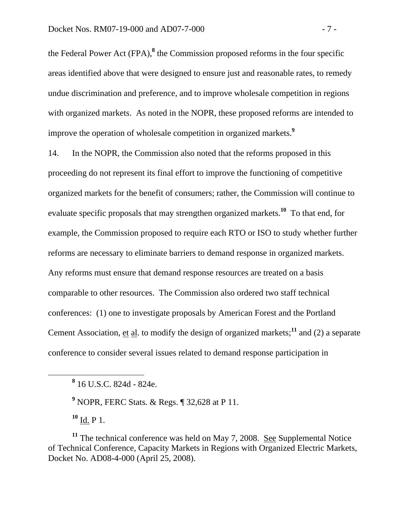the Federal Power Act (FPA),<sup>8</sup> the Commission proposed reforms in the four specific areas identified above that were designed to ensure just and reasonable rates, to remedy undue discrimination and preference, and to improve wholesale competition in regions with organized markets. As noted in the NOPR, these proposed reforms are intended to improve the operation of wholesale competition in organized markets.**<sup>9</sup>**

14. In the NOPR, the Commission also noted that the reforms proposed in this proceeding do not represent its final effort to improve the functioning of competitive organized markets for the benefit of consumers; rather, the Commission will continue to evaluate specific proposals that may strengthen organized markets.**<sup>10</sup>** To that end, for example, the Commission proposed to require each RTO or ISO to study whether further reforms are necessary to eliminate barriers to demand response in organized markets. Any reforms must ensure that demand response resources are treated on a basis comparable to other resources. The Commission also ordered two staff technical conferences: (1) one to investigate proposals by American Forest and the Portland Cement Association, et al. to modify the design of organized markets;**<sup>11</sup>** and (2) a separate conference to consider several issues related to demand response participation in

**9** NOPR, FERC Stats. & Regs. ¶ 32,628 at P 11.

**<sup>10</sup>** Id. P 1.

**<sup>11</sup>** The technical conference was held on May 7, 2008. See Supplemental Notice of Technical Conference, Capacity Markets in Regions with Organized Electric Markets, Docket No. AD08-4-000 (April 25, 2008).

**<sup>8</sup>** 16 U.S.C. 824d - 824e.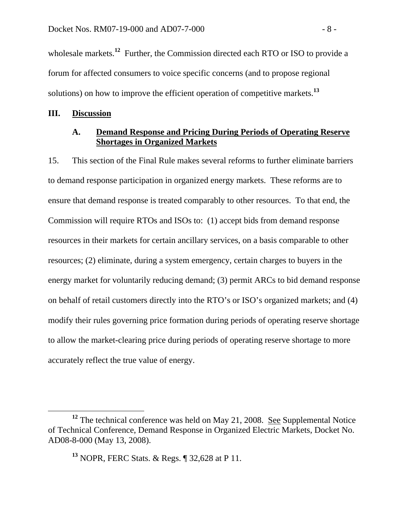wholesale markets.<sup>12</sup> Further, the Commission directed each RTO or ISO to provide a forum for affected consumers to voice specific concerns (and to propose regional solutions) on how to improve the efficient operation of competitive markets.**<sup>13</sup>**

#### **III. Discussion**

## **A. Demand Response and Pricing During Periods of Operating Reserve Shortages in Organized Markets**

15. This section of the Final Rule makes several reforms to further eliminate barriers to demand response participation in organized energy markets. These reforms are to ensure that demand response is treated comparably to other resources. To that end, the Commission will require RTOs and ISOs to: (1) accept bids from demand response resources in their markets for certain ancillary services, on a basis comparable to other resources; (2) eliminate, during a system emergency, certain charges to buyers in the energy market for voluntarily reducing demand; (3) permit ARCs to bid demand response on behalf of retail customers directly into the RTO's or ISO's organized markets; and (4) modify their rules governing price formation during periods of operating reserve shortage to allow the market-clearing price during periods of operating reserve shortage to more accurately reflect the true value of energy.

**<sup>12</sup>** The technical conference was held on May 21, 2008. See Supplemental Notice of Technical Conference, Demand Response in Organized Electric Markets, Docket No. AD08-8-000 (May 13, 2008).

**<sup>13</sup>** NOPR, FERC Stats. & Regs. ¶ 32,628 at P 11.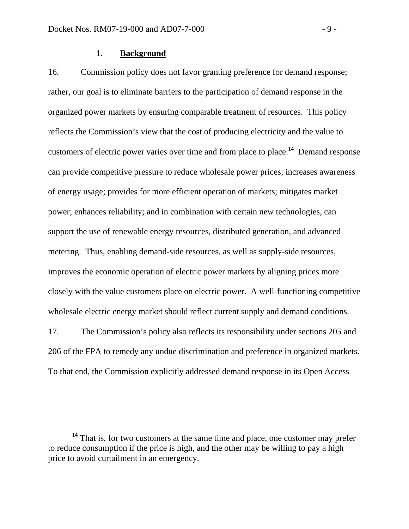#### **1. Background**

16. Commission policy does not favor granting preference for demand response; rather, our goal is to eliminate barriers to the participation of demand response in the organized power markets by ensuring comparable treatment of resources. This policy reflects the Commission's view that the cost of producing electricity and the value to customers of electric power varies over time and from place to place.**<sup>14</sup>** Demand response can provide competitive pressure to reduce wholesale power prices; increases awareness of energy usage; provides for more efficient operation of markets; mitigates market power; enhances reliability; and in combination with certain new technologies, can support the use of renewable energy resources, distributed generation, and advanced metering. Thus, enabling demand-side resources, as well as supply-side resources, improves the economic operation of electric power markets by aligning prices more closely with the value customers place on electric power. A well-functioning competitive wholesale electric energy market should reflect current supply and demand conditions.

17. The Commission's policy also reflects its responsibility under sections 205 and 206 of the FPA to remedy any undue discrimination and preference in organized markets. To that end, the Commission explicitly addressed demand response in its Open Access

**<sup>14</sup>** That is, for two customers at the same time and place, one customer may prefer to reduce consumption if the price is high, and the other may be willing to pay a high price to avoid curtailment in an emergency.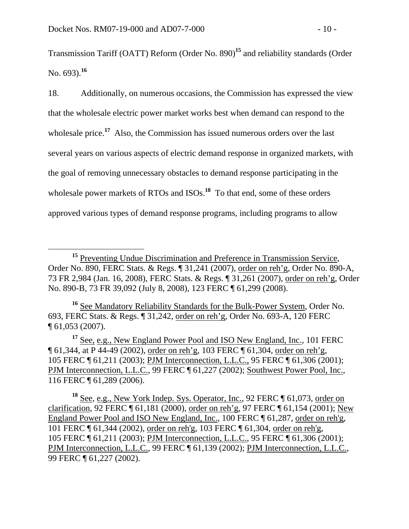Transmission Tariff (OATT) Reform (Order No. 890)**<sup>15</sup>** and reliability standards (Order No. 693).**<sup>16</sup>**

18. Additionally, on numerous occasions, the Commission has expressed the view that the wholesale electric power market works best when demand can respond to the wholesale price.<sup>17</sup> Also, the Commission has issued numerous orders over the last several years on various aspects of electric demand response in organized markets, with the goal of removing unnecessary obstacles to demand response participating in the wholesale power markets of RTOs and ISOs.<sup>18</sup> To that end, some of these orders approved various types of demand response programs, including programs to allow

**<sup>16</sup>** See Mandatory Reliability Standards for the Bulk-Power System, Order No. 693, FERC Stats. & Regs. ¶ 31,242, order on reh'g, Order No. 693-A, 120 FERC ¶ 61,053 (2007).

**<sup>17</sup>** See, e.g., New England Power Pool and ISO New England, Inc., 101 FERC ¶ 61,344, at P 44-49 (2002), order on reh'g, 103 FERC ¶ 61,304, order on reh'g, 105 FERC ¶ 61,211 (2003); PJM Interconnection, L.L.C., 95 FERC ¶ 61,306 (2001); PJM Interconnection, L.L.C., 99 FERC ¶ 61,227 (2002); Southwest Power Pool, Inc., 116 FERC ¶ 61,289 (2006).

<sup>&</sup>lt;sup>15</sup> Preventing Undue Discrimination and Preference in Transmission Service, Order No. 890, FERC Stats. & Regs. ¶ 31,241 (2007), order on reh'g, Order No. 890-A, 73 FR 2,984 (Jan. 16, 2008), FERC Stats. & Regs. ¶ 31,261 (2007), order on reh'g, Order No. 890-B, 73 FR 39,092 (July 8, 2008), 123 FERC ¶ 61,299 (2008).

<sup>&</sup>lt;sup>18</sup> See, e.g., New York Indep. Sys. Operator, Inc., 92 FERC ¶ 61,073, order on clarification, 92 FERC ¶ 61,181 (2000), order on reh'g, 97 FERC ¶ 61,154 (2001); New England Power Pool and ISO New England, Inc., 100 FERC ¶ 61,287, order on reh'g, 101 FERC ¶ 61,344 (2002), order on reh'g, 103 FERC ¶ 61,304, order on reh'g, 105 FERC ¶ 61,211 (2003); PJM Interconnection, L.L.C., 95 FERC ¶ 61,306 (2001); PJM Interconnection, L.L.C., 99 FERC ¶ 61,139 (2002); PJM Interconnection, L.L.C., 99 FERC ¶ 61,227 (2002).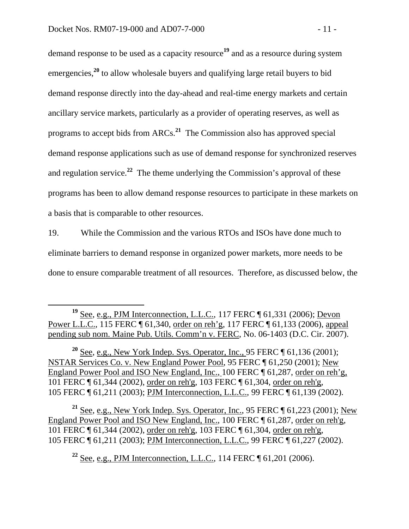demand response to be used as a capacity resource**<sup>19</sup>** and as a resource during system emergencies,<sup>20</sup> to allow wholesale buyers and qualifying large retail buyers to bid demand response directly into the day-ahead and real-time energy markets and certain ancillary service markets, particularly as a provider of operating reserves, as well as programs to accept bids from ARCs.**<sup>21</sup>** The Commission also has approved special demand response applications such as use of demand response for synchronized reserves and regulation service.**<sup>22</sup>** The theme underlying the Commission's approval of these programs has been to allow demand response resources to participate in these markets on a basis that is comparable to other resources.

19. While the Commission and the various RTOs and ISOs have done much to eliminate barriers to demand response in organized power markets, more needs to be done to ensure comparable treatment of all resources. Therefore, as discussed below, the

**<sup>21</sup>** See, e.g., New York Indep. Sys. Operator, Inc., 95 FERC ¶ 61,223 (2001); New England Power Pool and ISO New England, Inc., 100 FERC ¶ 61,287, order on reh'g, 101 FERC ¶ 61,344 (2002), order on reh'g, 103 FERC ¶ 61,304, order on reh'g, 105 FERC ¶ 61,211 (2003); PJM Interconnection, L.L.C., 99 FERC ¶ 61,227 (2002).

**<sup>22</sup>** See, e.g., PJM Interconnection, L.L.C., 114 FERC ¶ 61,201 (2006).

<sup>&</sup>lt;sup>19</sup> See, e.g., PJM Interconnection, L.L.C., 117 FERC ¶ 61,331 (2006); <u>Devon</u> Power L.L.C., 115 FERC ¶ 61,340, order on reh'g, 117 FERC ¶ 61,133 (2006), appeal pending sub nom. Maine Pub. Utils. Comm'n v. FERC, No. 06-1403 (D.C. Cir. 2007).

**<sup>20</sup>** See, e.g., New York Indep. Sys. Operator, Inc., 95 FERC ¶ 61,136 (2001); NSTAR Services Co. v. New England Power Pool, 95 FERC ¶ 61,250 (2001); New England Power Pool and ISO New England, Inc., 100 FERC ¶ 61,287, order on reh'g, 101 FERC ¶ 61,344 (2002), order on reh'g, 103 FERC ¶ 61,304, order on reh'g, 105 FERC ¶ 61,211 (2003); PJM Interconnection, L.L.C., 99 FERC ¶ 61,139 (2002).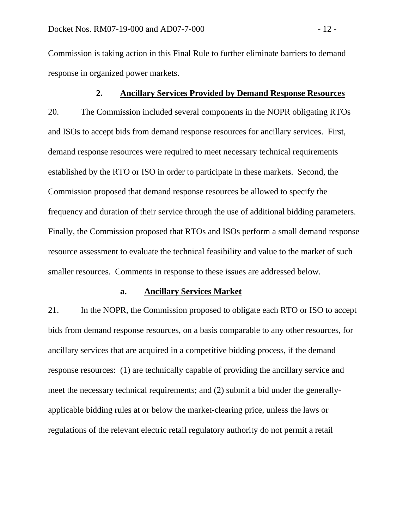Commission is taking action in this Final Rule to further eliminate barriers to demand response in organized power markets.

#### **2. Ancillary Services Provided by Demand Response Resources**

20. The Commission included several components in the NOPR obligating RTOs and ISOs to accept bids from demand response resources for ancillary services. First, demand response resources were required to meet necessary technical requirements established by the RTO or ISO in order to participate in these markets. Second, the Commission proposed that demand response resources be allowed to specify the frequency and duration of their service through the use of additional bidding parameters. Finally, the Commission proposed that RTOs and ISOs perform a small demand response resource assessment to evaluate the technical feasibility and value to the market of such smaller resources. Comments in response to these issues are addressed below.

#### **a. Ancillary Services Market**

21. In the NOPR, the Commission proposed to obligate each RTO or ISO to accept bids from demand response resources, on a basis comparable to any other resources, for ancillary services that are acquired in a competitive bidding process, if the demand response resources: (1) are technically capable of providing the ancillary service and meet the necessary technical requirements; and (2) submit a bid under the generallyapplicable bidding rules at or below the market-clearing price, unless the laws or regulations of the relevant electric retail regulatory authority do not permit a retail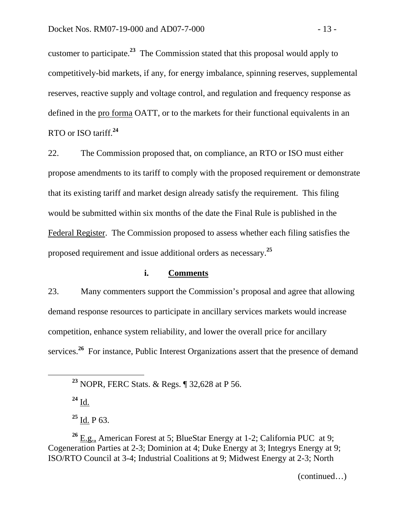customer to participate.**<sup>23</sup>** The Commission stated that this proposal would apply to competitively-bid markets, if any, for energy imbalance, spinning reserves, supplemental reserves, reactive supply and voltage control, and regulation and frequency response as defined in the pro forma OATT, or to the markets for their functional equivalents in an RTO or ISO tariff.**<sup>24</sup>**

22. The Commission proposed that, on compliance, an RTO or ISO must either propose amendments to its tariff to comply with the proposed requirement or demonstrate that its existing tariff and market design already satisfy the requirement. This filing would be submitted within six months of the date the Final Rule is published in the Federal Register. The Commission proposed to assess whether each filing satisfies the proposed requirement and issue additional orders as necessary.**<sup>25</sup>**

## **i. Comments**

23. Many commenters support the Commission's proposal and agree that allowing demand response resources to participate in ancillary services markets would increase competition, enhance system reliability, and lower the overall price for ancillary services.<sup>26</sup> For instance, Public Interest Organizations assert that the presence of demand

**<sup>24</sup>** Id.

**<sup>25</sup>** Id. P 63.

**<sup>26</sup>** E.g., American Forest at 5; BlueStar Energy at 1-2; California PUC at 9; Cogeneration Parties at 2-3; Dominion at 4; Duke Energy at 3; Integrys Energy at 9; ISO/RTO Council at 3-4; Industrial Coalitions at 9; Midwest Energy at 2-3; North

(continued…)

**<sup>23</sup>** NOPR, FERC Stats. & Regs. ¶ 32,628 at P 56.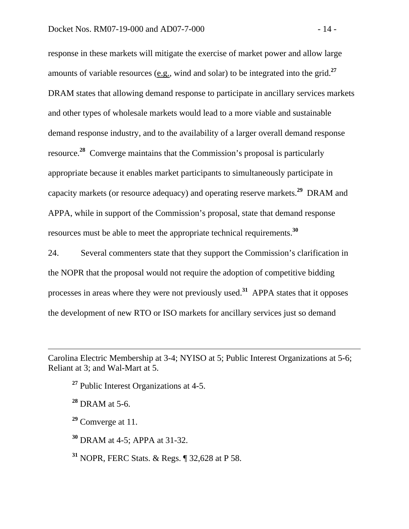response in these markets will mitigate the exercise of market power and allow large amounts of variable resources (e.g., wind and solar) to be integrated into the grid.**<sup>27</sup>** DRAM states that allowing demand response to participate in ancillary services markets and other types of wholesale markets would lead to a more viable and sustainable demand response industry, and to the availability of a larger overall demand response resource.**<sup>28</sup>** Comverge maintains that the Commission's proposal is particularly appropriate because it enables market participants to simultaneously participate in capacity markets (or resource adequacy) and operating reserve markets.**<sup>29</sup>** DRAM and APPA, while in support of the Commission's proposal, state that demand response resources must be able to meet the appropriate technical requirements.**<sup>30</sup>**

24. Several commenters state that they support the Commission's clarification in the NOPR that the proposal would not require the adoption of competitive bidding processes in areas where they were not previously used.**<sup>31</sup>** APPA states that it opposes the development of new RTO or ISO markets for ancillary services just so demand

**<sup>27</sup>** Public Interest Organizations at 4-5.

**<sup>28</sup>** DRAM at 5-6.

 $\overline{a}$ 

**<sup>29</sup>** Comverge at 11.

**<sup>30</sup>** DRAM at 4-5; APPA at 31-32.

**<sup>31</sup>** NOPR, FERC Stats. & Regs. ¶ 32,628 at P 58.

Carolina Electric Membership at 3-4; NYISO at 5; Public Interest Organizations at 5-6; Reliant at 3; and Wal-Mart at 5.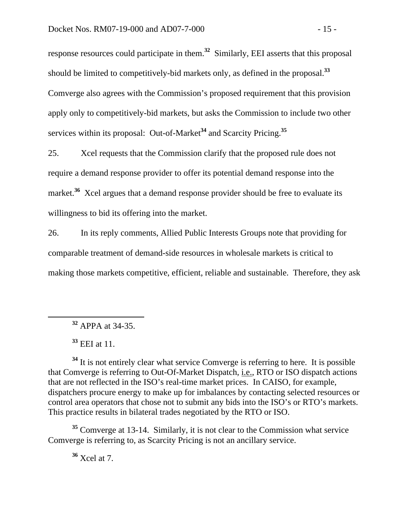response resources could participate in them.**<sup>32</sup>** Similarly, EEI asserts that this proposal should be limited to competitively-bid markets only, as defined in the proposal.**<sup>33</sup>** Comverge also agrees with the Commission's proposed requirement that this provision apply only to competitively-bid markets, but asks the Commission to include two other services within its proposal: Out-of-Market**<sup>34</sup>** and Scarcity Pricing.**<sup>35</sup>**

25. Xcel requests that the Commission clarify that the proposed rule does not require a demand response provider to offer its potential demand response into the market.<sup>36</sup> Xcel argues that a demand response provider should be free to evaluate its willingness to bid its offering into the market.

26. In its reply comments, Allied Public Interests Groups note that providing for comparable treatment of demand-side resources in wholesale markets is critical to making those markets competitive, efficient, reliable and sustainable. Therefore, they ask

**<sup>32</sup>** APPA at 34-35.

**<sup>33</sup>** EEI at 11.

<sup>34</sup> It is not entirely clear what service Comverge is referring to here. It is possible that Comverge is referring to Out-Of-Market Dispatch, i.e., RTO or ISO dispatch actions that are not reflected in the ISO's real-time market prices. In CAISO, for example, dispatchers procure energy to make up for imbalances by contacting selected resources or control area operators that chose not to submit any bids into the ISO's or RTO's markets. This practice results in bilateral trades negotiated by the RTO or ISO.

**<sup>35</sup>** Comverge at 13-14. Similarly, it is not clear to the Commission what service Comverge is referring to, as Scarcity Pricing is not an ancillary service.

**<sup>36</sup>** Xcel at 7.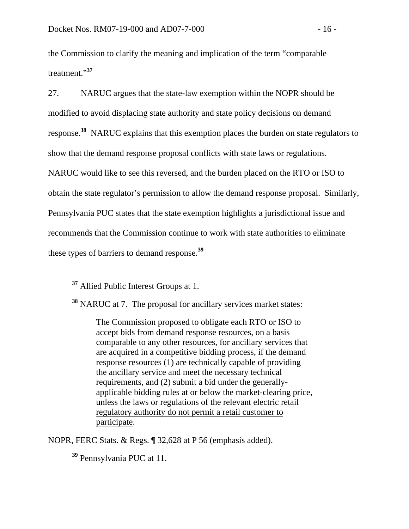the Commission to clarify the meaning and implication of the term "comparable treatment."**<sup>37</sup>**

27. NARUC argues that the state-law exemption within the NOPR should be modified to avoid displacing state authority and state policy decisions on demand response.**<sup>38</sup>** NARUC explains that this exemption places the burden on state regulators to show that the demand response proposal conflicts with state laws or regulations. NARUC would like to see this reversed, and the burden placed on the RTO or ISO to obtain the state regulator's permission to allow the demand response proposal. Similarly, Pennsylvania PUC states that the state exemption highlights a jurisdictional issue and recommends that the Commission continue to work with state authorities to eliminate these types of barriers to demand response.**<sup>39</sup>**

**<sup>37</sup>** Allied Public Interest Groups at 1.

**<sup>38</sup>** NARUC at 7. The proposal for ancillary services market states:

The Commission proposed to obligate each RTO or ISO to accept bids from demand response resources, on a basis comparable to any other resources, for ancillary services that are acquired in a competitive bidding process, if the demand response resources (1) are technically capable of providing the ancillary service and meet the necessary technical requirements, and (2) submit a bid under the generallyapplicable bidding rules at or below the market-clearing price, unless the laws or regulations of the relevant electric retail regulatory authority do not permit a retail customer to participate.

NOPR, FERC Stats. & Regs. ¶ 32,628 at P 56 (emphasis added).

**<sup>39</sup>** Pennsylvania PUC at 11.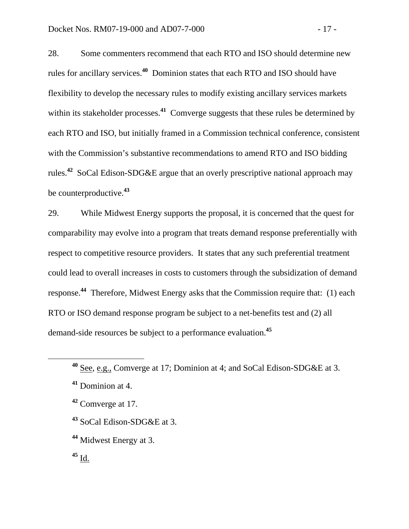28. Some commenters recommend that each RTO and ISO should determine new rules for ancillary services.**<sup>40</sup>** Dominion states that each RTO and ISO should have flexibility to develop the necessary rules to modify existing ancillary services markets within its stakeholder processes.<sup>41</sup> Comverge suggests that these rules be determined by each RTO and ISO, but initially framed in a Commission technical conference, consistent with the Commission's substantive recommendations to amend RTO and ISO bidding rules.**<sup>42</sup>** SoCal Edison-SDG&E argue that an overly prescriptive national approach may be counterproductive.**<sup>43</sup>**

29. While Midwest Energy supports the proposal, it is concerned that the quest for comparability may evolve into a program that treats demand response preferentially with respect to competitive resource providers. It states that any such preferential treatment could lead to overall increases in costs to customers through the subsidization of demand response.<sup>44</sup> Therefore, Midwest Energy asks that the Commission require that: (1) each RTO or ISO demand response program be subject to a net-benefits test and (2) all demand-side resources be subject to a performance evaluation.**<sup>45</sup>**

- **<sup>43</sup>** SoCal Edison-SDG&E at 3.
- **<sup>44</sup>** Midwest Energy at 3.
- **<sup>45</sup>** Id.

**<sup>40</sup>** See, e.g., Comverge at 17; Dominion at 4; and SoCal Edison-SDG&E at 3.

**<sup>41</sup>** Dominion at 4.

**<sup>42</sup>** Comverge at 17.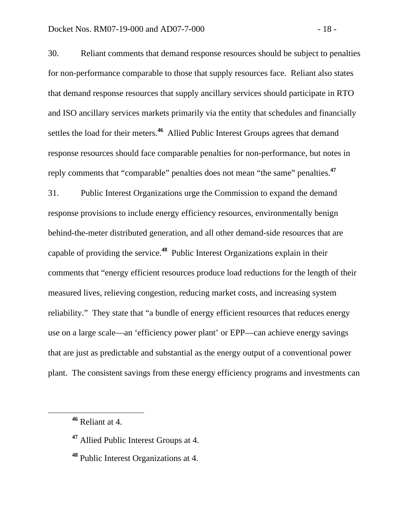30. Reliant comments that demand response resources should be subject to penalties for non-performance comparable to those that supply resources face. Reliant also states that demand response resources that supply ancillary services should participate in RTO and ISO ancillary services markets primarily via the entity that schedules and financially settles the load for their meters.**<sup>46</sup>** Allied Public Interest Groups agrees that demand response resources should face comparable penalties for non-performance, but notes in reply comments that "comparable" penalties does not mean "the same" penalties.**<sup>47</sup>**

31. Public Interest Organizations urge the Commission to expand the demand response provisions to include energy efficiency resources, environmentally benign behind-the-meter distributed generation, and all other demand-side resources that are capable of providing the service.**<sup>48</sup>** Public Interest Organizations explain in their comments that "energy efficient resources produce load reductions for the length of their measured lives, relieving congestion, reducing market costs, and increasing system reliability." They state that "a bundle of energy efficient resources that reduces energy use on a large scale—an 'efficiency power plant' or EPP—can achieve energy savings that are just as predictable and substantial as the energy output of a conventional power plant. The consistent savings from these energy efficiency programs and investments can

**<sup>46</sup>** Reliant at 4.

**<sup>47</sup>** Allied Public Interest Groups at 4.

**<sup>48</sup>** Public Interest Organizations at 4.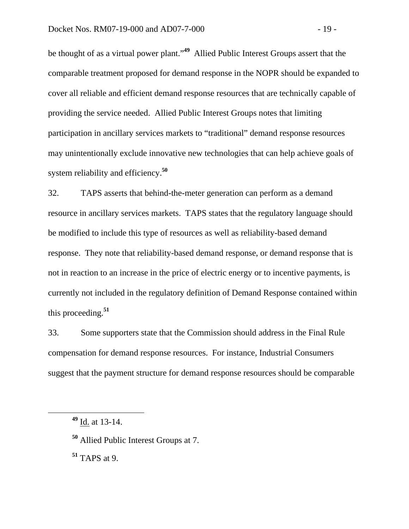be thought of as a virtual power plant."**49** Allied Public Interest Groups assert that the comparable treatment proposed for demand response in the NOPR should be expanded to cover all reliable and efficient demand response resources that are technically capable of providing the service needed. Allied Public Interest Groups notes that limiting participation in ancillary services markets to "traditional" demand response resources may unintentionally exclude innovative new technologies that can help achieve goals of system reliability and efficiency.**<sup>50</sup>**

32. TAPS asserts that behind-the-meter generation can perform as a demand resource in ancillary services markets. TAPS states that the regulatory language should be modified to include this type of resources as well as reliability-based demand response. They note that reliability-based demand response, or demand response that is not in reaction to an increase in the price of electric energy or to incentive payments, is currently not included in the regulatory definition of Demand Response contained within this proceeding.**<sup>51</sup>**

33. Some supporters state that the Commission should address in the Final Rule compensation for demand response resources. For instance, Industrial Consumers suggest that the payment structure for demand response resources should be comparable

**<sup>51</sup>** TAPS at 9.

**<sup>49</sup>** Id. at 13-14.

**<sup>50</sup>** Allied Public Interest Groups at 7.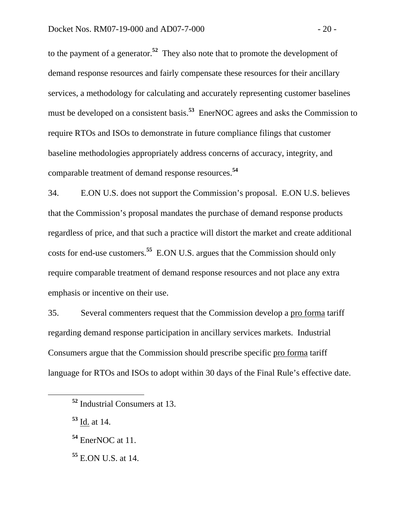to the payment of a generator.**<sup>52</sup>** They also note that to promote the development of demand response resources and fairly compensate these resources for their ancillary services, a methodology for calculating and accurately representing customer baselines must be developed on a consistent basis.**<sup>53</sup>** EnerNOC agrees and asks the Commission to require RTOs and ISOs to demonstrate in future compliance filings that customer baseline methodologies appropriately address concerns of accuracy, integrity, and comparable treatment of demand response resources.**<sup>54</sup>**

34. E.ON U.S. does not support the Commission's proposal. E.ON U.S. believes that the Commission's proposal mandates the purchase of demand response products regardless of price, and that such a practice will distort the market and create additional costs for end-use customers.**<sup>55</sup>** E.ON U.S. argues that the Commission should only require comparable treatment of demand response resources and not place any extra emphasis or incentive on their use.

35. Several commenters request that the Commission develop a pro forma tariff regarding demand response participation in ancillary services markets. Industrial Consumers argue that the Commission should prescribe specific pro forma tariff language for RTOs and ISOs to adopt within 30 days of the Final Rule's effective date.

**<sup>52</sup>** Industrial Consumers at 13.

**<sup>53</sup>** Id. at 14.

**<sup>54</sup>** EnerNOC at 11.

**<sup>55</sup>** E.ON U.S. at 14.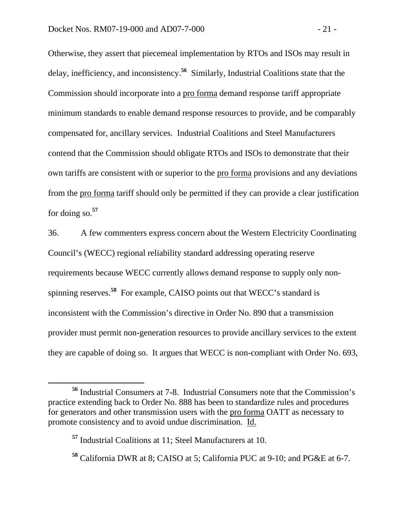Otherwise, they assert that piecemeal implementation by RTOs and ISOs may result in delay, inefficiency, and inconsistency.**<sup>56</sup>** Similarly, Industrial Coalitions state that the Commission should incorporate into a pro forma demand response tariff appropriate minimum standards to enable demand response resources to provide, and be comparably compensated for, ancillary services. Industrial Coalitions and Steel Manufacturers contend that the Commission should obligate RTOs and ISOs to demonstrate that their own tariffs are consistent with or superior to the pro forma provisions and any deviations from the pro forma tariff should only be permitted if they can provide a clear justification for doing so.**57** 

36. A few commenters express concern about the Western Electricity Coordinating Council's (WECC) regional reliability standard addressing operating reserve requirements because WECC currently allows demand response to supply only nonspinning reserves.**<sup>58</sup>** For example, CAISO points out that WECC's standard is inconsistent with the Commission's directive in Order No. 890 that a transmission provider must permit non-generation resources to provide ancillary services to the extent they are capable of doing so. It argues that WECC is non-compliant with Order No. 693,

**<sup>56</sup>** Industrial Consumers at 7-8. Industrial Consumers note that the Commission's practice extending back to Order No. 888 has been to standardize rules and procedures for generators and other transmission users with the pro forma OATT as necessary to promote consistency and to avoid undue discrimination. Id.

**<sup>57</sup>** Industrial Coalitions at 11; Steel Manufacturers at 10.

**<sup>58</sup>** California DWR at 8; CAISO at 5; California PUC at 9-10; and PG&E at 6-7.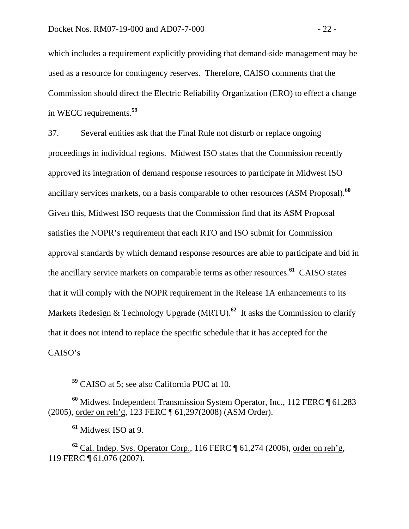which includes a requirement explicitly providing that demand-side management may be used as a resource for contingency reserves. Therefore, CAISO comments that the Commission should direct the Electric Reliability Organization (ERO) to effect a change in WECC requirements.**<sup>59</sup>**

37. Several entities ask that the Final Rule not disturb or replace ongoing proceedings in individual regions. Midwest ISO states that the Commission recently approved its integration of demand response resources to participate in Midwest ISO ancillary services markets, on a basis comparable to other resources (ASM Proposal).**<sup>60</sup>** Given this, Midwest ISO requests that the Commission find that its ASM Proposal satisfies the NOPR's requirement that each RTO and ISO submit for Commission approval standards by which demand response resources are able to participate and bid in the ancillary service markets on comparable terms as other resources.**<sup>61</sup>** CAISO states that it will comply with the NOPR requirement in the Release 1A enhancements to its Markets Redesign & Technology Upgrade (MRTU).<sup>62</sup> It asks the Commission to clarify that it does not intend to replace the specific schedule that it has accepted for the CAISO's

**<sup>60</sup>** Midwest Independent Transmission System Operator, Inc., 112 FERC ¶ 61,283 (2005), order on reh'g, 123 FERC ¶ 61,297(2008) (ASM Order).

**<sup>61</sup>** Midwest ISO at 9.

**<sup>62</sup>** Cal. Indep. Sys. Operator Corp., 116 FERC ¶ 61,274 (2006), order on reh'g, 119 FERC ¶ 61,076 (2007).

**<sup>59</sup>** CAISO at 5; see also California PUC at 10.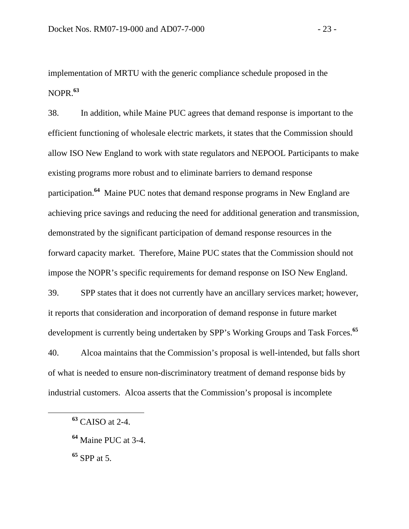implementation of MRTU with the generic compliance schedule proposed in the NOPR.**<sup>63</sup>**

38. In addition, while Maine PUC agrees that demand response is important to the efficient functioning of wholesale electric markets, it states that the Commission should allow ISO New England to work with state regulators and NEPOOL Participants to make existing programs more robust and to eliminate barriers to demand response participation.**<sup>64</sup>** Maine PUC notes that demand response programs in New England are achieving price savings and reducing the need for additional generation and transmission, demonstrated by the significant participation of demand response resources in the forward capacity market. Therefore, Maine PUC states that the Commission should not impose the NOPR's specific requirements for demand response on ISO New England. 39. SPP states that it does not currently have an ancillary services market; however, it reports that consideration and incorporation of demand response in future market development is currently being undertaken by SPP's Working Groups and Task Forces.**<sup>65</sup>** 40. Alcoa maintains that the Commission's proposal is well-intended, but falls short of what is needed to ensure non-discriminatory treatment of demand response bids by industrial customers. Alcoa asserts that the Commission's proposal is incomplete

**<sup>65</sup>** SPP at 5.

**<sup>63</sup>** CAISO at 2-4.

**<sup>64</sup>** Maine PUC at 3-4.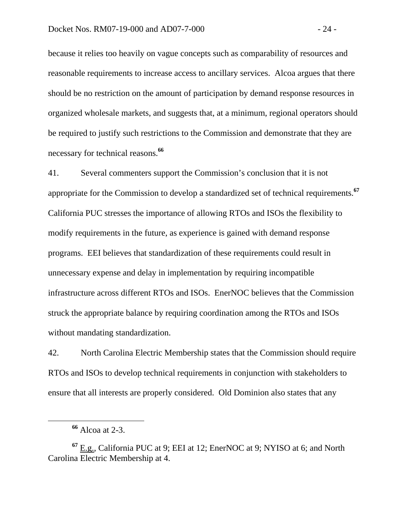because it relies too heavily on vague concepts such as comparability of resources and reasonable requirements to increase access to ancillary services. Alcoa argues that there should be no restriction on the amount of participation by demand response resources in organized wholesale markets, and suggests that, at a minimum, regional operators should be required to justify such restrictions to the Commission and demonstrate that they are necessary for technical reasons.**<sup>66</sup>**

41. Several commenters support the Commission's conclusion that it is not appropriate for the Commission to develop a standardized set of technical requirements.**<sup>67</sup>** California PUC stresses the importance of allowing RTOs and ISOs the flexibility to modify requirements in the future, as experience is gained with demand response programs. EEI believes that standardization of these requirements could result in unnecessary expense and delay in implementation by requiring incompatible infrastructure across different RTOs and ISOs. EnerNOC believes that the Commission struck the appropriate balance by requiring coordination among the RTOs and ISOs without mandating standardization.

42. North Carolina Electric Membership states that the Commission should require RTOs and ISOs to develop technical requirements in conjunction with stakeholders to ensure that all interests are properly considered. Old Dominion also states that any

**<sup>66</sup>** Alcoa at 2-3.

**<sup>67</sup>** E.g., California PUC at 9; EEI at 12; EnerNOC at 9; NYISO at 6; and North Carolina Electric Membership at 4.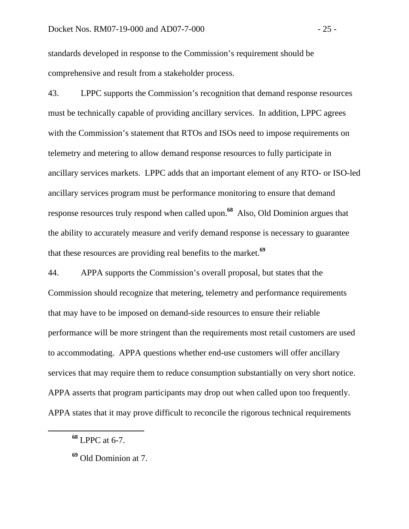standards developed in response to the Commission's requirement should be comprehensive and result from a stakeholder process.

43. LPPC supports the Commission's recognition that demand response resources must be technically capable of providing ancillary services. In addition, LPPC agrees with the Commission's statement that RTOs and ISOs need to impose requirements on telemetry and metering to allow demand response resources to fully participate in ancillary services markets. LPPC adds that an important element of any RTO- or ISO-led ancillary services program must be performance monitoring to ensure that demand response resources truly respond when called upon.**<sup>68</sup>** Also, Old Dominion argues that the ability to accurately measure and verify demand response is necessary to guarantee that these resources are providing real benefits to the market.**<sup>69</sup>**

44. APPA supports the Commission's overall proposal, but states that the Commission should recognize that metering, telemetry and performance requirements that may have to be imposed on demand-side resources to ensure their reliable performance will be more stringent than the requirements most retail customers are used to accommodating. APPA questions whether end-use customers will offer ancillary services that may require them to reduce consumption substantially on very short notice. APPA asserts that program participants may drop out when called upon too frequently. APPA states that it may prove difficult to reconcile the rigorous technical requirements

**<sup>68</sup>** LPPC at 6-7.

**<sup>69</sup>** Old Dominion at 7.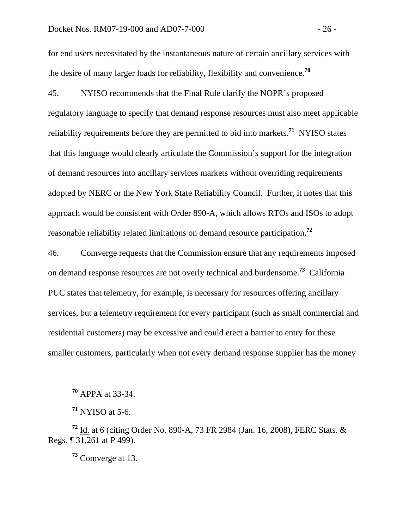#### Docket Nos. RM07-19-000 and AD07-7-000 - 26 -

for end users necessitated by the instantaneous nature of certain ancillary services with the desire of many larger loads for reliability, flexibility and convenience.**<sup>70</sup>**

45. NYISO recommends that the Final Rule clarify the NOPR's proposed regulatory language to specify that demand response resources must also meet applicable reliability requirements before they are permitted to bid into markets.**<sup>71</sup>** NYISO states that this language would clearly articulate the Commission's support for the integration of demand resources into ancillary services markets without overriding requirements adopted by NERC or the New York State Reliability Council. Further, it notes that this approach would be consistent with Order 890-A, which allows RTOs and ISOs to adopt reasonable reliability related limitations on demand resource participation.**<sup>72</sup>**

46. Comverge requests that the Commission ensure that any requirements imposed on demand response resources are not overly technical and burdensome.**<sup>73</sup>** California PUC states that telemetry, for example, is necessary for resources offering ancillary services, but a telemetry requirement for every participant (such as small commercial and residential customers) may be excessive and could erect a barrier to entry for these smaller customers, particularly when not every demand response supplier has the money

**<sup>73</sup>** Comverge at 13.

**<sup>70</sup>** APPA at 33-34.

**<sup>71</sup>** NYISO at 5-6.

**<sup>72</sup>** Id. at 6 (citing Order No. 890-A, 73 FR 2984 (Jan. 16, 2008), FERC Stats. & Regs. ¶ 31,261 at P 499).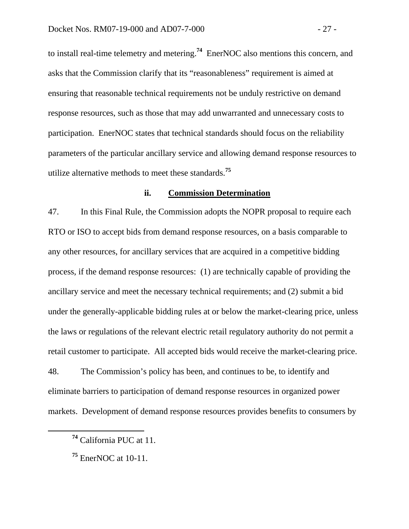to install real-time telemetry and metering.**<sup>74</sup>** EnerNOC also mentions this concern, and asks that the Commission clarify that its "reasonableness" requirement is aimed at ensuring that reasonable technical requirements not be unduly restrictive on demand response resources, such as those that may add unwarranted and unnecessary costs to participation. EnerNOC states that technical standards should focus on the reliability parameters of the particular ancillary service and allowing demand response resources to utilize alternative methods to meet these standards.**<sup>75</sup>**

#### **ii. Commission Determination**

47. In this Final Rule, the Commission adopts the NOPR proposal to require each RTO or ISO to accept bids from demand response resources, on a basis comparable to any other resources, for ancillary services that are acquired in a competitive bidding process, if the demand response resources: (1) are technically capable of providing the ancillary service and meet the necessary technical requirements; and (2) submit a bid under the generally-applicable bidding rules at or below the market-clearing price, unless the laws or regulations of the relevant electric retail regulatory authority do not permit a retail customer to participate. All accepted bids would receive the market-clearing price.

48. The Commission's policy has been, and continues to be, to identify and eliminate barriers to participation of demand response resources in organized power markets. Development of demand response resources provides benefits to consumers by

**<sup>74</sup>** California PUC at 11.

**<sup>75</sup>** EnerNOC at 10-11.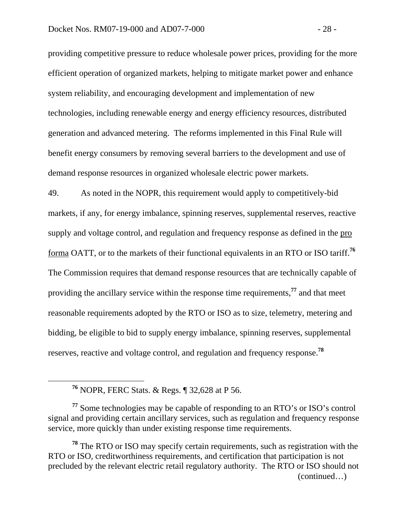providing competitive pressure to reduce wholesale power prices, providing for the more efficient operation of organized markets, helping to mitigate market power and enhance system reliability, and encouraging development and implementation of new technologies, including renewable energy and energy efficiency resources, distributed generation and advanced metering. The reforms implemented in this Final Rule will benefit energy consumers by removing several barriers to the development and use of demand response resources in organized wholesale electric power markets.

49. As noted in the NOPR, this requirement would apply to competitively-bid markets, if any, for energy imbalance, spinning reserves, supplemental reserves, reactive supply and voltage control, and regulation and frequency response as defined in the pro forma OATT, or to the markets of their functional equivalents in an RTO or ISO tariff.**<sup>76</sup>** The Commission requires that demand response resources that are technically capable of providing the ancillary service within the response time requirements,**<sup>77</sup>** and that meet reasonable requirements adopted by the RTO or ISO as to size, telemetry, metering and bidding, be eligible to bid to supply energy imbalance, spinning reserves, supplemental reserves, reactive and voltage control, and regulation and frequency response.**<sup>78</sup>**

**<sup>76</sup>** NOPR, FERC Stats. & Regs. ¶ 32,628 at P 56.

**<sup>77</sup>** Some technologies may be capable of responding to an RTO's or ISO's control signal and providing certain ancillary services, such as regulation and frequency response service, more quickly than under existing response time requirements.

**<sup>78</sup>** The RTO or ISO may specify certain requirements, such as registration with the RTO or ISO, creditworthiness requirements, and certification that participation is not precluded by the relevant electric retail regulatory authority. The RTO or ISO should not (continued…)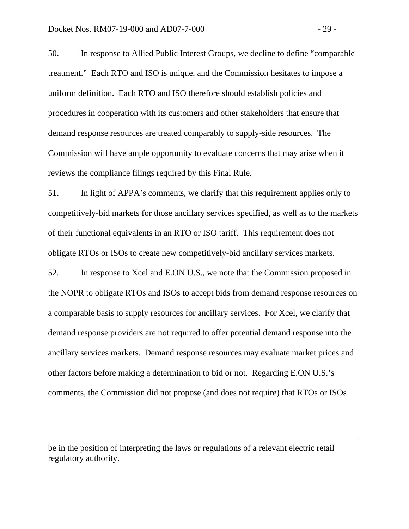50. In response to Allied Public Interest Groups, we decline to define "comparable treatment." Each RTO and ISO is unique, and the Commission hesitates to impose a uniform definition. Each RTO and ISO therefore should establish policies and procedures in cooperation with its customers and other stakeholders that ensure that demand response resources are treated comparably to supply-side resources. The Commission will have ample opportunity to evaluate concerns that may arise when it reviews the compliance filings required by this Final Rule.

51. In light of APPA's comments, we clarify that this requirement applies only to competitively-bid markets for those ancillary services specified, as well as to the markets of their functional equivalents in an RTO or ISO tariff. This requirement does not obligate RTOs or ISOs to create new competitively-bid ancillary services markets.

52. In response to Xcel and E.ON U.S., we note that the Commission proposed in the NOPR to obligate RTOs and ISOs to accept bids from demand response resources on a comparable basis to supply resources for ancillary services. For Xcel, we clarify that demand response providers are not required to offer potential demand response into the ancillary services markets. Demand response resources may evaluate market prices and other factors before making a determination to bid or not. Regarding E.ON U.S.'s comments, the Commission did not propose (and does not require) that RTOs or ISOs

 $\overline{a}$ 

be in the position of interpreting the laws or regulations of a relevant electric retail regulatory authority.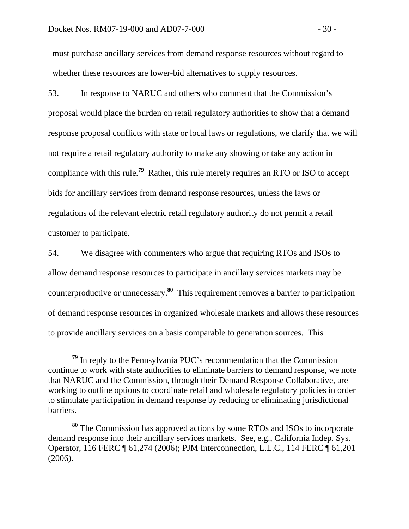must purchase ancillary services from demand response resources without regard to whether these resources are lower-bid alternatives to supply resources.

53. In response to NARUC and others who comment that the Commission's proposal would place the burden on retail regulatory authorities to show that a demand response proposal conflicts with state or local laws or regulations, we clarify that we will not require a retail regulatory authority to make any showing or take any action in compliance with this rule.**<sup>79</sup>** Rather, this rule merely requires an RTO or ISO to accept bids for ancillary services from demand response resources, unless the laws or regulations of the relevant electric retail regulatory authority do not permit a retail customer to participate.

54. We disagree with commenters who argue that requiring RTOs and ISOs to allow demand response resources to participate in ancillary services markets may be counterproductive or unnecessary.**<sup>80</sup>** This requirement removes a barrier to participation of demand response resources in organized wholesale markets and allows these resources to provide ancillary services on a basis comparable to generation sources. This

**<sup>79</sup>** In reply to the Pennsylvania PUC's recommendation that the Commission continue to work with state authorities to eliminate barriers to demand response, we note that NARUC and the Commission, through their Demand Response Collaborative, are working to outline options to coordinate retail and wholesale regulatory policies in order to stimulate participation in demand response by reducing or eliminating jurisdictional barriers.

**<sup>80</sup>** The Commission has approved actions by some RTOs and ISOs to incorporate demand response into their ancillary services markets. See, e.g., California Indep. Sys. Operator, 116 FERC ¶ 61,274 (2006); PJM Interconnection, L.L.C., 114 FERC ¶ 61,201 (2006).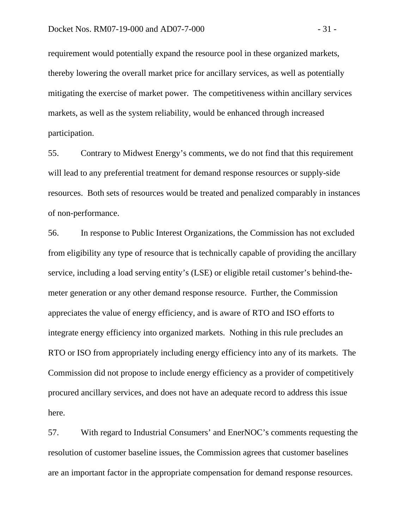requirement would potentially expand the resource pool in these organized markets, thereby lowering the overall market price for ancillary services, as well as potentially mitigating the exercise of market power. The competitiveness within ancillary services markets, as well as the system reliability, would be enhanced through increased participation.

55. Contrary to Midwest Energy's comments, we do not find that this requirement will lead to any preferential treatment for demand response resources or supply-side resources. Both sets of resources would be treated and penalized comparably in instances of non-performance.

56. In response to Public Interest Organizations, the Commission has not excluded from eligibility any type of resource that is technically capable of providing the ancillary service, including a load serving entity's (LSE) or eligible retail customer's behind-themeter generation or any other demand response resource. Further, the Commission appreciates the value of energy efficiency, and is aware of RTO and ISO efforts to integrate energy efficiency into organized markets. Nothing in this rule precludes an RTO or ISO from appropriately including energy efficiency into any of its markets. The Commission did not propose to include energy efficiency as a provider of competitively procured ancillary services, and does not have an adequate record to address this issue here.

57. With regard to Industrial Consumers' and EnerNOC's comments requesting the resolution of customer baseline issues, the Commission agrees that customer baselines are an important factor in the appropriate compensation for demand response resources.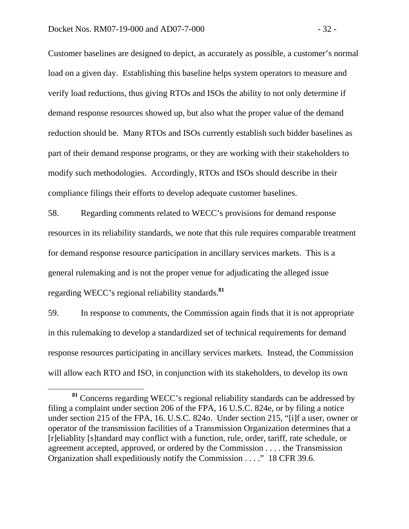Customer baselines are designed to depict, as accurately as possible, a customer's normal load on a given day. Establishing this baseline helps system operators to measure and verify load reductions, thus giving RTOs and ISOs the ability to not only determine if demand response resources showed up, but also what the proper value of the demand reduction should be. Many RTOs and ISOs currently establish such bidder baselines as part of their demand response programs, or they are working with their stakeholders to modify such methodologies. Accordingly, RTOs and ISOs should describe in their compliance filings their efforts to develop adequate customer baselines.

58. Regarding comments related to WECC's provisions for demand response resources in its reliability standards, we note that this rule requires comparable treatment for demand response resource participation in ancillary services markets. This is a general rulemaking and is not the proper venue for adjudicating the alleged issue regarding WECC's regional reliability standards.**<sup>81</sup>**

59. In response to comments, the Commission again finds that it is not appropriate in this rulemaking to develop a standardized set of technical requirements for demand response resources participating in ancillary services markets. Instead, the Commission will allow each RTO and ISO, in conjunction with its stakeholders, to develop its own

**<sup>81</sup>** Concerns regarding WECC's regional reliability standards can be addressed by filing a complaint under section 206 of the FPA, 16 U.S.C. 824e, or by filing a notice under section 215 of the FPA, 16. U.S.C. 824o. Under section 215, "[i]f a user, owner or operator of the transmission facilities of a Transmission Organization determines that a [r]eliablity [s]tandard may conflict with a function, rule, order, tariff, rate schedule, or agreement accepted, approved, or ordered by the Commission . . . . the Transmission Organization shall expeditiously notify the Commission . . . ." 18 CFR 39.6.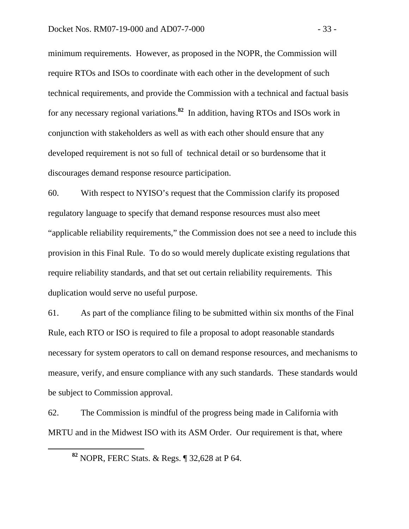minimum requirements. However, as proposed in the NOPR, the Commission will require RTOs and ISOs to coordinate with each other in the development of such technical requirements, and provide the Commission with a technical and factual basis for any necessary regional variations.**<sup>82</sup>** In addition, having RTOs and ISOs work in conjunction with stakeholders as well as with each other should ensure that any developed requirement is not so full of technical detail or so burdensome that it discourages demand response resource participation.

60. With respect to NYISO's request that the Commission clarify its proposed regulatory language to specify that demand response resources must also meet "applicable reliability requirements," the Commission does not see a need to include this provision in this Final Rule. To do so would merely duplicate existing regulations that require reliability standards, and that set out certain reliability requirements. This duplication would serve no useful purpose.

61. As part of the compliance filing to be submitted within six months of the Final Rule, each RTO or ISO is required to file a proposal to adopt reasonable standards necessary for system operators to call on demand response resources, and mechanisms to measure, verify, and ensure compliance with any such standards. These standards would be subject to Commission approval.

62. The Commission is mindful of the progress being made in California with MRTU and in the Midwest ISO with its ASM Order. Our requirement is that, where

**<sup>82</sup>** NOPR, FERC Stats. & Regs. ¶ 32,628 at P 64.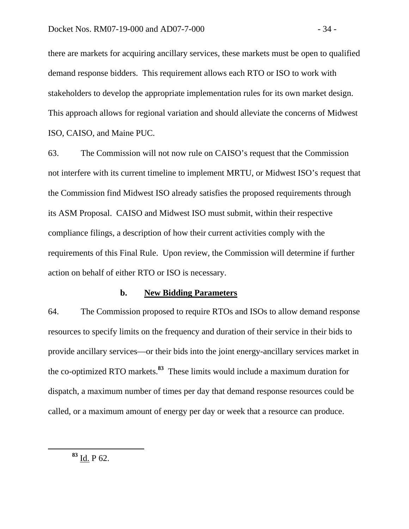there are markets for acquiring ancillary services, these markets must be open to qualified demand response bidders. This requirement allows each RTO or ISO to work with stakeholders to develop the appropriate implementation rules for its own market design. This approach allows for regional variation and should alleviate the concerns of Midwest ISO, CAISO, and Maine PUC.

63. The Commission will not now rule on CAISO's request that the Commission not interfere with its current timeline to implement MRTU, or Midwest ISO's request that the Commission find Midwest ISO already satisfies the proposed requirements through its ASM Proposal. CAISO and Midwest ISO must submit, within their respective compliance filings, a description of how their current activities comply with the requirements of this Final Rule. Upon review, the Commission will determine if further action on behalf of either RTO or ISO is necessary.

## **b. New Bidding Parameters**

64. The Commission proposed to require RTOs and ISOs to allow demand response resources to specify limits on the frequency and duration of their service in their bids to provide ancillary services—or their bids into the joint energy-ancillary services market in the co-optimized RTO markets.**<sup>83</sup>** These limits would include a maximum duration for dispatch, a maximum number of times per day that demand response resources could be called, or a maximum amount of energy per day or week that a resource can produce.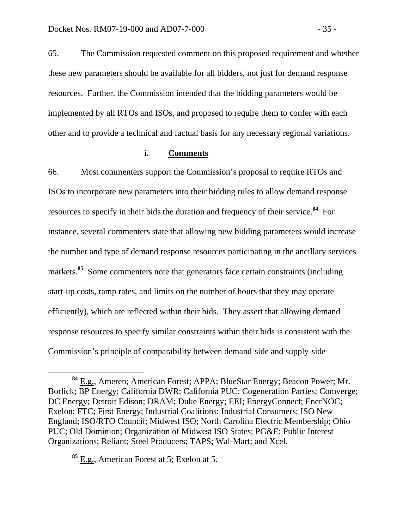65. The Commission requested comment on this proposed requirement and whether these new parameters should be available for all bidders, not just for demand response resources. Further, the Commission intended that the bidding parameters would be implemented by all RTOs and ISOs, and proposed to require them to confer with each other and to provide a technical and factual basis for any necessary regional variations.

## **i. Comments**

66. Most commenters support the Commission's proposal to require RTOs and ISOs to incorporate new parameters into their bidding rules to allow demand response resources to specify in their bids the duration and frequency of their service.**<sup>84</sup>** For instance, several commenters state that allowing new bidding parameters would increase the number and type of demand response resources participating in the ancillary services markets.<sup>85</sup> Some commenters note that generators face certain constraints (including start-up costs, ramp rates, and limits on the number of hours that they may operate efficiently), which are reflected within their bids. They assert that allowing demand response resources to specify similar constraints within their bids is consistent with the Commission's principle of comparability between demand-side and supply-side

**<sup>84</sup>** E.g., Ameren; American Forest; APPA; BlueStar Energy; Beacon Power; Mr. Borlick; BP Energy; California DWR; California PUC; Cogeneration Parties; Comverge; DC Energy; Detroit Edison; DRAM; Duke Energy; EEI; EnergyConnect; EnerNOC; Exelon; FTC; First Energy; Industrial Coalitions; Industrial Consumers; ISO New England; ISO/RTO Council; Midwest ISO; North Carolina Electric Membership; Ohio PUC; Old Dominion; Organization of Midwest ISO States; PG&E; Public Interest Organizations; Reliant; Steel Producers; TAPS; Wal-Mart; and Xcel.

**<sup>85</sup>** E.g., American Forest at 5; Exelon at 5.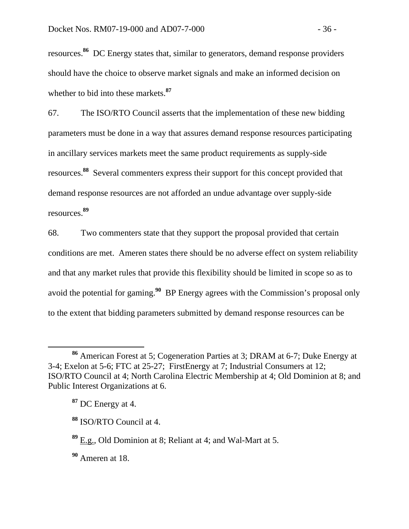resources.**<sup>86</sup>** DC Energy states that, similar to generators, demand response providers should have the choice to observe market signals and make an informed decision on whether to bid into these markets.**<sup>87</sup>**

67. The ISO/RTO Council asserts that the implementation of these new bidding parameters must be done in a way that assures demand response resources participating in ancillary services markets meet the same product requirements as supply-side resources.**<sup>88</sup>** Several commenters express their support for this concept provided that demand response resources are not afforded an undue advantage over supply-side resources.**<sup>89</sup>**

68. Two commenters state that they support the proposal provided that certain conditions are met. Ameren states there should be no adverse effect on system reliability and that any market rules that provide this flexibility should be limited in scope so as to avoid the potential for gaming.**<sup>90</sup>** BP Energy agrees with the Commission's proposal only to the extent that bidding parameters submitted by demand response resources can be

**<sup>90</sup>** Ameren at 18.

**<sup>86</sup>** American Forest at 5; Cogeneration Parties at 3; DRAM at 6-7; Duke Energy at 3-4; Exelon at 5-6; FTC at 25-27; FirstEnergy at 7; Industrial Consumers at 12; ISO/RTO Council at 4; North Carolina Electric Membership at 4; Old Dominion at 8; and Public Interest Organizations at 6.

**<sup>87</sup>** DC Energy at 4.

**<sup>88</sup>** ISO/RTO Council at 4.

**<sup>89</sup>** E.g., Old Dominion at 8; Reliant at 4; and Wal-Mart at 5.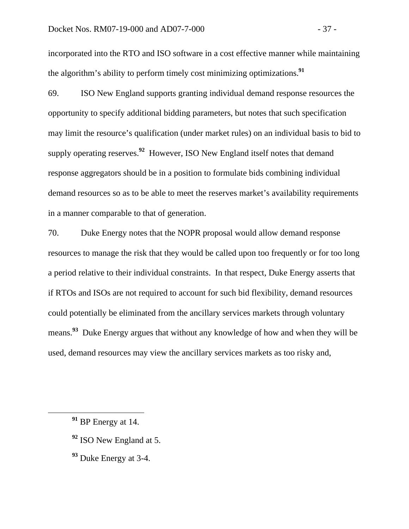#### Docket Nos. RM07-19-000 and AD07-7-000  $-37 -$

incorporated into the RTO and ISO software in a cost effective manner while maintaining the algorithm's ability to perform timely cost minimizing optimizations.**<sup>91</sup>**

69. ISO New England supports granting individual demand response resources the opportunity to specify additional bidding parameters, but notes that such specification may limit the resource's qualification (under market rules) on an individual basis to bid to supply operating reserves.**<sup>92</sup>** However, ISO New England itself notes that demand response aggregators should be in a position to formulate bids combining individual demand resources so as to be able to meet the reserves market's availability requirements in a manner comparable to that of generation.

70. Duke Energy notes that the NOPR proposal would allow demand response resources to manage the risk that they would be called upon too frequently or for too long a period relative to their individual constraints. In that respect, Duke Energy asserts that if RTOs and ISOs are not required to account for such bid flexibility, demand resources could potentially be eliminated from the ancillary services markets through voluntary means.**<sup>93</sup>** Duke Energy argues that without any knowledge of how and when they will be used, demand resources may view the ancillary services markets as too risky and,

- **<sup>92</sup>** ISO New England at 5.
- **<sup>93</sup>** Duke Energy at 3-4.

**<sup>91</sup>** BP Energy at 14.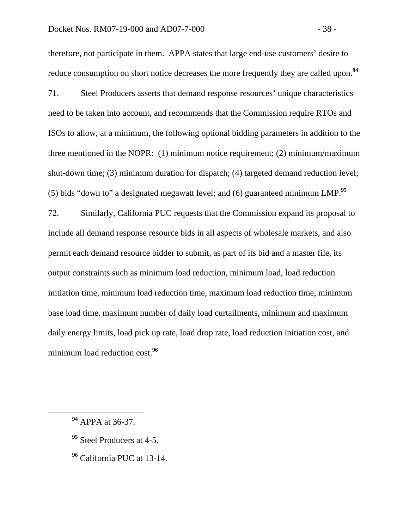therefore, not participate in them. APPA states that large end-use customers' desire to reduce consumption on short notice decreases the more frequently they are called upon.**<sup>94</sup>**

71. Steel Producers asserts that demand response resources' unique characteristics need to be taken into account, and recommends that the Commission require RTOs and ISOs to allow, at a minimum, the following optional bidding parameters in addition to the three mentioned in the NOPR: (1) minimum notice requirement; (2) minimum/maximum shut-down time; (3) minimum duration for dispatch; (4) targeted demand reduction level; (5) bids "down to" a designated megawatt level; and (6) guaranteed minimum LMP.**<sup>95</sup>**

72. Similarly, California PUC requests that the Commission expand its proposal to include all demand response resource bids in all aspects of wholesale markets, and also permit each demand resource bidder to submit, as part of its bid and a master file, its output constraints such as minimum load reduction, minimum load, load reduction initiation time, minimum load reduction time, maximum load reduction time, minimum base load time, maximum number of daily load curtailments, minimum and maximum daily energy limits, load pick up rate, load drop rate, load reduction initiation cost, and minimum load reduction cost.**<sup>96</sup>**

- **<sup>95</sup>** Steel Producers at 4-5.
- **<sup>96</sup>** California PUC at 13-14.

**<sup>94</sup>** APPA at 36-37.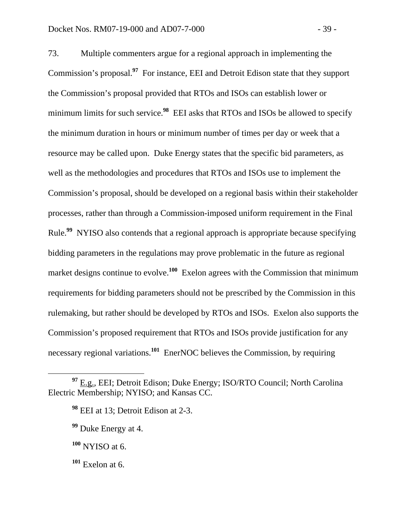73. Multiple commenters argue for a regional approach in implementing the Commission's proposal.**<sup>97</sup>** For instance, EEI and Detroit Edison state that they support the Commission's proposal provided that RTOs and ISOs can establish lower or minimum limits for such service.<sup>98</sup> EEI asks that RTOs and ISOs be allowed to specify the minimum duration in hours or minimum number of times per day or week that a resource may be called upon. Duke Energy states that the specific bid parameters, as well as the methodologies and procedures that RTOs and ISOs use to implement the Commission's proposal, should be developed on a regional basis within their stakeholder processes, rather than through a Commission-imposed uniform requirement in the Final Rule.**<sup>99</sup>** NYISO also contends that a regional approach is appropriate because specifying bidding parameters in the regulations may prove problematic in the future as regional market designs continue to evolve.<sup>100</sup> Exelon agrees with the Commission that minimum requirements for bidding parameters should not be prescribed by the Commission in this rulemaking, but rather should be developed by RTOs and ISOs. Exelon also supports the Commission's proposed requirement that RTOs and ISOs provide justification for any necessary regional variations.**<sup>101</sup>** EnerNOC believes the Commission, by requiring

**<sup>97</sup>** E.g., EEI; Detroit Edison; Duke Energy; ISO/RTO Council; North Carolina Electric Membership; NYISO; and Kansas CC.

**<sup>98</sup>** EEI at 13; Detroit Edison at 2-3.

**<sup>99</sup>** Duke Energy at 4.

**<sup>100</sup>** NYISO at 6.

**<sup>101</sup>** Exelon at 6.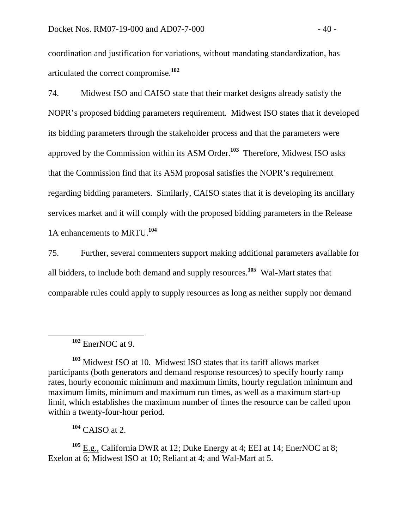coordination and justification for variations, without mandating standardization, has articulated the correct compromise.**<sup>102</sup>**

74. Midwest ISO and CAISO state that their market designs already satisfy the NOPR's proposed bidding parameters requirement. Midwest ISO states that it developed its bidding parameters through the stakeholder process and that the parameters were approved by the Commission within its ASM Order.**<sup>103</sup>** Therefore, Midwest ISO asks that the Commission find that its ASM proposal satisfies the NOPR's requirement regarding bidding parameters. Similarly, CAISO states that it is developing its ancillary services market and it will comply with the proposed bidding parameters in the Release 1A enhancements to MRTU.**<sup>104</sup>**

75. Further, several commenters support making additional parameters available for all bidders, to include both demand and supply resources.**<sup>105</sup>** Wal-Mart states that comparable rules could apply to supply resources as long as neither supply nor demand

**<sup>104</sup>** CAISO at 2.

<sup>105</sup> E.g., California DWR at 12; Duke Energy at 4; EEI at 14; EnerNOC at 8; Exelon at 6; Midwest ISO at 10; Reliant at 4; and Wal-Mart at 5.

**<sup>102</sup>** EnerNOC at 9.

**<sup>103</sup>** Midwest ISO at 10. Midwest ISO states that its tariff allows market participants (both generators and demand response resources) to specify hourly ramp rates, hourly economic minimum and maximum limits, hourly regulation minimum and maximum limits, minimum and maximum run times, as well as a maximum start-up limit, which establishes the maximum number of times the resource can be called upon within a twenty-four-hour period.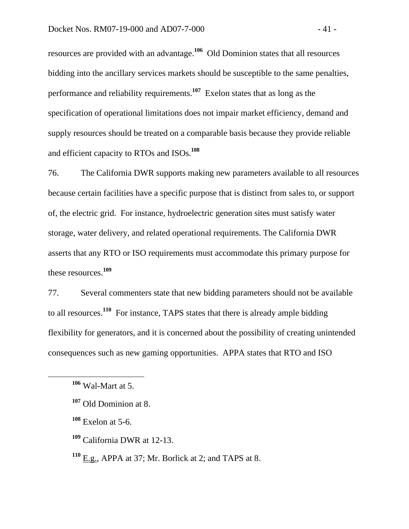resources are provided with an advantage.**<sup>106</sup>** Old Dominion states that all resources bidding into the ancillary services markets should be susceptible to the same penalties, performance and reliability requirements.**<sup>107</sup>** Exelon states that as long as the specification of operational limitations does not impair market efficiency, demand and supply resources should be treated on a comparable basis because they provide reliable and efficient capacity to RTOs and ISOs.**<sup>108</sup>**

76. The California DWR supports making new parameters available to all resources because certain facilities have a specific purpose that is distinct from sales to, or support of, the electric grid. For instance, hydroelectric generation sites must satisfy water storage, water delivery, and related operational requirements. The California DWR asserts that any RTO or ISO requirements must accommodate this primary purpose for these resources.**<sup>109</sup>**

77. Several commenters state that new bidding parameters should not be available to all resources.**<sup>110</sup>** For instance, TAPS states that there is already ample bidding flexibility for generators, and it is concerned about the possibility of creating unintended consequences such as new gaming opportunities. APPA states that RTO and ISO

**<sup>106</sup>** Wal-Mart at 5.

**<sup>107</sup>** Old Dominion at 8.

**<sup>108</sup>** Exelon at 5-6.

**<sup>109</sup>** California DWR at 12-13.

**<sup>110</sup>** E.g., APPA at 37; Mr. Borlick at 2; and TAPS at 8.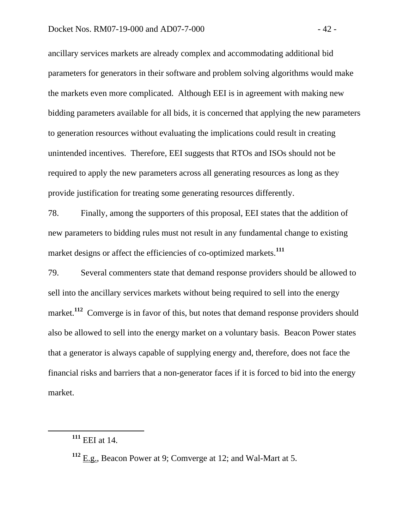ancillary services markets are already complex and accommodating additional bid parameters for generators in their software and problem solving algorithms would make the markets even more complicated. Although EEI is in agreement with making new bidding parameters available for all bids, it is concerned that applying the new parameters to generation resources without evaluating the implications could result in creating unintended incentives. Therefore, EEI suggests that RTOs and ISOs should not be required to apply the new parameters across all generating resources as long as they provide justification for treating some generating resources differently.

78. Finally, among the supporters of this proposal, EEI states that the addition of new parameters to bidding rules must not result in any fundamental change to existing market designs or affect the efficiencies of co-optimized markets.**<sup>111</sup>**

79. Several commenters state that demand response providers should be allowed to sell into the ancillary services markets without being required to sell into the energy market.<sup>112</sup> Comverge is in favor of this, but notes that demand response providers should also be allowed to sell into the energy market on a voluntary basis. Beacon Power states that a generator is always capable of supplying energy and, therefore, does not face the financial risks and barriers that a non-generator faces if it is forced to bid into the energy market.

**<sup>111</sup>** EEI at 14.

**<sup>112</sup>** E.g., Beacon Power at 9; Comverge at 12; and Wal-Mart at 5.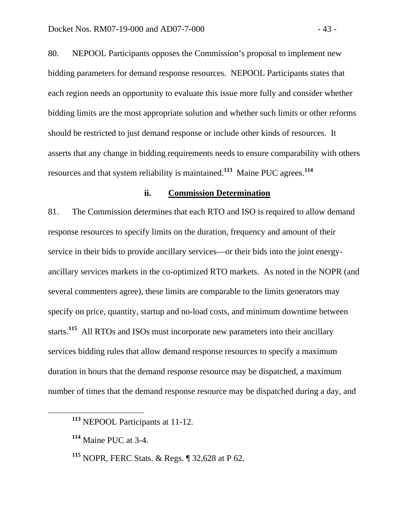80. NEPOOL Participants opposes the Commission's proposal to implement new bidding parameters for demand response resources. NEPOOL Participants states that each region needs an opportunity to evaluate this issue more fully and consider whether bidding limits are the most appropriate solution and whether such limits or other reforms should be restricted to just demand response or include other kinds of resources. It asserts that any change in bidding requirements needs to ensure comparability with others resources and that system reliability is maintained.**<sup>113</sup>** Maine PUC agrees.**<sup>114</sup>**

#### **ii. Commission Determination**

81. The Commission determines that each RTO and ISO is required to allow demand response resources to specify limits on the duration, frequency and amount of their service in their bids to provide ancillary services—or their bids into the joint energyancillary services markets in the co-optimized RTO markets. As noted in the NOPR (and several commenters agree), these limits are comparable to the limits generators may specify on price, quantity, startup and no-load costs, and minimum downtime between starts.**<sup>115</sup>** All RTOs and ISOs must incorporate new parameters into their ancillary services bidding rules that allow demand response resources to specify a maximum duration in hours that the demand response resource may be dispatched, a maximum number of times that the demand response resource may be dispatched during a day, and

**<sup>113</sup>** NEPOOL Participants at 11-12.

**<sup>114</sup>** Maine PUC at 3-4.

**<sup>115</sup>** NOPR, FERC Stats. & Regs. ¶ 32,628 at P 62.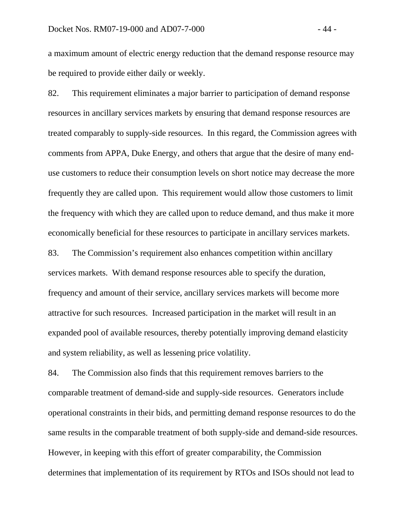a maximum amount of electric energy reduction that the demand response resource may be required to provide either daily or weekly.

82. This requirement eliminates a major barrier to participation of demand response resources in ancillary services markets by ensuring that demand response resources are treated comparably to supply-side resources. In this regard, the Commission agrees with comments from APPA, Duke Energy, and others that argue that the desire of many enduse customers to reduce their consumption levels on short notice may decrease the more frequently they are called upon. This requirement would allow those customers to limit the frequency with which they are called upon to reduce demand, and thus make it more economically beneficial for these resources to participate in ancillary services markets.

83. The Commission's requirement also enhances competition within ancillary services markets. With demand response resources able to specify the duration, frequency and amount of their service, ancillary services markets will become more attractive for such resources. Increased participation in the market will result in an expanded pool of available resources, thereby potentially improving demand elasticity and system reliability, as well as lessening price volatility.

84. The Commission also finds that this requirement removes barriers to the comparable treatment of demand-side and supply-side resources. Generators include operational constraints in their bids, and permitting demand response resources to do the same results in the comparable treatment of both supply-side and demand-side resources. However, in keeping with this effort of greater comparability, the Commission determines that implementation of its requirement by RTOs and ISOs should not lead to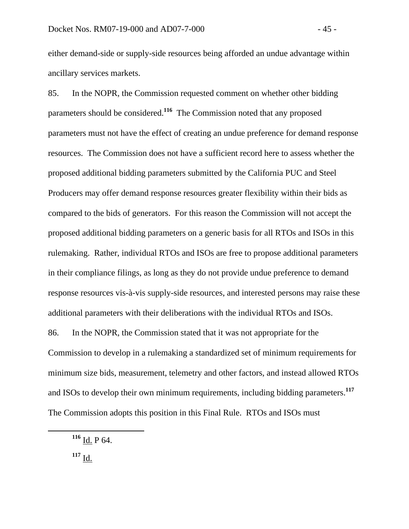either demand-side or supply-side resources being afforded an undue advantage within ancillary services markets.

85. In the NOPR, the Commission requested comment on whether other bidding parameters should be considered.**<sup>116</sup>** The Commission noted that any proposed parameters must not have the effect of creating an undue preference for demand response resources. The Commission does not have a sufficient record here to assess whether the proposed additional bidding parameters submitted by the California PUC and Steel Producers may offer demand response resources greater flexibility within their bids as compared to the bids of generators. For this reason the Commission will not accept the proposed additional bidding parameters on a generic basis for all RTOs and ISOs in this rulemaking. Rather, individual RTOs and ISOs are free to propose additional parameters in their compliance filings, as long as they do not provide undue preference to demand response resources vis-à-vis supply-side resources, and interested persons may raise these additional parameters with their deliberations with the individual RTOs and ISOs. 86. In the NOPR, the Commission stated that it was not appropriate for the

Commission to develop in a rulemaking a standardized set of minimum requirements for minimum size bids, measurement, telemetry and other factors, and instead allowed RTOs and ISOs to develop their own minimum requirements, including bidding parameters.**<sup>117</sup>** The Commission adopts this position in this Final Rule. RTOs and ISOs must

**<sup>116</sup>** Id. P 64.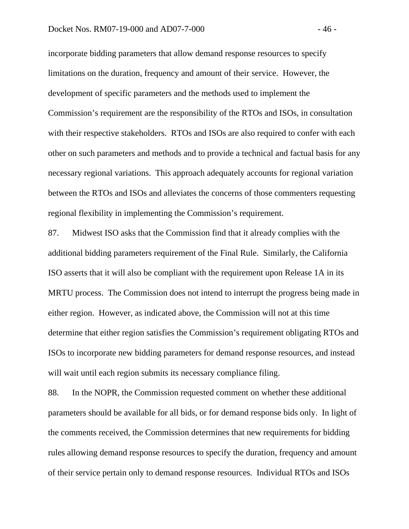incorporate bidding parameters that allow demand response resources to specify limitations on the duration, frequency and amount of their service. However, the development of specific parameters and the methods used to implement the Commission's requirement are the responsibility of the RTOs and ISOs, in consultation with their respective stakeholders. RTOs and ISOs are also required to confer with each other on such parameters and methods and to provide a technical and factual basis for any necessary regional variations. This approach adequately accounts for regional variation between the RTOs and ISOs and alleviates the concerns of those commenters requesting regional flexibility in implementing the Commission's requirement.

87. Midwest ISO asks that the Commission find that it already complies with the additional bidding parameters requirement of the Final Rule. Similarly, the California ISO asserts that it will also be compliant with the requirement upon Release 1A in its MRTU process. The Commission does not intend to interrupt the progress being made in either region. However, as indicated above, the Commission will not at this time determine that either region satisfies the Commission's requirement obligating RTOs and ISOs to incorporate new bidding parameters for demand response resources, and instead will wait until each region submits its necessary compliance filing.

88. In the NOPR, the Commission requested comment on whether these additional parameters should be available for all bids, or for demand response bids only. In light of the comments received, the Commission determines that new requirements for bidding rules allowing demand response resources to specify the duration, frequency and amount of their service pertain only to demand response resources. Individual RTOs and ISOs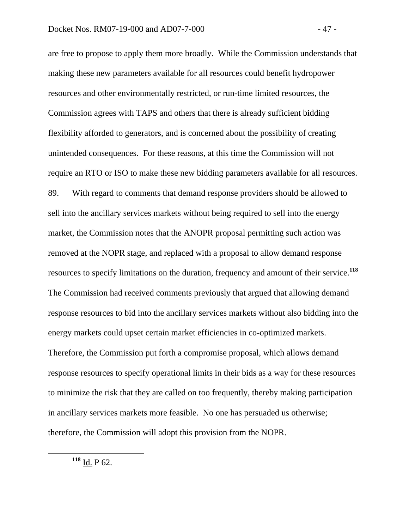are free to propose to apply them more broadly. While the Commission understands that making these new parameters available for all resources could benefit hydropower resources and other environmentally restricted, or run-time limited resources, the Commission agrees with TAPS and others that there is already sufficient bidding flexibility afforded to generators, and is concerned about the possibility of creating unintended consequences. For these reasons, at this time the Commission will not require an RTO or ISO to make these new bidding parameters available for all resources. 89. With regard to comments that demand response providers should be allowed to sell into the ancillary services markets without being required to sell into the energy market, the Commission notes that the ANOPR proposal permitting such action was removed at the NOPR stage, and replaced with a proposal to allow demand response resources to specify limitations on the duration, frequency and amount of their service.**<sup>118</sup>** The Commission had received comments previously that argued that allowing demand response resources to bid into the ancillary services markets without also bidding into the energy markets could upset certain market efficiencies in co-optimized markets. Therefore, the Commission put forth a compromise proposal, which allows demand response resources to specify operational limits in their bids as a way for these resources to minimize the risk that they are called on too frequently, thereby making participation in ancillary services markets more feasible. No one has persuaded us otherwise; therefore, the Commission will adopt this provision from the NOPR.

**<sup>118</sup>** Id. P 62.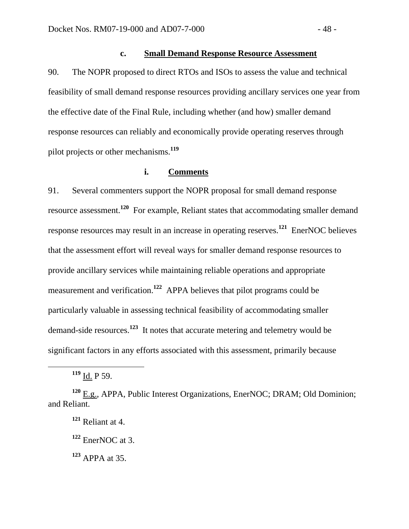## **c. Small Demand Response Resource Assessment**

90. The NOPR proposed to direct RTOs and ISOs to assess the value and technical feasibility of small demand response resources providing ancillary services one year from the effective date of the Final Rule, including whether (and how) smaller demand response resources can reliably and economically provide operating reserves through pilot projects or other mechanisms.**<sup>119</sup>**

## **i. Comments**

91. Several commenters support the NOPR proposal for small demand response resource assessment.**<sup>120</sup>** For example, Reliant states that accommodating smaller demand response resources may result in an increase in operating reserves.**<sup>121</sup>** EnerNOC believes that the assessment effort will reveal ways for smaller demand response resources to provide ancillary services while maintaining reliable operations and appropriate measurement and verification.**<sup>122</sup>** APPA believes that pilot programs could be particularly valuable in assessing technical feasibility of accommodating smaller demand-side resources.**<sup>123</sup>** It notes that accurate metering and telemetry would be significant factors in any efforts associated with this assessment, primarily because

**<sup>119</sup>** Id. P 59.

**<sup>120</sup>** E.g., APPA, Public Interest Organizations, EnerNOC; DRAM; Old Dominion; and Reliant.

**<sup>121</sup>** Reliant at 4.

**<sup>122</sup>** EnerNOC at 3.

**<sup>123</sup>** APPA at 35.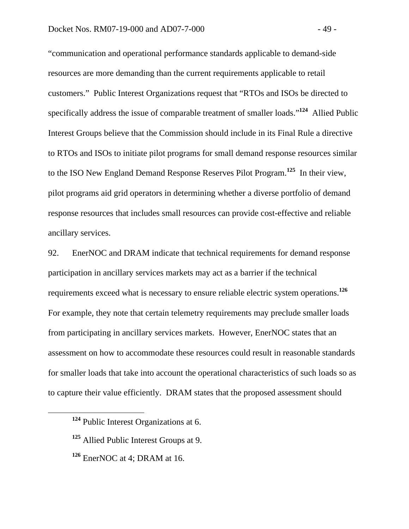"communication and operational performance standards applicable to demand-side resources are more demanding than the current requirements applicable to retail customers." Public Interest Organizations request that "RTOs and ISOs be directed to specifically address the issue of comparable treatment of smaller loads."**<sup>124</sup>** Allied Public Interest Groups believe that the Commission should include in its Final Rule a directive to RTOs and ISOs to initiate pilot programs for small demand response resources similar to the ISO New England Demand Response Reserves Pilot Program.**<sup>125</sup>** In their view, pilot programs aid grid operators in determining whether a diverse portfolio of demand response resources that includes small resources can provide cost-effective and reliable ancillary services.

92. EnerNOC and DRAM indicate that technical requirements for demand response participation in ancillary services markets may act as a barrier if the technical requirements exceed what is necessary to ensure reliable electric system operations.**<sup>126</sup>** For example, they note that certain telemetry requirements may preclude smaller loads from participating in ancillary services markets. However, EnerNOC states that an assessment on how to accommodate these resources could result in reasonable standards for smaller loads that take into account the operational characteristics of such loads so as to capture their value efficiently. DRAM states that the proposed assessment should

**<sup>124</sup>** Public Interest Organizations at 6.

**<sup>125</sup>** Allied Public Interest Groups at 9.

**<sup>126</sup>** EnerNOC at 4; DRAM at 16.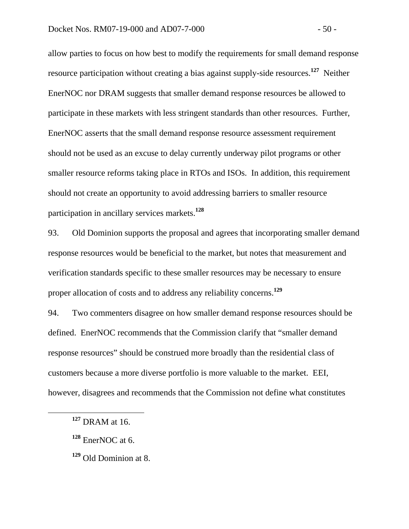allow parties to focus on how best to modify the requirements for small demand response resource participation without creating a bias against supply-side resources.**<sup>127</sup>** Neither EnerNOC nor DRAM suggests that smaller demand response resources be allowed to participate in these markets with less stringent standards than other resources. Further, EnerNOC asserts that the small demand response resource assessment requirement should not be used as an excuse to delay currently underway pilot programs or other smaller resource reforms taking place in RTOs and ISOs. In addition, this requirement should not create an opportunity to avoid addressing barriers to smaller resource participation in ancillary services markets.**<sup>128</sup>**

93. Old Dominion supports the proposal and agrees that incorporating smaller demand response resources would be beneficial to the market, but notes that measurement and verification standards specific to these smaller resources may be necessary to ensure proper allocation of costs and to address any reliability concerns.**<sup>129</sup>**

94. Two commenters disagree on how smaller demand response resources should be defined. EnerNOC recommends that the Commission clarify that "smaller demand response resources" should be construed more broadly than the residential class of customers because a more diverse portfolio is more valuable to the market. EEI, however, disagrees and recommends that the Commission not define what constitutes

**<sup>127</sup>** DRAM at 16.

**<sup>128</sup>** EnerNOC at 6.

**<sup>129</sup>** Old Dominion at 8.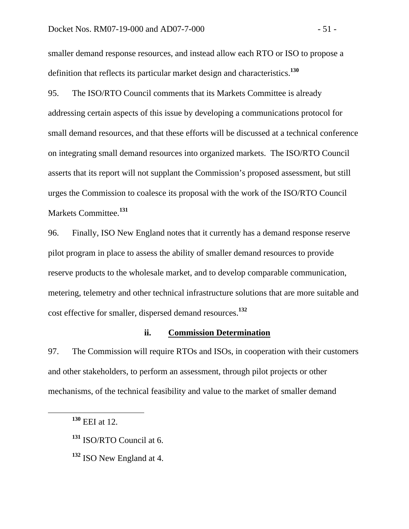smaller demand response resources, and instead allow each RTO or ISO to propose a definition that reflects its particular market design and characteristics.**<sup>130</sup>**

95. The ISO/RTO Council comments that its Markets Committee is already addressing certain aspects of this issue by developing a communications protocol for small demand resources, and that these efforts will be discussed at a technical conference on integrating small demand resources into organized markets. The ISO/RTO Council asserts that its report will not supplant the Commission's proposed assessment, but still urges the Commission to coalesce its proposal with the work of the ISO/RTO Council Markets Committee.**<sup>131</sup>**

96. Finally, ISO New England notes that it currently has a demand response reserve pilot program in place to assess the ability of smaller demand resources to provide reserve products to the wholesale market, and to develop comparable communication, metering, telemetry and other technical infrastructure solutions that are more suitable and cost effective for smaller, dispersed demand resources.**<sup>132</sup>**

#### **ii. Commission Determination**

97. The Commission will require RTOs and ISOs, in cooperation with their customers and other stakeholders, to perform an assessment, through pilot projects or other mechanisms, of the technical feasibility and value to the market of smaller demand

**<sup>130</sup>** EEI at 12.

**<sup>131</sup>** ISO/RTO Council at 6.

**<sup>132</sup>** ISO New England at 4.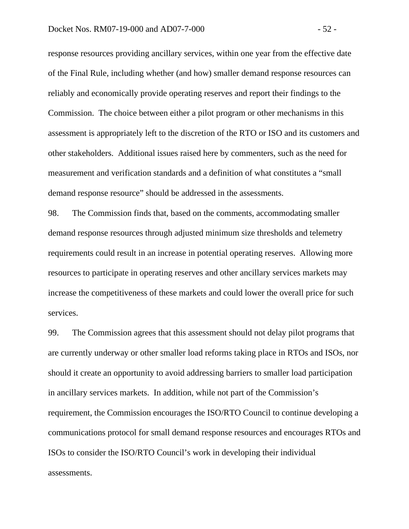#### Docket Nos. RM07-19-000 and AD07-7-000  $-52$

response resources providing ancillary services, within one year from the effective date of the Final Rule, including whether (and how) smaller demand response resources can reliably and economically provide operating reserves and report their findings to the Commission. The choice between either a pilot program or other mechanisms in this assessment is appropriately left to the discretion of the RTO or ISO and its customers and other stakeholders. Additional issues raised here by commenters, such as the need for measurement and verification standards and a definition of what constitutes a "small demand response resource" should be addressed in the assessments.

98. The Commission finds that, based on the comments, accommodating smaller demand response resources through adjusted minimum size thresholds and telemetry requirements could result in an increase in potential operating reserves. Allowing more resources to participate in operating reserves and other ancillary services markets may increase the competitiveness of these markets and could lower the overall price for such services.

99. The Commission agrees that this assessment should not delay pilot programs that are currently underway or other smaller load reforms taking place in RTOs and ISOs, nor should it create an opportunity to avoid addressing barriers to smaller load participation in ancillary services markets. In addition, while not part of the Commission's requirement, the Commission encourages the ISO/RTO Council to continue developing a communications protocol for small demand response resources and encourages RTOs and ISOs to consider the ISO/RTO Council's work in developing their individual assessments.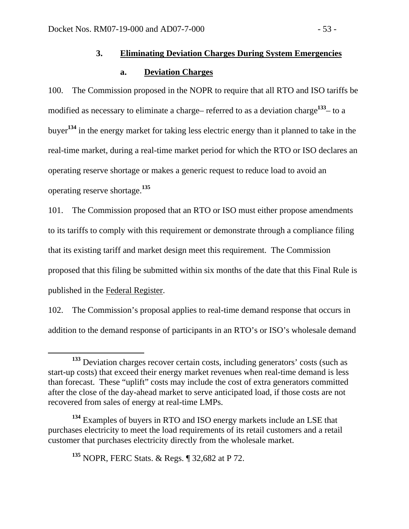# **3. Eliminating Deviation Charges During System Emergencies**

# **a. Deviation Charges**

100. The Commission proposed in the NOPR to require that all RTO and ISO tariffs be modified as necessary to eliminate a charge– referred to as a deviation charge**<sup>133</sup>**– to a buyer**<sup>134</sup>** in the energy market for taking less electric energy than it planned to take in the real-time market, during a real-time market period for which the RTO or ISO declares an operating reserve shortage or makes a generic request to reduce load to avoid an operating reserve shortage.**<sup>135</sup>**

101. The Commission proposed that an RTO or ISO must either propose amendments to its tariffs to comply with this requirement or demonstrate through a compliance filing that its existing tariff and market design meet this requirement. The Commission proposed that this filing be submitted within six months of the date that this Final Rule is published in the Federal Register.

102. The Commission's proposal applies to real-time demand response that occurs in addition to the demand response of participants in an RTO's or ISO's wholesale demand

**<sup>135</sup>** NOPR, FERC Stats. & Regs. ¶ 32,682 at P 72.

**<sup>133</sup>** Deviation charges recover certain costs, including generators' costs (such as start-up costs) that exceed their energy market revenues when real-time demand is less than forecast. These "uplift" costs may include the cost of extra generators committed after the close of the day-ahead market to serve anticipated load, if those costs are not recovered from sales of energy at real-time LMPs.

**<sup>134</sup>** Examples of buyers in RTO and ISO energy markets include an LSE that purchases electricity to meet the load requirements of its retail customers and a retail customer that purchases electricity directly from the wholesale market.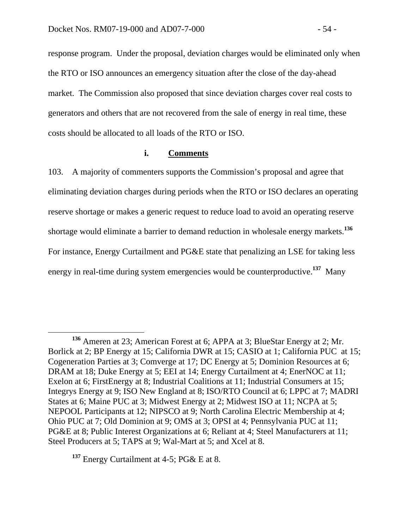response program. Under the proposal, deviation charges would be eliminated only when the RTO or ISO announces an emergency situation after the close of the day-ahead market. The Commission also proposed that since deviation charges cover real costs to generators and others that are not recovered from the sale of energy in real time, these costs should be allocated to all loads of the RTO or ISO.

## **i. Comments**

103. A majority of commenters supports the Commission's proposal and agree that eliminating deviation charges during periods when the RTO or ISO declares an operating reserve shortage or makes a generic request to reduce load to avoid an operating reserve shortage would eliminate a barrier to demand reduction in wholesale energy markets.**<sup>136</sup>** For instance, Energy Curtailment and PG&E state that penalizing an LSE for taking less energy in real-time during system emergencies would be counterproductive.**<sup>137</sup>** Many

**<sup>136</sup>** Ameren at 23; American Forest at 6; APPA at 3; BlueStar Energy at 2; Mr. Borlick at 2; BP Energy at 15; California DWR at 15; CASIO at 1; California PUC at 15; Cogeneration Parties at 3; Comverge at 17; DC Energy at 5; Dominion Resources at 6; DRAM at 18; Duke Energy at 5; EEI at 14; Energy Curtailment at 4; EnerNOC at 11; Exelon at 6; FirstEnergy at 8; Industrial Coalitions at 11; Industrial Consumers at 15; Integrys Energy at 9; ISO New England at 8; ISO/RTO Council at 6; LPPC at 7; MADRI States at 6; Maine PUC at 3; Midwest Energy at 2; Midwest ISO at 11; NCPA at 5; NEPOOL Participants at 12; NIPSCO at 9; North Carolina Electric Membership at 4; Ohio PUC at 7; Old Dominion at 9; OMS at 3; OPSI at 4; Pennsylvania PUC at 11; PG&E at 8; Public Interest Organizations at 6; Reliant at 4; Steel Manufacturers at 11; Steel Producers at 5; TAPS at 9; Wal-Mart at 5; and Xcel at 8.

**<sup>137</sup>** Energy Curtailment at 4-5; PG& E at 8.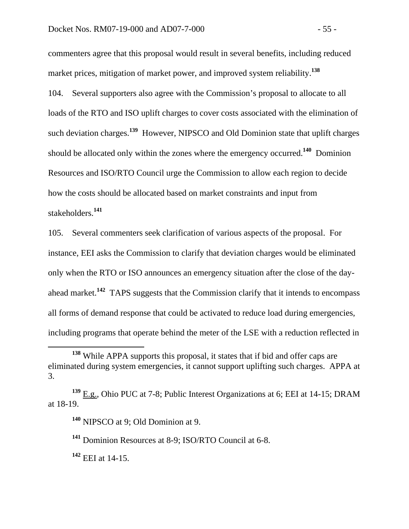commenters agree that this proposal would result in several benefits, including reduced market prices, mitigation of market power, and improved system reliability.**<sup>138</sup>**

104. Several supporters also agree with the Commission's proposal to allocate to all loads of the RTO and ISO uplift charges to cover costs associated with the elimination of such deviation charges.**<sup>139</sup>** However, NIPSCO and Old Dominion state that uplift charges should be allocated only within the zones where the emergency occurred.**<sup>140</sup>** Dominion Resources and ISO/RTO Council urge the Commission to allow each region to decide how the costs should be allocated based on market constraints and input from stakeholders.**<sup>141</sup>**

105. Several commenters seek clarification of various aspects of the proposal. For instance, EEI asks the Commission to clarify that deviation charges would be eliminated only when the RTO or ISO announces an emergency situation after the close of the dayahead market.**<sup>142</sup>** TAPS suggests that the Commission clarify that it intends to encompass all forms of demand response that could be activated to reduce load during emergencies, including programs that operate behind the meter of the LSE with a reduction reflected in

**<sup>142</sup>** EEI at 14-15.

**<sup>138</sup>** While APPA supports this proposal, it states that if bid and offer caps are eliminated during system emergencies, it cannot support uplifting such charges. APPA at 3.

**<sup>139</sup>** E.g., Ohio PUC at 7-8; Public Interest Organizations at 6; EEI at 14-15; DRAM at 18-19.

**<sup>140</sup>** NIPSCO at 9; Old Dominion at 9.

**<sup>141</sup>** Dominion Resources at 8-9; ISO/RTO Council at 6-8.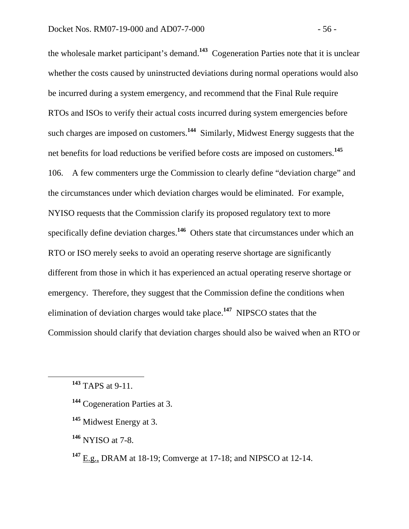the wholesale market participant's demand.**<sup>143</sup>** Cogeneration Parties note that it is unclear whether the costs caused by uninstructed deviations during normal operations would also be incurred during a system emergency, and recommend that the Final Rule require RTOs and ISOs to verify their actual costs incurred during system emergencies before such charges are imposed on customers.**<sup>144</sup>** Similarly, Midwest Energy suggests that the net benefits for load reductions be verified before costs are imposed on customers.**<sup>145</sup>** 106. A few commenters urge the Commission to clearly define "deviation charge" and the circumstances under which deviation charges would be eliminated. For example, NYISO requests that the Commission clarify its proposed regulatory text to more specifically define deviation charges.**<sup>146</sup>** Others state that circumstances under which an RTO or ISO merely seeks to avoid an operating reserve shortage are significantly different from those in which it has experienced an actual operating reserve shortage or emergency. Therefore, they suggest that the Commission define the conditions when elimination of deviation charges would take place.**<sup>147</sup>** NIPSCO states that the Commission should clarify that deviation charges should also be waived when an RTO or

**<sup>146</sup>** NYISO at 7-8.

**<sup>147</sup>** E.g., DRAM at 18-19; Comverge at 17-18; and NIPSCO at 12-14.

**<sup>143</sup>** TAPS at 9-11.

**<sup>144</sup>** Cogeneration Parties at 3.

**<sup>145</sup>** Midwest Energy at 3.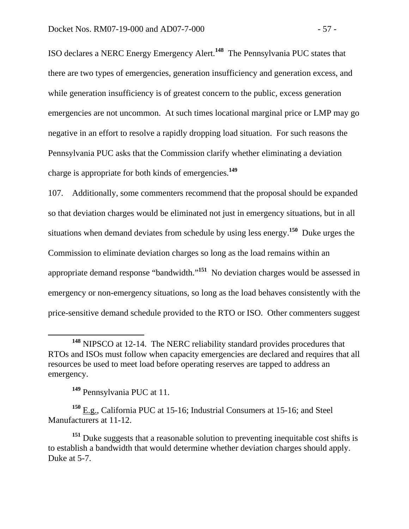ISO declares a NERC Energy Emergency Alert.**<sup>148</sup>** The Pennsylvania PUC states that there are two types of emergencies, generation insufficiency and generation excess, and while generation insufficiency is of greatest concern to the public, excess generation emergencies are not uncommon. At such times locational marginal price or LMP may go negative in an effort to resolve a rapidly dropping load situation. For such reasons the Pennsylvania PUC asks that the Commission clarify whether eliminating a deviation charge is appropriate for both kinds of emergencies.**<sup>149</sup>**

107. Additionally, some commenters recommend that the proposal should be expanded so that deviation charges would be eliminated not just in emergency situations, but in all situations when demand deviates from schedule by using less energy.**<sup>150</sup>** Duke urges the Commission to eliminate deviation charges so long as the load remains within an appropriate demand response "bandwidth."**<sup>151</sup>** No deviation charges would be assessed in emergency or non-emergency situations, so long as the load behaves consistently with the price-sensitive demand schedule provided to the RTO or ISO. Other commenters suggest

**<sup>149</sup>** Pennsylvania PUC at 11.

**<sup>150</sup>** E.g., California PUC at 15-16; Industrial Consumers at 15-16; and Steel Manufacturers at 11-12.

**<sup>148</sup>** NIPSCO at 12-14. The NERC reliability standard provides procedures that RTOs and ISOs must follow when capacity emergencies are declared and requires that all resources be used to meet load before operating reserves are tapped to address an emergency.

<sup>&</sup>lt;sup>151</sup> Duke suggests that a reasonable solution to preventing inequitable cost shifts is to establish a bandwidth that would determine whether deviation charges should apply. Duke at 5-7.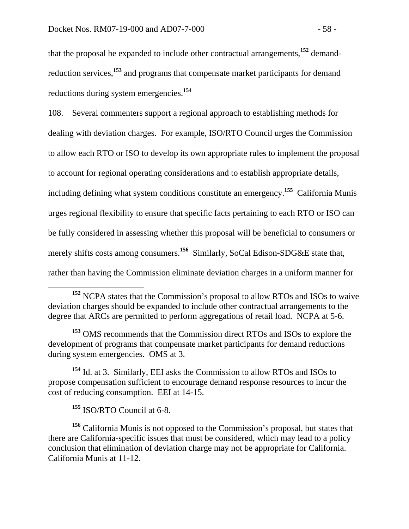that the proposal be expanded to include other contractual arrangements,**<sup>152</sup>** demandreduction services,**<sup>153</sup>** and programs that compensate market participants for demand reductions during system emergencies.**<sup>154</sup>**

108. Several commenters support a regional approach to establishing methods for dealing with deviation charges. For example, ISO/RTO Council urges the Commission to allow each RTO or ISO to develop its own appropriate rules to implement the proposal to account for regional operating considerations and to establish appropriate details, including defining what system conditions constitute an emergency.**<sup>155</sup>** California Munis urges regional flexibility to ensure that specific facts pertaining to each RTO or ISO can be fully considered in assessing whether this proposal will be beneficial to consumers or merely shifts costs among consumers.<sup>156</sup> Similarly, SoCal Edison-SDG&E state that, rather than having the Commission eliminate deviation charges in a uniform manner for

**<sup>154</sup>** Id. at 3. Similarly, EEI asks the Commission to allow RTOs and ISOs to propose compensation sufficient to encourage demand response resources to incur the cost of reducing consumption. EEI at 14-15.

**<sup>155</sup>** ISO/RTO Council at 6-8.

**<sup>156</sup>** California Munis is not opposed to the Commission's proposal, but states that there are California-specific issues that must be considered, which may lead to a policy conclusion that elimination of deviation charge may not be appropriate for California. California Munis at 11-12.

**<sup>152</sup>** NCPA states that the Commission's proposal to allow RTOs and ISOs to waive deviation charges should be expanded to include other contractual arrangements to the degree that ARCs are permitted to perform aggregations of retail load. NCPA at 5-6.

**<sup>153</sup>** OMS recommends that the Commission direct RTOs and ISOs to explore the development of programs that compensate market participants for demand reductions during system emergencies. OMS at 3.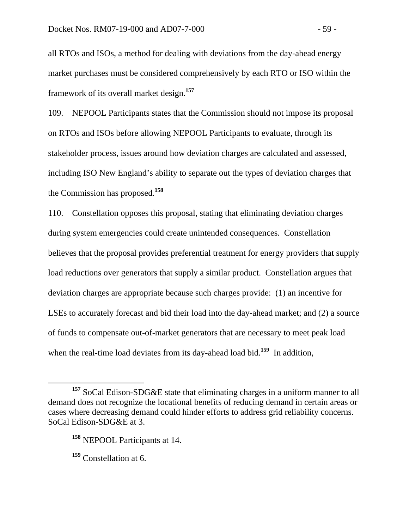all RTOs and ISOs, a method for dealing with deviations from the day-ahead energy market purchases must be considered comprehensively by each RTO or ISO within the framework of its overall market design.**<sup>157</sup>**

109. NEPOOL Participants states that the Commission should not impose its proposal on RTOs and ISOs before allowing NEPOOL Participants to evaluate, through its stakeholder process, issues around how deviation charges are calculated and assessed, including ISO New England's ability to separate out the types of deviation charges that the Commission has proposed.**<sup>158</sup>**

110. Constellation opposes this proposal, stating that eliminating deviation charges during system emergencies could create unintended consequences. Constellation believes that the proposal provides preferential treatment for energy providers that supply load reductions over generators that supply a similar product. Constellation argues that deviation charges are appropriate because such charges provide: (1) an incentive for LSEs to accurately forecast and bid their load into the day-ahead market; and (2) a source of funds to compensate out-of-market generators that are necessary to meet peak load when the real-time load deviates from its day-ahead load bid.<sup>159</sup> In addition,

**<sup>157</sup>** SoCal Edison-SDG&E state that eliminating charges in a uniform manner to all demand does not recognize the locational benefits of reducing demand in certain areas or cases where decreasing demand could hinder efforts to address grid reliability concerns. SoCal Edison-SDG&E at 3.

**<sup>158</sup>** NEPOOL Participants at 14.

**<sup>159</sup>** Constellation at 6.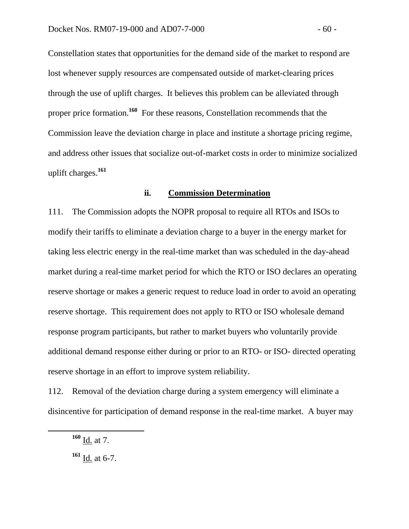Constellation states that opportunities for the demand side of the market to respond are lost whenever supply resources are compensated outside of market-clearing prices through the use of uplift charges. It believes this problem can be alleviated through proper price formation.**<sup>160</sup>** For these reasons, Constellation recommends that the Commission leave the deviation charge in place and institute a shortage pricing regime, and address other issues that socialize out-of-market costs in order to minimize socialized uplift charges.**<sup>161</sup>**

#### **ii. Commission Determination**

111. The Commission adopts the NOPR proposal to require all RTOs and ISOs to modify their tariffs to eliminate a deviation charge to a buyer in the energy market for taking less electric energy in the real-time market than was scheduled in the day-ahead market during a real-time market period for which the RTO or ISO declares an operating reserve shortage or makes a generic request to reduce load in order to avoid an operating reserve shortage. This requirement does not apply to RTO or ISO wholesale demand response program participants, but rather to market buyers who voluntarily provide additional demand response either during or prior to an RTO- or ISO- directed operating reserve shortage in an effort to improve system reliability.

112. Removal of the deviation charge during a system emergency will eliminate a disincentive for participation of demand response in the real-time market. A buyer may

**<sup>160</sup>** Id. at 7.

**<sup>161</sup>** Id. at 6-7.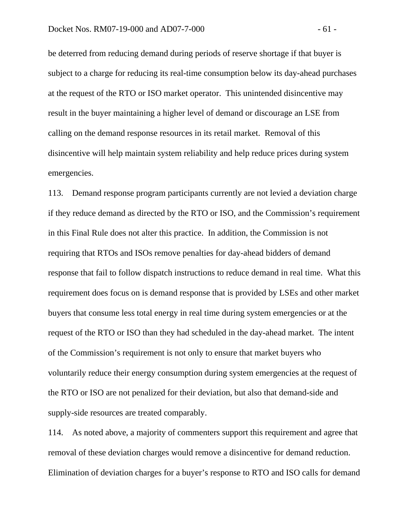be deterred from reducing demand during periods of reserve shortage if that buyer is subject to a charge for reducing its real-time consumption below its day-ahead purchases at the request of the RTO or ISO market operator. This unintended disincentive may result in the buyer maintaining a higher level of demand or discourage an LSE from calling on the demand response resources in its retail market. Removal of this disincentive will help maintain system reliability and help reduce prices during system emergencies.

113. Demand response program participants currently are not levied a deviation charge if they reduce demand as directed by the RTO or ISO, and the Commission's requirement in this Final Rule does not alter this practice. In addition, the Commission is not requiring that RTOs and ISOs remove penalties for day-ahead bidders of demand response that fail to follow dispatch instructions to reduce demand in real time. What this requirement does focus on is demand response that is provided by LSEs and other market buyers that consume less total energy in real time during system emergencies or at the request of the RTO or ISO than they had scheduled in the day-ahead market. The intent of the Commission's requirement is not only to ensure that market buyers who voluntarily reduce their energy consumption during system emergencies at the request of the RTO or ISO are not penalized for their deviation, but also that demand-side and supply-side resources are treated comparably.

114. As noted above, a majority of commenters support this requirement and agree that removal of these deviation charges would remove a disincentive for demand reduction. Elimination of deviation charges for a buyer's response to RTO and ISO calls for demand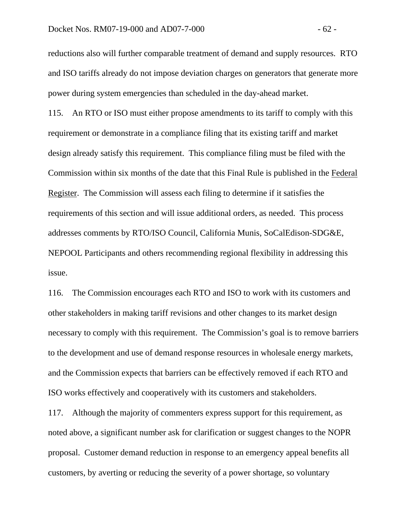reductions also will further comparable treatment of demand and supply resources. RTO and ISO tariffs already do not impose deviation charges on generators that generate more power during system emergencies than scheduled in the day-ahead market.

115. An RTO or ISO must either propose amendments to its tariff to comply with this requirement or demonstrate in a compliance filing that its existing tariff and market design already satisfy this requirement. This compliance filing must be filed with the Commission within six months of the date that this Final Rule is published in the Federal Register. The Commission will assess each filing to determine if it satisfies the requirements of this section and will issue additional orders, as needed. This process addresses comments by RTO/ISO Council, California Munis, SoCalEdison-SDG&E, NEPOOL Participants and others recommending regional flexibility in addressing this issue.

116. The Commission encourages each RTO and ISO to work with its customers and other stakeholders in making tariff revisions and other changes to its market design necessary to comply with this requirement. The Commission's goal is to remove barriers to the development and use of demand response resources in wholesale energy markets, and the Commission expects that barriers can be effectively removed if each RTO and ISO works effectively and cooperatively with its customers and stakeholders.

117. Although the majority of commenters express support for this requirement, as noted above, a significant number ask for clarification or suggest changes to the NOPR proposal. Customer demand reduction in response to an emergency appeal benefits all customers, by averting or reducing the severity of a power shortage, so voluntary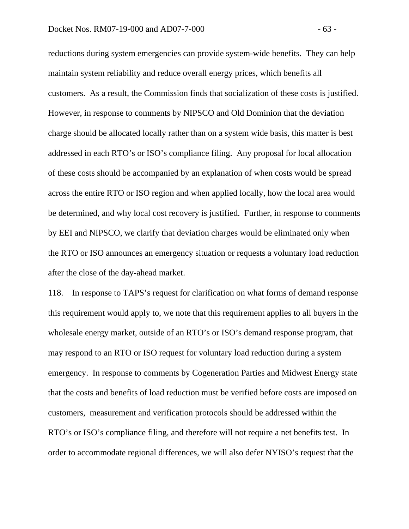reductions during system emergencies can provide system-wide benefits. They can help maintain system reliability and reduce overall energy prices, which benefits all customers. As a result, the Commission finds that socialization of these costs is justified. However, in response to comments by NIPSCO and Old Dominion that the deviation charge should be allocated locally rather than on a system wide basis, this matter is best addressed in each RTO's or ISO's compliance filing. Any proposal for local allocation of these costs should be accompanied by an explanation of when costs would be spread across the entire RTO or ISO region and when applied locally, how the local area would be determined, and why local cost recovery is justified. Further, in response to comments by EEI and NIPSCO, we clarify that deviation charges would be eliminated only when the RTO or ISO announces an emergency situation or requests a voluntary load reduction after the close of the day-ahead market.

118. In response to TAPS's request for clarification on what forms of demand response this requirement would apply to, we note that this requirement applies to all buyers in the wholesale energy market, outside of an RTO's or ISO's demand response program, that may respond to an RTO or ISO request for voluntary load reduction during a system emergency. In response to comments by Cogeneration Parties and Midwest Energy state that the costs and benefits of load reduction must be verified before costs are imposed on customers, measurement and verification protocols should be addressed within the RTO's or ISO's compliance filing, and therefore will not require a net benefits test. In order to accommodate regional differences, we will also defer NYISO's request that the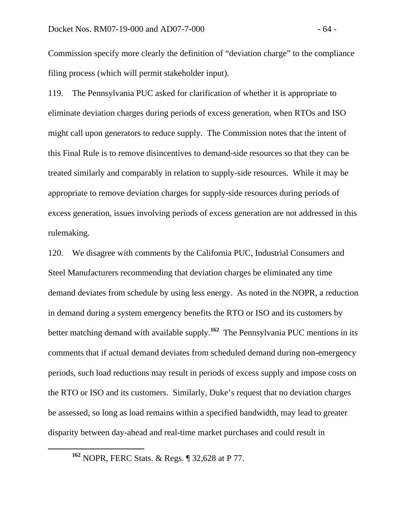Commission specify more clearly the definition of "deviation charge" to the compliance filing process (which will permit stakeholder input).

119. The Pennsylvania PUC asked for clarification of whether it is appropriate to eliminate deviation charges during periods of excess generation, when RTOs and ISO might call upon generators to reduce supply. The Commission notes that the intent of this Final Rule is to remove disincentives to demand-side resources so that they can be treated similarly and comparably in relation to supply-side resources. While it may be appropriate to remove deviation charges for supply-side resources during periods of excess generation, issues involving periods of excess generation are not addressed in this rulemaking.

120. We disagree with comments by the California PUC, Industrial Consumers and Steel Manufacturers recommending that deviation charges be eliminated any time demand deviates from schedule by using less energy. As noted in the NOPR, a reduction in demand during a system emergency benefits the RTO or ISO and its customers by better matching demand with available supply.**<sup>162</sup>** The Pennsylvania PUC mentions in its comments that if actual demand deviates from scheduled demand during non-emergency periods, such load reductions may result in periods of excess supply and impose costs on the RTO or ISO and its customers. Similarly, Duke's request that no deviation charges be assessed, so long as load remains within a specified bandwidth, may lead to greater disparity between day-ahead and real-time market purchases and could result in

**<sup>162</sup>** NOPR, FERC Stats. & Regs. ¶ 32,628 at P 77.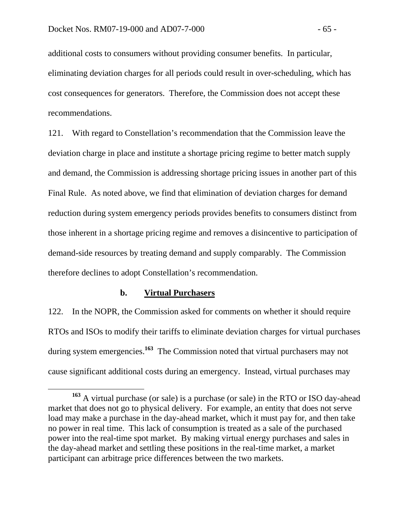additional costs to consumers without providing consumer benefits. In particular, eliminating deviation charges for all periods could result in over-scheduling, which has cost consequences for generators. Therefore, the Commission does not accept these recommendations.

121. With regard to Constellation's recommendation that the Commission leave the deviation charge in place and institute a shortage pricing regime to better match supply and demand, the Commission is addressing shortage pricing issues in another part of this Final Rule. As noted above, we find that elimination of deviation charges for demand reduction during system emergency periods provides benefits to consumers distinct from those inherent in a shortage pricing regime and removes a disincentive to participation of demand-side resources by treating demand and supply comparably. The Commission therefore declines to adopt Constellation's recommendation.

## **b. Virtual Purchasers**

122. In the NOPR, the Commission asked for comments on whether it should require RTOs and ISOs to modify their tariffs to eliminate deviation charges for virtual purchases during system emergencies.**<sup>163</sup>** The Commission noted that virtual purchasers may not cause significant additional costs during an emergency. Instead, virtual purchases may

**<sup>163</sup>** A virtual purchase (or sale) is a purchase (or sale) in the RTO or ISO day-ahead market that does not go to physical delivery. For example, an entity that does not serve load may make a purchase in the day-ahead market, which it must pay for, and then take no power in real time. This lack of consumption is treated as a sale of the purchased power into the real-time spot market. By making virtual energy purchases and sales in the day-ahead market and settling these positions in the real-time market, a market participant can arbitrage price differences between the two markets.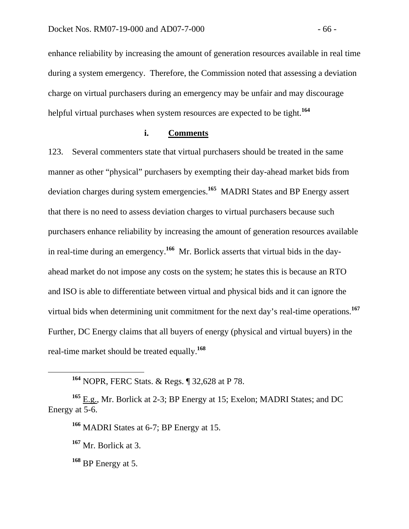enhance reliability by increasing the amount of generation resources available in real time during a system emergency. Therefore, the Commission noted that assessing a deviation charge on virtual purchasers during an emergency may be unfair and may discourage helpful virtual purchases when system resources are expected to be tight.**<sup>164</sup>**

## **i. Comments**

123. Several commenters state that virtual purchasers should be treated in the same manner as other "physical" purchasers by exempting their day-ahead market bids from deviation charges during system emergencies.**<sup>165</sup>** MADRI States and BP Energy assert that there is no need to assess deviation charges to virtual purchasers because such purchasers enhance reliability by increasing the amount of generation resources available in real-time during an emergency.**<sup>166</sup>** Mr. Borlick asserts that virtual bids in the dayahead market do not impose any costs on the system; he states this is because an RTO and ISO is able to differentiate between virtual and physical bids and it can ignore the virtual bids when determining unit commitment for the next day's real-time operations.**<sup>167</sup>** Further, DC Energy claims that all buyers of energy (physical and virtual buyers) in the real-time market should be treated equally.**<sup>168</sup>**

**<sup>165</sup>** E.g., Mr. Borlick at 2-3; BP Energy at 15; Exelon; MADRI States; and DC Energy at 5-6.

**<sup>166</sup>** MADRI States at 6-7; BP Energy at 15.

**<sup>167</sup>** Mr. Borlick at 3.

**<sup>168</sup>** BP Energy at 5.

**<sup>164</sup>** NOPR, FERC Stats. & Regs. ¶ 32,628 at P 78.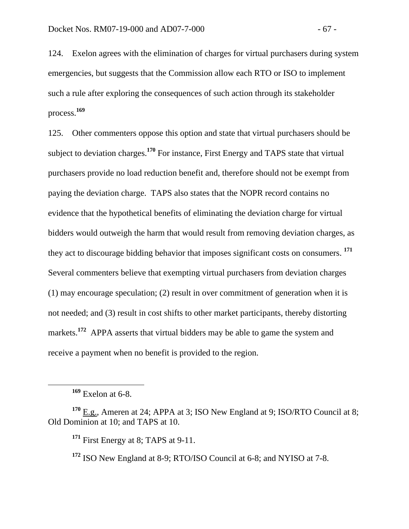124. Exelon agrees with the elimination of charges for virtual purchasers during system emergencies, but suggests that the Commission allow each RTO or ISO to implement such a rule after exploring the consequences of such action through its stakeholder process.**<sup>169</sup>**

125. Other commenters oppose this option and state that virtual purchasers should be subject to deviation charges.**<sup>170</sup>** For instance, First Energy and TAPS state that virtual purchasers provide no load reduction benefit and, therefore should not be exempt from paying the deviation charge. TAPS also states that the NOPR record contains no evidence that the hypothetical benefits of eliminating the deviation charge for virtual bidders would outweigh the harm that would result from removing deviation charges, as they act to discourage bidding behavior that imposes significant costs on consumers. **<sup>171</sup>** Several commenters believe that exempting virtual purchasers from deviation charges (1) may encourage speculation; (2) result in over commitment of generation when it is not needed; and (3) result in cost shifts to other market participants, thereby distorting markets.<sup>172</sup> APPA asserts that virtual bidders may be able to game the system and receive a payment when no benefit is provided to the region.

**<sup>169</sup>** Exelon at 6-8.

**<sup>170</sup>** E.g., Ameren at 24; APPA at 3; ISO New England at 9; ISO/RTO Council at 8; Old Dominion at 10; and TAPS at 10.

<sup>&</sup>lt;sup>171</sup> First Energy at 8; TAPS at 9-11.

**<sup>172</sup>** ISO New England at 8-9; RTO/ISO Council at 6-8; and NYISO at 7-8.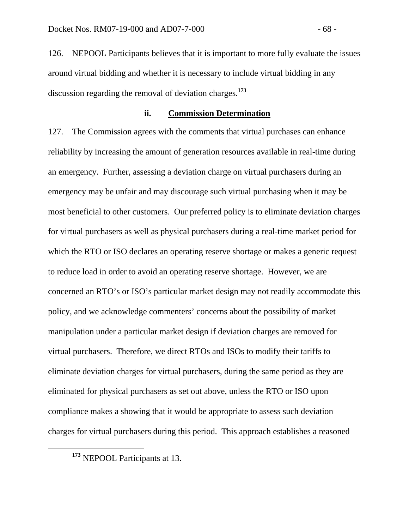126. NEPOOL Participants believes that it is important to more fully evaluate the issues around virtual bidding and whether it is necessary to include virtual bidding in any discussion regarding the removal of deviation charges.**<sup>173</sup>**

### **ii. Commission Determination**

127. The Commission agrees with the comments that virtual purchases can enhance reliability by increasing the amount of generation resources available in real-time during an emergency. Further, assessing a deviation charge on virtual purchasers during an emergency may be unfair and may discourage such virtual purchasing when it may be most beneficial to other customers. Our preferred policy is to eliminate deviation charges for virtual purchasers as well as physical purchasers during a real-time market period for which the RTO or ISO declares an operating reserve shortage or makes a generic request to reduce load in order to avoid an operating reserve shortage. However, we are concerned an RTO's or ISO's particular market design may not readily accommodate this policy, and we acknowledge commenters' concerns about the possibility of market manipulation under a particular market design if deviation charges are removed for virtual purchasers. Therefore, we direct RTOs and ISOs to modify their tariffs to eliminate deviation charges for virtual purchasers, during the same period as they are eliminated for physical purchasers as set out above, unless the RTO or ISO upon compliance makes a showing that it would be appropriate to assess such deviation charges for virtual purchasers during this period. This approach establishes a reasoned

**<sup>173</sup>** NEPOOL Participants at 13.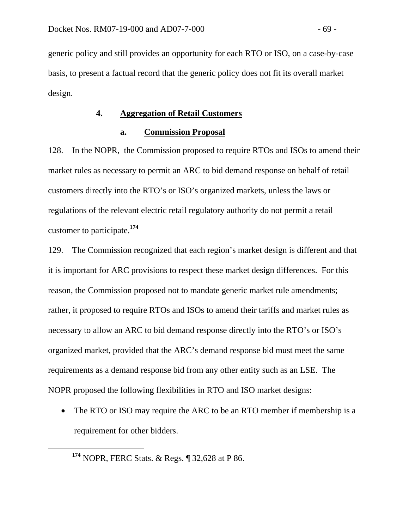generic policy and still provides an opportunity for each RTO or ISO, on a case-by-case basis, to present a factual record that the generic policy does not fit its overall market design.

### **4. Aggregation of Retail Customers**

### **a. Commission Proposal**

128. In the NOPR, the Commission proposed to require RTOs and ISOs to amend their market rules as necessary to permit an ARC to bid demand response on behalf of retail customers directly into the RTO's or ISO's organized markets, unless the laws or regulations of the relevant electric retail regulatory authority do not permit a retail customer to participate.**<sup>174</sup>**

129. The Commission recognized that each region's market design is different and that it is important for ARC provisions to respect these market design differences. For this reason, the Commission proposed not to mandate generic market rule amendments; rather, it proposed to require RTOs and ISOs to amend their tariffs and market rules as necessary to allow an ARC to bid demand response directly into the RTO's or ISO's organized market, provided that the ARC's demand response bid must meet the same requirements as a demand response bid from any other entity such as an LSE.The NOPR proposed the following flexibilities in RTO and ISO market designs:

• The RTO or ISO may require the ARC to be an RTO member if membership is a requirement for other bidders.

**<sup>174</sup>** NOPR, FERC Stats. & Regs. ¶ 32,628 at P 86.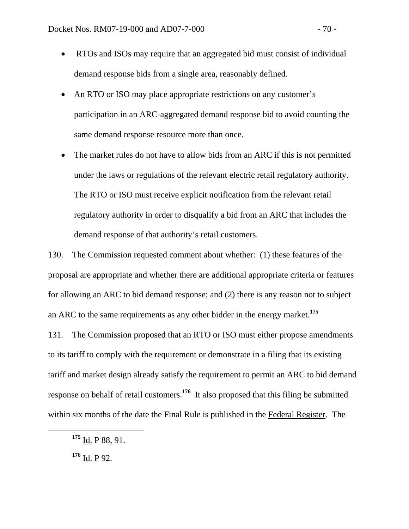- RTOs and ISOs may require that an aggregated bid must consist of individual demand response bids from a single area, reasonably defined.
- An RTO or ISO may place appropriate restrictions on any customer's participation in an ARC-aggregated demand response bid to avoid counting the same demand response resource more than once.
- The market rules do not have to allow bids from an ARC if this is not permitted under the laws or regulations of the relevant electric retail regulatory authority. The RTO or ISO must receive explicit notification from the relevant retail regulatory authority in order to disqualify a bid from an ARC that includes the demand response of that authority's retail customers.

130. The Commission requested comment about whether: (1) these features of the proposal are appropriate and whether there are additional appropriate criteria or features for allowing an ARC to bid demand response; and (2) there is any reason not to subject an ARC to the same requirements as any other bidder in the energy market.**<sup>175</sup>**

131. The Commission proposed that an RTO or ISO must either propose amendments to its tariff to comply with the requirement or demonstrate in a filing that its existing tariff and market design already satisfy the requirement to permit an ARC to bid demand response on behalf of retail customers.**<sup>176</sup>** It also proposed that this filing be submitted within six months of the date the Final Rule is published in the Federal Register. The

**<sup>175</sup>** Id. P 88, 91.

**<sup>176</sup>** Id. P 92.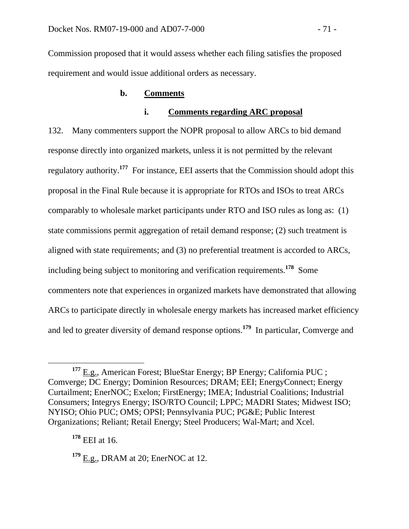Commission proposed that it would assess whether each filing satisfies the proposed requirement and would issue additional orders as necessary.

### **b. Comments**

# **i. Comments regarding ARC proposal**

132. Many commenters support the NOPR proposal to allow ARCs to bid demand response directly into organized markets, unless it is not permitted by the relevant regulatory authority.**<sup>177</sup>** For instance, EEI asserts that the Commission should adopt this proposal in the Final Rule because it is appropriate for RTOs and ISOs to treat ARCs comparably to wholesale market participants under RTO and ISO rules as long as: (1) state commissions permit aggregation of retail demand response; (2) such treatment is aligned with state requirements; and (3) no preferential treatment is accorded to ARCs, including being subject to monitoring and verification requirements.**<sup>178</sup>** Some commenters note that experiences in organized markets have demonstrated that allowing ARCs to participate directly in wholesale energy markets has increased market efficiency and led to greater diversity of demand response options.**<sup>179</sup>** In particular, Comverge and

<sup>&</sup>lt;sup>177</sup> E.g., American Forest; BlueStar Energy; BP Energy; California PUC ; Comverge; DC Energy; Dominion Resources; DRAM; EEI; EnergyConnect; Energy Curtailment; EnerNOC; Exelon; FirstEnergy; IMEA; Industrial Coalitions; Industrial Consumers; Integrys Energy; ISO/RTO Council; LPPC; MADRI States; Midwest ISO; NYISO; Ohio PUC; OMS; OPSI; Pennsylvania PUC; PG&E; Public Interest Organizations; Reliant; Retail Energy; Steel Producers; Wal-Mart; and Xcel.

**<sup>178</sup>** EEI at 16.

**<sup>179</sup>** E.g., DRAM at 20; EnerNOC at 12.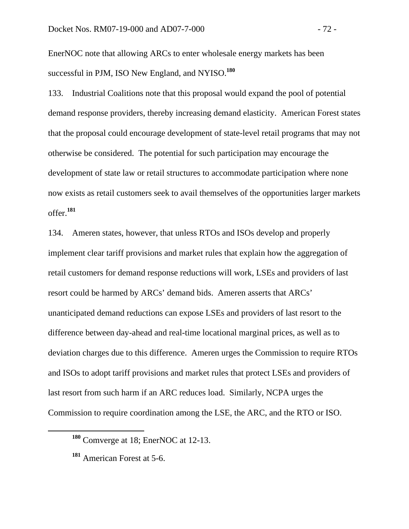EnerNOC note that allowing ARCs to enter wholesale energy markets has been successful in PJM, ISO New England, and NYISO.**<sup>180</sup>**

133. Industrial Coalitions note that this proposal would expand the pool of potential demand response providers, thereby increasing demand elasticity. American Forest states that the proposal could encourage development of state-level retail programs that may not otherwise be considered. The potential for such participation may encourage the development of state law or retail structures to accommodate participation where none now exists as retail customers seek to avail themselves of the opportunities larger markets offer.**<sup>181</sup>**

134. Ameren states, however, that unless RTOs and ISOs develop and properly implement clear tariff provisions and market rules that explain how the aggregation of retail customers for demand response reductions will work, LSEs and providers of last resort could be harmed by ARCs' demand bids. Ameren asserts that ARCs' unanticipated demand reductions can expose LSEs and providers of last resort to the difference between day-ahead and real-time locational marginal prices, as well as to deviation charges due to this difference. Ameren urges the Commission to require RTOs and ISOs to adopt tariff provisions and market rules that protect LSEs and providers of last resort from such harm if an ARC reduces load. Similarly, NCPA urges the Commission to require coordination among the LSE, the ARC, and the RTO or ISO.

**<sup>180</sup>** Comverge at 18; EnerNOC at 12-13.

**<sup>181</sup>** American Forest at 5-6.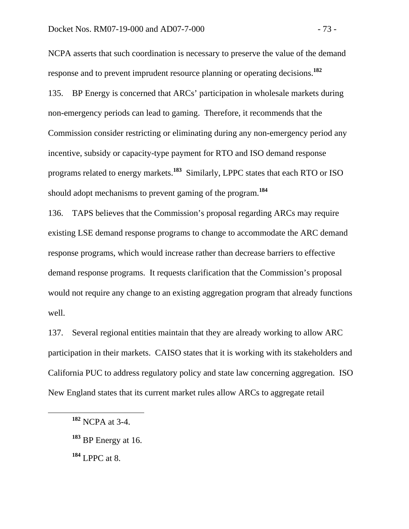NCPA asserts that such coordination is necessary to preserve the value of the demand response and to prevent imprudent resource planning or operating decisions.**<sup>182</sup>**

135. BP Energy is concerned that ARCs' participation in wholesale markets during non-emergency periods can lead to gaming. Therefore, it recommends that the Commission consider restricting or eliminating during any non-emergency period any incentive, subsidy or capacity-type payment for RTO and ISO demand response programs related to energy markets.**<sup>183</sup>** Similarly, LPPC states that each RTO or ISO should adopt mechanisms to prevent gaming of the program.**<sup>184</sup>**

136. TAPS believes that the Commission's proposal regarding ARCs may require existing LSE demand response programs to change to accommodate the ARC demand response programs, which would increase rather than decrease barriers to effective demand response programs. It requests clarification that the Commission's proposal would not require any change to an existing aggregation program that already functions well.

137. Several regional entities maintain that they are already working to allow ARC participation in their markets. CAISO states that it is working with its stakeholders and California PUC to address regulatory policy and state law concerning aggregation. ISO New England states that its current market rules allow ARCs to aggregate retail

**<sup>184</sup>** LPPC at 8.

**<sup>182</sup>** NCPA at 3-4.

**<sup>183</sup>** BP Energy at 16.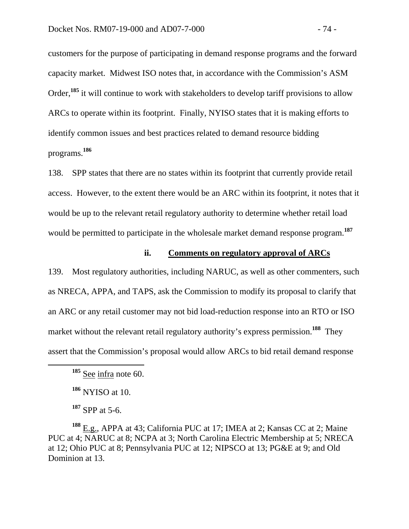customers for the purpose of participating in demand response programs and the forward capacity market. Midwest ISO notes that, in accordance with the Commission's ASM Order,**<sup>185</sup>** it will continue to work with stakeholders to develop tariff provisions to allow ARCs to operate within its footprint. Finally, NYISO states that it is making efforts to identify common issues and best practices related to demand resource bidding programs.**<sup>186</sup>**

138. SPP states that there are no states within its footprint that currently provide retail access. However, to the extent there would be an ARC within its footprint, it notes that it would be up to the relevant retail regulatory authority to determine whether retail load would be permitted to participate in the wholesale market demand response program.**<sup>187</sup>**

### **ii. Comments on regulatory approval of ARCs**

139. Most regulatory authorities, including NARUC, as well as other commenters, such as NRECA, APPA, and TAPS, ask the Commission to modify its proposal to clarify that an ARC or any retail customer may not bid load-reduction response into an RTO or ISO market without the relevant retail regulatory authority's express permission.<sup>188</sup> They assert that the Commission's proposal would allow ARCs to bid retail demand response

**<sup>188</sup>** E.g., APPA at 43; California PUC at 17; IMEA at 2; Kansas CC at 2; Maine PUC at 4; NARUC at 8; NCPA at 3; North Carolina Electric Membership at 5; NRECA at 12; Ohio PUC at 8; Pennsylvania PUC at 12; NIPSCO at 13; PG&E at 9; and Old Dominion at 13.

**<sup>185</sup>** See infra note 60.

**<sup>186</sup>** NYISO at 10.

**<sup>187</sup>** SPP at 5-6.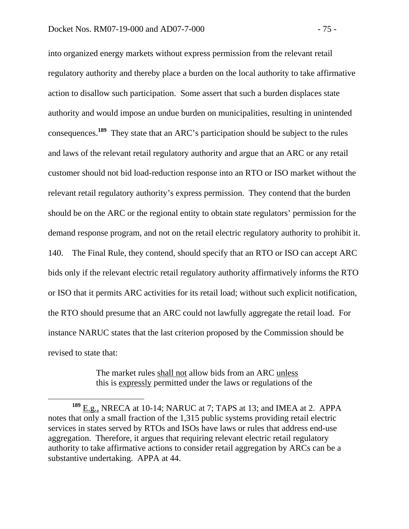into organized energy markets without express permission from the relevant retail regulatory authority and thereby place a burden on the local authority to take affirmative action to disallow such participation. Some assert that such a burden displaces state authority and would impose an undue burden on municipalities, resulting in unintended consequences.**<sup>189</sup>** They state that an ARC's participation should be subject to the rules and laws of the relevant retail regulatory authority and argue that an ARC or any retail customer should not bid load-reduction response into an RTO or ISO market without the relevant retail regulatory authority's express permission. They contend that the burden should be on the ARC or the regional entity to obtain state regulators' permission for the demand response program, and not on the retail electric regulatory authority to prohibit it. 140. The Final Rule, they contend, should specify that an RTO or ISO can accept ARC bids only if the relevant electric retail regulatory authority affirmatively informs the RTO or ISO that it permits ARC activities for its retail load; without such explicit notification, the RTO should presume that an ARC could not lawfully aggregate the retail load. For instance NARUC states that the last criterion proposed by the Commission should be revised to state that:

> The market rules shall not allow bids from an ARC unless this is expressly permitted under the laws or regulations of the

**<sup>189</sup>** E.g., NRECA at 10-14; NARUC at 7; TAPS at 13; and IMEA at 2. APPA notes that only a small fraction of the 1,315 public systems providing retail electric services in states served by RTOs and ISOs have laws or rules that address end-use aggregation. Therefore, it argues that requiring relevant electric retail regulatory authority to take affirmative actions to consider retail aggregation by ARCs can be a substantive undertaking. APPA at 44.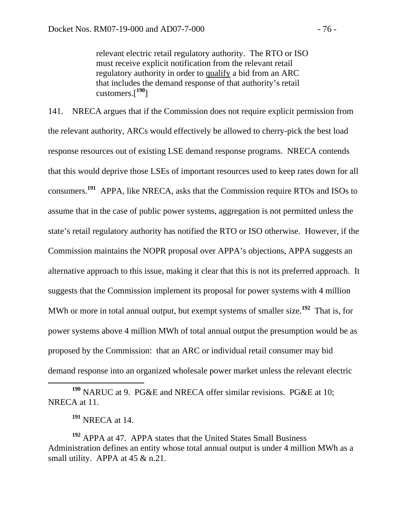relevant electric retail regulatory authority. The RTO or ISO must receive explicit notification from the relevant retail regulatory authority in order to qualify a bid from an ARC that includes the demand response of that authority's retail customers.[**<sup>190</sup>**]

141. NRECA argues that if the Commission does not require explicit permission from the relevant authority, ARCs would effectively be allowed to cherry-pick the best load response resources out of existing LSE demand response programs. NRECA contends that this would deprive those LSEs of important resources used to keep rates down for all consumers.**<sup>191</sup>** APPA, like NRECA, asks that the Commission require RTOs and ISOs to assume that in the case of public power systems, aggregation is not permitted unless the state's retail regulatory authority has notified the RTO or ISO otherwise.However, if the Commission maintains the NOPR proposal over APPA's objections, APPA suggests an alternative approach to this issue, making it clear that this is not its preferred approach. It suggests that the Commission implement its proposal for power systems with 4 million MWh or more in total annual output, but exempt systems of smaller size.**<sup>192</sup>** That is, for power systems above 4 million MWh of total annual output the presumption would be as proposed by the Commission: that an ARC or individual retail consumer may bid demand response into an organized wholesale power market unless the relevant electric

 **<sup>190</sup>** NARUC at 9. PG&E and NRECA offer similar revisions. PG&E at 10; NRECA at 11.

**<sup>191</sup>** NRECA at 14.

**<sup>192</sup>** APPA at 47. APPA states that the United States Small Business Administration defines an entity whose total annual output is under 4 million MWh as a small utility. APPA at  $45 \& n.21$ .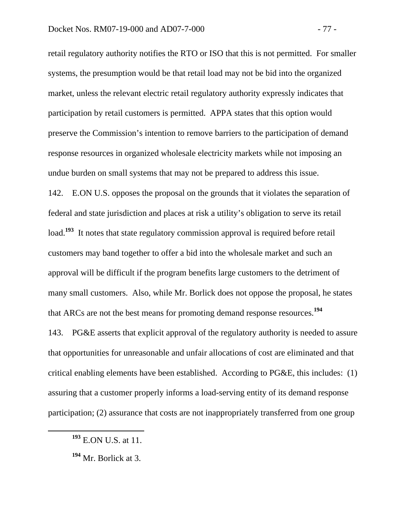retail regulatory authority notifies the RTO or ISO that this is not permitted. For smaller systems, the presumption would be that retail load may not be bid into the organized market, unless the relevant electric retail regulatory authority expressly indicates that participation by retail customers is permitted. APPA states that this option would preserve the Commission's intention to remove barriers to the participation of demand response resources in organized wholesale electricity markets while not imposing an undue burden on small systems that may not be prepared to address this issue.

142. E.ON U.S. opposes the proposal on the grounds that it violates the separation of federal and state jurisdiction and places at risk a utility's obligation to serve its retail load.<sup>193</sup> It notes that state regulatory commission approval is required before retail customers may band together to offer a bid into the wholesale market and such an approval will be difficult if the program benefits large customers to the detriment of many small customers. Also, while Mr. Borlick does not oppose the proposal, he states that ARCs are not the best means for promoting demand response resources.**<sup>194</sup>**

143. PG&E asserts that explicit approval of the regulatory authority is needed to assure that opportunities for unreasonable and unfair allocations of cost are eliminated and that critical enabling elements have been established. According to PG&E, this includes: (1) assuring that a customer properly informs a load-serving entity of its demand response participation; (2) assurance that costs are not inappropriately transferred from one group

**<sup>193</sup>** E.ON U.S. at 11.

**<sup>194</sup>** Mr. Borlick at 3.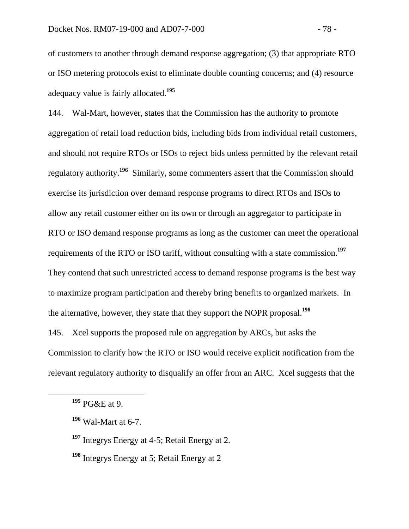of customers to another through demand response aggregation; (3) that appropriate RTO or ISO metering protocols exist to eliminate double counting concerns; and (4) resource adequacy value is fairly allocated.**<sup>195</sup>**

144. Wal-Mart, however, states that the Commission has the authority to promote aggregation of retail load reduction bids, including bids from individual retail customers, and should not require RTOs or ISOs to reject bids unless permitted by the relevant retail regulatory authority.**<sup>196</sup>** Similarly, some commenters assert that the Commission should exercise its jurisdiction over demand response programs to direct RTOs and ISOs to allow any retail customer either on its own or through an aggregator to participate in RTO or ISO demand response programs as long as the customer can meet the operational requirements of the RTO or ISO tariff, without consulting with a state commission.**<sup>197</sup>** They contend that such unrestricted access to demand response programs is the best way to maximize program participation and thereby bring benefits to organized markets. In the alternative, however, they state that they support the NOPR proposal.**<sup>198</sup>**

145. Xcel supports the proposed rule on aggregation by ARCs, but asks the Commission to clarify how the RTO or ISO would receive explicit notification from the relevant regulatory authority to disqualify an offer from an ARC. Xcel suggests that the

**<sup>195</sup>** PG&E at 9.

**<sup>196</sup>** Wal-Mart at 6-7.

**<sup>197</sup>** Integrys Energy at 4-5; Retail Energy at 2.

**<sup>198</sup>** Integrys Energy at 5; Retail Energy at 2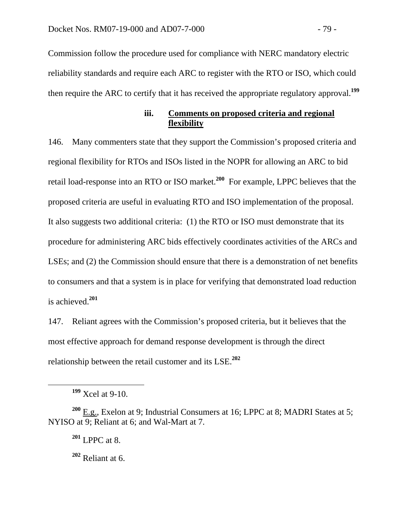Commission follow the procedure used for compliance with NERC mandatory electric reliability standards and require each ARC to register with the RTO or ISO, which could then require the ARC to certify that it has received the appropriate regulatory approval.**<sup>199</sup>**

### **iii. Comments on proposed criteria and regional flexibility**

146. Many commenters state that they support the Commission's proposed criteria and regional flexibility for RTOs and ISOs listed in the NOPR for allowing an ARC to bid retail load-response into an RTO or ISO market.**<sup>200</sup>** For example, LPPC believes that the proposed criteria are useful in evaluating RTO and ISO implementation of the proposal. It also suggests two additional criteria: (1) the RTO or ISO must demonstrate that its procedure for administering ARC bids effectively coordinates activities of the ARCs and LSEs; and (2) the Commission should ensure that there is a demonstration of net benefits to consumers and that a system is in place for verifying that demonstrated load reduction is achieved.**<sup>201</sup>**

147. Reliant agrees with the Commission's proposed criteria, but it believes that the most effective approach for demand response development is through the direct relationship between the retail customer and its LSE.**<sup>202</sup>**

**<sup>199</sup>** Xcel at 9-10.

**<sup>200</sup>** E.g., Exelon at 9; Industrial Consumers at 16; LPPC at 8; MADRI States at 5; NYISO at 9; Reliant at 6; and Wal-Mart at 7.

**<sup>201</sup>** LPPC at 8.

**<sup>202</sup>** Reliant at 6.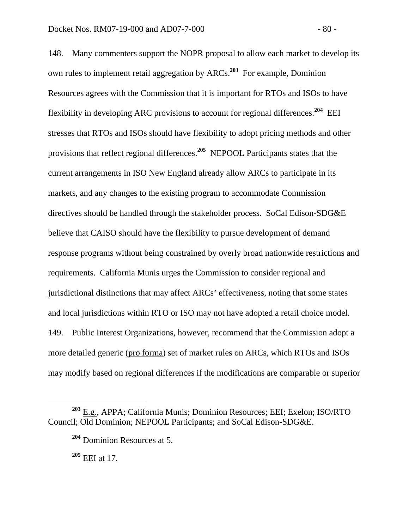148. Many commenters support the NOPR proposal to allow each market to develop its own rules to implement retail aggregation by ARCs.**<sup>203</sup>** For example, Dominion Resources agrees with the Commission that it is important for RTOs and ISOs to have flexibility in developing ARC provisions to account for regional differences.**<sup>204</sup>** EEI stresses that RTOs and ISOs should have flexibility to adopt pricing methods and other provisions that reflect regional differences.**<sup>205</sup>** NEPOOL Participants states that the current arrangements in ISO New England already allow ARCs to participate in its markets, and any changes to the existing program to accommodate Commission directives should be handled through the stakeholder process. SoCal Edison-SDG&E believe that CAISO should have the flexibility to pursue development of demand response programs without being constrained by overly broad nationwide restrictions and requirements. California Munis urges the Commission to consider regional and jurisdictional distinctions that may affect ARCs' effectiveness, noting that some states and local jurisdictions within RTO or ISO may not have adopted a retail choice model. 149. Public Interest Organizations, however, recommend that the Commission adopt a more detailed generic (pro forma) set of market rules on ARCs, which RTOs and ISOs may modify based on regional differences if the modifications are comparable or superior

**<sup>203</sup>** E.g., APPA; California Munis; Dominion Resources; EEI; Exelon; ISO/RTO Council; Old Dominion; NEPOOL Participants; and SoCal Edison-SDG&E.

**<sup>204</sup>** Dominion Resources at 5.

**<sup>205</sup>** EEI at 17.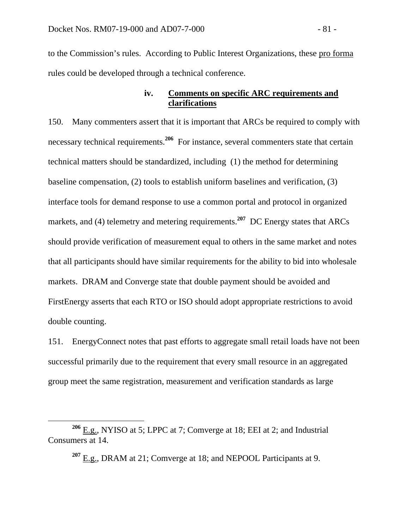to the Commission's rules. According to Public Interest Organizations, these pro forma rules could be developed through a technical conference.

# **iv. Comments on specific ARC requirements and clarifications**

150. Many commenters assert that it is important that ARCs be required to comply with necessary technical requirements.**<sup>206</sup>** For instance, several commenters state that certain technical matters should be standardized, including (1) the method for determining baseline compensation, (2) tools to establish uniform baselines and verification, (3) interface tools for demand response to use a common portal and protocol in organized markets, and (4) telemetry and metering requirements.<sup>207</sup> DC Energy states that ARCs should provide verification of measurement equal to others in the same market and notes that all participants should have similar requirements for the ability to bid into wholesale markets. DRAM and Converge state that double payment should be avoided and FirstEnergy asserts that each RTO or ISO should adopt appropriate restrictions to avoid double counting.

151. EnergyConnect notes that past efforts to aggregate small retail loads have not been successful primarily due to the requirement that every small resource in an aggregated group meet the same registration, measurement and verification standards as large

**<sup>206</sup>** E.g., NYISO at 5; LPPC at 7; Comverge at 18; EEI at 2; and Industrial Consumers at 14.

**<sup>207</sup>** E.g., DRAM at 21; Comverge at 18; and NEPOOL Participants at 9.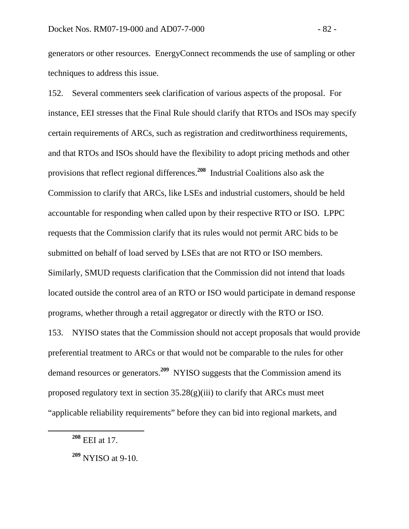generators or other resources. EnergyConnect recommends the use of sampling or other techniques to address this issue.

152. Several commenters seek clarification of various aspects of the proposal. For instance, EEI stresses that the Final Rule should clarify that RTOs and ISOs may specify certain requirements of ARCs, such as registration and creditworthiness requirements, and that RTOs and ISOs should have the flexibility to adopt pricing methods and other provisions that reflect regional differences.**<sup>208</sup>** Industrial Coalitions also ask the Commission to clarify that ARCs, like LSEs and industrial customers, should be held accountable for responding when called upon by their respective RTO or ISO. LPPC requests that the Commission clarify that its rules would not permit ARC bids to be submitted on behalf of load served by LSEs that are not RTO or ISO members. Similarly, SMUD requests clarification that the Commission did not intend that loads located outside the control area of an RTO or ISO would participate in demand response programs, whether through a retail aggregator or directly with the RTO or ISO. 153. NYISO states that the Commission should not accept proposals that would provide

preferential treatment to ARCs or that would not be comparable to the rules for other demand resources or generators.**<sup>209</sup>** NYISO suggests that the Commission amend its proposed regulatory text in section  $35.28(g)(iii)$  to clarify that ARCs must meet "applicable reliability requirements" before they can bid into regional markets, and

**<sup>208</sup>** EEI at 17.

**<sup>209</sup>** NYISO at 9-10.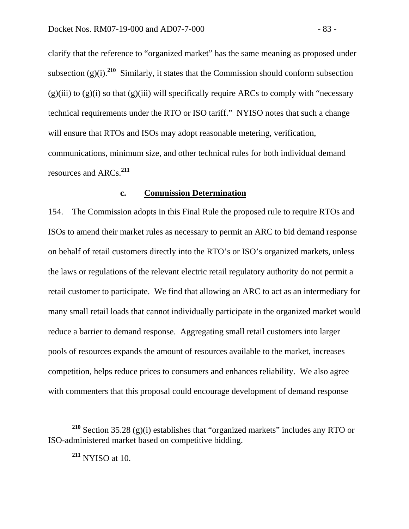clarify that the reference to "organized market" has the same meaning as proposed under subsection  $(g)(i)$ .<sup>210</sup> Similarly, it states that the Commission should conform subsection  $(g)(iii)$  to  $(g)(i)$  so that  $(g)(iii)$  will specifically require ARCs to comply with "necessary" technical requirements under the RTO or ISO tariff." NYISO notes that such a change will ensure that RTOs and ISOs may adopt reasonable metering, verification, communications, minimum size, and other technical rules for both individual demand resources and ARCs.**<sup>211</sup>**

### **c. Commission Determination**

154. The Commission adopts in this Final Rule the proposed rule to require RTOs and ISOs to amend their market rules as necessary to permit an ARC to bid demand response on behalf of retail customers directly into the RTO's or ISO's organized markets, unless the laws or regulations of the relevant electric retail regulatory authority do not permit a retail customer to participate. We find that allowing an ARC to act as an intermediary for many small retail loads that cannot individually participate in the organized market would reduce a barrier to demand response. Aggregating small retail customers into larger pools of resources expands the amount of resources available to the market, increases competition, helps reduce prices to consumers and enhances reliability. We also agree with commenters that this proposal could encourage development of demand response

**<sup>211</sup>** NYISO at 10.

**<sup>210</sup>** Section 35.28 (g)(i) establishes that "organized markets" includes any RTO or ISO-administered market based on competitive bidding.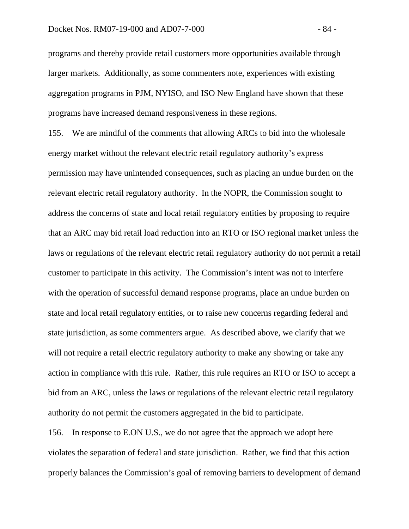programs and thereby provide retail customers more opportunities available through larger markets. Additionally, as some commenters note, experiences with existing aggregation programs in PJM, NYISO, and ISO New England have shown that these programs have increased demand responsiveness in these regions.

155. We are mindful of the comments that allowing ARCs to bid into the wholesale energy market without the relevant electric retail regulatory authority's express permission may have unintended consequences, such as placing an undue burden on the relevant electric retail regulatory authority. In the NOPR, the Commission sought to address the concerns of state and local retail regulatory entities by proposing to require that an ARC may bid retail load reduction into an RTO or ISO regional market unless the laws or regulations of the relevant electric retail regulatory authority do not permit a retail customer to participate in this activity. The Commission's intent was not to interfere with the operation of successful demand response programs, place an undue burden on state and local retail regulatory entities, or to raise new concerns regarding federal and state jurisdiction, as some commenters argue. As described above, we clarify that we will not require a retail electric regulatory authority to make any showing or take any action in compliance with this rule. Rather, this rule requires an RTO or ISO to accept a bid from an ARC, unless the laws or regulations of the relevant electric retail regulatory authority do not permit the customers aggregated in the bid to participate.

156. In response to E.ON U.S., we do not agree that the approach we adopt here violates the separation of federal and state jurisdiction. Rather, we find that this action properly balances the Commission's goal of removing barriers to development of demand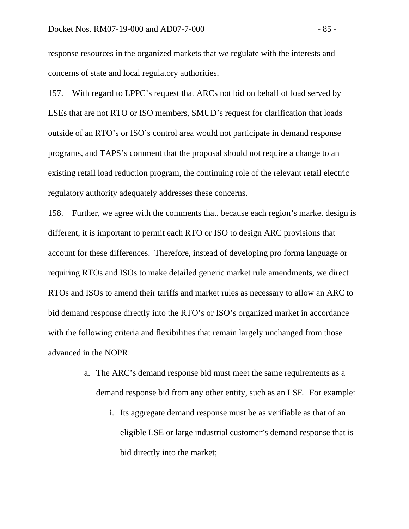response resources in the organized markets that we regulate with the interests and concerns of state and local regulatory authorities.

157. With regard to LPPC's request that ARCs not bid on behalf of load served by LSEs that are not RTO or ISO members, SMUD's request for clarification that loads outside of an RTO's or ISO's control area would not participate in demand response programs, and TAPS's comment that the proposal should not require a change to an existing retail load reduction program, the continuing role of the relevant retail electric regulatory authority adequately addresses these concerns.

158. Further, we agree with the comments that, because each region's market design is different, it is important to permit each RTO or ISO to design ARC provisions that account for these differences. Therefore, instead of developing pro forma language or requiring RTOs and ISOs to make detailed generic market rule amendments, we direct RTOs and ISOs to amend their tariffs and market rules as necessary to allow an ARC to bid demand response directly into the RTO's or ISO's organized market in accordance with the following criteria and flexibilities that remain largely unchanged from those advanced in the NOPR:

- a. The ARC's demand response bid must meet the same requirements as a demand response bid from any other entity, such as an LSE. For example:
	- i. Its aggregate demand response must be as verifiable as that of an eligible LSE or large industrial customer's demand response that is bid directly into the market;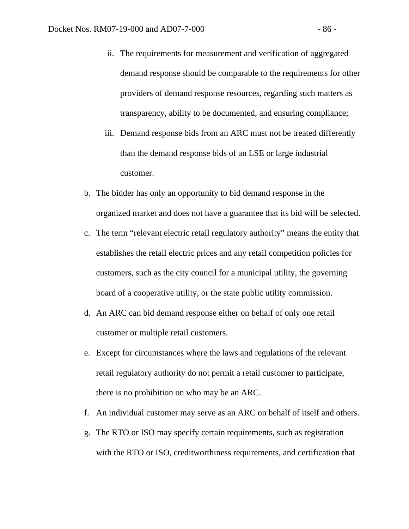- ii. The requirements for measurement and verification of aggregated demand response should be comparable to the requirements for other providers of demand response resources, regarding such matters as transparency, ability to be documented, and ensuring compliance;
- iii. Demand response bids from an ARC must not be treated differently than the demand response bids of an LSE or large industrial customer.
- b. The bidder has only an opportunity to bid demand response in the organized market and does not have a guarantee that its bid will be selected.
- c. The term "relevant electric retail regulatory authority" means the entity that establishes the retail electric prices and any retail competition policies for customers, such as the city council for a municipal utility, the governing board of a cooperative utility, or the state public utility commission.
- d. An ARC can bid demand response either on behalf of only one retail customer or multiple retail customers.
- e. Except for circumstances where the laws and regulations of the relevant retail regulatory authority do not permit a retail customer to participate, there is no prohibition on who may be an ARC.
- f. An individual customer may serve as an ARC on behalf of itself and others.
- g. The RTO or ISO may specify certain requirements, such as registration with the RTO or ISO, creditworthiness requirements, and certification that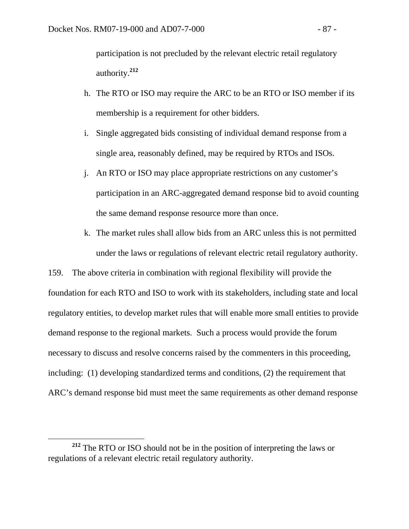participation is not precluded by the relevant electric retail regulatory authority.**<sup>212</sup>**

- h. The RTO or ISO may require the ARC to be an RTO or ISO member if its membership is a requirement for other bidders.
- i. Single aggregated bids consisting of individual demand response from a single area, reasonably defined, may be required by RTOs and ISOs.
- j. An RTO or ISO may place appropriate restrictions on any customer's participation in an ARC-aggregated demand response bid to avoid counting the same demand response resource more than once.
- k. The market rules shall allow bids from an ARC unless this is not permitted under the laws or regulations of relevant electric retail regulatory authority.

159. The above criteria in combination with regional flexibility will provide the foundation for each RTO and ISO to work with its stakeholders, including state and local regulatory entities, to develop market rules that will enable more small entities to provide demand response to the regional markets. Such a process would provide the forum necessary to discuss and resolve concerns raised by the commenters in this proceeding, including: (1) developing standardized terms and conditions, (2) the requirement that ARC's demand response bid must meet the same requirements as other demand response

**<sup>212</sup>** The RTO or ISO should not be in the position of interpreting the laws or regulations of a relevant electric retail regulatory authority.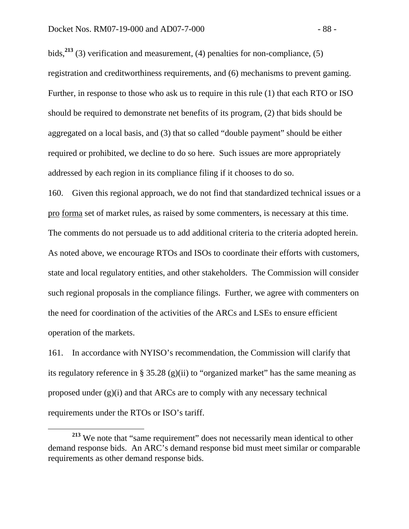bids,**<sup>213</sup>** (3) verification and measurement, (4) penalties for non-compliance, (5) registration and creditworthiness requirements, and (6) mechanisms to prevent gaming. Further, in response to those who ask us to require in this rule (1) that each RTO or ISO should be required to demonstrate net benefits of its program, (2) that bids should be aggregated on a local basis, and (3) that so called "double payment" should be either required or prohibited, we decline to do so here. Such issues are more appropriately addressed by each region in its compliance filing if it chooses to do so.

160. Given this regional approach, we do not find that standardized technical issues or a pro forma set of market rules, as raised by some commenters, is necessary at this time. The comments do not persuade us to add additional criteria to the criteria adopted herein. As noted above, we encourage RTOs and ISOs to coordinate their efforts with customers, state and local regulatory entities, and other stakeholders. The Commission will consider such regional proposals in the compliance filings. Further, we agree with commenters on the need for coordination of the activities of the ARCs and LSEs to ensure efficient operation of the markets.

161. In accordance with NYISO's recommendation, the Commission will clarify that its regulatory reference in § 35.28 (g)(ii) to "organized market" has the same meaning as proposed under (g)(i) and that ARCs are to comply with any necessary technical requirements under the RTOs or ISO's tariff.

**<sup>213</sup>** We note that "same requirement" does not necessarily mean identical to other demand response bids. An ARC's demand response bid must meet similar or comparable requirements as other demand response bids.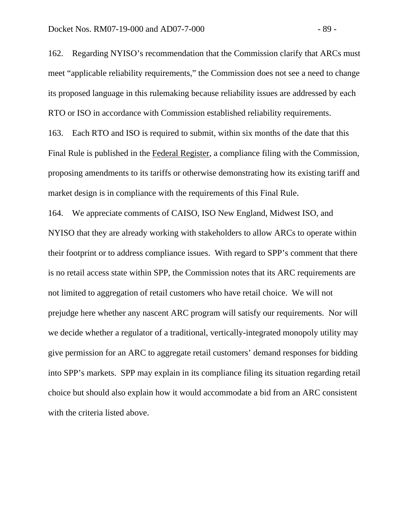162. Regarding NYISO's recommendation that the Commission clarify that ARCs must meet "applicable reliability requirements," the Commission does not see a need to change its proposed language in this rulemaking because reliability issues are addressed by each RTO or ISO in accordance with Commission established reliability requirements.

163. Each RTO and ISO is required to submit, within six months of the date that this Final Rule is published in the Federal Register, a compliance filing with the Commission, proposing amendments to its tariffs or otherwise demonstrating how its existing tariff and market design is in compliance with the requirements of this Final Rule.

164. We appreciate comments of CAISO, ISO New England, Midwest ISO, and NYISO that they are already working with stakeholders to allow ARCs to operate within their footprint or to address compliance issues. With regard to SPP's comment that there is no retail access state within SPP, the Commission notes that its ARC requirements are not limited to aggregation of retail customers who have retail choice. We will not prejudge here whether any nascent ARC program will satisfy our requirements. Nor will we decide whether a regulator of a traditional, vertically-integrated monopoly utility may give permission for an ARC to aggregate retail customers' demand responses for bidding into SPP's markets. SPP may explain in its compliance filing its situation regarding retail choice but should also explain how it would accommodate a bid from an ARC consistent with the criteria listed above.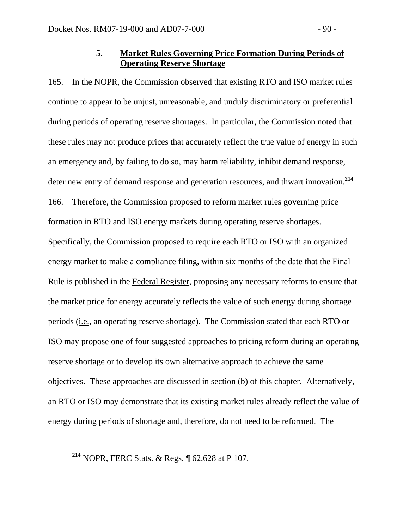# **5. Market Rules Governing Price Formation During Periods of Operating Reserve Shortage**

165. In the NOPR, the Commission observed that existing RTO and ISO market rules continue to appear to be unjust, unreasonable, and unduly discriminatory or preferential during periods of operating reserve shortages. In particular, the Commission noted that these rules may not produce prices that accurately reflect the true value of energy in such an emergency and, by failing to do so, may harm reliability, inhibit demand response, deter new entry of demand response and generation resources, and thwart innovation.**<sup>214</sup>** 166. Therefore, the Commission proposed to reform market rules governing price formation in RTO and ISO energy markets during operating reserve shortages. Specifically, the Commission proposed to require each RTO or ISO with an organized energy market to make a compliance filing, within six months of the date that the Final Rule is published in the Federal Register, proposing any necessary reforms to ensure that the market price for energy accurately reflects the value of such energy during shortage periods (i.e., an operating reserve shortage). The Commission stated that each RTO or ISO may propose one of four suggested approaches to pricing reform during an operating reserve shortage or to develop its own alternative approach to achieve the same objectives. These approaches are discussed in section (b) of this chapter. Alternatively, an RTO or ISO may demonstrate that its existing market rules already reflect the value of energy during periods of shortage and, therefore, do not need to be reformed. The

**<sup>214</sup>** NOPR, FERC Stats. & Regs. ¶ 62,628 at P 107.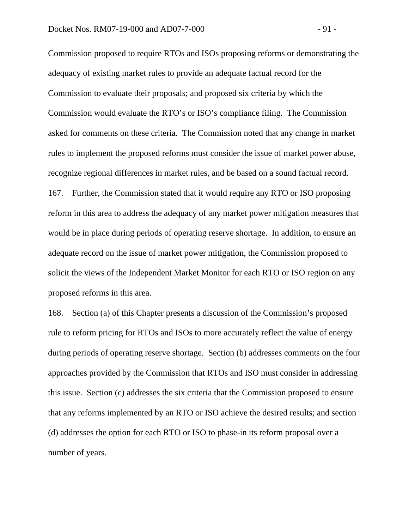Commission proposed to require RTOs and ISOs proposing reforms or demonstrating the adequacy of existing market rules to provide an adequate factual record for the Commission to evaluate their proposals; and proposed six criteria by which the Commission would evaluate the RTO's or ISO's compliance filing. The Commission asked for comments on these criteria. The Commission noted that any change in market rules to implement the proposed reforms must consider the issue of market power abuse, recognize regional differences in market rules, and be based on a sound factual record. 167. Further, the Commission stated that it would require any RTO or ISO proposing reform in this area to address the adequacy of any market power mitigation measures that would be in place during periods of operating reserve shortage. In addition, to ensure an adequate record on the issue of market power mitigation, the Commission proposed to solicit the views of the Independent Market Monitor for each RTO or ISO region on any proposed reforms in this area.

168. Section (a) of this Chapter presents a discussion of the Commission's proposed rule to reform pricing for RTOs and ISOs to more accurately reflect the value of energy during periods of operating reserve shortage. Section (b) addresses comments on the four approaches provided by the Commission that RTOs and ISO must consider in addressing this issue. Section (c) addresses the six criteria that the Commission proposed to ensure that any reforms implemented by an RTO or ISO achieve the desired results; and section (d) addresses the option for each RTO or ISO to phase-in its reform proposal over a number of years.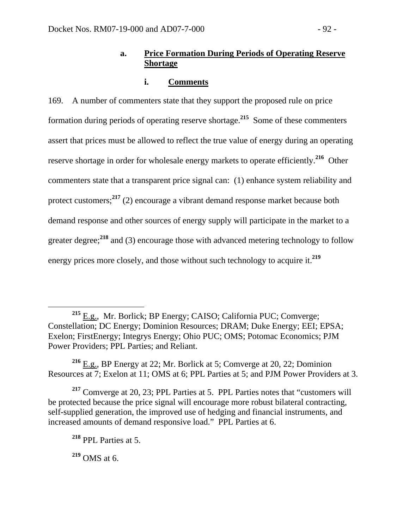# **a. Price Formation During Periods of Operating Reserve Shortage**

## **i. Comments**

169. A number of commenters state that they support the proposed rule on price formation during periods of operating reserve shortage.**<sup>215</sup>** Some of these commenters assert that prices must be allowed to reflect the true value of energy during an operating reserve shortage in order for wholesale energy markets to operate efficiently.**<sup>216</sup>** Other commenters state that a transparent price signal can: (1) enhance system reliability and protect customers;**<sup>217</sup>** (2) encourage a vibrant demand response market because both demand response and other sources of energy supply will participate in the market to a greater degree;**<sup>218</sup>** and (3) encourage those with advanced metering technology to follow energy prices more closely, and those without such technology to acquire it.**<sup>219</sup>**

**<sup>219</sup>** OMS at 6.

**<sup>215</sup>** E.g., Mr. Borlick; BP Energy; CAISO; California PUC; Comverge; Constellation; DC Energy; Dominion Resources; DRAM; Duke Energy; EEI; EPSA; Exelon; FirstEnergy; Integrys Energy; Ohio PUC; OMS; Potomac Economics; PJM Power Providers; PPL Parties; and Reliant.

**<sup>216</sup>** E.g., BP Energy at 22; Mr. Borlick at 5; Comverge at 20, 22; Dominion Resources at 7; Exelon at 11; OMS at 6; PPL Parties at 5; and PJM Power Providers at 3.

**<sup>217</sup>** Comverge at 20, 23; PPL Parties at 5. PPL Parties notes that "customers will be protected because the price signal will encourage more robust bilateral contracting, self-supplied generation, the improved use of hedging and financial instruments, and increased amounts of demand responsive load." PPL Parties at 6.

**<sup>218</sup>** PPL Parties at 5.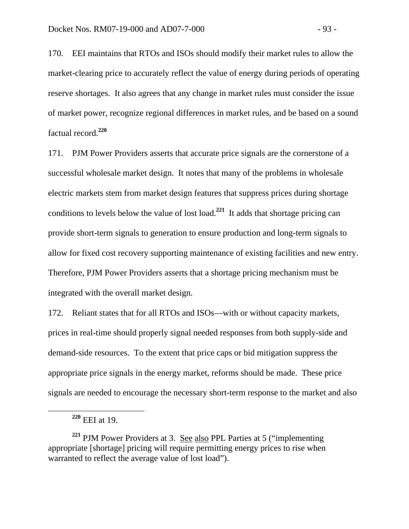170. EEI maintains that RTOs and ISOs should modify their market rules to allow the market-clearing price to accurately reflect the value of energy during periods of operating reserve shortages. It also agrees that any change in market rules must consider the issue of market power, recognize regional differences in market rules, and be based on a sound factual record.**<sup>220</sup>**

171. PJM Power Providers asserts that accurate price signals are the cornerstone of a successful wholesale market design. It notes that many of the problems in wholesale electric markets stem from market design features that suppress prices during shortage conditions to levels below the value of lost load.**<sup>221</sup>** It adds that shortage pricing can provide short-term signals to generation to ensure production and long-term signals to allow for fixed cost recovery supporting maintenance of existing facilities and new entry. Therefore, PJM Power Providers asserts that a shortage pricing mechanism must be integrated with the overall market design.

172. Reliant states that for all RTOs and ISOs—with or without capacity markets, prices in real-time should properly signal needed responses from both supply-side and demand-side resources. To the extent that price caps or bid mitigation suppress the appropriate price signals in the energy market, reforms should be made. These price signals are needed to encourage the necessary short-term response to the market and also

**<sup>220</sup>** EEI at 19.

**<sup>221</sup>** PJM Power Providers at 3. See also PPL Parties at 5 ("implementing appropriate [shortage] pricing will require permitting energy prices to rise when warranted to reflect the average value of lost load").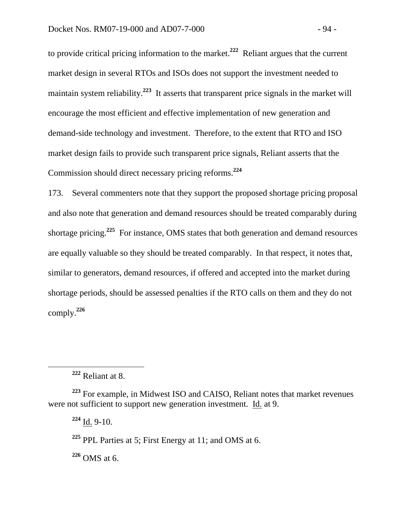to provide critical pricing information to the market.**<sup>222</sup>** Reliant argues that the current market design in several RTOs and ISOs does not support the investment needed to maintain system reliability.**<sup>223</sup>** It asserts that transparent price signals in the market will encourage the most efficient and effective implementation of new generation and demand-side technology and investment. Therefore, to the extent that RTO and ISO market design fails to provide such transparent price signals, Reliant asserts that the Commission should direct necessary pricing reforms.**<sup>224</sup>**

173. Several commenters note that they support the proposed shortage pricing proposal and also note that generation and demand resources should be treated comparably during shortage pricing.**<sup>225</sup>** For instance, OMS states that both generation and demand resources are equally valuable so they should be treated comparably. In that respect, it notes that, similar to generators, demand resources, if offered and accepted into the market during shortage periods, should be assessed penalties if the RTO calls on them and they do not comply.**<sup>226</sup>**

**<sup>224</sup>** Id. 9-10.

**<sup>225</sup>** PPL Parties at 5; First Energy at 11; and OMS at 6.

**<sup>226</sup>** OMS at 6.

**<sup>222</sup>** Reliant at 8.

**<sup>223</sup>** For example, in Midwest ISO and CAISO, Reliant notes that market revenues were not sufficient to support new generation investment. Id. at 9.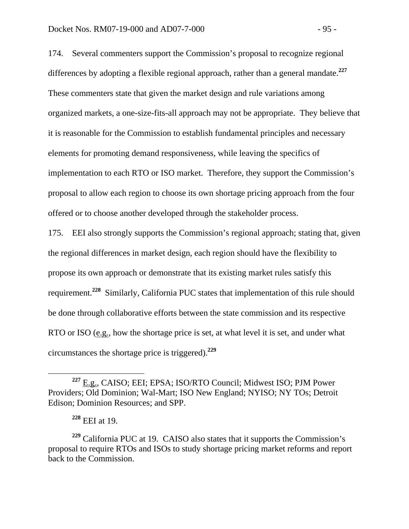174. Several commenters support the Commission's proposal to recognize regional differences by adopting a flexible regional approach, rather than a general mandate.**<sup>227</sup>** These commenters state that given the market design and rule variations among organized markets, a one-size-fits-all approach may not be appropriate. They believe that it is reasonable for the Commission to establish fundamental principles and necessary elements for promoting demand responsiveness, while leaving the specifics of implementation to each RTO or ISO market. Therefore, they support the Commission's proposal to allow each region to choose its own shortage pricing approach from the four offered or to choose another developed through the stakeholder process.

175. EEI also strongly supports the Commission's regional approach; stating that, given the regional differences in market design, each region should have the flexibility to propose its own approach or demonstrate that its existing market rules satisfy this requirement.**<sup>228</sup>** Similarly, California PUC states that implementation of this rule should be done through collaborative efforts between the state commission and its respective RTO or ISO (e.g., how the shortage price is set, at what level it is set, and under what circumstances the shortage price is triggered).**<sup>229</sup>**

**<sup>228</sup>** EEI at 19.

**<sup>227</sup>** E.g., CAISO; EEI; EPSA; ISO/RTO Council; Midwest ISO; PJM Power Providers; Old Dominion; Wal-Mart; ISO New England; NYISO; NY TOs; Detroit Edison; Dominion Resources; and SPP.

**<sup>229</sup>** California PUC at 19. CAISO also states that it supports the Commission's proposal to require RTOs and ISOs to study shortage pricing market reforms and report back to the Commission.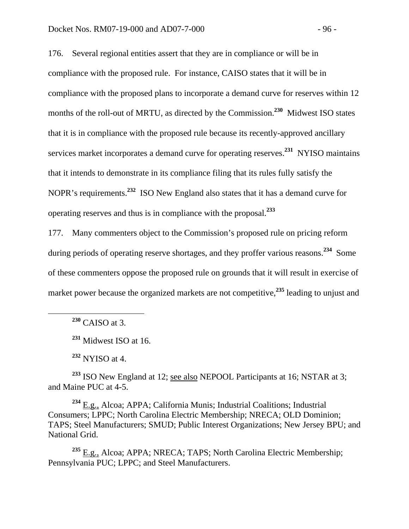176. Several regional entities assert that they are in compliance or will be in compliance with the proposed rule. For instance, CAISO states that it will be in compliance with the proposed plans to incorporate a demand curve for reserves within 12 months of the roll-out of MRTU, as directed by the Commission.<sup>230</sup> Midwest ISO states that it is in compliance with the proposed rule because its recently-approved ancillary services market incorporates a demand curve for operating reserves.**<sup>231</sup>** NYISO maintains that it intends to demonstrate in its compliance filing that its rules fully satisfy the NOPR's requirements.**<sup>232</sup>** ISO New England also states that it has a demand curve for operating reserves and thus is in compliance with the proposal.**<sup>233</sup>**

177. Many commenters object to the Commission's proposed rule on pricing reform during periods of operating reserve shortages, and they proffer various reasons.**<sup>234</sup>** Some of these commenters oppose the proposed rule on grounds that it will result in exercise of market power because the organized markets are not competitive,**<sup>235</sup>** leading to unjust and

**<sup>230</sup>** CAISO at 3.

**<sup>231</sup>** Midwest ISO at 16.

**<sup>232</sup>** NYISO at 4.

<sup>233</sup> ISO New England at 12; see also NEPOOL Participants at 16; NSTAR at 3; and Maine PUC at 4-5.

**<sup>234</sup>** E.g., Alcoa; APPA; California Munis; Industrial Coalitions; Industrial Consumers; LPPC; North Carolina Electric Membership; NRECA; OLD Dominion; TAPS; Steel Manufacturers; SMUD; Public Interest Organizations; New Jersey BPU; and National Grid.

**<sup>235</sup>** E.g., Alcoa; APPA; NRECA; TAPS; North Carolina Electric Membership; Pennsylvania PUC; LPPC; and Steel Manufacturers.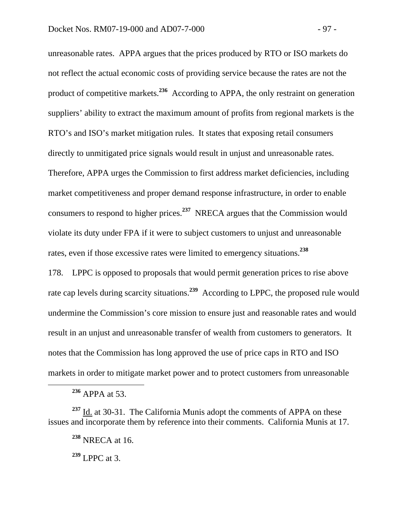unreasonable rates. APPA argues that the prices produced by RTO or ISO markets do not reflect the actual economic costs of providing service because the rates are not the product of competitive markets.**<sup>236</sup>** According to APPA, the only restraint on generation suppliers' ability to extract the maximum amount of profits from regional markets is the RTO's and ISO's market mitigation rules. It states that exposing retail consumers directly to unmitigated price signals would result in unjust and unreasonable rates. Therefore, APPA urges the Commission to first address market deficiencies, including market competitiveness and proper demand response infrastructure, in order to enable consumers to respond to higher prices.**<sup>237</sup>** NRECA argues that the Commission would violate its duty under FPA if it were to subject customers to unjust and unreasonable rates, even if those excessive rates were limited to emergency situations.**<sup>238</sup>**

178. LPPC is opposed to proposals that would permit generation prices to rise above rate cap levels during scarcity situations.**<sup>239</sup>** According to LPPC, the proposed rule would undermine the Commission's core mission to ensure just and reasonable rates and would result in an unjust and unreasonable transfer of wealth from customers to generators. It notes that the Commission has long approved the use of price caps in RTO and ISO markets in order to mitigate market power and to protect customers from unreasonable

**<sup>236</sup>** APPA at 53.

**<sup>237</sup>** Id. at 30-31. The California Munis adopt the comments of APPA on these issues and incorporate them by reference into their comments. California Munis at 17.

**<sup>238</sup>** NRECA at 16.

**<sup>239</sup>** LPPC at 3.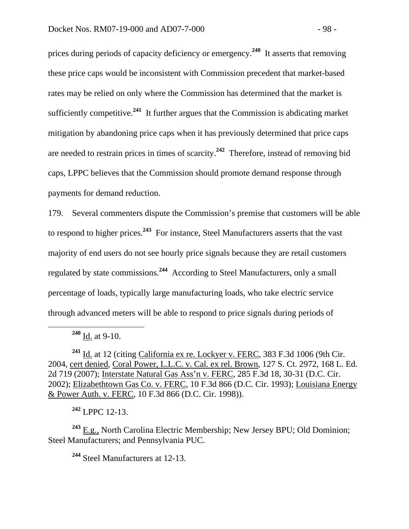prices during periods of capacity deficiency or emergency.**<sup>240</sup>** It asserts that removing these price caps would be inconsistent with Commission precedent that market-based rates may be relied on only where the Commission has determined that the market is sufficiently competitive.**<sup>241</sup>** It further argues that the Commission is abdicating market mitigation by abandoning price caps when it has previously determined that price caps are needed to restrain prices in times of scarcity.**<sup>242</sup>** Therefore, instead of removing bid caps, LPPC believes that the Commission should promote demand response through payments for demand reduction.

179. Several commenters dispute the Commission's premise that customers will be able to respond to higher prices.**<sup>243</sup>** For instance, Steel Manufacturers asserts that the vast majority of end users do not see hourly price signals because they are retail customers regulated by state commissions.**<sup>244</sup>** According to Steel Manufacturers, only a small percentage of loads, typically large manufacturing loads, who take electric service through advanced meters will be able to respond to price signals during periods of

**<sup>242</sup>** LPPC 12-13.

**<sup>243</sup>** E.g., North Carolina Electric Membership; New Jersey BPU; Old Dominion; Steel Manufacturers; and Pennsylvania PUC.

**<sup>244</sup>** Steel Manufacturers at 12-13.

**<sup>240</sup>** Id. at 9-10.

**<sup>241</sup>** Id. at 12 (citing California ex re. Lockyer v. FERC, 383 F.3d 1006 (9th Cir. 2004, cert denied, Coral Power, L.L.C. v. Cal. ex rel. Brown, 127 S. Ct. 2972, 168 L. Ed. 2d 719 (2007); Interstate Natural Gas Ass'n v. FERC, 285 F.3d 18, 30-31 (D.C. Cir. 2002); Elizabethtown Gas Co. v. FERC, 10 F.3d 866 (D.C. Cir. 1993); Louisiana Energy & Power Auth. v. FERC, 10 F.3d 866 (D.C. Cir. 1998)).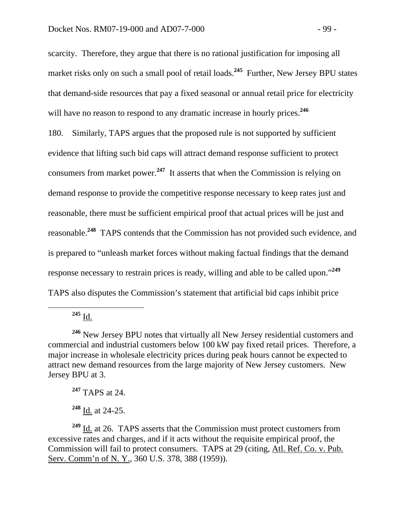scarcity. Therefore, they argue that there is no rational justification for imposing all market risks only on such a small pool of retail loads.<sup>245</sup> Further, New Jersey BPU states that demand-side resources that pay a fixed seasonal or annual retail price for electricity will have no reason to respond to any dramatic increase in hourly prices.<sup>246</sup> 180. Similarly, TAPS argues that the proposed rule is not supported by sufficient evidence that lifting such bid caps will attract demand response sufficient to protect consumers from market power.**<sup>247</sup>** It asserts that when the Commission is relying on demand response to provide the competitive response necessary to keep rates just and reasonable, there must be sufficient empirical proof that actual prices will be just and reasonable.**<sup>248</sup>** TAPS contends that the Commission has not provided such evidence, and is prepared to "unleash market forces without making factual findings that the demand response necessary to restrain prices is ready, willing and able to be called upon."**<sup>249</sup>** TAPS also disputes the Commission's statement that artificial bid caps inhibit price

 $^{245}$  I<u>d.</u>

**<sup>246</sup>** New Jersey BPU notes that virtually all New Jersey residential customers and commercial and industrial customers below 100 kW pay fixed retail prices. Therefore, a major increase in wholesale electricity prices during peak hours cannot be expected to attract new demand resources from the large majority of New Jersey customers. New Jersey BPU at 3.

**<sup>247</sup>** TAPS at 24.

**<sup>248</sup>** Id. at 24-25.

**<sup>249</sup>** Id. at 26. TAPS asserts that the Commission must protect customers from excessive rates and charges, and if it acts without the requisite empirical proof, the Commission will fail to protect consumers. TAPS at 29 (citing, Atl. Ref. Co. v. Pub. Serv. Comm'n of N. Y., 360 U.S. 378, 388 (1959)).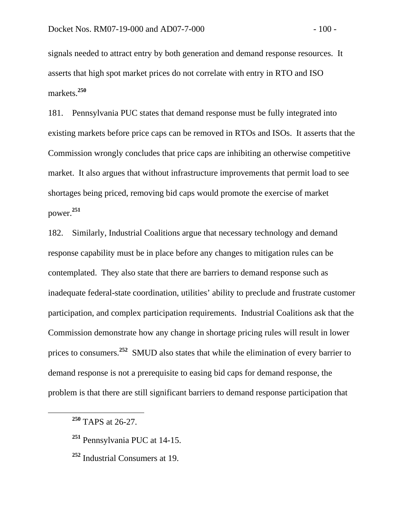signals needed to attract entry by both generation and demand response resources. It asserts that high spot market prices do not correlate with entry in RTO and ISO markets.**<sup>250</sup>**

181. Pennsylvania PUC states that demand response must be fully integrated into existing markets before price caps can be removed in RTOs and ISOs. It asserts that the Commission wrongly concludes that price caps are inhibiting an otherwise competitive market. It also argues that without infrastructure improvements that permit load to see shortages being priced, removing bid caps would promote the exercise of market power.**<sup>251</sup>**

182. Similarly, Industrial Coalitions argue that necessary technology and demand response capability must be in place before any changes to mitigation rules can be contemplated. They also state that there are barriers to demand response such as inadequate federal-state coordination, utilities' ability to preclude and frustrate customer participation, and complex participation requirements. Industrial Coalitions ask that the Commission demonstrate how any change in shortage pricing rules will result in lower prices to consumers.**<sup>252</sup>** SMUD also states that while the elimination of every barrier to demand response is not a prerequisite to easing bid caps for demand response, the problem is that there are still significant barriers to demand response participation that

**<sup>251</sup>** Pennsylvania PUC at 14-15.

**<sup>250</sup>** TAPS at 26-27.

**<sup>252</sup>** Industrial Consumers at 19.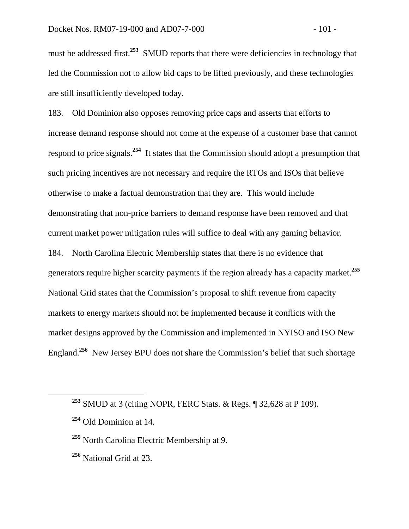must be addressed first.<sup>253</sup> SMUD reports that there were deficiencies in technology that led the Commission not to allow bid caps to be lifted previously, and these technologies are still insufficiently developed today.

183. Old Dominion also opposes removing price caps and asserts that efforts to increase demand response should not come at the expense of a customer base that cannot respond to price signals.**<sup>254</sup>** It states that the Commission should adopt a presumption that such pricing incentives are not necessary and require the RTOs and ISOs that believe otherwise to make a factual demonstration that they are. This would include demonstrating that non-price barriers to demand response have been removed and that current market power mitigation rules will suffice to deal with any gaming behavior. 184. North Carolina Electric Membership states that there is no evidence that generators require higher scarcity payments if the region already has a capacity market.**<sup>255</sup>** National Grid states that the Commission's proposal to shift revenue from capacity markets to energy markets should not be implemented because it conflicts with the market designs approved by the Commission and implemented in NYISO and ISO New England.**<sup>256</sup>** New Jersey BPU does not share the Commission's belief that such shortage

**<sup>256</sup>** National Grid at 23.

**<sup>253</sup>** SMUD at 3 (citing NOPR, FERC Stats. & Regs. ¶ 32,628 at P 109).

**<sup>254</sup>** Old Dominion at 14.

**<sup>255</sup>** North Carolina Electric Membership at 9.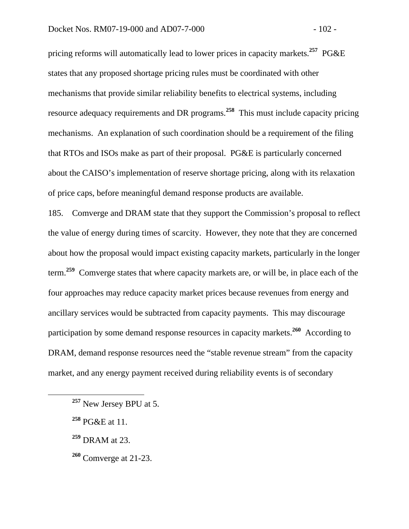pricing reforms will automatically lead to lower prices in capacity markets.**<sup>257</sup>** PG&E states that any proposed shortage pricing rules must be coordinated with other mechanisms that provide similar reliability benefits to electrical systems, including resource adequacy requirements and DR programs.**<sup>258</sup>** This must include capacity pricing mechanisms. An explanation of such coordination should be a requirement of the filing that RTOs and ISOs make as part of their proposal. PG&E is particularly concerned about the CAISO's implementation of reserve shortage pricing, along with its relaxation of price caps, before meaningful demand response products are available.

185. Comverge and DRAM state that they support the Commission's proposal to reflect the value of energy during times of scarcity. However, they note that they are concerned about how the proposal would impact existing capacity markets, particularly in the longer term.**<sup>259</sup>** Comverge states that where capacity markets are, or will be, in place each of the four approaches may reduce capacity market prices because revenues from energy and ancillary services would be subtracted from capacity payments. This may discourage participation by some demand response resources in capacity markets.**<sup>260</sup>** According to DRAM, demand response resources need the "stable revenue stream" from the capacity market, and any energy payment received during reliability events is of secondary

- **<sup>259</sup>** DRAM at 23.
- **<sup>260</sup>** Comverge at 21-23.

**<sup>257</sup>** New Jersey BPU at 5.

**<sup>258</sup>** PG&E at 11.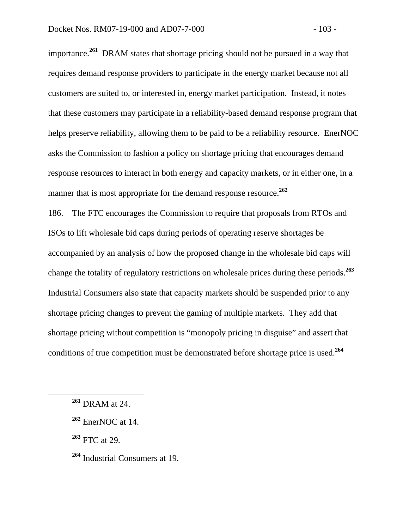importance.**<sup>261</sup>** DRAM states that shortage pricing should not be pursued in a way that requires demand response providers to participate in the energy market because not all customers are suited to, or interested in, energy market participation. Instead, it notes that these customers may participate in a reliability-based demand response program that helps preserve reliability, allowing them to be paid to be a reliability resource. EnerNOC asks the Commission to fashion a policy on shortage pricing that encourages demand response resources to interact in both energy and capacity markets, or in either one, in a manner that is most appropriate for the demand response resource.<sup>262</sup>

186. The FTC encourages the Commission to require that proposals from RTOs and ISOs to lift wholesale bid caps during periods of operating reserve shortages be accompanied by an analysis of how the proposed change in the wholesale bid caps will change the totality of regulatory restrictions on wholesale prices during these periods.**<sup>263</sup>** Industrial Consumers also state that capacity markets should be suspended prior to any shortage pricing changes to prevent the gaming of multiple markets. They add that shortage pricing without competition is "monopoly pricing in disguise" and assert that conditions of true competition must be demonstrated before shortage price is used.**<sup>264</sup>**

**<sup>263</sup>** FTC at 29.

**<sup>261</sup>** DRAM at 24.

**<sup>262</sup>** EnerNOC at 14.

**<sup>264</sup>** Industrial Consumers at 19.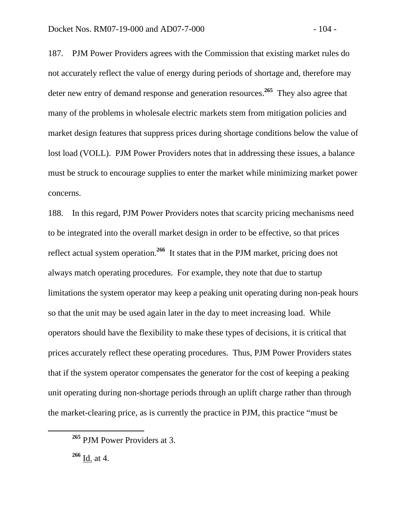187. PJM Power Providers agrees with the Commission that existing market rules do not accurately reflect the value of energy during periods of shortage and, therefore may deter new entry of demand response and generation resources.**<sup>265</sup>** They also agree that many of the problems in wholesale electric markets stem from mitigation policies and market design features that suppress prices during shortage conditions below the value of lost load (VOLL). PJM Power Providers notes that in addressing these issues, a balance must be struck to encourage supplies to enter the market while minimizing market power concerns.

188. In this regard, PJM Power Providers notes that scarcity pricing mechanisms need to be integrated into the overall market design in order to be effective, so that prices reflect actual system operation.**<sup>266</sup>** It states that in the PJM market, pricing does not always match operating procedures. For example, they note that due to startup limitations the system operator may keep a peaking unit operating during non-peak hours so that the unit may be used again later in the day to meet increasing load. While operators should have the flexibility to make these types of decisions, it is critical that prices accurately reflect these operating procedures. Thus, PJM Power Providers states that if the system operator compensates the generator for the cost of keeping a peaking unit operating during non-shortage periods through an uplift charge rather than through the market-clearing price, as is currently the practice in PJM, this practice "must be

**<sup>265</sup>** PJM Power Providers at 3.

**<sup>266</sup>** Id. at 4.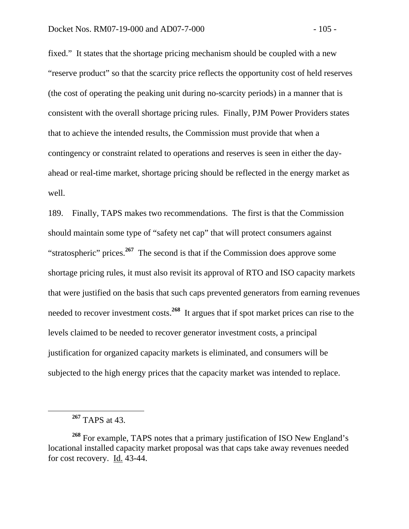fixed." It states that the shortage pricing mechanism should be coupled with a new "reserve product" so that the scarcity price reflects the opportunity cost of held reserves (the cost of operating the peaking unit during no-scarcity periods) in a manner that is consistent with the overall shortage pricing rules. Finally, PJM Power Providers states that to achieve the intended results, the Commission must provide that when a contingency or constraint related to operations and reserves is seen in either the dayahead or real-time market, shortage pricing should be reflected in the energy market as well.

189. Finally, TAPS makes two recommendations. The first is that the Commission should maintain some type of "safety net cap" that will protect consumers against "stratospheric" prices.**<sup>267</sup>** The second is that if the Commission does approve some shortage pricing rules, it must also revisit its approval of RTO and ISO capacity markets that were justified on the basis that such caps prevented generators from earning revenues needed to recover investment costs.**<sup>268</sup>** It argues that if spot market prices can rise to the levels claimed to be needed to recover generator investment costs, a principal justification for organized capacity markets is eliminated, and consumers will be subjected to the high energy prices that the capacity market was intended to replace.

**<sup>267</sup>** TAPS at 43.

**<sup>268</sup>** For example, TAPS notes that a primary justification of ISO New England's locational installed capacity market proposal was that caps take away revenues needed for cost recovery. Id. 43-44.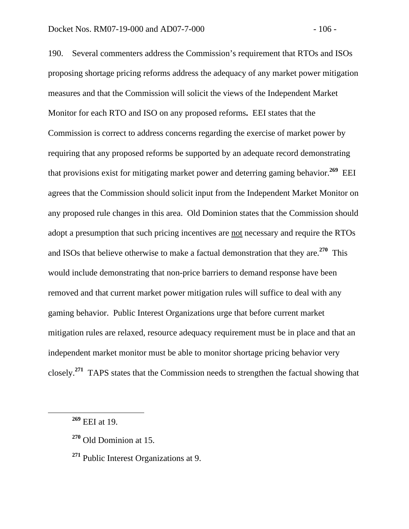190. Several commenters address the Commission's requirement that RTOs and ISOs proposing shortage pricing reforms address the adequacy of any market power mitigation measures and that the Commission will solicit the views of the Independent Market Monitor for each RTO and ISO on any proposed reforms**.** EEI states that the Commission is correct to address concerns regarding the exercise of market power by requiring that any proposed reforms be supported by an adequate record demonstrating that provisions exist for mitigating market power and deterring gaming behavior.**<sup>269</sup>** EEI agrees that the Commission should solicit input from the Independent Market Monitor on any proposed rule changes in this area. Old Dominion states that the Commission should adopt a presumption that such pricing incentives are not necessary and require the RTOs and ISOs that believe otherwise to make a factual demonstration that they are.**<sup>270</sup>** This would include demonstrating that non-price barriers to demand response have been removed and that current market power mitigation rules will suffice to deal with any gaming behavior. Public Interest Organizations urge that before current market mitigation rules are relaxed, resource adequacy requirement must be in place and that an independent market monitor must be able to monitor shortage pricing behavior very closely.**<sup>271</sup>** TAPS states that the Commission needs to strengthen the factual showing that

**<sup>269</sup>** EEI at 19.

**<sup>270</sup>** Old Dominion at 15.

**<sup>271</sup>** Public Interest Organizations at 9.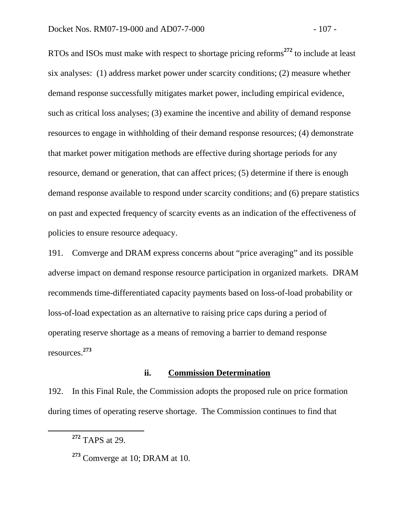RTOs and ISOs must make with respect to shortage pricing reforms**<sup>272</sup>** to include at least six analyses: (1) address market power under scarcity conditions; (2) measure whether demand response successfully mitigates market power, including empirical evidence, such as critical loss analyses; (3) examine the incentive and ability of demand response resources to engage in withholding of their demand response resources; (4) demonstrate that market power mitigation methods are effective during shortage periods for any resource, demand or generation, that can affect prices; (5) determine if there is enough demand response available to respond under scarcity conditions; and (6) prepare statistics on past and expected frequency of scarcity events as an indication of the effectiveness of policies to ensure resource adequacy.

191. Comverge and DRAM express concerns about "price averaging" and its possible adverse impact on demand response resource participation in organized markets. DRAM recommends time-differentiated capacity payments based on loss-of-load probability or loss-of-load expectation as an alternative to raising price caps during a period of operating reserve shortage as a means of removing a barrier to demand response resources.**<sup>273</sup>**

## **ii. Commission Determination**

192. In this Final Rule, the Commission adopts the proposed rule on price formation during times of operating reserve shortage. The Commission continues to find that

**<sup>272</sup>** TAPS at 29.

**<sup>273</sup>** Comverge at 10; DRAM at 10.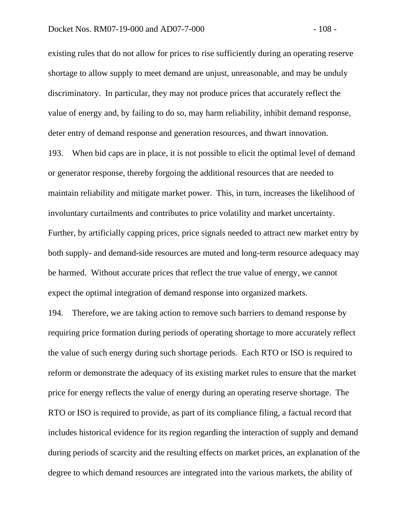existing rules that do not allow for prices to rise sufficiently during an operating reserve shortage to allow supply to meet demand are unjust, unreasonable, and may be unduly discriminatory. In particular, they may not produce prices that accurately reflect the value of energy and, by failing to do so, may harm reliability, inhibit demand response, deter entry of demand response and generation resources, and thwart innovation.

193. When bid caps are in place, it is not possible to elicit the optimal level of demand or generator response, thereby forgoing the additional resources that are needed to maintain reliability and mitigate market power. This, in turn, increases the likelihood of involuntary curtailments and contributes to price volatility and market uncertainty. Further, by artificially capping prices, price signals needed to attract new market entry by both supply- and demand-side resources are muted and long-term resource adequacy may be harmed. Without accurate prices that reflect the true value of energy, we cannot expect the optimal integration of demand response into organized markets.

194. Therefore, we are taking action to remove such barriers to demand response by requiring price formation during periods of operating shortage to more accurately reflect the value of such energy during such shortage periods. Each RTO or ISO is required to reform or demonstrate the adequacy of its existing market rules to ensure that the market price for energy reflects the value of energy during an operating reserve shortage. The RTO or ISO is required to provide, as part of its compliance filing, a factual record that includes historical evidence for its region regarding the interaction of supply and demand during periods of scarcity and the resulting effects on market prices, an explanation of the degree to which demand resources are integrated into the various markets, the ability of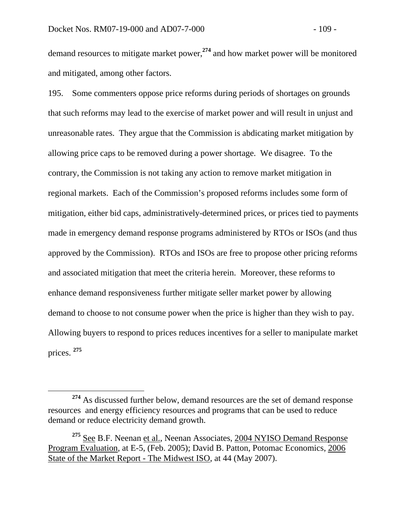and mitigated, among other factors.

demand resources to mitigate market power,**<sup>274</sup>** and how market power will be monitored

195. Some commenters oppose price reforms during periods of shortages on grounds that such reforms may lead to the exercise of market power and will result in unjust and unreasonable rates. They argue that the Commission is abdicating market mitigation by allowing price caps to be removed during a power shortage. We disagree. To the contrary, the Commission is not taking any action to remove market mitigation in regional markets. Each of the Commission's proposed reforms includes some form of mitigation, either bid caps, administratively-determined prices, or prices tied to payments made in emergency demand response programs administered by RTOs or ISOs (and thus approved by the Commission). RTOs and ISOs are free to propose other pricing reforms and associated mitigation that meet the criteria herein. Moreover, these reforms to enhance demand responsiveness further mitigate seller market power by allowing demand to choose to not consume power when the price is higher than they wish to pay. Allowing buyers to respond to prices reduces incentives for a seller to manipulate market prices. **<sup>275</sup>**

**<sup>274</sup>** As discussed further below, demand resources are the set of demand response resources and energy efficiency resources and programs that can be used to reduce demand or reduce electricity demand growth.

**<sup>275</sup>** See B.F. Neenan et al., Neenan Associates, 2004 NYISO Demand Response Program Evaluation, at E-5, (Feb. 2005); David B. Patton, Potomac Economics, 2006 State of the Market Report - The Midwest ISO, at 44 (May 2007).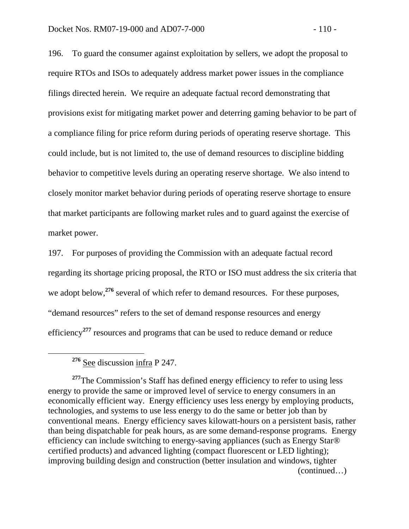196. To guard the consumer against exploitation by sellers, we adopt the proposal to require RTOs and ISOs to adequately address market power issues in the compliance filings directed herein. We require an adequate factual record demonstrating that provisions exist for mitigating market power and deterring gaming behavior to be part of a compliance filing for price reform during periods of operating reserve shortage. This could include, but is not limited to, the use of demand resources to discipline bidding behavior to competitive levels during an operating reserve shortage. We also intend to closely monitor market behavior during periods of operating reserve shortage to ensure that market participants are following market rules and to guard against the exercise of market power.

197. For purposes of providing the Commission with an adequate factual record regarding its shortage pricing proposal, the RTO or ISO must address the six criteria that we adopt below,<sup>276</sup> several of which refer to demand resources. For these purposes, "demand resources" refers to the set of demand response resources and energy efficiency**<sup>277</sup>** resources and programs that can be used to reduce demand or reduce

<sup>277</sup>The Commission's Staff has defined energy efficiency to refer to using less energy to provide the same or improved level of service to energy consumers in an economically efficient way. Energy efficiency uses less energy by employing products, technologies, and systems to use less energy to do the same or better job than by conventional means. Energy efficiency saves kilowatt-hours on a persistent basis, rather than being dispatchable for peak hours, as are some demand-response programs. Energy efficiency can include switching to energy-saving appliances (such as Energy Star® certified products) and advanced lighting (compact fluorescent or LED lighting); improving building design and construction (better insulation and windows, tighter (continued…)

**<sup>276</sup>** See discussion infra P 247.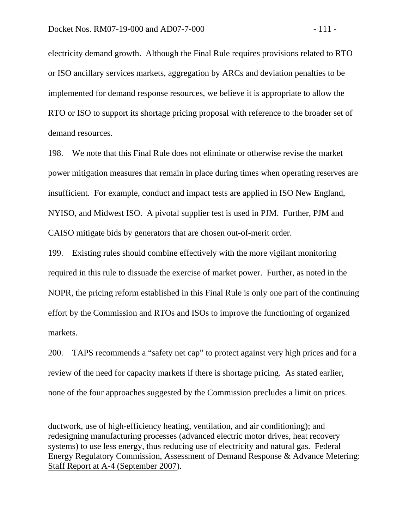$\overline{a}$ 

electricity demand growth. Although the Final Rule requires provisions related to RTO or ISO ancillary services markets, aggregation by ARCs and deviation penalties to be implemented for demand response resources, we believe it is appropriate to allow the RTO or ISO to support its shortage pricing proposal with reference to the broader set of demand resources.

198. We note that this Final Rule does not eliminate or otherwise revise the market power mitigation measures that remain in place during times when operating reserves are insufficient. For example, conduct and impact tests are applied in ISO New England, NYISO, and Midwest ISO. A pivotal supplier test is used in PJM. Further, PJM and CAISO mitigate bids by generators that are chosen out-of-merit order.

199. Existing rules should combine effectively with the more vigilant monitoring required in this rule to dissuade the exercise of market power. Further, as noted in the NOPR, the pricing reform established in this Final Rule is only one part of the continuing effort by the Commission and RTOs and ISOs to improve the functioning of organized markets.

200. TAPS recommends a "safety net cap" to protect against very high prices and for a review of the need for capacity markets if there is shortage pricing. As stated earlier, none of the four approaches suggested by the Commission precludes a limit on prices.

ductwork, use of high-efficiency heating, ventilation, and air conditioning); and redesigning manufacturing processes (advanced electric motor drives, heat recovery systems) to use less energy, thus reducing use of electricity and natural gas. Federal Energy Regulatory Commission, Assessment of Demand Response & Advance Metering: Staff Report at A-4 (September 2007).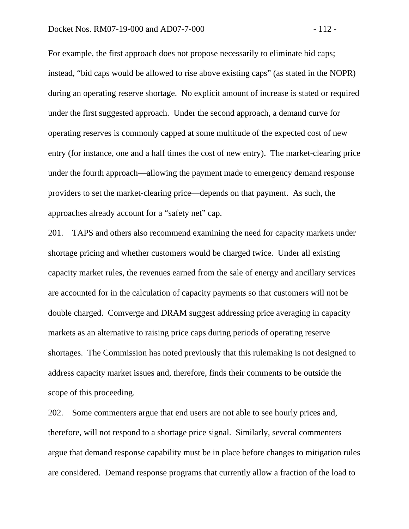For example, the first approach does not propose necessarily to eliminate bid caps; instead, "bid caps would be allowed to rise above existing caps" (as stated in the NOPR) during an operating reserve shortage. No explicit amount of increase is stated or required under the first suggested approach. Under the second approach, a demand curve for operating reserves is commonly capped at some multitude of the expected cost of new entry (for instance, one and a half times the cost of new entry). The market-clearing price under the fourth approach—allowing the payment made to emergency demand response providers to set the market-clearing price—depends on that payment. As such, the approaches already account for a "safety net" cap.

201. TAPS and others also recommend examining the need for capacity markets under shortage pricing and whether customers would be charged twice. Under all existing capacity market rules, the revenues earned from the sale of energy and ancillary services are accounted for in the calculation of capacity payments so that customers will not be double charged. Comverge and DRAM suggest addressing price averaging in capacity markets as an alternative to raising price caps during periods of operating reserve shortages. The Commission has noted previously that this rulemaking is not designed to address capacity market issues and, therefore, finds their comments to be outside the scope of this proceeding.

202. Some commenters argue that end users are not able to see hourly prices and, therefore, will not respond to a shortage price signal. Similarly, several commenters argue that demand response capability must be in place before changes to mitigation rules are considered. Demand response programs that currently allow a fraction of the load to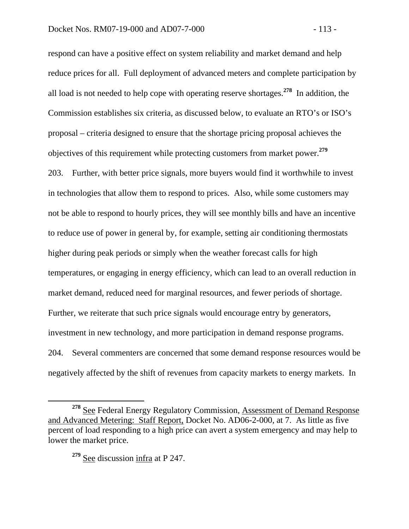respond can have a positive effect on system reliability and market demand and help reduce prices for all. Full deployment of advanced meters and complete participation by all load is not needed to help cope with operating reserve shortages.**<sup>278</sup>** In addition, the Commission establishes six criteria, as discussed below, to evaluate an RTO's or ISO's proposal – criteria designed to ensure that the shortage pricing proposal achieves the objectives of this requirement while protecting customers from market power.**<sup>279</sup>** 203. Further, with better price signals, more buyers would find it worthwhile to invest in technologies that allow them to respond to prices. Also, while some customers may not be able to respond to hourly prices, they will see monthly bills and have an incentive to reduce use of power in general by, for example, setting air conditioning thermostats higher during peak periods or simply when the weather forecast calls for high temperatures, or engaging in energy efficiency, which can lead to an overall reduction in market demand, reduced need for marginal resources, and fewer periods of shortage. Further, we reiterate that such price signals would encourage entry by generators, investment in new technology, and more participation in demand response programs. 204. Several commenters are concerned that some demand response resources would be negatively affected by the shift of revenues from capacity markets to energy markets. In

**<sup>278</sup>** See Federal Energy Regulatory Commission, Assessment of Demand Response and Advanced Metering: Staff Report, Docket No. AD06-2-000, at 7. As little as five percent of load responding to a high price can avert a system emergency and may help to lower the market price.

**<sup>279</sup>** See discussion infra at P 247.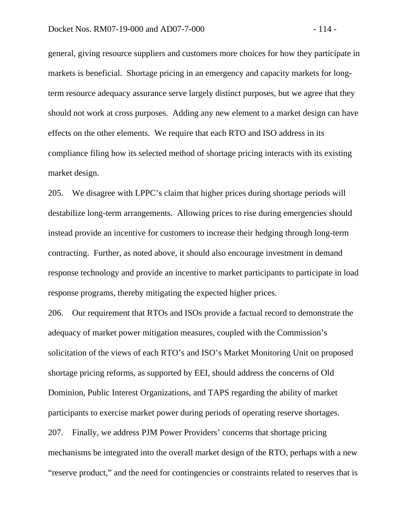general, giving resource suppliers and customers more choices for how they participate in markets is beneficial. Shortage pricing in an emergency and capacity markets for longterm resource adequacy assurance serve largely distinct purposes, but we agree that they should not work at cross purposes. Adding any new element to a market design can have effects on the other elements. We require that each RTO and ISO address in its compliance filing how its selected method of shortage pricing interacts with its existing market design.

205. We disagree with LPPC's claim that higher prices during shortage periods will destabilize long-term arrangements. Allowing prices to rise during emergencies should instead provide an incentive for customers to increase their hedging through long-term contracting. Further, as noted above, it should also encourage investment in demand response technology and provide an incentive to market participants to participate in load response programs, thereby mitigating the expected higher prices.

206. Our requirement that RTOs and ISOs provide a factual record to demonstrate the adequacy of market power mitigation measures, coupled with the Commission's solicitation of the views of each RTO's and ISO's Market Monitoring Unit on proposed shortage pricing reforms, as supported by EEI, should address the concerns of Old Dominion, Public Interest Organizations, and TAPS regarding the ability of market participants to exercise market power during periods of operating reserve shortages. 207. Finally, we address PJM Power Providers' concerns that shortage pricing mechanisms be integrated into the overall market design of the RTO, perhaps with a new "reserve product," and the need for contingencies or constraints related to reserves that is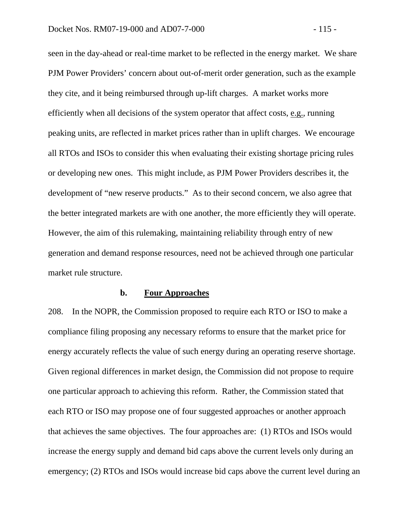seen in the day-ahead or real-time market to be reflected in the energy market. We share PJM Power Providers' concern about out-of-merit order generation, such as the example they cite, and it being reimbursed through up-lift charges. A market works more efficiently when all decisions of the system operator that affect costs, e.g., running peaking units, are reflected in market prices rather than in uplift charges. We encourage all RTOs and ISOs to consider this when evaluating their existing shortage pricing rules or developing new ones. This might include, as PJM Power Providers describes it, the development of "new reserve products." As to their second concern, we also agree that the better integrated markets are with one another, the more efficiently they will operate. However, the aim of this rulemaking, maintaining reliability through entry of new generation and demand response resources, need not be achieved through one particular market rule structure.

#### **b. Four Approaches**

208. In the NOPR, the Commission proposed to require each RTO or ISO to make a compliance filing proposing any necessary reforms to ensure that the market price for energy accurately reflects the value of such energy during an operating reserve shortage. Given regional differences in market design, the Commission did not propose to require one particular approach to achieving this reform. Rather, the Commission stated that each RTO or ISO may propose one of four suggested approaches or another approach that achieves the same objectives. The four approaches are: (1) RTOs and ISOs would increase the energy supply and demand bid caps above the current levels only during an emergency; (2) RTOs and ISOs would increase bid caps above the current level during an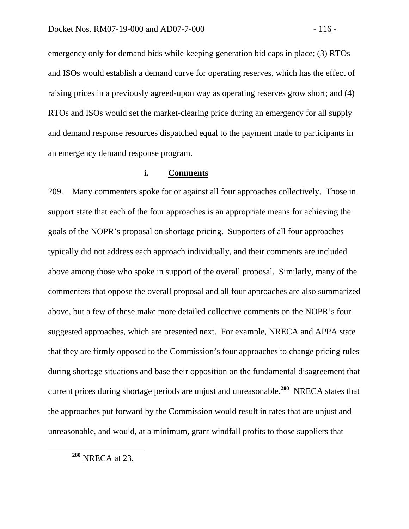emergency only for demand bids while keeping generation bid caps in place; (3) RTOs and ISOs would establish a demand curve for operating reserves, which has the effect of raising prices in a previously agreed-upon way as operating reserves grow short; and (4) RTOs and ISOs would set the market-clearing price during an emergency for all supply and demand response resources dispatched equal to the payment made to participants in an emergency demand response program.

# **i. Comments**

209. Many commenters spoke for or against all four approaches collectively. Those in support state that each of the four approaches is an appropriate means for achieving the goals of the NOPR's proposal on shortage pricing. Supporters of all four approaches typically did not address each approach individually, and their comments are included above among those who spoke in support of the overall proposal. Similarly, many of the commenters that oppose the overall proposal and all four approaches are also summarized above, but a few of these make more detailed collective comments on the NOPR's four suggested approaches, which are presented next. For example, NRECA and APPA state that they are firmly opposed to the Commission's four approaches to change pricing rules during shortage situations and base their opposition on the fundamental disagreement that current prices during shortage periods are unjust and unreasonable.**<sup>280</sup>** NRECA states that the approaches put forward by the Commission would result in rates that are unjust and unreasonable, and would, at a minimum, grant windfall profits to those suppliers that

**<sup>280</sup>** NRECA at 23.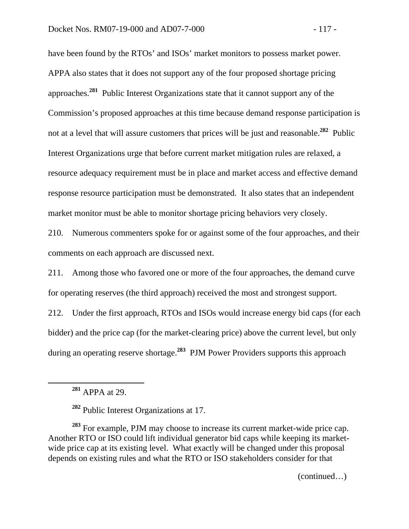have been found by the RTOs' and ISOs' market monitors to possess market power. APPA also states that it does not support any of the four proposed shortage pricing approaches.**<sup>281</sup>** Public Interest Organizations state that it cannot support any of the Commission's proposed approaches at this time because demand response participation is not at a level that will assure customers that prices will be just and reasonable.**<sup>282</sup>** Public Interest Organizations urge that before current market mitigation rules are relaxed, a resource adequacy requirement must be in place and market access and effective demand response resource participation must be demonstrated. It also states that an independent market monitor must be able to monitor shortage pricing behaviors very closely.

210. Numerous commenters spoke for or against some of the four approaches, and their comments on each approach are discussed next.

211. Among those who favored one or more of the four approaches, the demand curve for operating reserves (the third approach) received the most and strongest support.

212. Under the first approach, RTOs and ISOs would increase energy bid caps (for each bidder) and the price cap (for the market-clearing price) above the current level, but only during an operating reserve shortage.**<sup>283</sup>** PJM Power Providers supports this approach

**<sup>281</sup>** APPA at 29.

**<sup>282</sup>** Public Interest Organizations at 17.

**<sup>283</sup>** For example, PJM may choose to increase its current market-wide price cap. Another RTO or ISO could lift individual generator bid caps while keeping its marketwide price cap at its existing level. What exactly will be changed under this proposal depends on existing rules and what the RTO or ISO stakeholders consider for that

(continued…)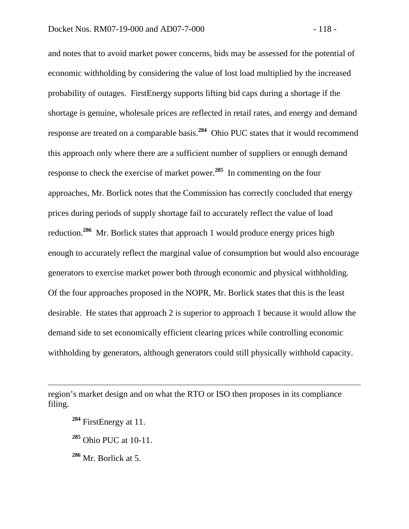and notes that to avoid market power concerns, bids may be assessed for the potential of economic withholding by considering the value of lost load multiplied by the increased probability of outages. FirstEnergy supports lifting bid caps during a shortage if the shortage is genuine, wholesale prices are reflected in retail rates, and energy and demand response are treated on a comparable basis.**<sup>284</sup>** Ohio PUC states that it would recommend this approach only where there are a sufficient number of suppliers or enough demand response to check the exercise of market power.**<sup>285</sup>** In commenting on the four approaches, Mr. Borlick notes that the Commission has correctly concluded that energy prices during periods of supply shortage fail to accurately reflect the value of load reduction.**<sup>286</sup>** Mr. Borlick states that approach 1 would produce energy prices high enough to accurately reflect the marginal value of consumption but would also encourage generators to exercise market power both through economic and physical withholding. Of the four approaches proposed in the NOPR, Mr. Borlick states that this is the least desirable. He states that approach 2 is superior to approach 1 because it would allow the demand side to set economically efficient clearing prices while controlling economic withholding by generators, although generators could still physically withhold capacity.

**<sup>284</sup>** FirstEnergy at 11.

 $\overline{a}$ 

- **<sup>285</sup>** Ohio PUC at 10-11.
- **<sup>286</sup>** Mr. Borlick at 5.

region's market design and on what the RTO or ISO then proposes in its compliance filing.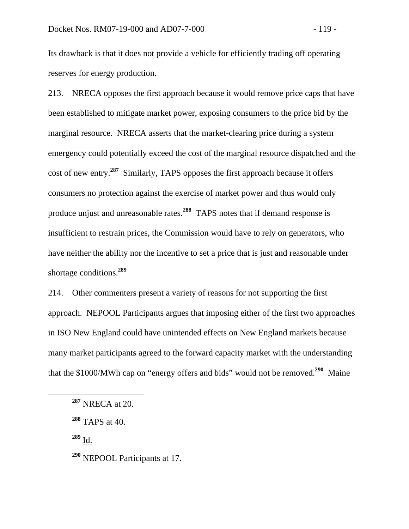Its drawback is that it does not provide a vehicle for efficiently trading off operating reserves for energy production.

213. NRECA opposes the first approach because it would remove price caps that have been established to mitigate market power, exposing consumers to the price bid by the marginal resource. NRECA asserts that the market-clearing price during a system emergency could potentially exceed the cost of the marginal resource dispatched and the cost of new entry.**<sup>287</sup>** Similarly, TAPS opposes the first approach because it offers consumers no protection against the exercise of market power and thus would only produce unjust and unreasonable rates.**<sup>288</sup>** TAPS notes that if demand response is insufficient to restrain prices, the Commission would have to rely on generators, who have neither the ability nor the incentive to set a price that is just and reasonable under shortage conditions.**<sup>289</sup>**

214. Other commenters present a variety of reasons for not supporting the first approach. NEPOOL Participants argues that imposing either of the first two approaches in ISO New England could have unintended effects on New England markets because many market participants agreed to the forward capacity market with the understanding that the \$1000/MWh cap on "energy offers and bids" would not be removed.**<sup>290</sup>** Maine

**<sup>289</sup>** Id.

**<sup>287</sup>** NRECA at 20.

**<sup>288</sup>** TAPS at 40.

**<sup>290</sup>** NEPOOL Participants at 17.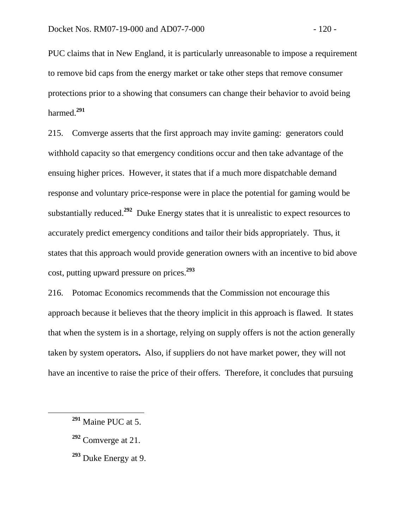PUC claims that in New England, it is particularly unreasonable to impose a requirement to remove bid caps from the energy market or take other steps that remove consumer protections prior to a showing that consumers can change their behavior to avoid being harmed.**<sup>291</sup>**

215. Comverge asserts that the first approach may invite gaming: generators could withhold capacity so that emergency conditions occur and then take advantage of the ensuing higher prices. However, it states that if a much more dispatchable demand response and voluntary price-response were in place the potential for gaming would be substantially reduced.**<sup>292</sup>** Duke Energy states that it is unrealistic to expect resources to accurately predict emergency conditions and tailor their bids appropriately. Thus, it states that this approach would provide generation owners with an incentive to bid above cost, putting upward pressure on prices.**<sup>293</sup>**

216. Potomac Economics recommends that the Commission not encourage this approach because it believes that the theory implicit in this approach is flawed. It states that when the system is in a shortage, relying on supply offers is not the action generally taken by system operators**.** Also, if suppliers do not have market power, they will not have an incentive to raise the price of their offers. Therefore, it concludes that pursuing

- **<sup>292</sup>** Comverge at 21.
- **<sup>293</sup>** Duke Energy at 9.

**<sup>291</sup>** Maine PUC at 5.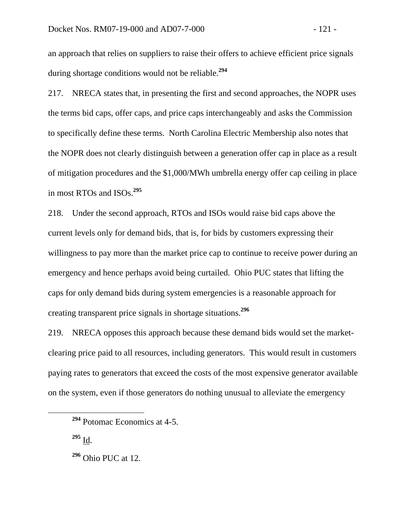an approach that relies on suppliers to raise their offers to achieve efficient price signals during shortage conditions would not be reliable.**<sup>294</sup>**

217. NRECA states that, in presenting the first and second approaches, the NOPR uses the terms bid caps, offer caps, and price caps interchangeably and asks the Commission to specifically define these terms. North Carolina Electric Membership also notes that the NOPR does not clearly distinguish between a generation offer cap in place as a result of mitigation procedures and the \$1,000/MWh umbrella energy offer cap ceiling in place in most RTOs and ISOs.**<sup>295</sup>**

218. Under the second approach, RTOs and ISOs would raise bid caps above the current levels only for demand bids, that is, for bids by customers expressing their willingness to pay more than the market price cap to continue to receive power during an emergency and hence perhaps avoid being curtailed. Ohio PUC states that lifting the caps for only demand bids during system emergencies is a reasonable approach for creating transparent price signals in shortage situations.**<sup>296</sup>**

219. NRECA opposes this approach because these demand bids would set the marketclearing price paid to all resources, including generators. This would result in customers paying rates to generators that exceed the costs of the most expensive generator available on the system, even if those generators do nothing unusual to alleviate the emergency

**<sup>295</sup>** Id.

**<sup>294</sup>** Potomac Economics at 4-5.

**<sup>296</sup>** Ohio PUC at 12.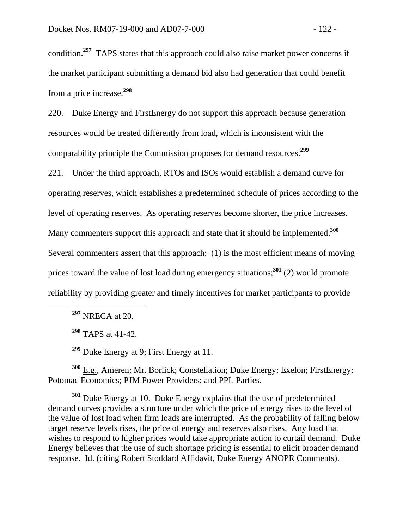condition.**<sup>297</sup>** TAPS states that this approach could also raise market power concerns if the market participant submitting a demand bid also had generation that could benefit from a price increase.**<sup>298</sup>**

220. Duke Energy and FirstEnergy do not support this approach because generation resources would be treated differently from load, which is inconsistent with the comparability principle the Commission proposes for demand resources.**<sup>299</sup>**

221. Under the third approach, RTOs and ISOs would establish a demand curve for operating reserves, which establishes a predetermined schedule of prices according to the level of operating reserves. As operating reserves become shorter, the price increases. Many commenters support this approach and state that it should be implemented.<sup>300</sup> Several commenters assert that this approach: (1) is the most efficient means of moving prices toward the value of lost load during emergency situations;**<sup>301</sup>** (2) would promote reliability by providing greater and timely incentives for market participants to provide

**<sup>297</sup>** NRECA at 20.

**<sup>298</sup>** TAPS at 41-42.

**<sup>299</sup>** Duke Energy at 9; First Energy at 11.

**<sup>300</sup>** E.g., Ameren; Mr. Borlick; Constellation; Duke Energy; Exelon; FirstEnergy; Potomac Economics; PJM Power Providers; and PPL Parties.

**<sup>301</sup>** Duke Energy at 10. Duke Energy explains that the use of predetermined demand curves provides a structure under which the price of energy rises to the level of the value of lost load when firm loads are interrupted. As the probability of falling below target reserve levels rises, the price of energy and reserves also rises. Any load that wishes to respond to higher prices would take appropriate action to curtail demand. Duke Energy believes that the use of such shortage pricing is essential to elicit broader demand response. Id. (citing Robert Stoddard Affidavit, Duke Energy ANOPR Comments).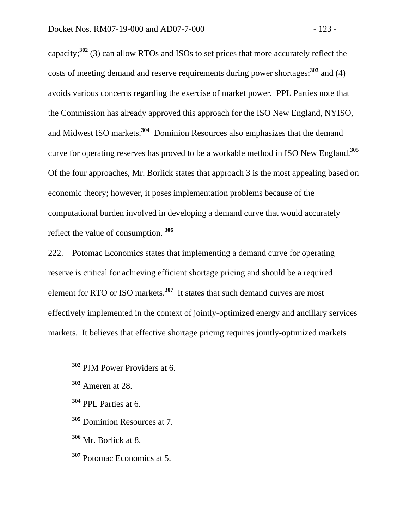capacity;**<sup>302</sup>** (3) can allow RTOs and ISOs to set prices that more accurately reflect the costs of meeting demand and reserve requirements during power shortages;**<sup>303</sup>** and (4) avoids various concerns regarding the exercise of market power. PPL Parties note that the Commission has already approved this approach for the ISO New England, NYISO, and Midwest ISO markets.**<sup>304</sup>** Dominion Resources also emphasizes that the demand curve for operating reserves has proved to be a workable method in ISO New England.**<sup>305</sup>** Of the four approaches, Mr. Borlick states that approach 3 is the most appealing based on economic theory; however, it poses implementation problems because of the computational burden involved in developing a demand curve that would accurately reflect the value of consumption. **<sup>306</sup>**

222. Potomac Economics states that implementing a demand curve for operating reserve is critical for achieving efficient shortage pricing and should be a required element for RTO or ISO markets.**<sup>307</sup>** It states that such demand curves are most effectively implemented in the context of jointly-optimized energy and ancillary services markets. It believes that effective shortage pricing requires jointly-optimized markets

- **<sup>304</sup>** PPL Parties at 6.
- **<sup>305</sup>** Dominion Resources at 7.
- **<sup>306</sup>** Mr. Borlick at 8.
- **<sup>307</sup>** Potomac Economics at 5.

**<sup>302</sup>** PJM Power Providers at 6.

**<sup>303</sup>** Ameren at 28.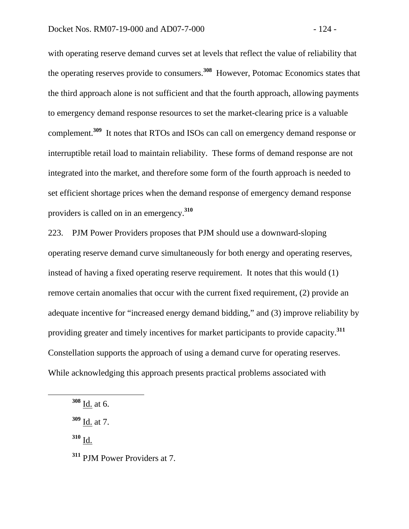with operating reserve demand curves set at levels that reflect the value of reliability that the operating reserves provide to consumers.**<sup>308</sup>** However, Potomac Economics states that the third approach alone is not sufficient and that the fourth approach, allowing payments to emergency demand response resources to set the market-clearing price is a valuable complement.**<sup>309</sup>** It notes that RTOs and ISOs can call on emergency demand response or interruptible retail load to maintain reliability. These forms of demand response are not integrated into the market, and therefore some form of the fourth approach is needed to set efficient shortage prices when the demand response of emergency demand response providers is called on in an emergency.**<sup>310</sup>**

223. PJM Power Providers proposes that PJM should use a downward-sloping operating reserve demand curve simultaneously for both energy and operating reserves, instead of having a fixed operating reserve requirement. It notes that this would (1) remove certain anomalies that occur with the current fixed requirement, (2) provide an adequate incentive for "increased energy demand bidding," and (3) improve reliability by providing greater and timely incentives for market participants to provide capacity.**<sup>311</sup>** Constellation supports the approach of using a demand curve for operating reserves. While acknowledging this approach presents practical problems associated with

**<sup>310</sup>** Id.

**<sup>308</sup>** Id. at 6.

**<sup>309</sup>** Id. at 7.

**<sup>311</sup>** PJM Power Providers at 7.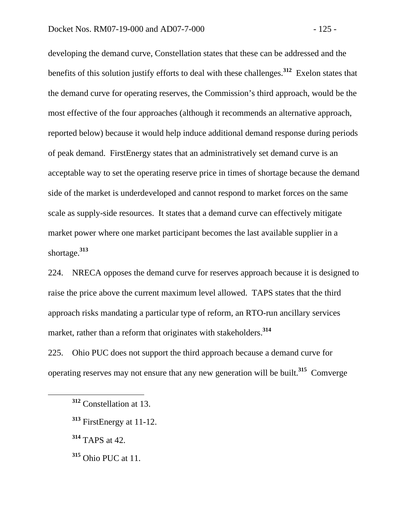developing the demand curve, Constellation states that these can be addressed and the benefits of this solution justify efforts to deal with these challenges.**<sup>312</sup>** Exelon states that the demand curve for operating reserves, the Commission's third approach, would be the most effective of the four approaches (although it recommends an alternative approach, reported below) because it would help induce additional demand response during periods of peak demand. FirstEnergy states that an administratively set demand curve is an acceptable way to set the operating reserve price in times of shortage because the demand side of the market is underdeveloped and cannot respond to market forces on the same scale as supply-side resources. It states that a demand curve can effectively mitigate market power where one market participant becomes the last available supplier in a shortage.**<sup>313</sup>**

224. NRECA opposes the demand curve for reserves approach because it is designed to raise the price above the current maximum level allowed. TAPS states that the third approach risks mandating a particular type of reform, an RTO-run ancillary services market, rather than a reform that originates with stakeholders.<sup>314</sup>

225. Ohio PUC does not support the third approach because a demand curve for operating reserves may not ensure that any new generation will be built.**<sup>315</sup>** Comverge

**<sup>314</sup>** TAPS at 42.

**<sup>315</sup>** Ohio PUC at 11.

**<sup>312</sup>** Constellation at 13.

**<sup>313</sup>** FirstEnergy at 11-12.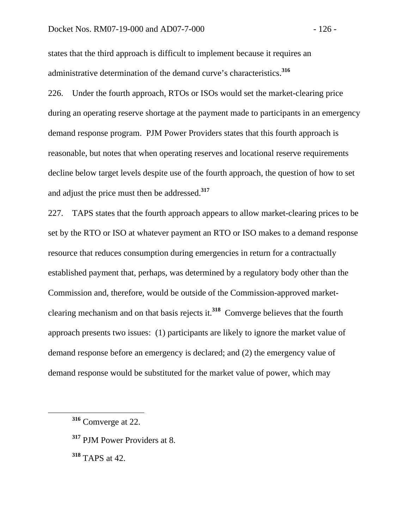states that the third approach is difficult to implement because it requires an administrative determination of the demand curve's characteristics.**<sup>316</sup>**

226. Under the fourth approach, RTOs or ISOs would set the market-clearing price during an operating reserve shortage at the payment made to participants in an emergency demand response program. PJM Power Providers states that this fourth approach is reasonable, but notes that when operating reserves and locational reserve requirements decline below target levels despite use of the fourth approach, the question of how to set and adjust the price must then be addressed.**<sup>317</sup>**

227. TAPS states that the fourth approach appears to allow market-clearing prices to be set by the RTO or ISO at whatever payment an RTO or ISO makes to a demand response resource that reduces consumption during emergencies in return for a contractually established payment that, perhaps, was determined by a regulatory body other than the Commission and, therefore, would be outside of the Commission-approved marketclearing mechanism and on that basis rejects it.**<sup>318</sup>** Comverge believes that the fourth approach presents two issues: (1) participants are likely to ignore the market value of demand response before an emergency is declared; and (2) the emergency value of demand response would be substituted for the market value of power, which may

**<sup>317</sup>** PJM Power Providers at 8.

**<sup>318</sup>** TAPS at 42.

**<sup>316</sup>** Comverge at 22.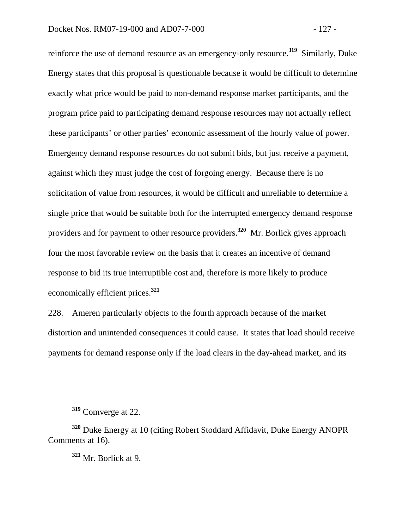reinforce the use of demand resource as an emergency-only resource.**<sup>319</sup>** Similarly, Duke Energy states that this proposal is questionable because it would be difficult to determine exactly what price would be paid to non-demand response market participants, and the program price paid to participating demand response resources may not actually reflect these participants' or other parties' economic assessment of the hourly value of power. Emergency demand response resources do not submit bids, but just receive a payment, against which they must judge the cost of forgoing energy. Because there is no solicitation of value from resources, it would be difficult and unreliable to determine a single price that would be suitable both for the interrupted emergency demand response providers and for payment to other resource providers.**<sup>320</sup>** Mr. Borlick gives approach four the most favorable review on the basis that it creates an incentive of demand response to bid its true interruptible cost and, therefore is more likely to produce economically efficient prices.**<sup>321</sup>**

228. Ameren particularly objects to the fourth approach because of the market distortion and unintended consequences it could cause. It states that load should receive payments for demand response only if the load clears in the day-ahead market, and its

**<sup>319</sup>** Comverge at 22.

**<sup>320</sup>** Duke Energy at 10 (citing Robert Stoddard Affidavit, Duke Energy ANOPR Comments at 16).

**<sup>321</sup>** Mr. Borlick at 9.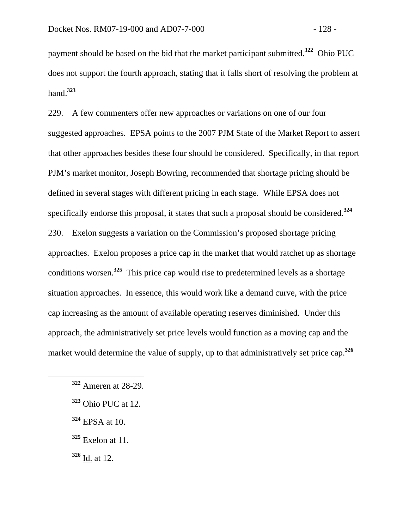payment should be based on the bid that the market participant submitted.**<sup>322</sup>** Ohio PUC does not support the fourth approach, stating that it falls short of resolving the problem at hand.**<sup>323</sup>**

229. A few commenters offer new approaches or variations on one of our four suggested approaches. EPSA points to the 2007 PJM State of the Market Report to assert that other approaches besides these four should be considered. Specifically, in that report PJM's market monitor, Joseph Bowring, recommended that shortage pricing should be defined in several stages with different pricing in each stage. While EPSA does not specifically endorse this proposal, it states that such a proposal should be considered.**<sup>324</sup>** 230. Exelon suggests a variation on the Commission's proposed shortage pricing approaches. Exelon proposes a price cap in the market that would ratchet up as shortage conditions worsen.**<sup>325</sup>** This price cap would rise to predetermined levels as a shortage situation approaches. In essence, this would work like a demand curve, with the price cap increasing as the amount of available operating reserves diminished. Under this approach, the administratively set price levels would function as a moving cap and the market would determine the value of supply, up to that administratively set price cap.**<sup>326</sup>**

**<sup>324</sup>** EPSA at 10.

**<sup>326</sup>** Id. at 12.

**<sup>322</sup>** Ameren at 28-29.

**<sup>323</sup>** Ohio PUC at 12.

**<sup>325</sup>** Exelon at 11.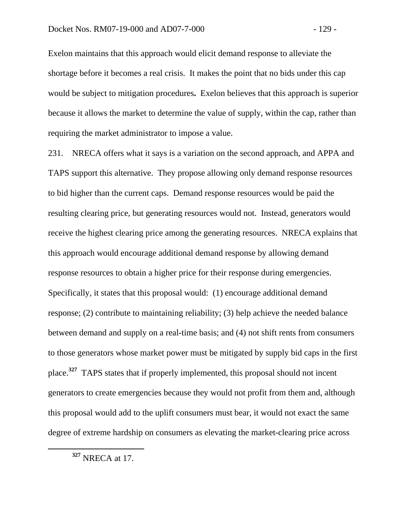Exelon maintains that this approach would elicit demand response to alleviate the shortage before it becomes a real crisis. It makes the point that no bids under this cap would be subject to mitigation procedures**.** Exelon believes that this approach is superior because it allows the market to determine the value of supply, within the cap, rather than requiring the market administrator to impose a value.

231. NRECA offers what it says is a variation on the second approach, and APPA and TAPS support this alternative. They propose allowing only demand response resources to bid higher than the current caps. Demand response resources would be paid the resulting clearing price, but generating resources would not. Instead, generators would receive the highest clearing price among the generating resources. NRECA explains that this approach would encourage additional demand response by allowing demand response resources to obtain a higher price for their response during emergencies. Specifically, it states that this proposal would: (1) encourage additional demand response; (2) contribute to maintaining reliability; (3) help achieve the needed balance between demand and supply on a real-time basis; and (4) not shift rents from consumers to those generators whose market power must be mitigated by supply bid caps in the first place.**<sup>327</sup>** TAPS states that if properly implemented, this proposal should not incent generators to create emergencies because they would not profit from them and, although this proposal would add to the uplift consumers must bear, it would not exact the same degree of extreme hardship on consumers as elevating the market-clearing price across

**<sup>327</sup>** NRECA at 17.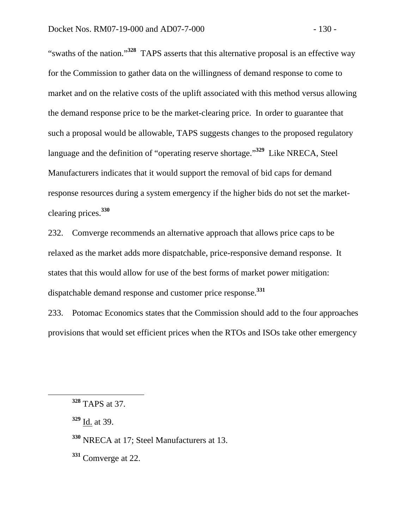"swaths of the nation."**<sup>328</sup>** TAPS asserts that this alternative proposal is an effective way for the Commission to gather data on the willingness of demand response to come to market and on the relative costs of the uplift associated with this method versus allowing the demand response price to be the market-clearing price. In order to guarantee that such a proposal would be allowable, TAPS suggests changes to the proposed regulatory language and the definition of "operating reserve shortage."**<sup>329</sup>** Like NRECA, Steel Manufacturers indicates that it would support the removal of bid caps for demand response resources during a system emergency if the higher bids do not set the marketclearing prices.**<sup>330</sup>**

232. Comverge recommends an alternative approach that allows price caps to be relaxed as the market adds more dispatchable, price-responsive demand response. It states that this would allow for use of the best forms of market power mitigation: dispatchable demand response and customer price response.**<sup>331</sup>**

233. Potomac Economics states that the Commission should add to the four approaches provisions that would set efficient prices when the RTOs and ISOs take other emergency

- **<sup>330</sup>** NRECA at 17; Steel Manufacturers at 13.
- **<sup>331</sup>** Comverge at 22.

**<sup>328</sup>** TAPS at 37.

**<sup>329</sup>** Id. at 39.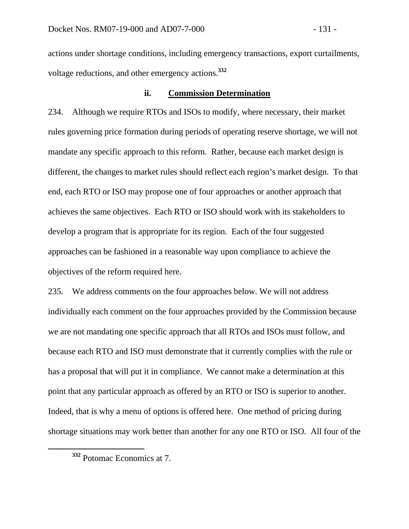actions under shortage conditions, including emergency transactions, export curtailments, voltage reductions, and other emergency actions.**<sup>332</sup>**

## **ii. Commission Determination**

234. Although we require RTOs and ISOs to modify, where necessary, their market rules governing price formation during periods of operating reserve shortage, we will not mandate any specific approach to this reform. Rather, because each market design is different, the changes to market rules should reflect each region's market design. To that end, each RTO or ISO may propose one of four approaches or another approach that achieves the same objectives. Each RTO or ISO should work with its stakeholders to develop a program that is appropriate for its region. Each of the four suggested approaches can be fashioned in a reasonable way upon compliance to achieve the objectives of the reform required here.

235. We address comments on the four approaches below. We will not address individually each comment on the four approaches provided by the Commission because we are not mandating one specific approach that all RTOs and ISOs must follow, and because each RTO and ISO must demonstrate that it currently complies with the rule or has a proposal that will put it in compliance. We cannot make a determination at this point that any particular approach as offered by an RTO or ISO is superior to another. Indeed, that is why a menu of options is offered here. One method of pricing during shortage situations may work better than another for any one RTO or ISO. All four of the

**<sup>332</sup>** Potomac Economics at 7.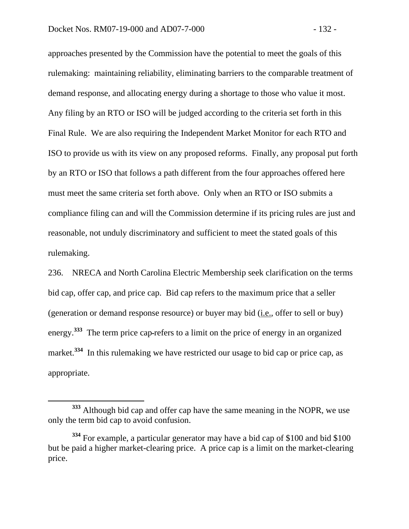approaches presented by the Commission have the potential to meet the goals of this rulemaking: maintaining reliability, eliminating barriers to the comparable treatment of demand response, and allocating energy during a shortage to those who value it most. Any filing by an RTO or ISO will be judged according to the criteria set forth in this Final Rule. We are also requiring the Independent Market Monitor for each RTO and ISO to provide us with its view on any proposed reforms. Finally, any proposal put forth by an RTO or ISO that follows a path different from the four approaches offered here must meet the same criteria set forth above. Only when an RTO or ISO submits a compliance filing can and will the Commission determine if its pricing rules are just and reasonable, not unduly discriminatory and sufficient to meet the stated goals of this rulemaking.

236. NRECA and North Carolina Electric Membership seek clarification on the terms bid cap, offer cap, and price cap. Bid cap refers to the maximum price that a seller (generation or demand response resource) or buyer may bid (i.e., offer to sell or buy) energy.<sup>333</sup> The term price cap-refers to a limit on the price of energy in an organized market.<sup>334</sup> In this rulemaking we have restricted our usage to bid cap or price cap, as appropriate.

**<sup>333</sup>** Although bid cap and offer cap have the same meaning in the NOPR, we use only the term bid cap to avoid confusion.

**<sup>334</sup>** For example, a particular generator may have a bid cap of \$100 and bid \$100 but be paid a higher market-clearing price. A price cap is a limit on the market-clearing price.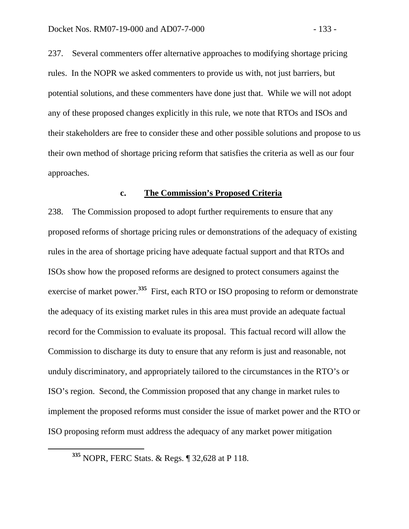237. Several commenters offer alternative approaches to modifying shortage pricing rules. In the NOPR we asked commenters to provide us with, not just barriers, but potential solutions, and these commenters have done just that. While we will not adopt any of these proposed changes explicitly in this rule, we note that RTOs and ISOs and their stakeholders are free to consider these and other possible solutions and propose to us their own method of shortage pricing reform that satisfies the criteria as well as our four approaches.

#### **c. The Commission's Proposed Criteria**

238. The Commission proposed to adopt further requirements to ensure that any proposed reforms of shortage pricing rules or demonstrations of the adequacy of existing rules in the area of shortage pricing have adequate factual support and that RTOs and ISOs show how the proposed reforms are designed to protect consumers against the exercise of market power.**<sup>335</sup>** First, each RTO or ISO proposing to reform or demonstrate the adequacy of its existing market rules in this area must provide an adequate factual record for the Commission to evaluate its proposal. This factual record will allow the Commission to discharge its duty to ensure that any reform is just and reasonable, not unduly discriminatory, and appropriately tailored to the circumstances in the RTO's or ISO's region. Second, the Commission proposed that any change in market rules to implement the proposed reforms must consider the issue of market power and the RTO or ISO proposing reform must address the adequacy of any market power mitigation

**<sup>335</sup>** NOPR, FERC Stats. & Regs. ¶ 32,628 at P 118.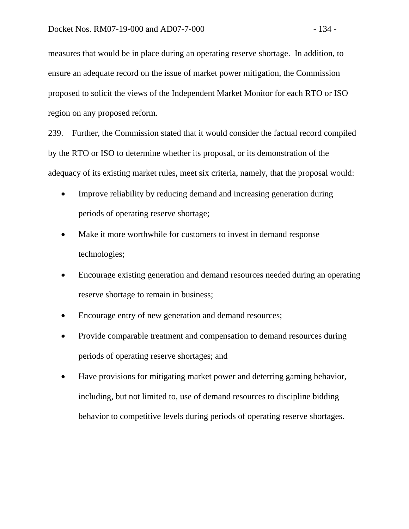measures that would be in place during an operating reserve shortage. In addition, to ensure an adequate record on the issue of market power mitigation, the Commission proposed to solicit the views of the Independent Market Monitor for each RTO or ISO region on any proposed reform.

239. Further, the Commission stated that it would consider the factual record compiled by the RTO or ISO to determine whether its proposal, or its demonstration of the adequacy of its existing market rules, meet six criteria, namely, that the proposal would:

- Improve reliability by reducing demand and increasing generation during periods of operating reserve shortage;
- Make it more worthwhile for customers to invest in demand response technologies;
- Encourage existing generation and demand resources needed during an operating reserve shortage to remain in business;
- Encourage entry of new generation and demand resources;
- Provide comparable treatment and compensation to demand resources during periods of operating reserve shortages; and
- Have provisions for mitigating market power and deterring gaming behavior, including, but not limited to, use of demand resources to discipline bidding behavior to competitive levels during periods of operating reserve shortages.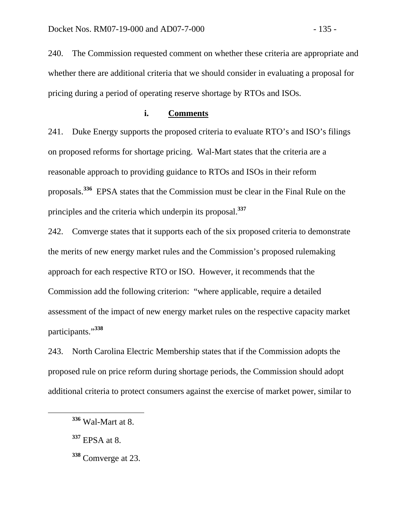240. The Commission requested comment on whether these criteria are appropriate and whether there are additional criteria that we should consider in evaluating a proposal for pricing during a period of operating reserve shortage by RTOs and ISOs.

## **i. Comments**

241. Duke Energy supports the proposed criteria to evaluate RTO's and ISO's filings on proposed reforms for shortage pricing. Wal-Mart states that the criteria are a reasonable approach to providing guidance to RTOs and ISOs in their reform proposals.**<sup>336</sup>** EPSA states that the Commission must be clear in the Final Rule on the principles and the criteria which underpin its proposal.**<sup>337</sup>**

242. Comverge states that it supports each of the six proposed criteria to demonstrate the merits of new energy market rules and the Commission's proposed rulemaking approach for each respective RTO or ISO. However, it recommends that the Commission add the following criterion: "where applicable, require a detailed assessment of the impact of new energy market rules on the respective capacity market participants."**<sup>338</sup>**

243. North Carolina Electric Membership states that if the Commission adopts the proposed rule on price reform during shortage periods, the Commission should adopt additional criteria to protect consumers against the exercise of market power, similar to

**<sup>336</sup>** Wal-Mart at 8.

**<sup>337</sup>** EPSA at 8.

**<sup>338</sup>** Comverge at 23.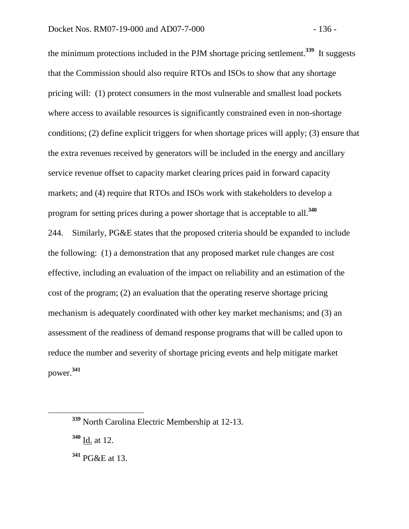the minimum protections included in the PJM shortage pricing settlement.**<sup>339</sup>** It suggests that the Commission should also require RTOs and ISOs to show that any shortage pricing will: (1) protect consumers in the most vulnerable and smallest load pockets where access to available resources is significantly constrained even in non-shortage conditions; (2) define explicit triggers for when shortage prices will apply; (3) ensure that the extra revenues received by generators will be included in the energy and ancillary service revenue offset to capacity market clearing prices paid in forward capacity markets; and (4) require that RTOs and ISOs work with stakeholders to develop a program for setting prices during a power shortage that is acceptable to all.**<sup>340</sup>** 244. Similarly, PG&E states that the proposed criteria should be expanded to include the following: (1) a demonstration that any proposed market rule changes are cost effective, including an evaluation of the impact on reliability and an estimation of the cost of the program; (2) an evaluation that the operating reserve shortage pricing mechanism is adequately coordinated with other key market mechanisms; and (3) an assessment of the readiness of demand response programs that will be called upon to reduce the number and severity of shortage pricing events and help mitigate market power.**<sup>341</sup>**

**<sup>339</sup>** North Carolina Electric Membership at 12-13.

**<sup>340</sup>** Id. at 12.

**<sup>341</sup>** PG&E at 13.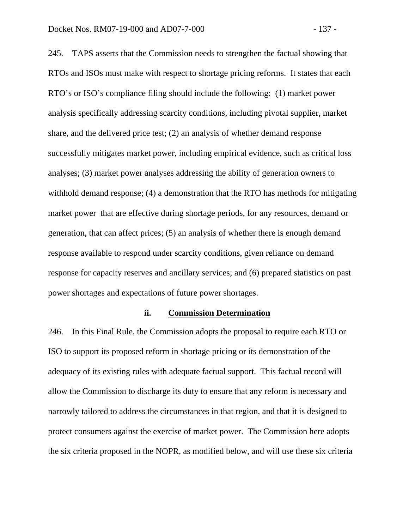245. TAPS asserts that the Commission needs to strengthen the factual showing that RTOs and ISOs must make with respect to shortage pricing reforms. It states that each RTO's or ISO's compliance filing should include the following: (1) market power analysis specifically addressing scarcity conditions, including pivotal supplier, market share, and the delivered price test; (2) an analysis of whether demand response successfully mitigates market power, including empirical evidence, such as critical loss analyses; (3) market power analyses addressing the ability of generation owners to withhold demand response; (4) a demonstration that the RTO has methods for mitigating market power that are effective during shortage periods, for any resources, demand or generation, that can affect prices; (5) an analysis of whether there is enough demand response available to respond under scarcity conditions, given reliance on demand response for capacity reserves and ancillary services; and (6) prepared statistics on past power shortages and expectations of future power shortages.

#### **ii. Commission Determination**

246. In this Final Rule, the Commission adopts the proposal to require each RTO or ISO to support its proposed reform in shortage pricing or its demonstration of the adequacy of its existing rules with adequate factual support. This factual record will allow the Commission to discharge its duty to ensure that any reform is necessary and narrowly tailored to address the circumstances in that region, and that it is designed to protect consumers against the exercise of market power. The Commission here adopts the six criteria proposed in the NOPR, as modified below, and will use these six criteria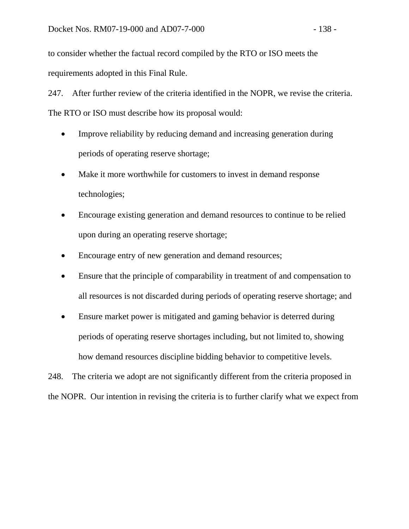to consider whether the factual record compiled by the RTO or ISO meets the requirements adopted in this Final Rule.

247. After further review of the criteria identified in the NOPR, we revise the criteria. The RTO or ISO must describe how its proposal would:

- Improve reliability by reducing demand and increasing generation during periods of operating reserve shortage;
- Make it more worthwhile for customers to invest in demand response technologies;
- Encourage existing generation and demand resources to continue to be relied upon during an operating reserve shortage;
- Encourage entry of new generation and demand resources;
- Ensure that the principle of comparability in treatment of and compensation to all resources is not discarded during periods of operating reserve shortage; and
- Ensure market power is mitigated and gaming behavior is deterred during periods of operating reserve shortages including, but not limited to, showing how demand resources discipline bidding behavior to competitive levels.

248. The criteria we adopt are not significantly different from the criteria proposed in the NOPR. Our intention in revising the criteria is to further clarify what we expect from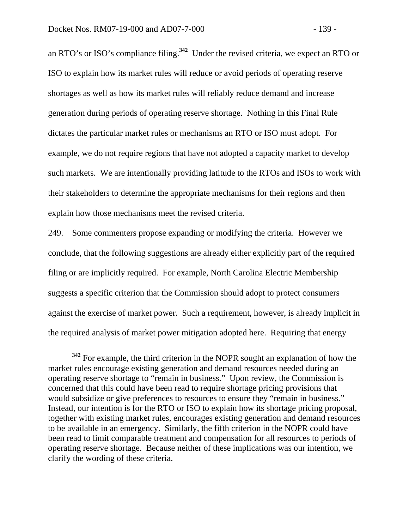an RTO's or ISO's compliance filing.**<sup>342</sup>** Under the revised criteria, we expect an RTO or ISO to explain how its market rules will reduce or avoid periods of operating reserve shortages as well as how its market rules will reliably reduce demand and increase generation during periods of operating reserve shortage. Nothing in this Final Rule dictates the particular market rules or mechanisms an RTO or ISO must adopt. For example, we do not require regions that have not adopted a capacity market to develop such markets. We are intentionally providing latitude to the RTOs and ISOs to work with their stakeholders to determine the appropriate mechanisms for their regions and then explain how those mechanisms meet the revised criteria.

249. Some commenters propose expanding or modifying the criteria. However we conclude, that the following suggestions are already either explicitly part of the required filing or are implicitly required. For example, North Carolina Electric Membership suggests a specific criterion that the Commission should adopt to protect consumers against the exercise of market power. Such a requirement, however, is already implicit in the required analysis of market power mitigation adopted here. Requiring that energy

**<sup>342</sup>** For example, the third criterion in the NOPR sought an explanation of how the market rules encourage existing generation and demand resources needed during an operating reserve shortage to "remain in business." Upon review, the Commission is concerned that this could have been read to require shortage pricing provisions that would subsidize or give preferences to resources to ensure they "remain in business." Instead, our intention is for the RTO or ISO to explain how its shortage pricing proposal, together with existing market rules, encourages existing generation and demand resources to be available in an emergency. Similarly, the fifth criterion in the NOPR could have been read to limit comparable treatment and compensation for all resources to periods of operating reserve shortage. Because neither of these implications was our intention, we clarify the wording of these criteria.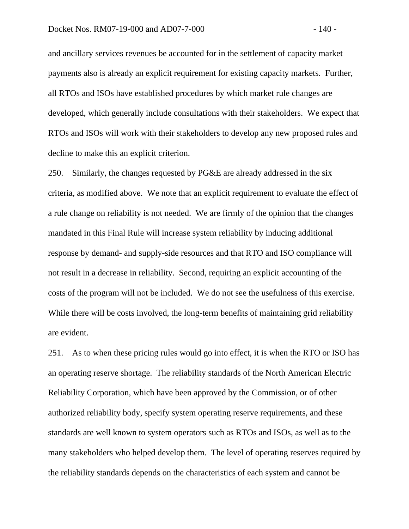and ancillary services revenues be accounted for in the settlement of capacity market payments also is already an explicit requirement for existing capacity markets. Further, all RTOs and ISOs have established procedures by which market rule changes are developed, which generally include consultations with their stakeholders. We expect that RTOs and ISOs will work with their stakeholders to develop any new proposed rules and decline to make this an explicit criterion.

250. Similarly, the changes requested by PG&E are already addressed in the six criteria, as modified above. We note that an explicit requirement to evaluate the effect of a rule change on reliability is not needed. We are firmly of the opinion that the changes mandated in this Final Rule will increase system reliability by inducing additional response by demand- and supply-side resources and that RTO and ISO compliance will not result in a decrease in reliability. Second, requiring an explicit accounting of the costs of the program will not be included. We do not see the usefulness of this exercise. While there will be costs involved, the long-term benefits of maintaining grid reliability are evident.

251. As to when these pricing rules would go into effect, it is when the RTO or ISO has an operating reserve shortage. The reliability standards of the North American Electric Reliability Corporation, which have been approved by the Commission, or of other authorized reliability body, specify system operating reserve requirements, and these standards are well known to system operators such as RTOs and ISOs, as well as to the many stakeholders who helped develop them. The level of operating reserves required by the reliability standards depends on the characteristics of each system and cannot be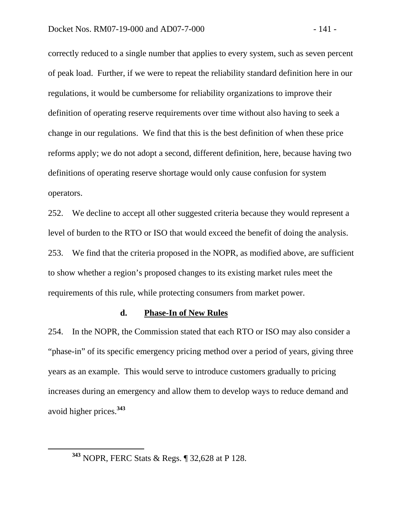correctly reduced to a single number that applies to every system, such as seven percent of peak load. Further, if we were to repeat the reliability standard definition here in our regulations, it would be cumbersome for reliability organizations to improve their definition of operating reserve requirements over time without also having to seek a change in our regulations. We find that this is the best definition of when these price reforms apply; we do not adopt a second, different definition, here, because having two definitions of operating reserve shortage would only cause confusion for system operators.

252. We decline to accept all other suggested criteria because they would represent a level of burden to the RTO or ISO that would exceed the benefit of doing the analysis. 253. We find that the criteria proposed in the NOPR, as modified above, are sufficient to show whether a region's proposed changes to its existing market rules meet the requirements of this rule, while protecting consumers from market power.

#### **d. Phase-In of New Rules**

254. In the NOPR, the Commission stated that each RTO or ISO may also consider a "phase-in" of its specific emergency pricing method over a period of years, giving three years as an example. This would serve to introduce customers gradually to pricing increases during an emergency and allow them to develop ways to reduce demand and avoid higher prices.**<sup>343</sup>**

**<sup>343</sup>** NOPR, FERC Stats & Regs. ¶ 32,628 at P 128.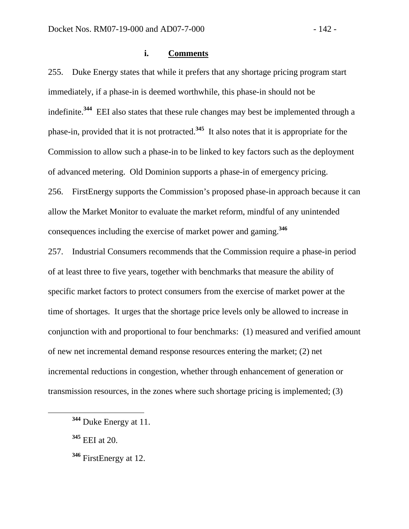## **i. Comments**

255. Duke Energy states that while it prefers that any shortage pricing program start immediately, if a phase-in is deemed worthwhile, this phase-in should not be indefinite.**<sup>344</sup>** EEI also states that these rule changes may best be implemented through a phase-in, provided that it is not protracted.**<sup>345</sup>** It also notes that it is appropriate for the Commission to allow such a phase-in to be linked to key factors such as the deployment of advanced metering. Old Dominion supports a phase-in of emergency pricing. 256. FirstEnergy supports the Commission's proposed phase-in approach because it can allow the Market Monitor to evaluate the market reform, mindful of any unintended consequences including the exercise of market power and gaming.**<sup>346</sup>**

257. Industrial Consumers recommends that the Commission require a phase-in period of at least three to five years, together with benchmarks that measure the ability of specific market factors to protect consumers from the exercise of market power at the time of shortages. It urges that the shortage price levels only be allowed to increase in conjunction with and proportional to four benchmarks: (1) measured and verified amount of new net incremental demand response resources entering the market; (2) net incremental reductions in congestion, whether through enhancement of generation or transmission resources, in the zones where such shortage pricing is implemented; (3)

- **<sup>345</sup>** EEI at 20.
- **<sup>346</sup>** FirstEnergy at 12.

**<sup>344</sup>** Duke Energy at 11.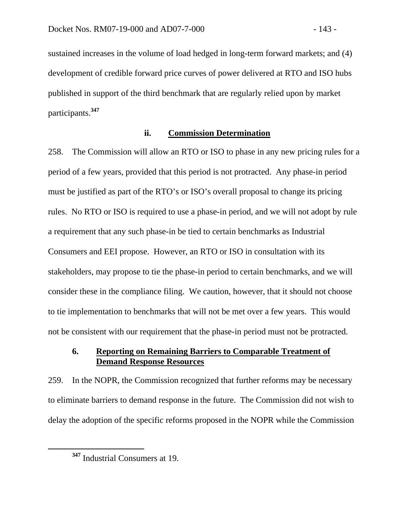sustained increases in the volume of load hedged in long-term forward markets; and (4) development of credible forward price curves of power delivered at RTO and ISO hubs published in support of the third benchmark that are regularly relied upon by market participants.**<sup>347</sup>**

## **ii. Commission Determination**

258. The Commission will allow an RTO or ISO to phase in any new pricing rules for a period of a few years, provided that this period is not protracted. Any phase-in period must be justified as part of the RTO's or ISO's overall proposal to change its pricing rules. No RTO or ISO is required to use a phase-in period, and we will not adopt by rule a requirement that any such phase-in be tied to certain benchmarks as Industrial Consumers and EEI propose. However, an RTO or ISO in consultation with its stakeholders, may propose to tie the phase-in period to certain benchmarks, and we will consider these in the compliance filing. We caution, however, that it should not choose to tie implementation to benchmarks that will not be met over a few years. This would not be consistent with our requirement that the phase-in period must not be protracted.

# **6. Reporting on Remaining Barriers to Comparable Treatment of Demand Response Resources**

259. In the NOPR, the Commission recognized that further reforms may be necessary to eliminate barriers to demand response in the future. The Commission did not wish to delay the adoption of the specific reforms proposed in the NOPR while the Commission

**<sup>347</sup>** Industrial Consumers at 19.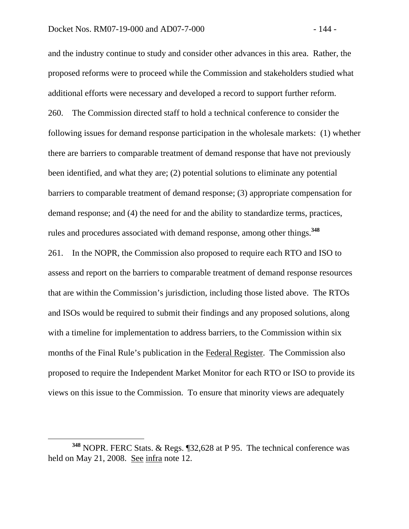and the industry continue to study and consider other advances in this area. Rather, the proposed reforms were to proceed while the Commission and stakeholders studied what additional efforts were necessary and developed a record to support further reform. 260. The Commission directed staff to hold a technical conference to consider the following issues for demand response participation in the wholesale markets: (1) whether there are barriers to comparable treatment of demand response that have not previously been identified, and what they are; (2) potential solutions to eliminate any potential barriers to comparable treatment of demand response; (3) appropriate compensation for demand response; and (4) the need for and the ability to standardize terms, practices, rules and procedures associated with demand response, among other things.**<sup>348</sup>** 261. In the NOPR, the Commission also proposed to require each RTO and ISO to

assess and report on the barriers to comparable treatment of demand response resources that are within the Commission's jurisdiction, including those listed above. The RTOs and ISOs would be required to submit their findings and any proposed solutions, along with a timeline for implementation to address barriers, to the Commission within six months of the Final Rule's publication in the Federal Register. The Commission also proposed to require the Independent Market Monitor for each RTO or ISO to provide its views on this issue to the Commission. To ensure that minority views are adequately

**<sup>348</sup>** NOPR. FERC Stats. & Regs. ¶32,628 at P 95. The technical conference was held on May 21, 2008. See infra note 12.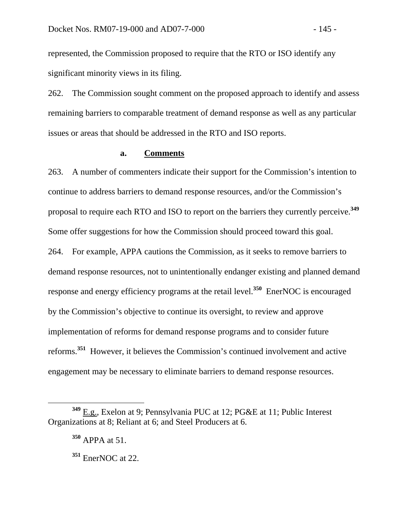represented, the Commission proposed to require that the RTO or ISO identify any significant minority views in its filing.

262. The Commission sought comment on the proposed approach to identify and assess remaining barriers to comparable treatment of demand response as well as any particular issues or areas that should be addressed in the RTO and ISO reports.

#### **a. Comments**

263. A number of commenters indicate their support for the Commission's intention to continue to address barriers to demand response resources, and/or the Commission's proposal to require each RTO and ISO to report on the barriers they currently perceive.**<sup>349</sup>** Some offer suggestions for how the Commission should proceed toward this goal. 264. For example, APPA cautions the Commission, as it seeks to remove barriers to demand response resources, not to unintentionally endanger existing and planned demand response and energy efficiency programs at the retail level.**<sup>350</sup>** EnerNOC is encouraged by the Commission's objective to continue its oversight, to review and approve implementation of reforms for demand response programs and to consider future reforms.**<sup>351</sup>** However, it believes the Commission's continued involvement and active engagement may be necessary to eliminate barriers to demand response resources.

**<sup>349</sup>** E.g., Exelon at 9; Pennsylvania PUC at 12; PG&E at 11; Public Interest Organizations at 8; Reliant at 6; and Steel Producers at 6.

**<sup>350</sup>** APPA at 51.

**<sup>351</sup>** EnerNOC at 22.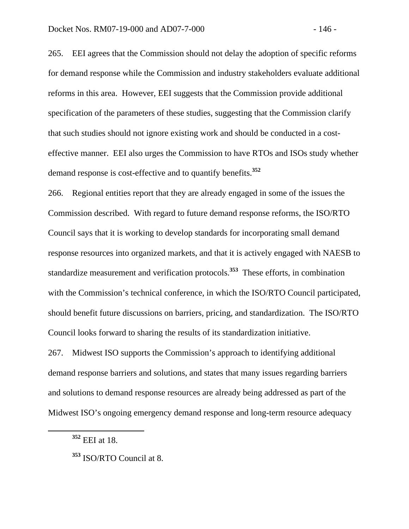265. EEI agrees that the Commission should not delay the adoption of specific reforms for demand response while the Commission and industry stakeholders evaluate additional reforms in this area. However, EEI suggests that the Commission provide additional specification of the parameters of these studies, suggesting that the Commission clarify that such studies should not ignore existing work and should be conducted in a costeffective manner. EEI also urges the Commission to have RTOs and ISOs study whether demand response is cost-effective and to quantify benefits.**<sup>352</sup>**

266. Regional entities report that they are already engaged in some of the issues the Commission described. With regard to future demand response reforms, the ISO/RTO Council says that it is working to develop standards for incorporating small demand response resources into organized markets, and that it is actively engaged with NAESB to standardize measurement and verification protocols.**<sup>353</sup>** These efforts, in combination with the Commission's technical conference, in which the ISO/RTO Council participated, should benefit future discussions on barriers, pricing, and standardization. The ISO/RTO Council looks forward to sharing the results of its standardization initiative.

267. Midwest ISO supports the Commission's approach to identifying additional demand response barriers and solutions, and states that many issues regarding barriers and solutions to demand response resources are already being addressed as part of the Midwest ISO's ongoing emergency demand response and long-term resource adequacy

**<sup>352</sup>** EEI at 18.

**<sup>353</sup>** ISO/RTO Council at 8.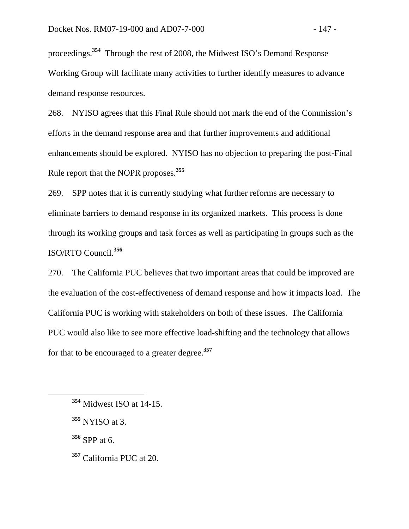proceedings.**<sup>354</sup>** Through the rest of 2008, the Midwest ISO's Demand Response Working Group will facilitate many activities to further identify measures to advance demand response resources.

268. NYISO agrees that this Final Rule should not mark the end of the Commission's efforts in the demand response area and that further improvements and additional enhancements should be explored. NYISO has no objection to preparing the post-Final Rule report that the NOPR proposes.**<sup>355</sup>**

269. SPP notes that it is currently studying what further reforms are necessary to eliminate barriers to demand response in its organized markets. This process is done through its working groups and task forces as well as participating in groups such as the ISO/RTO Council.**<sup>356</sup>**

270. The California PUC believes that two important areas that could be improved are the evaluation of the cost-effectiveness of demand response and how it impacts load. The California PUC is working with stakeholders on both of these issues. The California PUC would also like to see more effective load-shifting and the technology that allows for that to be encouraged to a greater degree.**<sup>357</sup>**

**<sup>356</sup>** SPP at 6.

**<sup>357</sup>** California PUC at 20.

**<sup>354</sup>** Midwest ISO at 14-15.

**<sup>355</sup>** NYISO at 3.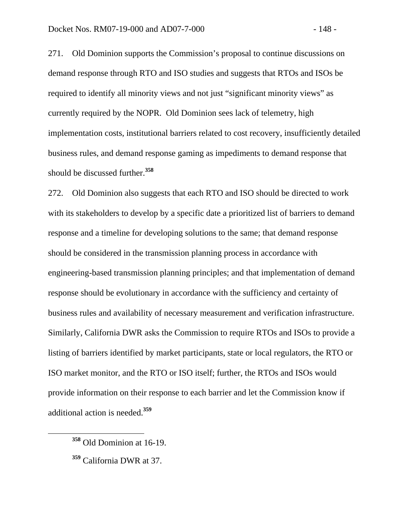271. Old Dominion supports the Commission's proposal to continue discussions on demand response through RTO and ISO studies and suggests that RTOs and ISOs be required to identify all minority views and not just "significant minority views" as currently required by the NOPR. Old Dominion sees lack of telemetry, high implementation costs, institutional barriers related to cost recovery, insufficiently detailed business rules, and demand response gaming as impediments to demand response that should be discussed further.**<sup>358</sup>**

272. Old Dominion also suggests that each RTO and ISO should be directed to work with its stakeholders to develop by a specific date a prioritized list of barriers to demand response and a timeline for developing solutions to the same; that demand response should be considered in the transmission planning process in accordance with engineering-based transmission planning principles; and that implementation of demand response should be evolutionary in accordance with the sufficiency and certainty of business rules and availability of necessary measurement and verification infrastructure. Similarly, California DWR asks the Commission to require RTOs and ISOs to provide a listing of barriers identified by market participants, state or local regulators, the RTO or ISO market monitor, and the RTO or ISO itself; further, the RTOs and ISOs would provide information on their response to each barrier and let the Commission know if additional action is needed.**<sup>359</sup>**

**<sup>358</sup>** Old Dominion at 16-19.

**<sup>359</sup>** California DWR at 37.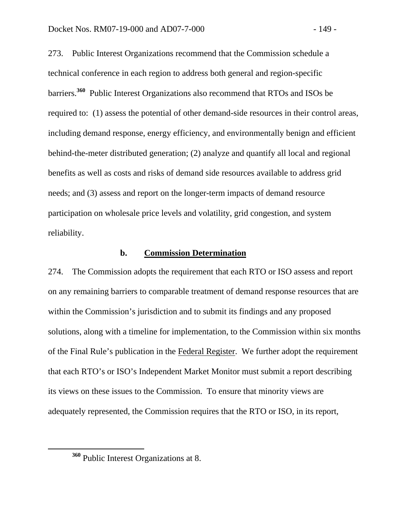273. Public Interest Organizations recommend that the Commission schedule a technical conference in each region to address both general and region-specific barriers.**<sup>360</sup>** Public Interest Organizations also recommend that RTOs and ISOs be required to: (1) assess the potential of other demand-side resources in their control areas, including demand response, energy efficiency, and environmentally benign and efficient behind-the-meter distributed generation; (2) analyze and quantify all local and regional benefits as well as costs and risks of demand side resources available to address grid needs; and (3) assess and report on the longer-term impacts of demand resource participation on wholesale price levels and volatility, grid congestion, and system reliability.

#### **b. Commission Determination**

274. The Commission adopts the requirement that each RTO or ISO assess and report on any remaining barriers to comparable treatment of demand response resources that are within the Commission's jurisdiction and to submit its findings and any proposed solutions, along with a timeline for implementation, to the Commission within six months of the Final Rule's publication in the Federal Register. We further adopt the requirement that each RTO's or ISO's Independent Market Monitor must submit a report describing its views on these issues to the Commission. To ensure that minority views are adequately represented, the Commission requires that the RTO or ISO, in its report,

**<sup>360</sup>** Public Interest Organizations at 8.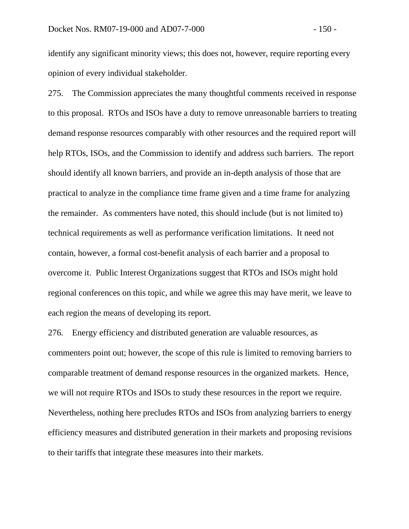identify any significant minority views; this does not, however, require reporting every opinion of every individual stakeholder.

275. The Commission appreciates the many thoughtful comments received in response to this proposal. RTOs and ISOs have a duty to remove unreasonable barriers to treating demand response resources comparably with other resources and the required report will help RTOs, ISOs, and the Commission to identify and address such barriers. The report should identify all known barriers, and provide an in-depth analysis of those that are practical to analyze in the compliance time frame given and a time frame for analyzing the remainder. As commenters have noted, this should include (but is not limited to) technical requirements as well as performance verification limitations. It need not contain, however, a formal cost-benefit analysis of each barrier and a proposal to overcome it. Public Interest Organizations suggest that RTOs and ISOs might hold regional conferences on this topic, and while we agree this may have merit, we leave to each region the means of developing its report.

276. Energy efficiency and distributed generation are valuable resources, as commenters point out; however, the scope of this rule is limited to removing barriers to comparable treatment of demand response resources in the organized markets. Hence, we will not require RTOs and ISOs to study these resources in the report we require. Nevertheless, nothing here precludes RTOs and ISOs from analyzing barriers to energy efficiency measures and distributed generation in their markets and proposing revisions to their tariffs that integrate these measures into their markets.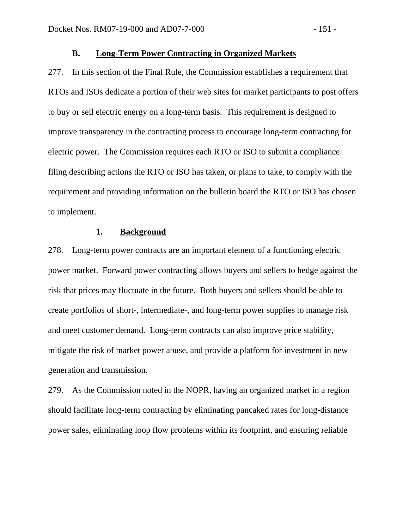## **B. Long-Term Power Contracting in Organized Markets**

277. In this section of the Final Rule, the Commission establishes a requirement that RTOs and ISOs dedicate a portion of their web sites for market participants to post offers to buy or sell electric energy on a long-term basis. This requirement is designed to improve transparency in the contracting process to encourage long-term contracting for electric power. The Commission requires each RTO or ISO to submit a compliance filing describing actions the RTO or ISO has taken, or plans to take, to comply with the requirement and providing information on the bulletin board the RTO or ISO has chosen to implement.

## **1. Background**

278. Long-term power contracts are an important element of a functioning electric power market. Forward power contracting allows buyers and sellers to hedge against the risk that prices may fluctuate in the future. Both buyers and sellers should be able to create portfolios of short-, intermediate-, and long-term power supplies to manage risk and meet customer demand. Long-term contracts can also improve price stability, mitigate the risk of market power abuse, and provide a platform for investment in new generation and transmission.

279. As the Commission noted in the NOPR, having an organized market in a region should facilitate long-term contracting by eliminating pancaked rates for long-distance power sales, eliminating loop flow problems within its footprint, and ensuring reliable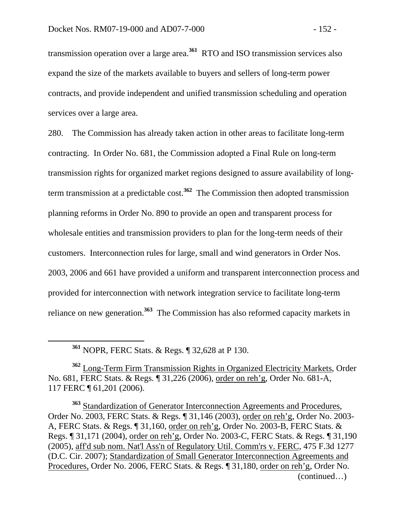transmission operation over a large area.**<sup>361</sup>** RTO and ISO transmission services also expand the size of the markets available to buyers and sellers of long-term power contracts, and provide independent and unified transmission scheduling and operation services over a large area.

280. The Commission has already taken action in other areas to facilitate long-term contracting. In Order No. 681, the Commission adopted a Final Rule on long-term transmission rights for organized market regions designed to assure availability of longterm transmission at a predictable cost.**<sup>362</sup>** The Commission then adopted transmission planning reforms in Order No. 890 to provide an open and transparent process for wholesale entities and transmission providers to plan for the long-term needs of their customers. Interconnection rules for large, small and wind generators in Order Nos. 2003, 2006 and 661 have provided a uniform and transparent interconnection process and provided for interconnection with network integration service to facilitate long-term reliance on new generation.**<sup>363</sup>** The Commission has also reformed capacity markets in

**<sup>361</sup>** NOPR, FERC Stats. & Regs. ¶ 32,628 at P 130.

**<sup>362</sup>** Long-Term Firm Transmission Rights in Organized Electricity Markets, Order No. 681, FERC Stats. & Regs. ¶ 31,226 (2006), order on reh'g, Order No. 681-A, 117 FERC ¶ 61,201 (2006).

**<sup>363</sup>** Standardization of Generator Interconnection Agreements and Procedures, Order No. 2003, FERC Stats. & Regs. ¶ 31,146 (2003), order on reh'g, Order No. 2003- A, FERC Stats. & Regs. ¶ 31,160, order on reh'g, Order No. 2003-B, FERC Stats. & Regs. ¶ 31,171 (2004), order on reh'g, Order No. 2003-C, FERC Stats. & Regs. ¶ 31,190 (2005), aff'd sub nom. Nat'l Ass'n of Regulatory Util. Comm'rs v. FERC, 475 F.3d 1277 (D.C. Cir. 2007); Standardization of Small Generator Interconnection Agreements and Procedures, Order No. 2006, FERC Stats. & Regs. ¶ 31,180, order on reh'g, Order No. (continued…)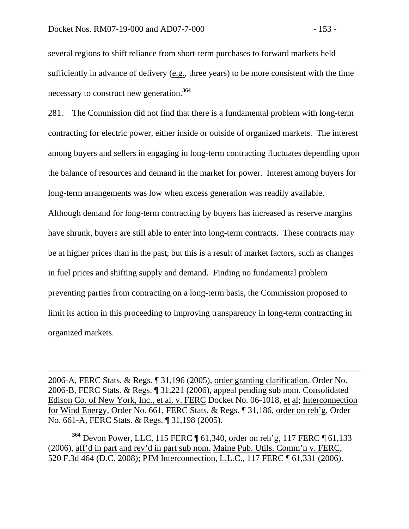$\overline{a}$ 

several regions to shift reliance from short-term purchases to forward markets held sufficiently in advance of delivery  $(e.g.,$  three years) to be more consistent with the time necessary to construct new generation.**<sup>364</sup>**

281. The Commission did not find that there is a fundamental problem with long-term contracting for electric power, either inside or outside of organized markets. The interest among buyers and sellers in engaging in long-term contracting fluctuates depending upon the balance of resources and demand in the market for power. Interest among buyers for long-term arrangements was low when excess generation was readily available.

Although demand for long-term contracting by buyers has increased as reserve margins have shrunk, buyers are still able to enter into long-term contracts. These contracts may be at higher prices than in the past, but this is a result of market factors, such as changes in fuel prices and shifting supply and demand. Finding no fundamental problem preventing parties from contracting on a long-term basis, the Commission proposed to limit its action in this proceeding to improving transparency in long-term contracting in organized markets.

2006-A, FERC Stats. & Regs. ¶ 31,196 (2005), order granting clarification, Order No. 2006-B, FERC Stats. & Regs. ¶ 31,221 (2006), appeal pending sub nom. Consolidated Edison Co. of New York, Inc., et al. v. FERC Docket No. 06-1018, et al; Interconnection for Wind Energy, Order No. 661, FERC Stats. & Regs. ¶ 31,186, order on reh'g, Order No. 661-A, FERC Stats. & Regs. ¶ 31,198 (2005).

**<sup>364</sup>** Devon Power, LLC, 115 FERC ¶ 61,340, order on reh'g, 117 FERC ¶ 61,133 (2006), aff'd in part and rev'd in part sub nom. Maine Pub. Utils. Comm'n v. FERC, 520 F.3d 464 (D.C. 2008); PJM Interconnection, L.L.C., 117 FERC ¶ 61,331 (2006).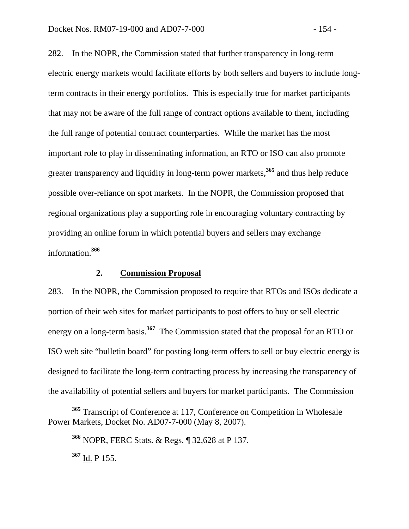282. In the NOPR, the Commission stated that further transparency in long-term electric energy markets would facilitate efforts by both sellers and buyers to include longterm contracts in their energy portfolios. This is especially true for market participants that may not be aware of the full range of contract options available to them, including the full range of potential contract counterparties. While the market has the most important role to play in disseminating information, an RTO or ISO can also promote greater transparency and liquidity in long-term power markets,**<sup>365</sup>** and thus help reduce possible over-reliance on spot markets. In the NOPR, the Commission proposed that regional organizations play a supporting role in encouraging voluntary contracting by providing an online forum in which potential buyers and sellers may exchange information.**<sup>366</sup>**

## **2. Commission Proposal**

283. In the NOPR, the Commission proposed to require that RTOs and ISOs dedicate a portion of their web sites for market participants to post offers to buy or sell electric energy on a long-term basis.**<sup>367</sup>** The Commission stated that the proposal for an RTO or ISO web site "bulletin board" for posting long-term offers to sell or buy electric energy is designed to facilitate the long-term contracting process by increasing the transparency of the availability of potential sellers and buyers for market participants. The Commission

**<sup>365</sup>** Transcript of Conference at 117, Conference on Competition in Wholesale Power Markets, Docket No. AD07-7-000 (May 8, 2007).

**<sup>366</sup>** NOPR, FERC Stats. & Regs. ¶ 32,628 at P 137.

**<sup>367</sup>** Id. P 155.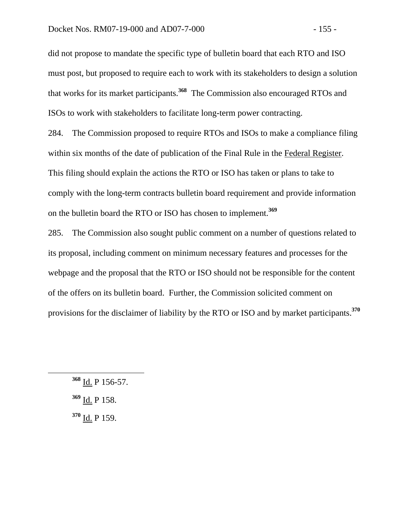did not propose to mandate the specific type of bulletin board that each RTO and ISO must post, but proposed to require each to work with its stakeholders to design a solution that works for its market participants.**<sup>368</sup>** The Commission also encouraged RTOs and ISOs to work with stakeholders to facilitate long-term power contracting.

284. The Commission proposed to require RTOs and ISOs to make a compliance filing within six months of the date of publication of the Final Rule in the Federal Register. This filing should explain the actions the RTO or ISO has taken or plans to take to comply with the long-term contracts bulletin board requirement and provide information on the bulletin board the RTO or ISO has chosen to implement.**<sup>369</sup>**

285. The Commission also sought public comment on a number of questions related to its proposal, including comment on minimum necessary features and processes for the webpage and the proposal that the RTO or ISO should not be responsible for the content of the offers on its bulletin board. Further, the Commission solicited comment on provisions for the disclaimer of liability by the RTO or ISO and by market participants.**<sup>370</sup>**

**<sup>370</sup>** Id. P 159.

**<sup>368</sup>** Id. P 156-57.

**<sup>369</sup>** Id. P 158.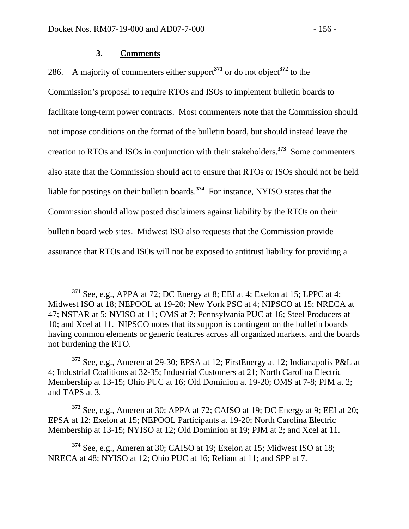#### **3. Comments**

286. A majority of commenters either support**<sup>371</sup>** or do not object**<sup>372</sup>** to the

Commission's proposal to require RTOs and ISOs to implement bulletin boards to facilitate long-term power contracts. Most commenters note that the Commission should not impose conditions on the format of the bulletin board, but should instead leave the creation to RTOs and ISOs in conjunction with their stakeholders.**<sup>373</sup>** Some commenters also state that the Commission should act to ensure that RTOs or ISOs should not be held liable for postings on their bulletin boards.**<sup>374</sup>** For instance, NYISO states that the Commission should allow posted disclaimers against liability by the RTOs on their bulletin board web sites. Midwest ISO also requests that the Commission provide assurance that RTOs and ISOs will not be exposed to antitrust liability for providing a

**<sup>373</sup>** See, e.g., Ameren at 30; APPA at 72; CAISO at 19; DC Energy at 9; EEI at 20; EPSA at 12; Exelon at 15; NEPOOL Participants at 19-20; North Carolina Electric Membership at 13-15; NYISO at 12; Old Dominion at 19; PJM at 2; and Xcel at 11.

**<sup>371</sup>** See, e.g., APPA at 72; DC Energy at 8; EEI at 4; Exelon at 15; LPPC at 4; Midwest ISO at 18; NEPOOL at 19-20; New York PSC at 4; NIPSCO at 15; NRECA at 47; NSTAR at 5; NYISO at 11; OMS at 7; Pennsylvania PUC at 16; Steel Producers at 10; and Xcel at 11. NIPSCO notes that its support is contingent on the bulletin boards having common elements or generic features across all organized markets, and the boards not burdening the RTO.

**<sup>372</sup>** See, e.g., Ameren at 29-30; EPSA at 12; FirstEnergy at 12; Indianapolis P&L at 4; Industrial Coalitions at 32-35; Industrial Customers at 21; North Carolina Electric Membership at 13-15; Ohio PUC at 16; Old Dominion at 19-20; OMS at 7-8; PJM at 2; and TAPS at 3.

**<sup>374</sup>** See, e.g., Ameren at 30; CAISO at 19; Exelon at 15; Midwest ISO at 18; NRECA at 48; NYISO at 12; Ohio PUC at 16; Reliant at 11; and SPP at 7.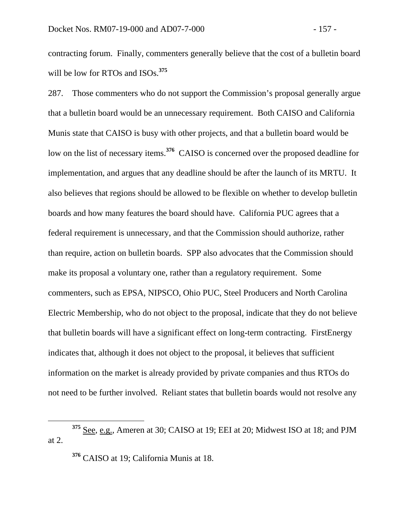contracting forum. Finally, commenters generally believe that the cost of a bulletin board will be low for RTOs and ISOs.**<sup>375</sup>**

287. Those commenters who do not support the Commission's proposal generally argue that a bulletin board would be an unnecessary requirement. Both CAISO and California Munis state that CAISO is busy with other projects, and that a bulletin board would be low on the list of necessary items.**<sup>376</sup>** CAISO is concerned over the proposed deadline for implementation, and argues that any deadline should be after the launch of its MRTU. It also believes that regions should be allowed to be flexible on whether to develop bulletin boards and how many features the board should have. California PUC agrees that a federal requirement is unnecessary, and that the Commission should authorize, rather than require, action on bulletin boards. SPP also advocates that the Commission should make its proposal a voluntary one, rather than a regulatory requirement. Some commenters, such as EPSA, NIPSCO, Ohio PUC, Steel Producers and North Carolina Electric Membership, who do not object to the proposal, indicate that they do not believe that bulletin boards will have a significant effect on long-term contracting. FirstEnergy indicates that, although it does not object to the proposal, it believes that sufficient information on the market is already provided by private companies and thus RTOs do not need to be further involved. Reliant states that bulletin boards would not resolve any

**<sup>376</sup>** CAISO at 19; California Munis at 18.

**<sup>375</sup>** See, e.g., Ameren at 30; CAISO at 19; EEI at 20; Midwest ISO at 18; and PJM at 2.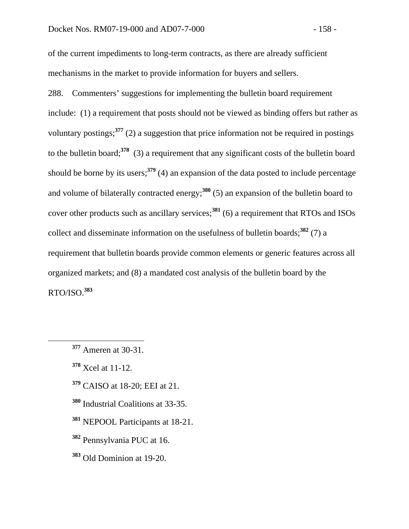of the current impediments to long-term contracts, as there are already sufficient mechanisms in the market to provide information for buyers and sellers.

288. Commenters' suggestions for implementing the bulletin board requirement include: (1) a requirement that posts should not be viewed as binding offers but rather as voluntary postings;**<sup>377</sup>** (2) a suggestion that price information not be required in postings to the bulletin board;**<sup>378</sup>** (3) a requirement that any significant costs of the bulletin board should be borne by its users;**<sup>379</sup>** (4) an expansion of the data posted to include percentage and volume of bilaterally contracted energy;**<sup>380</sup>** (5) an expansion of the bulletin board to cover other products such as ancillary services;**<sup>381</sup>** (6) a requirement that RTOs and ISOs collect and disseminate information on the usefulness of bulletin boards;**<sup>382</sup>** (7) a requirement that bulletin boards provide common elements or generic features across all organized markets; and (8) a mandated cost analysis of the bulletin board by the RTO/ISO.**<sup>383</sup>**

- **<sup>379</sup>** CAISO at 18-20; EEI at 21.
- **<sup>380</sup>** Industrial Coalitions at 33-35.
- **<sup>381</sup>** NEPOOL Participants at 18-21.
- **<sup>382</sup>** Pennsylvania PUC at 16.
- **<sup>383</sup>** Old Dominion at 19-20.

**<sup>377</sup>** Ameren at 30-31.

**<sup>378</sup>** Xcel at 11-12.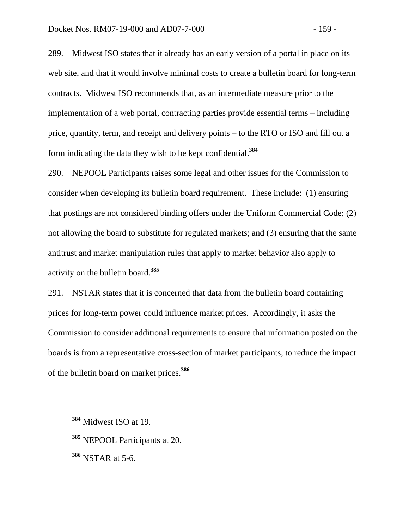289. Midwest ISO states that it already has an early version of a portal in place on its web site, and that it would involve minimal costs to create a bulletin board for long-term contracts. Midwest ISO recommends that, as an intermediate measure prior to the implementation of a web portal, contracting parties provide essential terms – including price, quantity, term, and receipt and delivery points – to the RTO or ISO and fill out a form indicating the data they wish to be kept confidential.**<sup>384</sup>**

290. NEPOOL Participants raises some legal and other issues for the Commission to consider when developing its bulletin board requirement. These include: (1) ensuring that postings are not considered binding offers under the Uniform Commercial Code; (2) not allowing the board to substitute for regulated markets; and (3) ensuring that the same antitrust and market manipulation rules that apply to market behavior also apply to activity on the bulletin board.**<sup>385</sup>**

291. NSTAR states that it is concerned that data from the bulletin board containing prices for long-term power could influence market prices. Accordingly, it asks the Commission to consider additional requirements to ensure that information posted on the boards is from a representative cross-section of market participants, to reduce the impact of the bulletin board on market prices.**<sup>386</sup>**

**<sup>385</sup>** NEPOOL Participants at 20.

**<sup>386</sup>** NSTAR at 5-6.

**<sup>384</sup>** Midwest ISO at 19.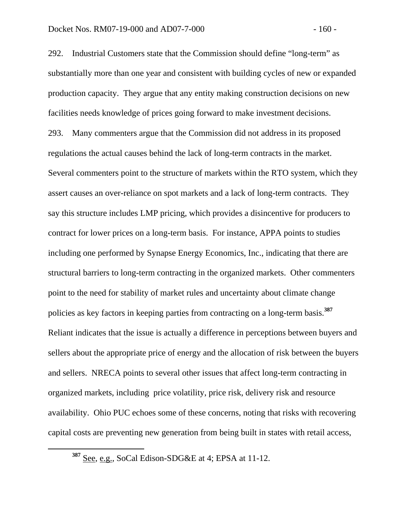292. Industrial Customers state that the Commission should define "long-term" as substantially more than one year and consistent with building cycles of new or expanded production capacity. They argue that any entity making construction decisions on new facilities needs knowledge of prices going forward to make investment decisions. 293. Many commenters argue that the Commission did not address in its proposed regulations the actual causes behind the lack of long-term contracts in the market. Several commenters point to the structure of markets within the RTO system, which they assert causes an over-reliance on spot markets and a lack of long-term contracts. They say this structure includes LMP pricing, which provides a disincentive for producers to contract for lower prices on a long-term basis. For instance, APPA points to studies including one performed by Synapse Energy Economics, Inc., indicating that there are structural barriers to long-term contracting in the organized markets. Other commenters point to the need for stability of market rules and uncertainty about climate change policies as key factors in keeping parties from contracting on a long-term basis.**<sup>387</sup>** Reliant indicates that the issue is actually a difference in perceptions between buyers and sellers about the appropriate price of energy and the allocation of risk between the buyers and sellers. NRECA points to several other issues that affect long-term contracting in organized markets, including price volatility, price risk, delivery risk and resource availability. Ohio PUC echoes some of these concerns, noting that risks with recovering capital costs are preventing new generation from being built in states with retail access,

**<sup>387</sup>** See, e.g., SoCal Edison-SDG&E at 4; EPSA at 11-12.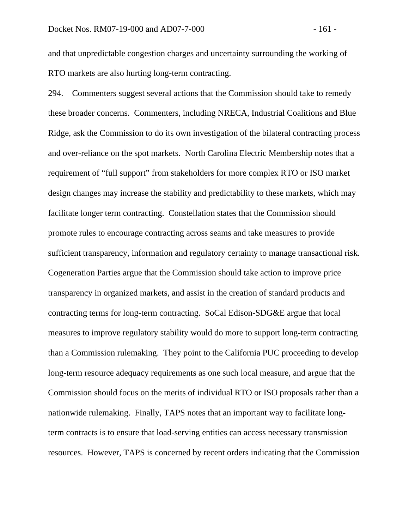and that unpredictable congestion charges and uncertainty surrounding the working of RTO markets are also hurting long-term contracting.

294. Commenters suggest several actions that the Commission should take to remedy these broader concerns. Commenters, including NRECA, Industrial Coalitions and Blue Ridge, ask the Commission to do its own investigation of the bilateral contracting process and over-reliance on the spot markets. North Carolina Electric Membership notes that a requirement of "full support" from stakeholders for more complex RTO or ISO market design changes may increase the stability and predictability to these markets, which may facilitate longer term contracting.Constellation states that the Commission should promote rules to encourage contracting across seams and take measures to provide sufficient transparency, information and regulatory certainty to manage transactional risk. Cogeneration Parties argue that the Commission should take action to improve price transparency in organized markets, and assist in the creation of standard products and contracting terms for long-term contracting. SoCal Edison-SDG&E argue that local measures to improve regulatory stability would do more to support long-term contracting than a Commission rulemaking. They point to the California PUC proceeding to develop long-term resource adequacy requirements as one such local measure, and argue that the Commission should focus on the merits of individual RTO or ISO proposals rather than a nationwide rulemaking. Finally, TAPS notes that an important way to facilitate longterm contracts is to ensure that load-serving entities can access necessary transmission resources. However, TAPS is concerned by recent orders indicating that the Commission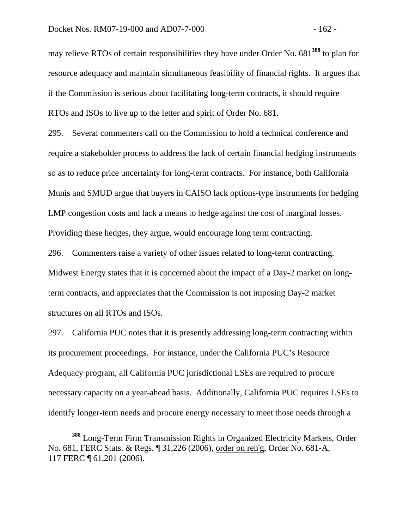may relieve RTOs of certain responsibilities they have under Order No. 681**<sup>388</sup>** to plan for resource adequacy and maintain simultaneous feasibility of financial rights. It argues that if the Commission is serious about facilitating long-term contracts, it should require RTOs and ISOs to live up to the letter and spirit of Order No. 681.

295. Several commenters call on the Commission to hold a technical conference and require a stakeholder process to address the lack of certain financial hedging instruments so as to reduce price uncertainty for long-term contracts. For instance, both California Munis and SMUD argue that buyers in CAISO lack options-type instruments for hedging LMP congestion costs and lack a means to hedge against the cost of marginal losses. Providing these hedges, they argue, would encourage long term contracting.

296. Commenters raise a variety of other issues related to long-term contracting. Midwest Energy states that it is concerned about the impact of a Day-2 market on longterm contracts, and appreciates that the Commission is not imposing Day-2 market structures on all RTOs and ISOs.

297. California PUC notes that it is presently addressing long-term contracting within its procurement proceedings. For instance, under the California PUC's Resource Adequacy program, all California PUC jurisdictional LSEs are required to procure necessary capacity on a year-ahead basis. Additionally, California PUC requires LSEs to identify longer-term needs and procure energy necessary to meet those needs through a

**<sup>388</sup>** Long-Term Firm Transmission Rights in Organized Electricity Markets, Order No. 681, FERC Stats. & Regs. ¶ 31,226 (2006), order on reh'g, Order No. 681-A, 117 FERC ¶ 61,201 (2006).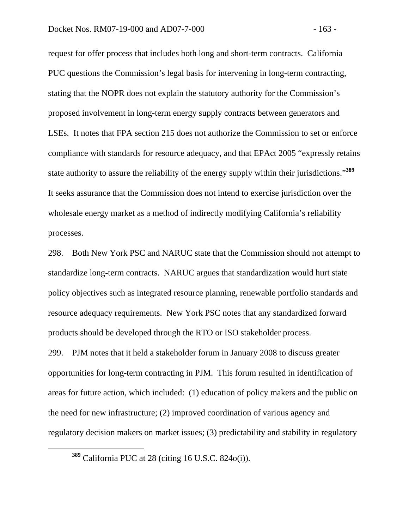request for offer process that includes both long and short-term contracts. California PUC questions the Commission's legal basis for intervening in long-term contracting, stating that the NOPR does not explain the statutory authority for the Commission's proposed involvement in long-term energy supply contracts between generators and LSEs. It notes that FPA section 215 does not authorize the Commission to set or enforce compliance with standards for resource adequacy, and that EPAct 2005 "expressly retains state authority to assure the reliability of the energy supply within their jurisdictions."**<sup>389</sup>** It seeks assurance that the Commission does not intend to exercise jurisdiction over the wholesale energy market as a method of indirectly modifying California's reliability processes.

298. Both New York PSC and NARUC state that the Commission should not attempt to standardize long-term contracts. NARUC argues that standardization would hurt state policy objectives such as integrated resource planning, renewable portfolio standards and resource adequacy requirements. New York PSC notes that any standardized forward products should be developed through the RTO or ISO stakeholder process.

299. PJM notes that it held a stakeholder forum in January 2008 to discuss greater opportunities for long-term contracting in PJM. This forum resulted in identification of areas for future action, which included: (1) education of policy makers and the public on the need for new infrastructure; (2) improved coordination of various agency and regulatory decision makers on market issues; (3) predictability and stability in regulatory

**<sup>389</sup>** California PUC at 28 (citing 16 U.S.C. 824o(i)).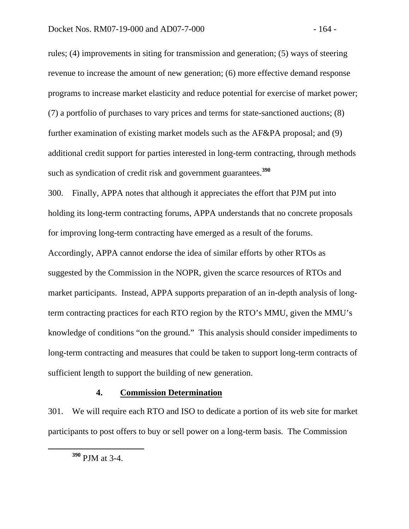rules; (4) improvements in siting for transmission and generation; (5) ways of steering revenue to increase the amount of new generation; (6) more effective demand response programs to increase market elasticity and reduce potential for exercise of market power; (7) a portfolio of purchases to vary prices and terms for state-sanctioned auctions; (8) further examination of existing market models such as the AF&PA proposal; and (9) additional credit support for parties interested in long-term contracting, through methods such as syndication of credit risk and government guarantees.**<sup>390</sup>**

300. Finally, APPA notes that although it appreciates the effort that PJM put into holding its long-term contracting forums, APPA understands that no concrete proposals for improving long-term contracting have emerged as a result of the forums. Accordingly, APPA cannot endorse the idea of similar efforts by other RTOs as suggested by the Commission in the NOPR, given the scarce resources of RTOs and market participants. Instead, APPA supports preparation of an in-depth analysis of longterm contracting practices for each RTO region by the RTO's MMU, given the MMU's knowledge of conditions "on the ground." This analysis should consider impediments to long-term contracting and measures that could be taken to support long-term contracts of sufficient length to support the building of new generation.

#### **4. Commission Determination**

301. We will require each RTO and ISO to dedicate a portion of its web site for market participants to post offers to buy or sell power on a long-term basis. The Commission

**<sup>390</sup>** PJM at 3-4.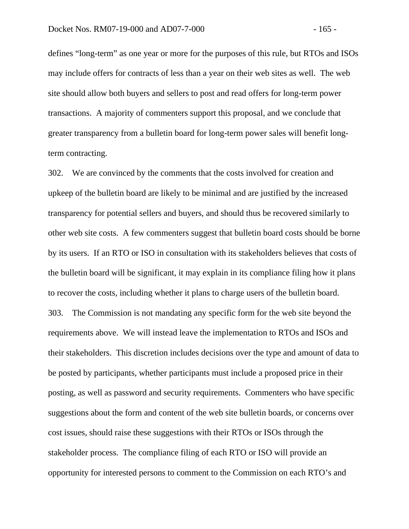defines "long-term" as one year or more for the purposes of this rule, but RTOs and ISOs may include offers for contracts of less than a year on their web sites as well. The web site should allow both buyers and sellers to post and read offers for long-term power transactions. A majority of commenters support this proposal, and we conclude that greater transparency from a bulletin board for long-term power sales will benefit longterm contracting.

302. We are convinced by the comments that the costs involved for creation and upkeep of the bulletin board are likely to be minimal and are justified by the increased transparency for potential sellers and buyers, and should thus be recovered similarly to other web site costs. A few commenters suggest that bulletin board costs should be borne by its users. If an RTO or ISO in consultation with its stakeholders believes that costs of the bulletin board will be significant, it may explain in its compliance filing how it plans to recover the costs, including whether it plans to charge users of the bulletin board. 303. The Commission is not mandating any specific form for the web site beyond the requirements above. We will instead leave the implementation to RTOs and ISOs and their stakeholders. This discretion includes decisions over the type and amount of data to be posted by participants, whether participants must include a proposed price in their posting, as well as password and security requirements. Commenters who have specific suggestions about the form and content of the web site bulletin boards, or concerns over cost issues, should raise these suggestions with their RTOs or ISOs through the stakeholder process. The compliance filing of each RTO or ISO will provide an opportunity for interested persons to comment to the Commission on each RTO's and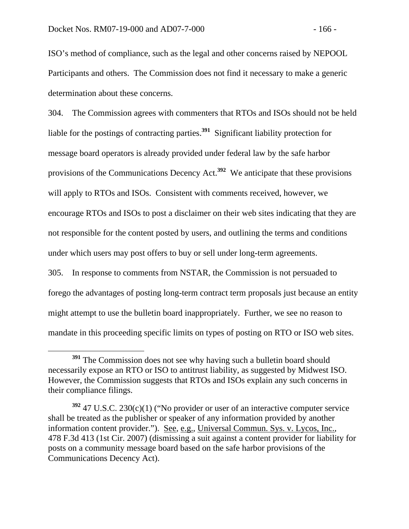ISO's method of compliance, such as the legal and other concerns raised by NEPOOL Participants and others. The Commission does not find it necessary to make a generic determination about these concerns.

304. The Commission agrees with commenters that RTOs and ISOs should not be held liable for the postings of contracting parties.**<sup>391</sup>** Significant liability protection for message board operators is already provided under federal law by the safe harbor provisions of the Communications Decency Act.**<sup>392</sup>** We anticipate that these provisions will apply to RTOs and ISOs. Consistent with comments received, however, we encourage RTOs and ISOs to post a disclaimer on their web sites indicating that they are not responsible for the content posted by users, and outlining the terms and conditions under which users may post offers to buy or sell under long-term agreements.

305. In response to comments from NSTAR, the Commission is not persuaded to forego the advantages of posting long-term contract term proposals just because an entity might attempt to use the bulletin board inappropriately. Further, we see no reason to mandate in this proceeding specific limits on types of posting on RTO or ISO web sites.

<sup>&</sup>lt;sup>391</sup> The Commission does not see why having such a bulletin board should necessarily expose an RTO or ISO to antitrust liability, as suggested by Midwest ISO. However, the Commission suggests that RTOs and ISOs explain any such concerns in their compliance filings.

**<sup>392</sup>** 47 U.S.C. 230(c)(1) ("No provider or user of an interactive computer service shall be treated as the publisher or speaker of any information provided by another information content provider."). See, e.g., Universal Commun. Sys. v. Lycos, Inc., 478 F.3d 413 (1st Cir. 2007) (dismissing a suit against a content provider for liability for posts on a community message board based on the safe harbor provisions of the Communications Decency Act).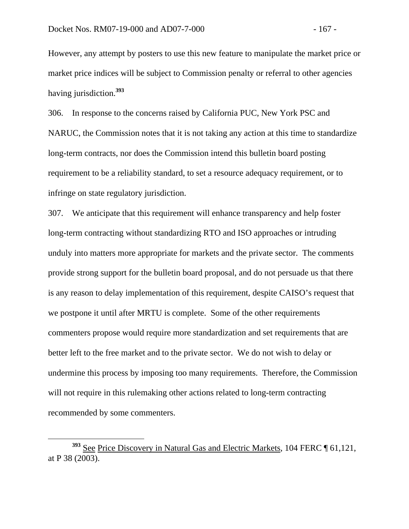However, any attempt by posters to use this new feature to manipulate the market price or market price indices will be subject to Commission penalty or referral to other agencies having jurisdiction.**<sup>393</sup>**

306. In response to the concerns raised by California PUC, New York PSC and NARUC, the Commission notes that it is not taking any action at this time to standardize long-term contracts, nor does the Commission intend this bulletin board posting requirement to be a reliability standard, to set a resource adequacy requirement, or to infringe on state regulatory jurisdiction.

307. We anticipate that this requirement will enhance transparency and help foster long-term contracting without standardizing RTO and ISO approaches or intruding unduly into matters more appropriate for markets and the private sector. The comments provide strong support for the bulletin board proposal, and do not persuade us that there is any reason to delay implementation of this requirement, despite CAISO's request that we postpone it until after MRTU is complete. Some of the other requirements commenters propose would require more standardization and set requirements that are better left to the free market and to the private sector. We do not wish to delay or undermine this process by imposing too many requirements. Therefore, the Commission will not require in this rulemaking other actions related to long-term contracting recommended by some commenters.

**<sup>393</sup>** See Price Discovery in Natural Gas and Electric Markets, 104 FERC ¶ 61,121, at P 38 (2003).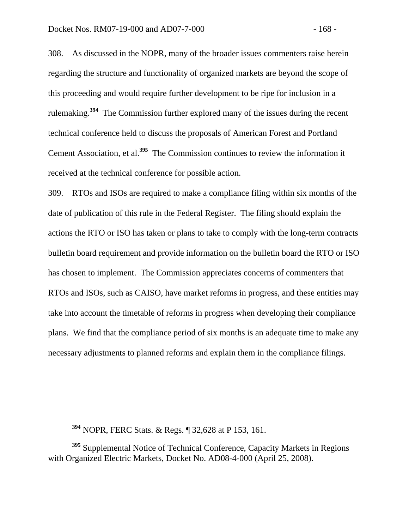308. As discussed in the NOPR, many of the broader issues commenters raise herein regarding the structure and functionality of organized markets are beyond the scope of this proceeding and would require further development to be ripe for inclusion in a rulemaking.**<sup>394</sup>** The Commission further explored many of the issues during the recent technical conference held to discuss the proposals of American Forest and Portland Cement Association, et al.**<sup>395</sup>** The Commission continues to review the information it received at the technical conference for possible action.

309. RTOs and ISOs are required to make a compliance filing within six months of the date of publication of this rule in the Federal Register. The filing should explain the actions the RTO or ISO has taken or plans to take to comply with the long-term contracts bulletin board requirement and provide information on the bulletin board the RTO or ISO has chosen to implement. The Commission appreciates concerns of commenters that RTOs and ISOs, such as CAISO, have market reforms in progress, and these entities may take into account the timetable of reforms in progress when developing their compliance plans. We find that the compliance period of six months is an adequate time to make any necessary adjustments to planned reforms and explain them in the compliance filings.

**<sup>394</sup>** NOPR, FERC Stats. & Regs. ¶ 32,628 at P 153, 161.

**<sup>395</sup>** Supplemental Notice of Technical Conference, Capacity Markets in Regions with Organized Electric Markets, Docket No. AD08-4-000 (April 25, 2008).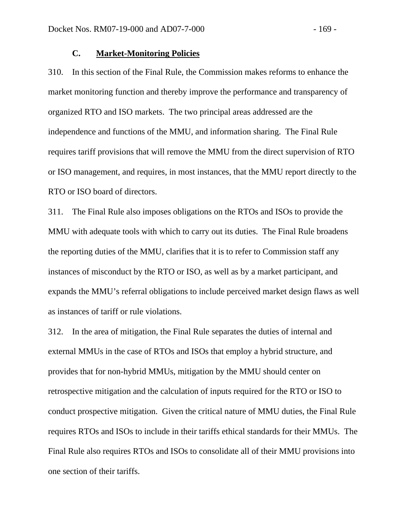## **C. Market-Monitoring Policies**

310. In this section of the Final Rule, the Commission makes reforms to enhance the market monitoring function and thereby improve the performance and transparency of organized RTO and ISO markets. The two principal areas addressed are the independence and functions of the MMU, and information sharing. The Final Rule requires tariff provisions that will remove the MMU from the direct supervision of RTO or ISO management, and requires, in most instances, that the MMU report directly to the RTO or ISO board of directors.

311. The Final Rule also imposes obligations on the RTOs and ISOs to provide the MMU with adequate tools with which to carry out its duties. The Final Rule broadens the reporting duties of the MMU, clarifies that it is to refer to Commission staff any instances of misconduct by the RTO or ISO, as well as by a market participant, and expands the MMU's referral obligations to include perceived market design flaws as well as instances of tariff or rule violations.

312. In the area of mitigation, the Final Rule separates the duties of internal and external MMUs in the case of RTOs and ISOs that employ a hybrid structure, and provides that for non-hybrid MMUs, mitigation by the MMU should center on retrospective mitigation and the calculation of inputs required for the RTO or ISO to conduct prospective mitigation. Given the critical nature of MMU duties, the Final Rule requires RTOs and ISOs to include in their tariffs ethical standards for their MMUs. The Final Rule also requires RTOs and ISOs to consolidate all of their MMU provisions into one section of their tariffs.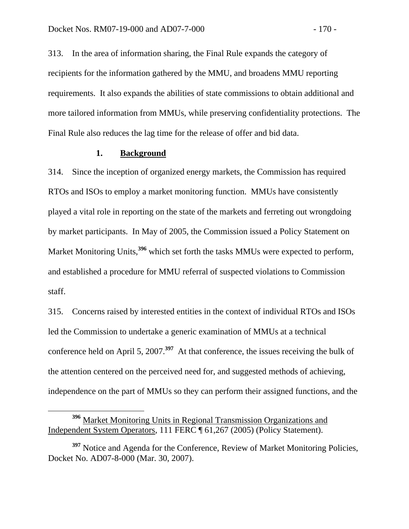313. In the area of information sharing, the Final Rule expands the category of recipients for the information gathered by the MMU, and broadens MMU reporting requirements. It also expands the abilities of state commissions to obtain additional and more tailored information from MMUs, while preserving confidentiality protections. The Final Rule also reduces the lag time for the release of offer and bid data.

### **1. Background**

314. Since the inception of organized energy markets, the Commission has required RTOs and ISOs to employ a market monitoring function. MMUs have consistently played a vital role in reporting on the state of the markets and ferreting out wrongdoing by market participants. In May of 2005, the Commission issued a Policy Statement on Market Monitoring Units,<sup>396</sup> which set forth the tasks MMUs were expected to perform, and established a procedure for MMU referral of suspected violations to Commission staff.

315. Concerns raised by interested entities in the context of individual RTOs and ISOs led the Commission to undertake a generic examination of MMUs at a technical conference held on April 5, 2007.**<sup>397</sup>** At that conference, the issues receiving the bulk of the attention centered on the perceived need for, and suggested methods of achieving, independence on the part of MMUs so they can perform their assigned functions, and the

**<sup>396</sup>** Market Monitoring Units in Regional Transmission Organizations and Independent System Operators, 111 FERC ¶ 61,267 (2005) (Policy Statement).

<sup>&</sup>lt;sup>397</sup> Notice and Agenda for the Conference, Review of Market Monitoring Policies, Docket No. AD07-8-000 (Mar. 30, 2007).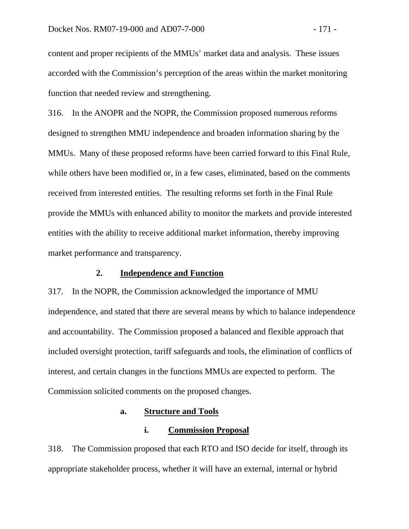content and proper recipients of the MMUs' market data and analysis. These issues accorded with the Commission's perception of the areas within the market monitoring function that needed review and strengthening.

316. In the ANOPR and the NOPR, the Commission proposed numerous reforms designed to strengthen MMU independence and broaden information sharing by the MMUs. Many of these proposed reforms have been carried forward to this Final Rule, while others have been modified or, in a few cases, eliminated, based on the comments received from interested entities. The resulting reforms set forth in the Final Rule provide the MMUs with enhanced ability to monitor the markets and provide interested entities with the ability to receive additional market information, thereby improving market performance and transparency.

## **2. Independence and Function**

317. In the NOPR, the Commission acknowledged the importance of MMU independence, and stated that there are several means by which to balance independence and accountability. The Commission proposed a balanced and flexible approach that included oversight protection, tariff safeguards and tools, the elimination of conflicts of interest, and certain changes in the functions MMUs are expected to perform. The Commission solicited comments on the proposed changes.

#### **a. Structure and Tools**

#### **i. Commission Proposal**

318. The Commission proposed that each RTO and ISO decide for itself, through its appropriate stakeholder process, whether it will have an external, internal or hybrid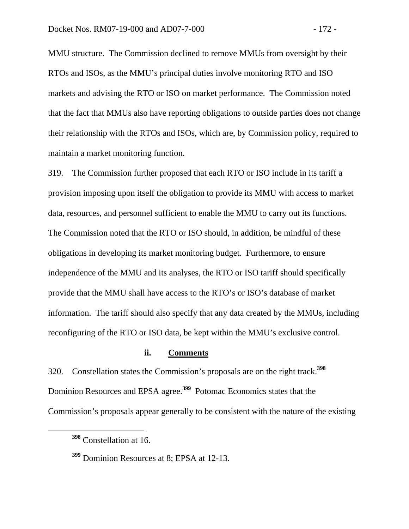MMU structure. The Commission declined to remove MMUs from oversight by their RTOs and ISOs, as the MMU's principal duties involve monitoring RTO and ISO markets and advising the RTO or ISO on market performance. The Commission noted that the fact that MMUs also have reporting obligations to outside parties does not change their relationship with the RTOs and ISOs, which are, by Commission policy, required to maintain a market monitoring function.

319. The Commission further proposed that each RTO or ISO include in its tariff a provision imposing upon itself the obligation to provide its MMU with access to market data, resources, and personnel sufficient to enable the MMU to carry out its functions. The Commission noted that the RTO or ISO should, in addition, be mindful of these obligations in developing its market monitoring budget. Furthermore, to ensure independence of the MMU and its analyses, the RTO or ISO tariff should specifically provide that the MMU shall have access to the RTO's or ISO's database of market information. The tariff should also specify that any data created by the MMUs, including reconfiguring of the RTO or ISO data, be kept within the MMU's exclusive control.

### **ii. Comments**

320. Constellation states the Commission's proposals are on the right track.**<sup>398</sup>** Dominion Resources and EPSA agree.**<sup>399</sup>** Potomac Economics states that the Commission's proposals appear generally to be consistent with the nature of the existing

**<sup>398</sup>** Constellation at 16.

**<sup>399</sup>** Dominion Resources at 8; EPSA at 12-13.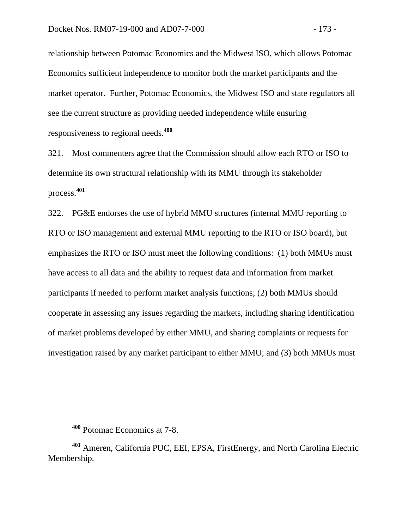relationship between Potomac Economics and the Midwest ISO, which allows Potomac Economics sufficient independence to monitor both the market participants and the market operator. Further, Potomac Economics, the Midwest ISO and state regulators all see the current structure as providing needed independence while ensuring responsiveness to regional needs.**<sup>400</sup>**

321. Most commenters agree that the Commission should allow each RTO or ISO to determine its own structural relationship with its MMU through its stakeholder process.**<sup>401</sup>**

322. PG&E endorses the use of hybrid MMU structures (internal MMU reporting to RTO or ISO management and external MMU reporting to the RTO or ISO board), but emphasizes the RTO or ISO must meet the following conditions: (1) both MMUs must have access to all data and the ability to request data and information from market participants if needed to perform market analysis functions; (2) both MMUs should cooperate in assessing any issues regarding the markets, including sharing identification of market problems developed by either MMU, and sharing complaints or requests for investigation raised by any market participant to either MMU; and (3) both MMUs must

**<sup>400</sup>** Potomac Economics at 7-8.

**<sup>401</sup>** Ameren, California PUC, EEI, EPSA, FirstEnergy, and North Carolina Electric Membership.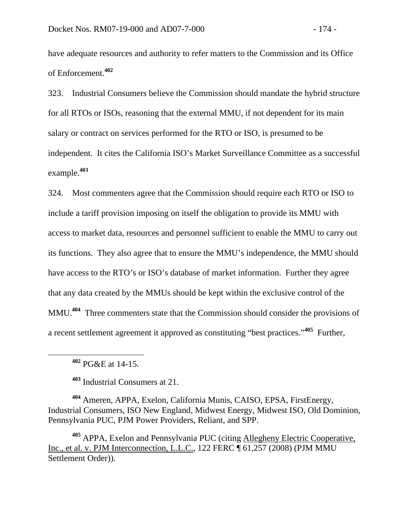have adequate resources and authority to refer matters to the Commission and its Office of Enforcement.**<sup>402</sup>**

323. Industrial Consumers believe the Commission should mandate the hybrid structure for all RTOs or ISOs, reasoning that the external MMU, if not dependent for its main salary or contract on services performed for the RTO or ISO, is presumed to be independent. It cites the California ISO's Market Surveillance Committee as a successful example.**<sup>403</sup>**

324. Most commenters agree that the Commission should require each RTO or ISO to include a tariff provision imposing on itself the obligation to provide its MMU with access to market data, resources and personnel sufficient to enable the MMU to carry out its functions. They also agree that to ensure the MMU's independence, the MMU should have access to the RTO's or ISO's database of market information. Further they agree that any data created by the MMUs should be kept within the exclusive control of the MMU.**<sup>404</sup>** Three commenters state that the Commission should consider the provisions of a recent settlement agreement it approved as constituting "best practices."**<sup>405</sup>** Further,

**<sup>403</sup>** Industrial Consumers at 21.

**<sup>404</sup>** Ameren, APPA, Exelon, California Munis, CAISO, EPSA, FirstEnergy, Industrial Consumers, ISO New England, Midwest Energy, Midwest ISO, Old Dominion, Pennsylvania PUC, PJM Power Providers, Reliant, and SPP.

**<sup>405</sup>** APPA, Exelon and Pennsylvania PUC (citing Allegheny Electric Cooperative, Inc., et al. v. PJM Interconnection, L.L.C., 122 FERC ¶ 61,257 (2008) (PJM MMU Settlement Order)).

**<sup>402</sup>** PG&E at 14-15.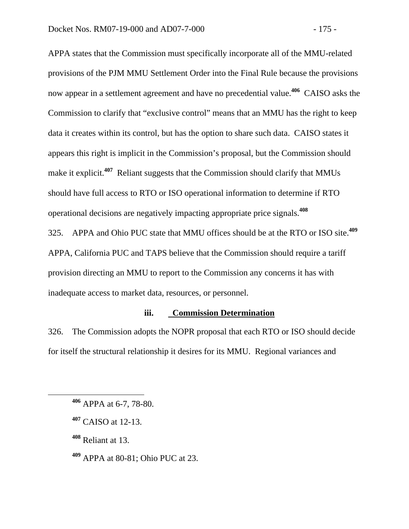APPA states that the Commission must specifically incorporate all of the MMU-related provisions of the PJM MMU Settlement Order into the Final Rule because the provisions now appear in a settlement agreement and have no precedential value.**<sup>406</sup>** CAISO asks the Commission to clarify that "exclusive control" means that an MMU has the right to keep data it creates within its control, but has the option to share such data. CAISO states it appears this right is implicit in the Commission's proposal, but the Commission should make it explicit.<sup>407</sup> Reliant suggests that the Commission should clarify that MMUs should have full access to RTO or ISO operational information to determine if RTO operational decisions are negatively impacting appropriate price signals.**<sup>408</sup>**

325. APPA and Ohio PUC state that MMU offices should be at the RTO or ISO site.**<sup>409</sup>** APPA, California PUC and TAPS believe that the Commission should require a tariff provision directing an MMU to report to the Commission any concerns it has with inadequate access to market data, resources, or personnel.

## **iii. Commission Determination**

326. The Commission adopts the NOPR proposal that each RTO or ISO should decide for itself the structural relationship it desires for its MMU. Regional variances and

**<sup>408</sup>** Reliant at 13.

**<sup>409</sup>** APPA at 80-81; Ohio PUC at 23.

**<sup>406</sup>** APPA at 6-7, 78-80.

**<sup>407</sup>** CAISO at 12-13.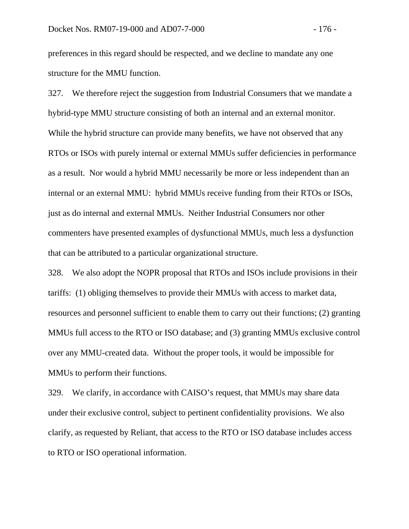preferences in this regard should be respected, and we decline to mandate any one structure for the MMU function.

327. We therefore reject the suggestion from Industrial Consumers that we mandate a hybrid-type MMU structure consisting of both an internal and an external monitor. While the hybrid structure can provide many benefits, we have not observed that any RTOs or ISOs with purely internal or external MMUs suffer deficiencies in performance as a result. Nor would a hybrid MMU necessarily be more or less independent than an internal or an external MMU: hybrid MMUs receive funding from their RTOs or ISOs, just as do internal and external MMUs. Neither Industrial Consumers nor other commenters have presented examples of dysfunctional MMUs, much less a dysfunction that can be attributed to a particular organizational structure.

328. We also adopt the NOPR proposal that RTOs and ISOs include provisions in their tariffs: (1) obliging themselves to provide their MMUs with access to market data, resources and personnel sufficient to enable them to carry out their functions; (2) granting MMUs full access to the RTO or ISO database; and (3) granting MMUs exclusive control over any MMU-created data. Without the proper tools, it would be impossible for MMUs to perform their functions.

329. We clarify, in accordance with CAISO's request, that MMUs may share data under their exclusive control, subject to pertinent confidentiality provisions. We also clarify, as requested by Reliant, that access to the RTO or ISO database includes access to RTO or ISO operational information.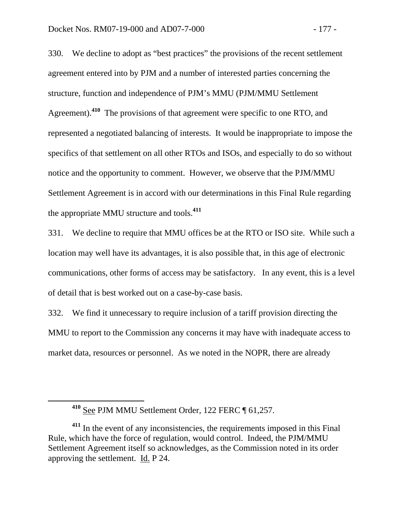330. We decline to adopt as "best practices" the provisions of the recent settlement agreement entered into by PJM and a number of interested parties concerning the structure, function and independence of PJM's MMU (PJM/MMU Settlement Agreement).**<sup>410</sup>** The provisions of that agreement were specific to one RTO, and represented a negotiated balancing of interests. It would be inappropriate to impose the specifics of that settlement on all other RTOs and ISOs, and especially to do so without notice and the opportunity to comment. However, we observe that the PJM/MMU Settlement Agreement is in accord with our determinations in this Final Rule regarding the appropriate MMU structure and tools.**<sup>411</sup>**

331. We decline to require that MMU offices be at the RTO or ISO site. While such a location may well have its advantages, it is also possible that, in this age of electronic communications, other forms of access may be satisfactory. In any event, this is a level of detail that is best worked out on a case-by-case basis.

332. We find it unnecessary to require inclusion of a tariff provision directing the MMU to report to the Commission any concerns it may have with inadequate access to market data, resources or personnel. As we noted in the NOPR, there are already

**<sup>410</sup>** See PJM MMU Settlement Order, 122 FERC ¶ 61,257.

**<sup>411</sup>** In the event of any inconsistencies, the requirements imposed in this Final Rule, which have the force of regulation, would control. Indeed, the PJM/MMU Settlement Agreement itself so acknowledges, as the Commission noted in its order approving the settlement. Id. P 24.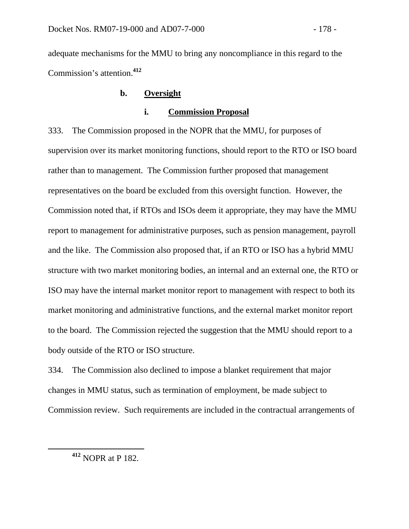adequate mechanisms for the MMU to bring any noncompliance in this regard to the Commission's attention.**<sup>412</sup>**

# **b. Oversight**

## **i. Commission Proposal**

333. The Commission proposed in the NOPR that the MMU, for purposes of supervision over its market monitoring functions, should report to the RTO or ISO board rather than to management. The Commission further proposed that management representatives on the board be excluded from this oversight function. However, the Commission noted that, if RTOs and ISOs deem it appropriate, they may have the MMU report to management for administrative purposes, such as pension management, payroll and the like. The Commission also proposed that, if an RTO or ISO has a hybrid MMU structure with two market monitoring bodies, an internal and an external one, the RTO or ISO may have the internal market monitor report to management with respect to both its market monitoring and administrative functions, and the external market monitor report to the board. The Commission rejected the suggestion that the MMU should report to a body outside of the RTO or ISO structure.

334. The Commission also declined to impose a blanket requirement that major changes in MMU status, such as termination of employment, be made subject to Commission review. Such requirements are included in the contractual arrangements of

**<sup>412</sup>** NOPR at P 182.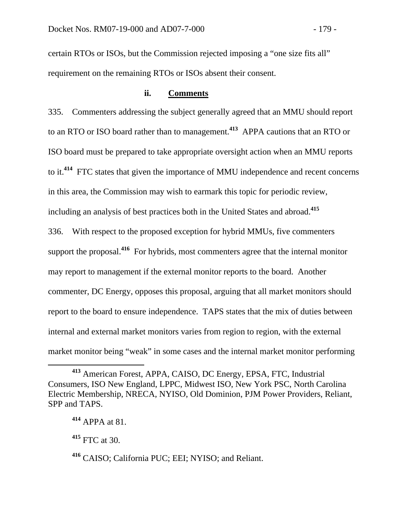certain RTOs or ISOs, but the Commission rejected imposing a "one size fits all" requirement on the remaining RTOs or ISOs absent their consent.

### **ii. Comments**

335. Commenters addressing the subject generally agreed that an MMU should report to an RTO or ISO board rather than to management.**<sup>413</sup>** APPA cautions that an RTO or ISO board must be prepared to take appropriate oversight action when an MMU reports to it.**<sup>414</sup>** FTC states that given the importance of MMU independence and recent concerns in this area, the Commission may wish to earmark this topic for periodic review, including an analysis of best practices both in the United States and abroad.**<sup>415</sup>**

336. With respect to the proposed exception for hybrid MMUs, five commenters support the proposal.**<sup>416</sup>** For hybrids, most commenters agree that the internal monitor may report to management if the external monitor reports to the board. Another commenter, DC Energy, opposes this proposal, arguing that all market monitors should report to the board to ensure independence. TAPS states that the mix of duties between internal and external market monitors varies from region to region, with the external market monitor being "weak" in some cases and the internal market monitor performing

**<sup>413</sup>** American Forest, APPA, CAISO, DC Energy, EPSA, FTC, Industrial Consumers, ISO New England, LPPC, Midwest ISO, New York PSC, North Carolina Electric Membership, NRECA, NYISO, Old Dominion, PJM Power Providers, Reliant, SPP and TAPS.

**<sup>414</sup>** APPA at 81.

**<sup>415</sup>** FTC at 30.

**<sup>416</sup>** CAISO; California PUC; EEI; NYISO; and Reliant.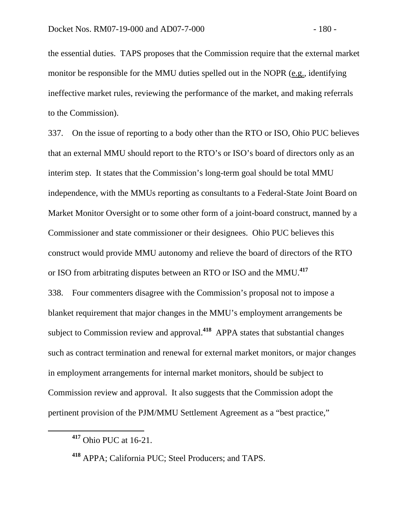the essential duties. TAPS proposes that the Commission require that the external market monitor be responsible for the MMU duties spelled out in the NOPR (e.g., identifying ineffective market rules, reviewing the performance of the market, and making referrals to the Commission).

337. On the issue of reporting to a body other than the RTO or ISO, Ohio PUC believes that an external MMU should report to the RTO's or ISO's board of directors only as an interim step. It states that the Commission's long-term goal should be total MMU independence, with the MMUs reporting as consultants to a Federal-State Joint Board on Market Monitor Oversight or to some other form of a joint-board construct, manned by a Commissioner and state commissioner or their designees. Ohio PUC believes this construct would provide MMU autonomy and relieve the board of directors of the RTO or ISO from arbitrating disputes between an RTO or ISO and the MMU.**<sup>417</sup>** 338. Four commenters disagree with the Commission's proposal not to impose a blanket requirement that major changes in the MMU's employment arrangements be subject to Commission review and approval.**<sup>418</sup>** APPA states that substantial changes such as contract termination and renewal for external market monitors, or major changes in employment arrangements for internal market monitors, should be subject to Commission review and approval. It also suggests that the Commission adopt the pertinent provision of the PJM/MMU Settlement Agreement as a "best practice,"

**<sup>417</sup>** Ohio PUC at 16-21.

**<sup>418</sup>** APPA; California PUC; Steel Producers; and TAPS.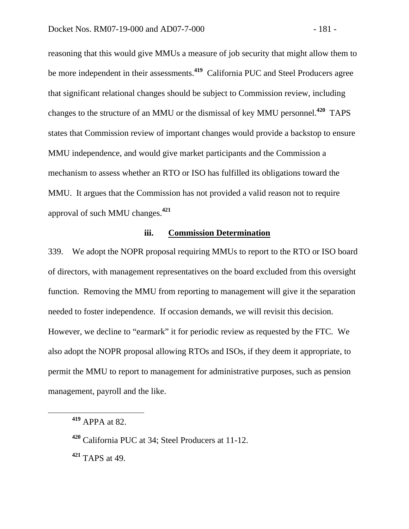reasoning that this would give MMUs a measure of job security that might allow them to be more independent in their assessments.**<sup>419</sup>** California PUC and Steel Producers agree that significant relational changes should be subject to Commission review, including changes to the structure of an MMU or the dismissal of key MMU personnel.**<sup>420</sup>** TAPS states that Commission review of important changes would provide a backstop to ensure MMU independence, and would give market participants and the Commission a mechanism to assess whether an RTO or ISO has fulfilled its obligations toward the MMU. It argues that the Commission has not provided a valid reason not to require approval of such MMU changes.**<sup>421</sup>**

# **iii. Commission Determination**

339. We adopt the NOPR proposal requiring MMUs to report to the RTO or ISO board of directors, with management representatives on the board excluded from this oversight function. Removing the MMU from reporting to management will give it the separation needed to foster independence. If occasion demands, we will revisit this decision. However, we decline to "earmark" it for periodic review as requested by the FTC. We also adopt the NOPR proposal allowing RTOs and ISOs, if they deem it appropriate, to permit the MMU to report to management for administrative purposes, such as pension management, payroll and the like.

**<sup>421</sup>** TAPS at 49.

**<sup>419</sup>** APPA at 82.

**<sup>420</sup>** California PUC at 34; Steel Producers at 11-12.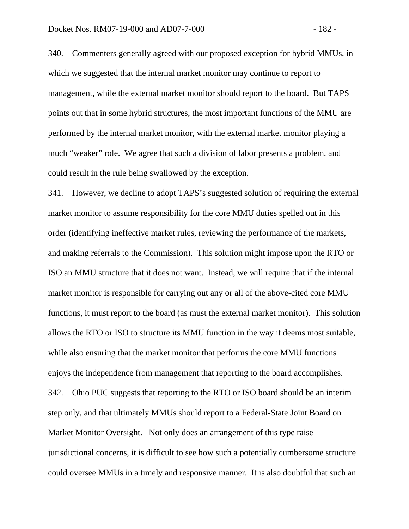340. Commenters generally agreed with our proposed exception for hybrid MMUs, in which we suggested that the internal market monitor may continue to report to management, while the external market monitor should report to the board. But TAPS points out that in some hybrid structures, the most important functions of the MMU are performed by the internal market monitor, with the external market monitor playing a much "weaker" role. We agree that such a division of labor presents a problem, and could result in the rule being swallowed by the exception.

341. However, we decline to adopt TAPS's suggested solution of requiring the external market monitor to assume responsibility for the core MMU duties spelled out in this order (identifying ineffective market rules, reviewing the performance of the markets, and making referrals to the Commission). This solution might impose upon the RTO or ISO an MMU structure that it does not want. Instead, we will require that if the internal market monitor is responsible for carrying out any or all of the above-cited core MMU functions, it must report to the board (as must the external market monitor). This solution allows the RTO or ISO to structure its MMU function in the way it deems most suitable, while also ensuring that the market monitor that performs the core MMU functions enjoys the independence from management that reporting to the board accomplishes. 342. Ohio PUC suggests that reporting to the RTO or ISO board should be an interim step only, and that ultimately MMUs should report to a Federal-State Joint Board on Market Monitor Oversight. Not only does an arrangement of this type raise jurisdictional concerns, it is difficult to see how such a potentially cumbersome structure could oversee MMUs in a timely and responsive manner. It is also doubtful that such an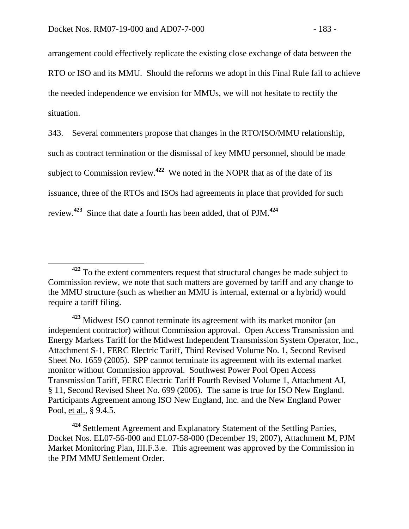arrangement could effectively replicate the existing close exchange of data between the RTO or ISO and its MMU. Should the reforms we adopt in this Final Rule fail to achieve the needed independence we envision for MMUs, we will not hesitate to rectify the situation.

343. Several commenters propose that changes in the RTO/ISO/MMU relationship, such as contract termination or the dismissal of key MMU personnel, should be made subject to Commission review.**<sup>422</sup>** We noted in the NOPR that as of the date of its issuance, three of the RTOs and ISOs had agreements in place that provided for such review.**<sup>423</sup>** Since that date a fourth has been added, that of PJM.**<sup>424</sup>**

**<sup>424</sup>** Settlement Agreement and Explanatory Statement of the Settling Parties, Docket Nos. EL07-56-000 and EL07-58-000 (December 19, 2007), Attachment M, PJM Market Monitoring Plan, III.F.3.e. This agreement was approved by the Commission in the PJM MMU Settlement Order.

**<sup>422</sup>** To the extent commenters request that structural changes be made subject to Commission review, we note that such matters are governed by tariff and any change to the MMU structure (such as whether an MMU is internal, external or a hybrid) would require a tariff filing.

**<sup>423</sup>** Midwest ISO cannot terminate its agreement with its market monitor (an independent contractor) without Commission approval. Open Access Transmission and Energy Markets Tariff for the Midwest Independent Transmission System Operator, Inc., Attachment S-1, FERC Electric Tariff, Third Revised Volume No. 1, Second Revised Sheet No. 1659 (2005). SPP cannot terminate its agreement with its external market monitor without Commission approval. Southwest Power Pool Open Access Transmission Tariff, FERC Electric Tariff Fourth Revised Volume 1, Attachment AJ, § 11, Second Revised Sheet No. 699 (2006). The same is true for ISO New England. Participants Agreement among ISO New England, Inc. and the New England Power Pool, et al., § 9.4.5.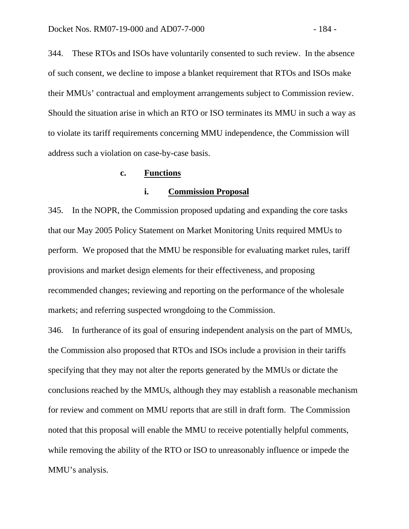344. These RTOs and ISOs have voluntarily consented to such review. In the absence of such consent, we decline to impose a blanket requirement that RTOs and ISOs make their MMUs' contractual and employment arrangements subject to Commission review. Should the situation arise in which an RTO or ISO terminates its MMU in such a way as to violate its tariff requirements concerning MMU independence, the Commission will address such a violation on case-by-case basis.

#### **c. Functions**

## **i. Commission Proposal**

345. In the NOPR, the Commission proposed updating and expanding the core tasks that our May 2005 Policy Statement on Market Monitoring Units required MMUs to perform. We proposed that the MMU be responsible for evaluating market rules, tariff provisions and market design elements for their effectiveness, and proposing recommended changes; reviewing and reporting on the performance of the wholesale markets; and referring suspected wrongdoing to the Commission.

346. In furtherance of its goal of ensuring independent analysis on the part of MMUs, the Commission also proposed that RTOs and ISOs include a provision in their tariffs specifying that they may not alter the reports generated by the MMUs or dictate the conclusions reached by the MMUs, although they may establish a reasonable mechanism for review and comment on MMU reports that are still in draft form. The Commission noted that this proposal will enable the MMU to receive potentially helpful comments, while removing the ability of the RTO or ISO to unreasonably influence or impede the MMU's analysis.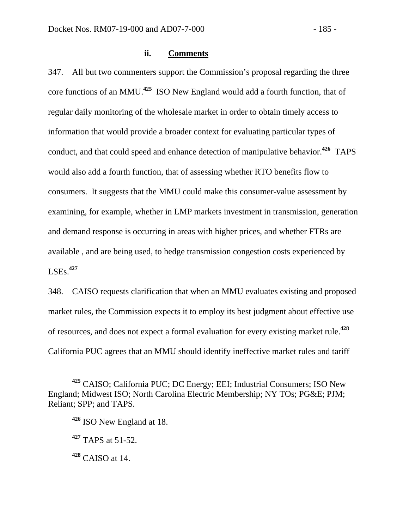### **ii. Comments**

347. All but two commenters support the Commission's proposal regarding the three core functions of an MMU.**<sup>425</sup>** ISO New England would add a fourth function, that of regular daily monitoring of the wholesale market in order to obtain timely access to information that would provide a broader context for evaluating particular types of conduct, and that could speed and enhance detection of manipulative behavior.**<sup>426</sup>** TAPS would also add a fourth function, that of assessing whether RTO benefits flow to consumers. It suggests that the MMU could make this consumer-value assessment by examining, for example, whether in LMP markets investment in transmission, generation and demand response is occurring in areas with higher prices, and whether FTRs are available , and are being used, to hedge transmission congestion costs experienced by LSEs.**<sup>427</sup>**

348. CAISO requests clarification that when an MMU evaluates existing and proposed market rules, the Commission expects it to employ its best judgment about effective use of resources, and does not expect a formal evaluation for every existing market rule.**<sup>428</sup>** California PUC agrees that an MMU should identify ineffective market rules and tariff

**<sup>425</sup>** CAISO; California PUC; DC Energy; EEI; Industrial Consumers; ISO New England; Midwest ISO; North Carolina Electric Membership; NY TOs; PG&E; PJM; Reliant; SPP; and TAPS.

**<sup>426</sup>** ISO New England at 18.

**<sup>427</sup>** TAPS at 51-52.

**<sup>428</sup>** CAISO at 14.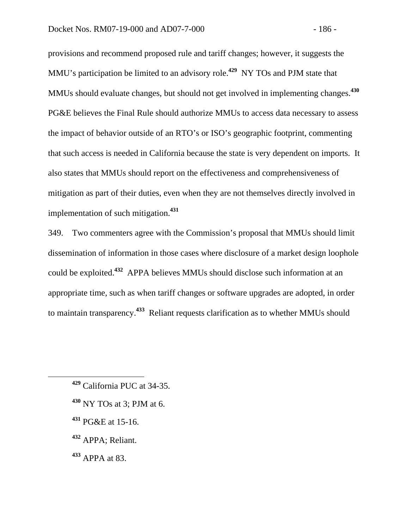provisions and recommend proposed rule and tariff changes; however, it suggests the MMU's participation be limited to an advisory role.**<sup>429</sup>** NY TOs and PJM state that MMUs should evaluate changes, but should not get involved in implementing changes.**<sup>430</sup>** PG&E believes the Final Rule should authorize MMUs to access data necessary to assess the impact of behavior outside of an RTO's or ISO's geographic footprint, commenting that such access is needed in California because the state is very dependent on imports. It also states that MMUs should report on the effectiveness and comprehensiveness of mitigation as part of their duties, even when they are not themselves directly involved in implementation of such mitigation.**<sup>431</sup>**

349. Two commenters agree with the Commission's proposal that MMUs should limit dissemination of information in those cases where disclosure of a market design loophole could be exploited.**<sup>432</sup>** APPA believes MMUs should disclose such information at an appropriate time, such as when tariff changes or software upgrades are adopted, in order to maintain transparency.**<sup>433</sup>** Reliant requests clarification as to whether MMUs should

- **<sup>430</sup>** NY TOs at 3; PJM at 6.
- **<sup>431</sup>** PG&E at 15-16.
- **<sup>432</sup>** APPA; Reliant.
- **<sup>433</sup>** APPA at 83.

**<sup>429</sup>** California PUC at 34-35.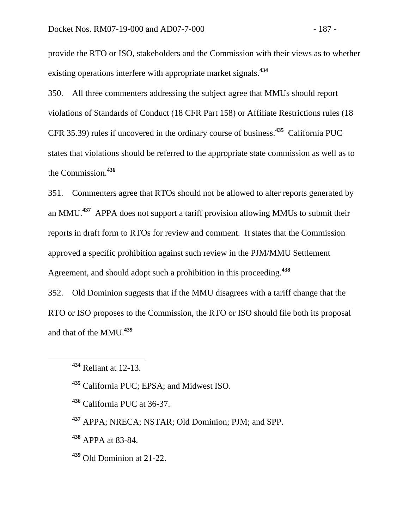provide the RTO or ISO, stakeholders and the Commission with their views as to whether existing operations interfere with appropriate market signals.**<sup>434</sup>**

350. All three commenters addressing the subject agree that MMUs should report violations of Standards of Conduct (18 CFR Part 158) or Affiliate Restrictions rules (18 CFR 35.39) rules if uncovered in the ordinary course of business.**<sup>435</sup>** California PUC states that violations should be referred to the appropriate state commission as well as to the Commission.**<sup>436</sup>**

351. Commenters agree that RTOs should not be allowed to alter reports generated by an MMU.**<sup>437</sup>** APPA does not support a tariff provision allowing MMUs to submit their reports in draft form to RTOs for review and comment. It states that the Commission approved a specific prohibition against such review in the PJM/MMU Settlement Agreement, and should adopt such a prohibition in this proceeding.**<sup>438</sup>**

352. Old Dominion suggests that if the MMU disagrees with a tariff change that the RTO or ISO proposes to the Commission, the RTO or ISO should file both its proposal and that of the MMU.**<sup>439</sup>**

- **<sup>435</sup>** California PUC; EPSA; and Midwest ISO.
- **<sup>436</sup>** California PUC at 36-37.
- **<sup>437</sup>** APPA; NRECA; NSTAR; Old Dominion; PJM; and SPP.
- **<sup>438</sup>** APPA at 83-84.
- **<sup>439</sup>** Old Dominion at 21-22.

**<sup>434</sup>** Reliant at 12-13.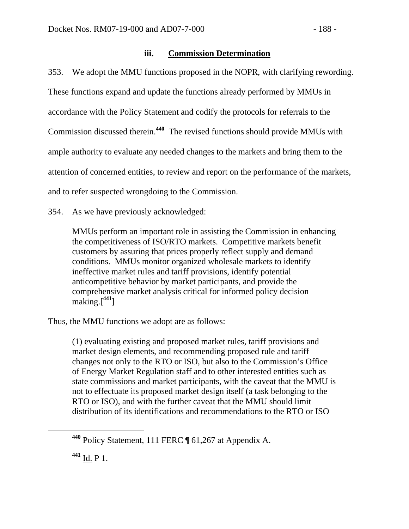# **iii. Commission Determination**

353. We adopt the MMU functions proposed in the NOPR, with clarifying rewording. These functions expand and update the functions already performed by MMUs in accordance with the Policy Statement and codify the protocols for referrals to the Commission discussed therein.**<sup>440</sup>** The revised functions should provide MMUs with ample authority to evaluate any needed changes to the markets and bring them to the attention of concerned entities, to review and report on the performance of the markets, and to refer suspected wrongdoing to the Commission.

354. As we have previously acknowledged:

MMUs perform an important role in assisting the Commission in enhancing the competitiveness of ISO/RTO markets. Competitive markets benefit customers by assuring that prices properly reflect supply and demand conditions. MMUs monitor organized wholesale markets to identify ineffective market rules and tariff provisions, identify potential anticompetitive behavior by market participants, and provide the comprehensive market analysis critical for informed policy decision making.[**<sup>441</sup>**]

Thus, the MMU functions we adopt are as follows:

(1) evaluating existing and proposed market rules, tariff provisions and market design elements, and recommending proposed rule and tariff changes not only to the RTO or ISO, but also to the Commission's Office of Energy Market Regulation staff and to other interested entities such as state commissions and market participants, with the caveat that the MMU is not to effectuate its proposed market design itself (a task belonging to the RTO or ISO), and with the further caveat that the MMU should limit distribution of its identifications and recommendations to the RTO or ISO

**<sup>441</sup>** Id. P 1.

**<sup>440</sup>** Policy Statement, 111 FERC ¶ 61,267 at Appendix A.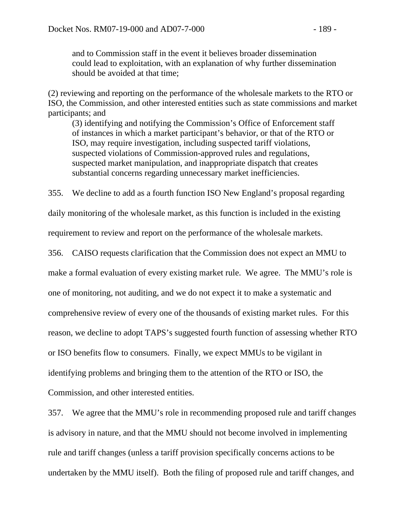and to Commission staff in the event it believes broader dissemination could lead to exploitation, with an explanation of why further dissemination should be avoided at that time;

(2) reviewing and reporting on the performance of the wholesale markets to the RTO or ISO, the Commission, and other interested entities such as state commissions and market participants; and

(3) identifying and notifying the Commission's Office of Enforcement staff of instances in which a market participant's behavior, or that of the RTO or ISO, may require investigation, including suspected tariff violations, suspected violations of Commission-approved rules and regulations, suspected market manipulation, and inappropriate dispatch that creates substantial concerns regarding unnecessary market inefficiencies.

355. We decline to add as a fourth function ISO New England's proposal regarding

daily monitoring of the wholesale market, as this function is included in the existing

requirement to review and report on the performance of the wholesale markets.

356. CAISO requests clarification that the Commission does not expect an MMU to

make a formal evaluation of every existing market rule. We agree. The MMU's role is

one of monitoring, not auditing, and we do not expect it to make a systematic and

comprehensive review of every one of the thousands of existing market rules. For this

reason, we decline to adopt TAPS's suggested fourth function of assessing whether RTO

or ISO benefits flow to consumers. Finally, we expect MMUs to be vigilant in

identifying problems and bringing them to the attention of the RTO or ISO, the

Commission, and other interested entities.

357. We agree that the MMU's role in recommending proposed rule and tariff changes is advisory in nature, and that the MMU should not become involved in implementing rule and tariff changes (unless a tariff provision specifically concerns actions to be undertaken by the MMU itself). Both the filing of proposed rule and tariff changes, and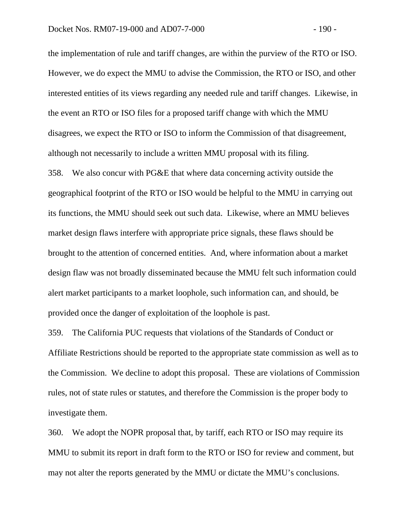the implementation of rule and tariff changes, are within the purview of the RTO or ISO. However, we do expect the MMU to advise the Commission, the RTO or ISO, and other interested entities of its views regarding any needed rule and tariff changes. Likewise, in the event an RTO or ISO files for a proposed tariff change with which the MMU disagrees, we expect the RTO or ISO to inform the Commission of that disagreement, although not necessarily to include a written MMU proposal with its filing.

358. We also concur with PG&E that where data concerning activity outside the geographical footprint of the RTO or ISO would be helpful to the MMU in carrying out its functions, the MMU should seek out such data. Likewise, where an MMU believes market design flaws interfere with appropriate price signals, these flaws should be brought to the attention of concerned entities. And, where information about a market design flaw was not broadly disseminated because the MMU felt such information could alert market participants to a market loophole, such information can, and should, be provided once the danger of exploitation of the loophole is past.

359. The California PUC requests that violations of the Standards of Conduct or Affiliate Restrictions should be reported to the appropriate state commission as well as to the Commission. We decline to adopt this proposal. These are violations of Commission rules, not of state rules or statutes, and therefore the Commission is the proper body to investigate them.

360. We adopt the NOPR proposal that, by tariff, each RTO or ISO may require its MMU to submit its report in draft form to the RTO or ISO for review and comment, but may not alter the reports generated by the MMU or dictate the MMU's conclusions.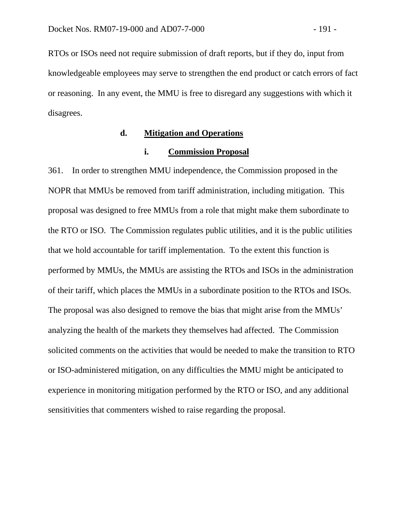RTOs or ISOs need not require submission of draft reports, but if they do, input from knowledgeable employees may serve to strengthen the end product or catch errors of fact or reasoning. In any event, the MMU is free to disregard any suggestions with which it disagrees.

## **d. Mitigation and Operations**

#### **i. Commission Proposal**

361. In order to strengthen MMU independence, the Commission proposed in the NOPR that MMUs be removed from tariff administration, including mitigation. This proposal was designed to free MMUs from a role that might make them subordinate to the RTO or ISO. The Commission regulates public utilities, and it is the public utilities that we hold accountable for tariff implementation. To the extent this function is performed by MMUs, the MMUs are assisting the RTOs and ISOs in the administration of their tariff, which places the MMUs in a subordinate position to the RTOs and ISOs. The proposal was also designed to remove the bias that might arise from the MMUs' analyzing the health of the markets they themselves had affected. The Commission solicited comments on the activities that would be needed to make the transition to RTO or ISO-administered mitigation, on any difficulties the MMU might be anticipated to experience in monitoring mitigation performed by the RTO or ISO, and any additional sensitivities that commenters wished to raise regarding the proposal.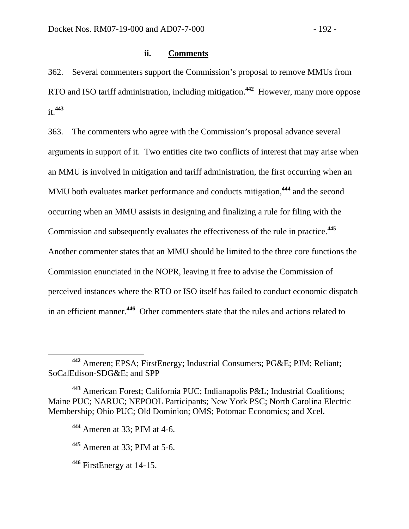### **ii. Comments**

362. Several commenters support the Commission's proposal to remove MMUs from RTO and ISO tariff administration, including mitigation.**<sup>442</sup>** However, many more oppose it.**<sup>443</sup>**

363. The commenters who agree with the Commission's proposal advance several arguments in support of it. Two entities cite two conflicts of interest that may arise when an MMU is involved in mitigation and tariff administration, the first occurring when an MMU both evaluates market performance and conducts mitigation,**<sup>444</sup>** and the second occurring when an MMU assists in designing and finalizing a rule for filing with the Commission and subsequently evaluates the effectiveness of the rule in practice.**<sup>445</sup>** Another commenter states that an MMU should be limited to the three core functions the Commission enunciated in the NOPR, leaving it free to advise the Commission of perceived instances where the RTO or ISO itself has failed to conduct economic dispatch in an efficient manner.**<sup>446</sup>** Other commenters state that the rules and actions related to

**<sup>442</sup>** Ameren; EPSA; FirstEnergy; Industrial Consumers; PG&E; PJM; Reliant; SoCalEdison-SDG&E; and SPP

**<sup>443</sup>** American Forest; California PUC; Indianapolis P&L; Industrial Coalitions; Maine PUC; NARUC; NEPOOL Participants; New York PSC; North Carolina Electric Membership; Ohio PUC; Old Dominion; OMS; Potomac Economics; and Xcel.

**<sup>444</sup>** Ameren at 33; PJM at 4-6.

**<sup>445</sup>** Ameren at 33; PJM at 5-6.

**<sup>446</sup>** FirstEnergy at 14-15.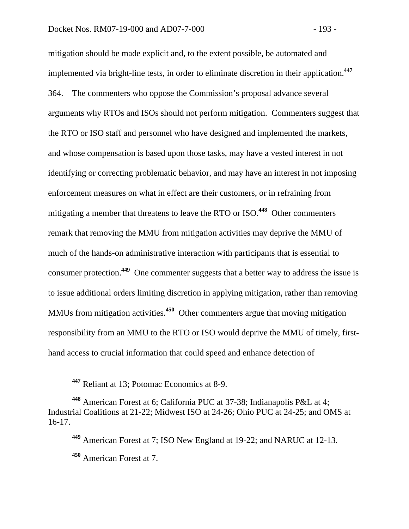mitigation should be made explicit and, to the extent possible, be automated and implemented via bright-line tests, in order to eliminate discretion in their application.**<sup>447</sup>** 364. The commenters who oppose the Commission's proposal advance several arguments why RTOs and ISOs should not perform mitigation. Commenters suggest that the RTO or ISO staff and personnel who have designed and implemented the markets, and whose compensation is based upon those tasks, may have a vested interest in not identifying or correcting problematic behavior, and may have an interest in not imposing enforcement measures on what in effect are their customers, or in refraining from mitigating a member that threatens to leave the RTO or ISO.**<sup>448</sup>** Other commenters remark that removing the MMU from mitigation activities may deprive the MMU of much of the hands-on administrative interaction with participants that is essential to consumer protection.**<sup>449</sup>** One commenter suggests that a better way to address the issue is to issue additional orders limiting discretion in applying mitigation, rather than removing MMUs from mitigation activities.**<sup>450</sup>** Other commenters argue that moving mitigation responsibility from an MMU to the RTO or ISO would deprive the MMU of timely, firsthand access to crucial information that could speed and enhance detection of

**<sup>447</sup>** Reliant at 13; Potomac Economics at 8-9.

**<sup>448</sup>** American Forest at 6; California PUC at 37-38; Indianapolis P&L at 4; Industrial Coalitions at 21-22; Midwest ISO at 24-26; Ohio PUC at 24-25; and OMS at 16-17.

**<sup>449</sup>** American Forest at 7; ISO New England at 19-22; and NARUC at 12-13. **<sup>450</sup>** American Forest at 7.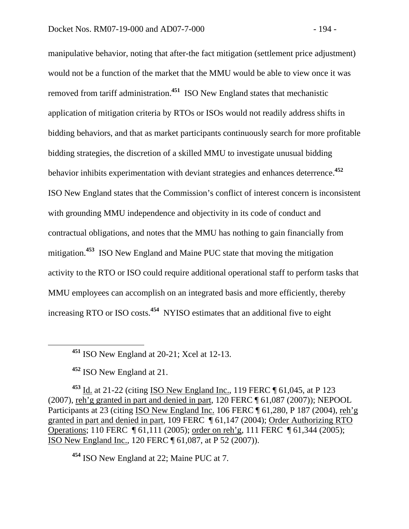manipulative behavior, noting that after-the fact mitigation (settlement price adjustment) would not be a function of the market that the MMU would be able to view once it was removed from tariff administration.**<sup>451</sup>** ISO New England states that mechanistic application of mitigation criteria by RTOs or ISOs would not readily address shifts in bidding behaviors, and that as market participants continuously search for more profitable bidding strategies, the discretion of a skilled MMU to investigate unusual bidding behavior inhibits experimentation with deviant strategies and enhances deterrence.**<sup>452</sup>** ISO New England states that the Commission's conflict of interest concern is inconsistent with grounding MMU independence and objectivity in its code of conduct and contractual obligations, and notes that the MMU has nothing to gain financially from mitigation.**<sup>453</sup>** ISO New England and Maine PUC state that moving the mitigation activity to the RTO or ISO could require additional operational staff to perform tasks that MMU employees can accomplish on an integrated basis and more efficiently, thereby increasing RTO or ISO costs.**<sup>454</sup>** NYISO estimates that an additional five to eight

**<sup>451</sup>** ISO New England at 20-21; Xcel at 12-13.

**<sup>452</sup>** ISO New England at 21.

**<sup>453</sup>** Id. at 21-22 (citing ISO New England Inc., 119 FERC ¶ 61,045, at P 123 (2007), reh'g granted in part and denied in part, 120 FERC ¶ 61,087 (2007)); NEPOOL Participants at 23 (citing ISO New England Inc. 106 FERC ¶ 61,280, P 187 (2004), reh'g granted in part and denied in part, 109 FERC ¶ 61,147 (2004); Order Authorizing RTO Operations; 110 FERC ¶ 61,111 (2005); order on reh'g, 111 FERC ¶ 61,344 (2005); ISO New England Inc., 120 FERC ¶ 61,087, at P 52 (2007)).

**<sup>454</sup>** ISO New England at 22; Maine PUC at 7.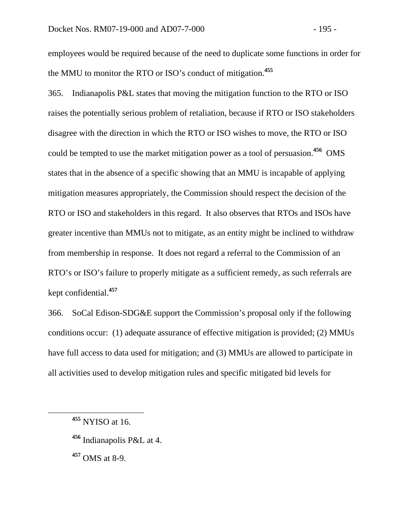employees would be required because of the need to duplicate some functions in order for the MMU to monitor the RTO or ISO's conduct of mitigation.**<sup>455</sup>**

365. Indianapolis P&L states that moving the mitigation function to the RTO or ISO raises the potentially serious problem of retaliation, because if RTO or ISO stakeholders disagree with the direction in which the RTO or ISO wishes to move, the RTO or ISO could be tempted to use the market mitigation power as a tool of persuasion.**<sup>456</sup>** OMS states that in the absence of a specific showing that an MMU is incapable of applying mitigation measures appropriately, the Commission should respect the decision of the RTO or ISO and stakeholders in this regard. It also observes that RTOs and ISOs have greater incentive than MMUs not to mitigate, as an entity might be inclined to withdraw from membership in response. It does not regard a referral to the Commission of an RTO's or ISO's failure to properly mitigate as a sufficient remedy, as such referrals are kept confidential.**<sup>457</sup>**

366. SoCal Edison-SDG&E support the Commission's proposal only if the following conditions occur: (1) adequate assurance of effective mitigation is provided; (2) MMUs have full access to data used for mitigation; and (3) MMUs are allowed to participate in all activities used to develop mitigation rules and specific mitigated bid levels for

**<sup>457</sup>** OMS at 8-9.

**<sup>455</sup>** NYISO at 16.

**<sup>456</sup>** Indianapolis P&L at 4.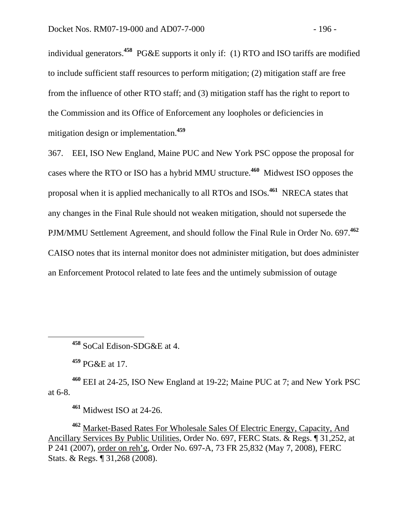individual generators.**<sup>458</sup>** PG&E supports it only if: (1) RTO and ISO tariffs are modified to include sufficient staff resources to perform mitigation; (2) mitigation staff are free from the influence of other RTO staff; and (3) mitigation staff has the right to report to the Commission and its Office of Enforcement any loopholes or deficiencies in mitigation design or implementation.**<sup>459</sup>**

367. EEI, ISO New England, Maine PUC and New York PSC oppose the proposal for cases where the RTO or ISO has a hybrid MMU structure.**<sup>460</sup>** Midwest ISO opposes the proposal when it is applied mechanically to all RTOs and ISOs.**<sup>461</sup>** NRECA states that any changes in the Final Rule should not weaken mitigation, should not supersede the PJM/MMU Settlement Agreement, and should follow the Final Rule in Order No. 697.**<sup>462</sup>** CAISO notes that its internal monitor does not administer mitigation, but does administer an Enforcement Protocol related to late fees and the untimely submission of outage

**<sup>458</sup>** SoCal Edison-SDG&E at 4.

**<sup>459</sup>** PG&E at 17.

**<sup>460</sup>** EEI at 24-25, ISO New England at 19-22; Maine PUC at 7; and New York PSC at 6-8.

**<sup>461</sup>** Midwest ISO at 24-26.

**<sup>462</sup>** Market-Based Rates For Wholesale Sales Of Electric Energy, Capacity, And Ancillary Services By Public Utilities, Order No. 697, FERC Stats. & Regs. ¶ 31,252, at P 241 (2007), order on reh'g, Order No. 697-A, 73 FR 25,832 (May 7, 2008), FERC Stats. & Regs. ¶ 31,268 (2008).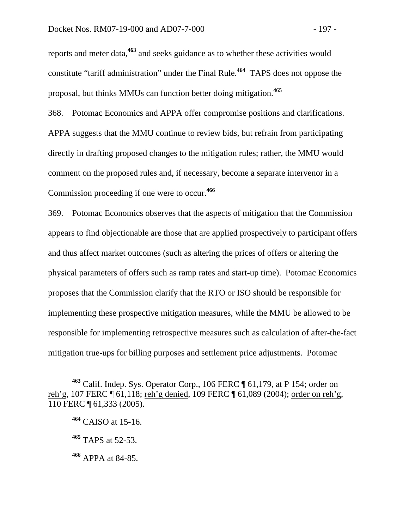reports and meter data,**<sup>463</sup>** and seeks guidance as to whether these activities would constitute "tariff administration" under the Final Rule.**<sup>464</sup>** TAPS does not oppose the proposal, but thinks MMUs can function better doing mitigation.**<sup>465</sup>**

368. Potomac Economics and APPA offer compromise positions and clarifications. APPA suggests that the MMU continue to review bids, but refrain from participating directly in drafting proposed changes to the mitigation rules; rather, the MMU would comment on the proposed rules and, if necessary, become a separate intervenor in a Commission proceeding if one were to occur.**<sup>466</sup>**

369. Potomac Economics observes that the aspects of mitigation that the Commission appears to find objectionable are those that are applied prospectively to participant offers and thus affect market outcomes (such as altering the prices of offers or altering the physical parameters of offers such as ramp rates and start-up time). Potomac Economics proposes that the Commission clarify that the RTO or ISO should be responsible for implementing these prospective mitigation measures, while the MMU be allowed to be responsible for implementing retrospective measures such as calculation of after-the-fact mitigation true-ups for billing purposes and settlement price adjustments. Potomac

<sup>463</sup> Calif. Indep. Sys. Operator Corp., 106 FERC ¶ 61,179, at P 154; order on reh'g, 107 FERC ¶ 61,118; reh'g denied, 109 FERC ¶ 61,089 (2004); order on reh'g, 110 FERC ¶ 61,333 (2005).

**<sup>464</sup>** CAISO at 15-16.

**<sup>465</sup>** TAPS at 52-53.

**<sup>466</sup>** APPA at 84-85.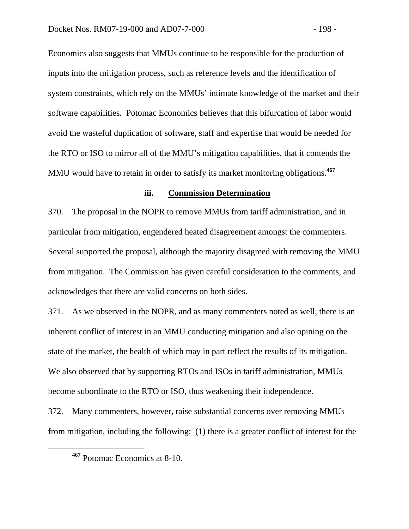Economics also suggests that MMUs continue to be responsible for the production of inputs into the mitigation process, such as reference levels and the identification of system constraints, which rely on the MMUs' intimate knowledge of the market and their software capabilities. Potomac Economics believes that this bifurcation of labor would avoid the wasteful duplication of software, staff and expertise that would be needed for the RTO or ISO to mirror all of the MMU's mitigation capabilities, that it contends the MMU would have to retain in order to satisfy its market monitoring obligations.**<sup>467</sup>**

#### **iii. Commission Determination**

370. The proposal in the NOPR to remove MMUs from tariff administration, and in particular from mitigation, engendered heated disagreement amongst the commenters. Several supported the proposal, although the majority disagreed with removing the MMU from mitigation. The Commission has given careful consideration to the comments, and acknowledges that there are valid concerns on both sides.

371. As we observed in the NOPR, and as many commenters noted as well, there is an inherent conflict of interest in an MMU conducting mitigation and also opining on the state of the market, the health of which may in part reflect the results of its mitigation. We also observed that by supporting RTOs and ISOs in tariff administration, MMUs become subordinate to the RTO or ISO, thus weakening their independence.

372. Many commenters, however, raise substantial concerns over removing MMUs from mitigation, including the following: (1) there is a greater conflict of interest for the

**<sup>467</sup>** Potomac Economics at 8-10.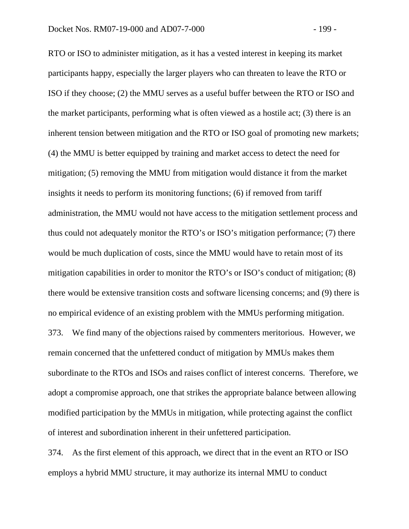RTO or ISO to administer mitigation, as it has a vested interest in keeping its market participants happy, especially the larger players who can threaten to leave the RTO or ISO if they choose; (2) the MMU serves as a useful buffer between the RTO or ISO and the market participants, performing what is often viewed as a hostile act; (3) there is an inherent tension between mitigation and the RTO or ISO goal of promoting new markets; (4) the MMU is better equipped by training and market access to detect the need for mitigation; (5) removing the MMU from mitigation would distance it from the market insights it needs to perform its monitoring functions; (6) if removed from tariff administration, the MMU would not have access to the mitigation settlement process and thus could not adequately monitor the RTO's or ISO's mitigation performance; (7) there would be much duplication of costs, since the MMU would have to retain most of its mitigation capabilities in order to monitor the RTO's or ISO's conduct of mitigation; (8) there would be extensive transition costs and software licensing concerns; and (9) there is no empirical evidence of an existing problem with the MMUs performing mitigation. 373. We find many of the objections raised by commenters meritorious. However, we

remain concerned that the unfettered conduct of mitigation by MMUs makes them subordinate to the RTOs and ISOs and raises conflict of interest concerns. Therefore, we adopt a compromise approach, one that strikes the appropriate balance between allowing modified participation by the MMUs in mitigation, while protecting against the conflict of interest and subordination inherent in their unfettered participation.

374. As the first element of this approach, we direct that in the event an RTO or ISO employs a hybrid MMU structure, it may authorize its internal MMU to conduct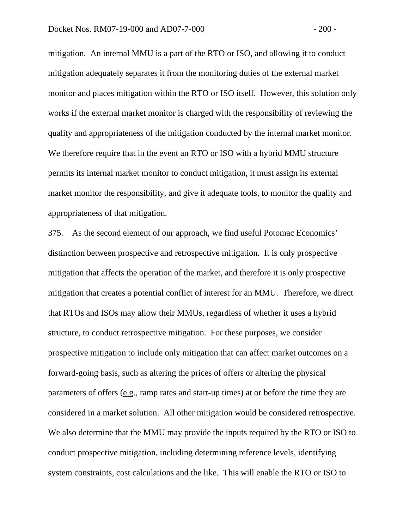mitigation. An internal MMU is a part of the RTO or ISO, and allowing it to conduct mitigation adequately separates it from the monitoring duties of the external market monitor and places mitigation within the RTO or ISO itself. However, this solution only works if the external market monitor is charged with the responsibility of reviewing the quality and appropriateness of the mitigation conducted by the internal market monitor. We therefore require that in the event an RTO or ISO with a hybrid MMU structure permits its internal market monitor to conduct mitigation, it must assign its external market monitor the responsibility, and give it adequate tools, to monitor the quality and appropriateness of that mitigation.

375. As the second element of our approach, we find useful Potomac Economics' distinction between prospective and retrospective mitigation. It is only prospective mitigation that affects the operation of the market, and therefore it is only prospective mitigation that creates a potential conflict of interest for an MMU. Therefore, we direct that RTOs and ISOs may allow their MMUs, regardless of whether it uses a hybrid structure, to conduct retrospective mitigation. For these purposes, we consider prospective mitigation to include only mitigation that can affect market outcomes on a forward-going basis, such as altering the prices of offers or altering the physical parameters of offers (e.g., ramp rates and start-up times) at or before the time they are considered in a market solution. All other mitigation would be considered retrospective. We also determine that the MMU may provide the inputs required by the RTO or ISO to conduct prospective mitigation, including determining reference levels, identifying system constraints, cost calculations and the like. This will enable the RTO or ISO to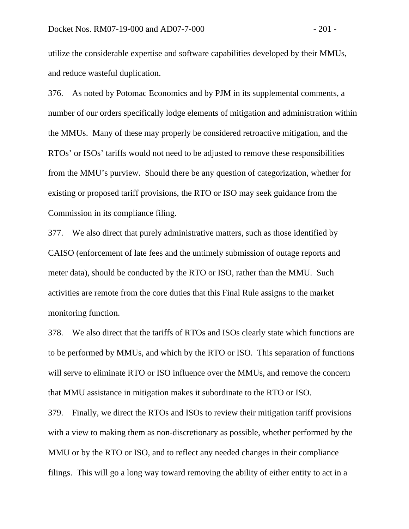utilize the considerable expertise and software capabilities developed by their MMUs, and reduce wasteful duplication.

376. As noted by Potomac Economics and by PJM in its supplemental comments, a number of our orders specifically lodge elements of mitigation and administration within the MMUs. Many of these may properly be considered retroactive mitigation, and the RTOs' or ISOs' tariffs would not need to be adjusted to remove these responsibilities from the MMU's purview. Should there be any question of categorization, whether for existing or proposed tariff provisions, the RTO or ISO may seek guidance from the Commission in its compliance filing.

377. We also direct that purely administrative matters, such as those identified by CAISO (enforcement of late fees and the untimely submission of outage reports and meter data), should be conducted by the RTO or ISO, rather than the MMU. Such activities are remote from the core duties that this Final Rule assigns to the market monitoring function.

378. We also direct that the tariffs of RTOs and ISOs clearly state which functions are to be performed by MMUs, and which by the RTO or ISO. This separation of functions will serve to eliminate RTO or ISO influence over the MMUs, and remove the concern that MMU assistance in mitigation makes it subordinate to the RTO or ISO.

379. Finally, we direct the RTOs and ISOs to review their mitigation tariff provisions with a view to making them as non-discretionary as possible, whether performed by the MMU or by the RTO or ISO, and to reflect any needed changes in their compliance filings. This will go a long way toward removing the ability of either entity to act in a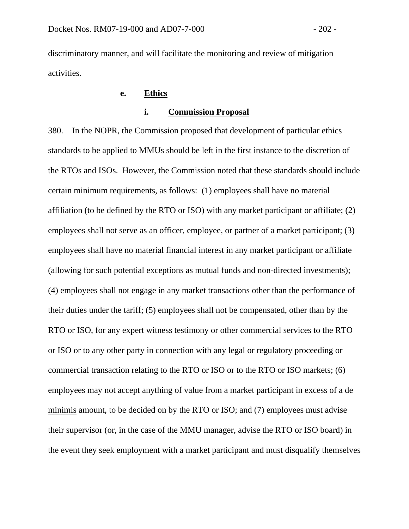discriminatory manner, and will facilitate the monitoring and review of mitigation activities.

# **e. Ethics**

## **i. Commission Proposal**

380. In the NOPR, the Commission proposed that development of particular ethics standards to be applied to MMUs should be left in the first instance to the discretion of the RTOs and ISOs. However, the Commission noted that these standards should include certain minimum requirements, as follows: (1) employees shall have no material affiliation (to be defined by the RTO or ISO) with any market participant or affiliate; (2) employees shall not serve as an officer, employee, or partner of a market participant; (3) employees shall have no material financial interest in any market participant or affiliate (allowing for such potential exceptions as mutual funds and non-directed investments); (4) employees shall not engage in any market transactions other than the performance of their duties under the tariff; (5) employees shall not be compensated, other than by the RTO or ISO, for any expert witness testimony or other commercial services to the RTO or ISO or to any other party in connection with any legal or regulatory proceeding or commercial transaction relating to the RTO or ISO or to the RTO or ISO markets; (6) employees may not accept anything of value from a market participant in excess of a de minimis amount, to be decided on by the RTO or ISO; and (7) employees must advise their supervisor (or, in the case of the MMU manager, advise the RTO or ISO board) in the event they seek employment with a market participant and must disqualify themselves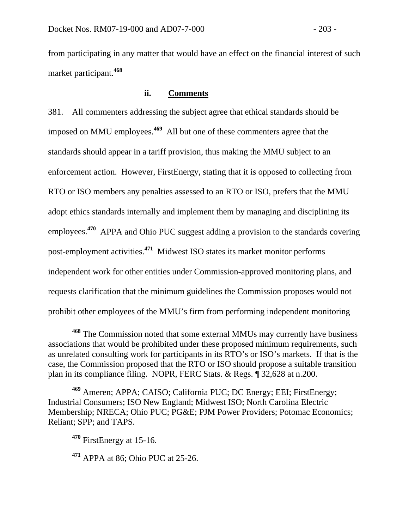from participating in any matter that would have an effect on the financial interest of such market participant.**<sup>468</sup>**

## **ii. Comments**

381. All commenters addressing the subject agree that ethical standards should be imposed on MMU employees.**<sup>469</sup>** All but one of these commenters agree that the standards should appear in a tariff provision, thus making the MMU subject to an enforcement action. However, FirstEnergy, stating that it is opposed to collecting from RTO or ISO members any penalties assessed to an RTO or ISO, prefers that the MMU adopt ethics standards internally and implement them by managing and disciplining its employees.**<sup>470</sup>** APPA and Ohio PUC suggest adding a provision to the standards covering post-employment activities.**<sup>471</sup>** Midwest ISO states its market monitor performs independent work for other entities under Commission-approved monitoring plans, and requests clarification that the minimum guidelines the Commission proposes would not prohibit other employees of the MMU's firm from performing independent monitoring

**<sup>471</sup>** APPA at 86; Ohio PUC at 25-26.

**<sup>468</sup>** The Commission noted that some external MMUs may currently have business associations that would be prohibited under these proposed minimum requirements, such as unrelated consulting work for participants in its RTO's or ISO's markets. If that is the case, the Commission proposed that the RTO or ISO should propose a suitable transition plan in its compliance filing. NOPR, FERC Stats. & Regs. ¶ 32,628 at n.200.

**<sup>469</sup>** Ameren; APPA; CAISO; California PUC; DC Energy; EEI; FirstEnergy; Industrial Consumers; ISO New England; Midwest ISO; North Carolina Electric Membership; NRECA; Ohio PUC; PG&E; PJM Power Providers; Potomac Economics; Reliant; SPP; and TAPS.

**<sup>470</sup>** FirstEnergy at 15-16.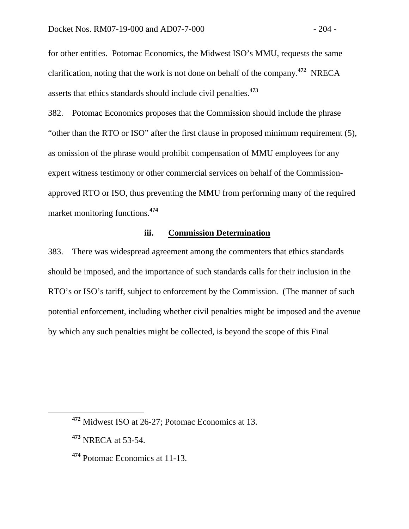for other entities. Potomac Economics, the Midwest ISO's MMU, requests the same clarification, noting that the work is not done on behalf of the company.**<sup>472</sup>** NRECA asserts that ethics standards should include civil penalties.**<sup>473</sup>**

382. Potomac Economics proposes that the Commission should include the phrase "other than the RTO or ISO" after the first clause in proposed minimum requirement (5), as omission of the phrase would prohibit compensation of MMU employees for any expert witness testimony or other commercial services on behalf of the Commissionapproved RTO or ISO, thus preventing the MMU from performing many of the required market monitoring functions.**<sup>474</sup>**

# **iii. Commission Determination**

383. There was widespread agreement among the commenters that ethics standards should be imposed, and the importance of such standards calls for their inclusion in the RTO's or ISO's tariff, subject to enforcement by the Commission. (The manner of such potential enforcement, including whether civil penalties might be imposed and the avenue by which any such penalties might be collected, is beyond the scope of this Final

**<sup>472</sup>** Midwest ISO at 26-27; Potomac Economics at 13.

**<sup>473</sup>** NRECA at 53-54.

**<sup>474</sup>** Potomac Economics at 11-13.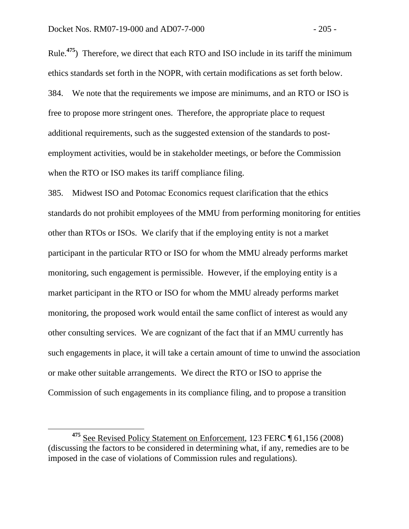Rule.**<sup>475</sup>**) Therefore, we direct that each RTO and ISO include in its tariff the minimum ethics standards set forth in the NOPR, with certain modifications as set forth below. 384. We note that the requirements we impose are minimums, and an RTO or ISO is free to propose more stringent ones. Therefore, the appropriate place to request additional requirements, such as the suggested extension of the standards to postemployment activities, would be in stakeholder meetings, or before the Commission when the RTO or ISO makes its tariff compliance filing.

385. Midwest ISO and Potomac Economics request clarification that the ethics standards do not prohibit employees of the MMU from performing monitoring for entities other than RTOs or ISOs. We clarify that if the employing entity is not a market participant in the particular RTO or ISO for whom the MMU already performs market monitoring, such engagement is permissible. However, if the employing entity is a market participant in the RTO or ISO for whom the MMU already performs market monitoring, the proposed work would entail the same conflict of interest as would any other consulting services. We are cognizant of the fact that if an MMU currently has such engagements in place, it will take a certain amount of time to unwind the association or make other suitable arrangements. We direct the RTO or ISO to apprise the Commission of such engagements in its compliance filing, and to propose a transition

**<sup>475</sup>** See Revised Policy Statement on Enforcement, 123 FERC ¶ 61,156 (2008) (discussing the factors to be considered in determining what, if any, remedies are to be imposed in the case of violations of Commission rules and regulations).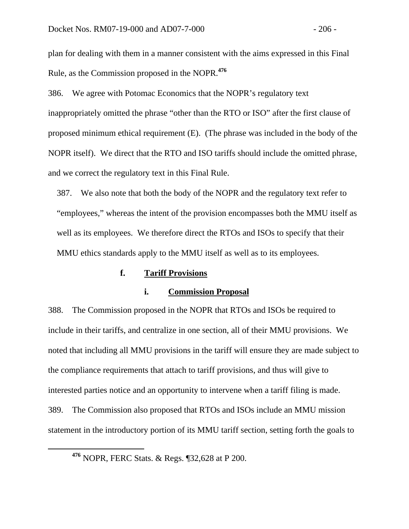plan for dealing with them in a manner consistent with the aims expressed in this Final Rule, as the Commission proposed in the NOPR.**<sup>476</sup>**

386. We agree with Potomac Economics that the NOPR's regulatory text inappropriately omitted the phrase "other than the RTO or ISO" after the first clause of proposed minimum ethical requirement (E). (The phrase was included in the body of the NOPR itself). We direct that the RTO and ISO tariffs should include the omitted phrase, and we correct the regulatory text in this Final Rule.

387. We also note that both the body of the NOPR and the regulatory text refer to "employees," whereas the intent of the provision encompasses both the MMU itself as well as its employees. We therefore direct the RTOs and ISOs to specify that their MMU ethics standards apply to the MMU itself as well as to its employees.

## **f. Tariff Provisions**

### **i. Commission Proposal**

388. The Commission proposed in the NOPR that RTOs and ISOs be required to include in their tariffs, and centralize in one section, all of their MMU provisions. We noted that including all MMU provisions in the tariff will ensure they are made subject to the compliance requirements that attach to tariff provisions, and thus will give to interested parties notice and an opportunity to intervene when a tariff filing is made. 389. The Commission also proposed that RTOs and ISOs include an MMU mission statement in the introductory portion of its MMU tariff section, setting forth the goals to

**<sup>476</sup>** NOPR, FERC Stats. & Regs. ¶32,628 at P 200.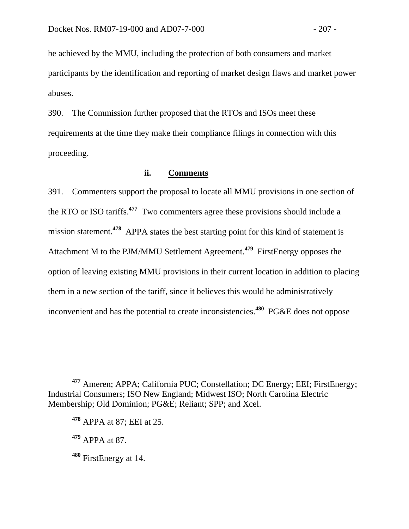be achieved by the MMU, including the protection of both consumers and market participants by the identification and reporting of market design flaws and market power abuses.

390. The Commission further proposed that the RTOs and ISOs meet these requirements at the time they make their compliance filings in connection with this proceeding.

## **ii. Comments**

391. Commenters support the proposal to locate all MMU provisions in one section of the RTO or ISO tariffs.**<sup>477</sup>** Two commenters agree these provisions should include a mission statement.<sup>478</sup> APPA states the best starting point for this kind of statement is Attachment M to the PJM/MMU Settlement Agreement.**<sup>479</sup>** FirstEnergy opposes the option of leaving existing MMU provisions in their current location in addition to placing them in a new section of the tariff, since it believes this would be administratively inconvenient and has the potential to create inconsistencies.**<sup>480</sup>** PG&E does not oppose

- **<sup>479</sup>** APPA at 87.
- **<sup>480</sup>** FirstEnergy at 14.

**<sup>477</sup>** Ameren; APPA; California PUC; Constellation; DC Energy; EEI; FirstEnergy; Industrial Consumers; ISO New England; Midwest ISO; North Carolina Electric Membership; Old Dominion; PG&E; Reliant; SPP; and Xcel.

**<sup>478</sup>** APPA at 87; EEI at 25.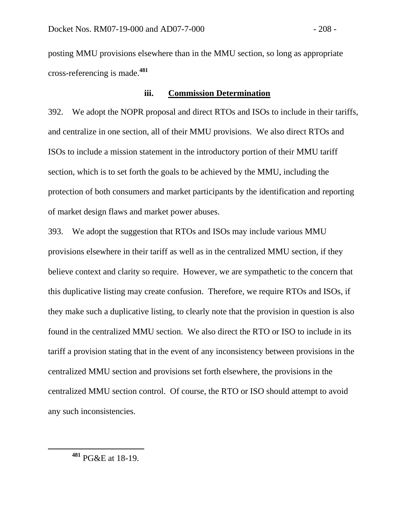posting MMU provisions elsewhere than in the MMU section, so long as appropriate cross-referencing is made.**<sup>481</sup>**

## **iii. Commission Determination**

392. We adopt the NOPR proposal and direct RTOs and ISOs to include in their tariffs, and centralize in one section, all of their MMU provisions. We also direct RTOs and ISOs to include a mission statement in the introductory portion of their MMU tariff section, which is to set forth the goals to be achieved by the MMU, including the protection of both consumers and market participants by the identification and reporting of market design flaws and market power abuses.

393. We adopt the suggestion that RTOs and ISOs may include various MMU provisions elsewhere in their tariff as well as in the centralized MMU section, if they believe context and clarity so require. However, we are sympathetic to the concern that this duplicative listing may create confusion. Therefore, we require RTOs and ISOs, if they make such a duplicative listing, to clearly note that the provision in question is also found in the centralized MMU section. We also direct the RTO or ISO to include in its tariff a provision stating that in the event of any inconsistency between provisions in the centralized MMU section and provisions set forth elsewhere, the provisions in the centralized MMU section control. Of course, the RTO or ISO should attempt to avoid any such inconsistencies.

**<sup>481</sup>** PG&E at 18-19.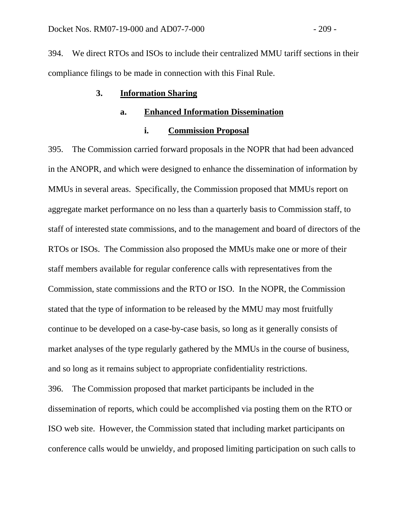394. We direct RTOs and ISOs to include their centralized MMU tariff sections in their compliance filings to be made in connection with this Final Rule.

### **3. Information Sharing**

#### **a. Enhanced Information Dissemination**

#### **i. Commission Proposal**

395. The Commission carried forward proposals in the NOPR that had been advanced in the ANOPR, and which were designed to enhance the dissemination of information by MMUs in several areas. Specifically, the Commission proposed that MMUs report on aggregate market performance on no less than a quarterly basis to Commission staff, to staff of interested state commissions, and to the management and board of directors of the RTOs or ISOs. The Commission also proposed the MMUs make one or more of their staff members available for regular conference calls with representatives from the Commission, state commissions and the RTO or ISO. In the NOPR, the Commission stated that the type of information to be released by the MMU may most fruitfully continue to be developed on a case-by-case basis, so long as it generally consists of market analyses of the type regularly gathered by the MMUs in the course of business, and so long as it remains subject to appropriate confidentiality restrictions.

396. The Commission proposed that market participants be included in the dissemination of reports, which could be accomplished via posting them on the RTO or ISO web site. However, the Commission stated that including market participants on conference calls would be unwieldy, and proposed limiting participation on such calls to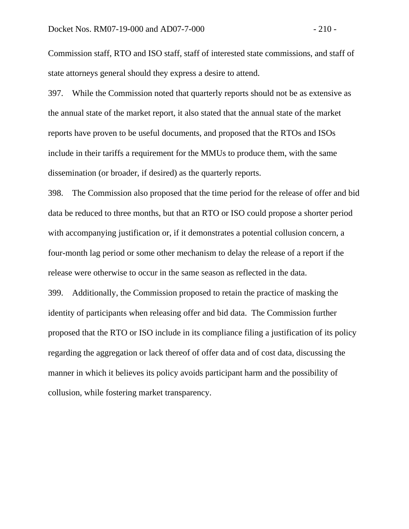Commission staff, RTO and ISO staff, staff of interested state commissions, and staff of state attorneys general should they express a desire to attend.

397. While the Commission noted that quarterly reports should not be as extensive as the annual state of the market report, it also stated that the annual state of the market reports have proven to be useful documents, and proposed that the RTOs and ISOs include in their tariffs a requirement for the MMUs to produce them, with the same dissemination (or broader, if desired) as the quarterly reports.

398. The Commission also proposed that the time period for the release of offer and bid data be reduced to three months, but that an RTO or ISO could propose a shorter period with accompanying justification or, if it demonstrates a potential collusion concern, a four-month lag period or some other mechanism to delay the release of a report if the release were otherwise to occur in the same season as reflected in the data.

399. Additionally, the Commission proposed to retain the practice of masking the identity of participants when releasing offer and bid data. The Commission further proposed that the RTO or ISO include in its compliance filing a justification of its policy regarding the aggregation or lack thereof of offer data and of cost data, discussing the manner in which it believes its policy avoids participant harm and the possibility of collusion, while fostering market transparency.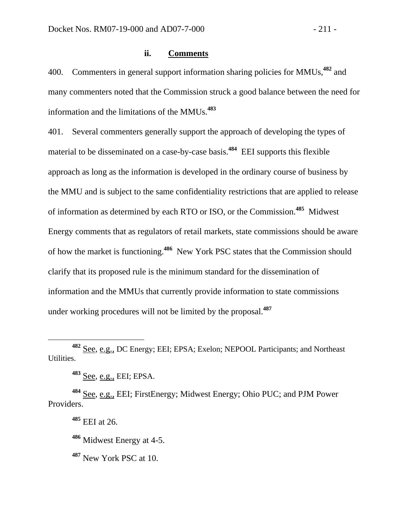400. Commenters in general support information sharing policies for MMUs,**<sup>482</sup>** and many commenters noted that the Commission struck a good balance between the need for information and the limitations of the MMUs.**<sup>483</sup>**

401. Several commenters generally support the approach of developing the types of material to be disseminated on a case-by-case basis.**<sup>484</sup>** EEI supports this flexible approach as long as the information is developed in the ordinary course of business by the MMU and is subject to the same confidentiality restrictions that are applied to release of information as determined by each RTO or ISO, or the Commission.**<sup>485</sup>** Midwest Energy comments that as regulators of retail markets, state commissions should be aware of how the market is functioning.**<sup>486</sup>** New York PSC states that the Commission should clarify that its proposed rule is the minimum standard for the dissemination of information and the MMUs that currently provide information to state commissions under working procedures will not be limited by the proposal.**<sup>487</sup>**

**<sup>483</sup>** See, e.g., EEI; EPSA.

**<sup>484</sup>** See, e.g., EEI; FirstEnergy; Midwest Energy; Ohio PUC; and PJM Power Providers.

**<sup>485</sup>** EEI at 26.

**<sup>486</sup>** Midwest Energy at 4-5.

**<sup>487</sup>** New York PSC at 10.

**<sup>482</sup>** See, e.g., DC Energy; EEI; EPSA; Exelon; NEPOOL Participants; and Northeast Utilities.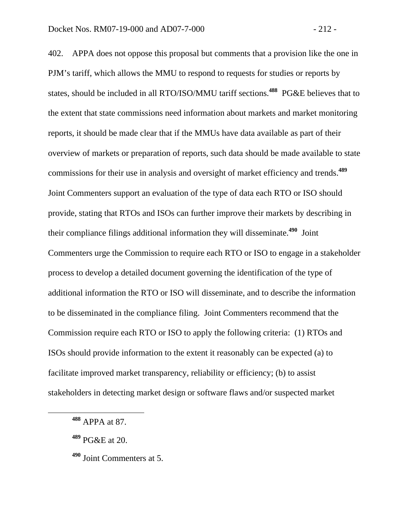402. APPA does not oppose this proposal but comments that a provision like the one in PJM's tariff, which allows the MMU to respond to requests for studies or reports by states, should be included in all RTO/ISO/MMU tariff sections.**<sup>488</sup>** PG&E believes that to the extent that state commissions need information about markets and market monitoring reports, it should be made clear that if the MMUs have data available as part of their overview of markets or preparation of reports, such data should be made available to state commissions for their use in analysis and oversight of market efficiency and trends.**<sup>489</sup>** Joint Commenters support an evaluation of the type of data each RTO or ISO should provide, stating that RTOs and ISOs can further improve their markets by describing in their compliance filings additional information they will disseminate.**<sup>490</sup>** Joint Commenters urge the Commission to require each RTO or ISO to engage in a stakeholder process to develop a detailed document governing the identification of the type of additional information the RTO or ISO will disseminate, and to describe the information to be disseminated in the compliance filing. Joint Commenters recommend that the Commission require each RTO or ISO to apply the following criteria: (1) RTOs and ISOs should provide information to the extent it reasonably can be expected (a) to facilitate improved market transparency, reliability or efficiency; (b) to assist stakeholders in detecting market design or software flaws and/or suspected market

**<sup>488</sup>** APPA at 87.

**<sup>489</sup>** PG&E at 20.

**<sup>490</sup>** Joint Commenters at 5.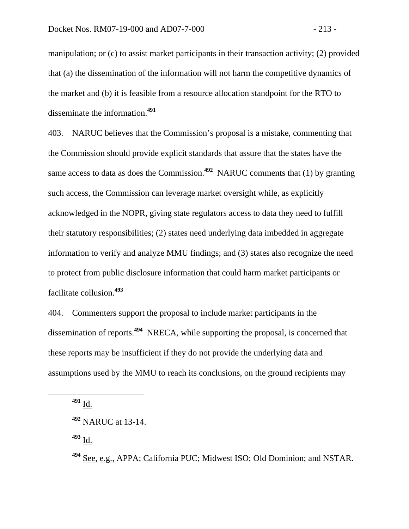manipulation; or (c) to assist market participants in their transaction activity; (2) provided that (a) the dissemination of the information will not harm the competitive dynamics of the market and (b) it is feasible from a resource allocation standpoint for the RTO to disseminate the information.**<sup>491</sup>**

403. NARUC believes that the Commission's proposal is a mistake, commenting that the Commission should provide explicit standards that assure that the states have the same access to data as does the Commission.**<sup>492</sup>** NARUC comments that (1) by granting such access, the Commission can leverage market oversight while, as explicitly acknowledged in the NOPR, giving state regulators access to data they need to fulfill their statutory responsibilities; (2) states need underlying data imbedded in aggregate information to verify and analyze MMU findings; and (3) states also recognize the need to protect from public disclosure information that could harm market participants or facilitate collusion.**<sup>493</sup>**

404. Commenters support the proposal to include market participants in the dissemination of reports.**<sup>494</sup>** NRECA, while supporting the proposal, is concerned that these reports may be insufficient if they do not provide the underlying data and assumptions used by the MMU to reach its conclusions, on the ground recipients may

**<sup>491</sup>** Id.

**<sup>493</sup>** Id.

**<sup>492</sup>** NARUC at 13-14.

**<sup>494</sup>** See, e.g., APPA; California PUC; Midwest ISO; Old Dominion; and NSTAR.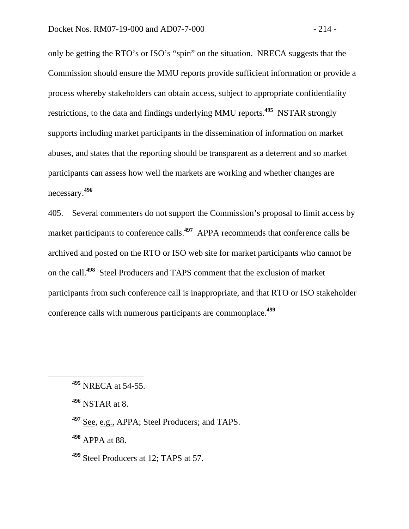only be getting the RTO's or ISO's "spin" on the situation. NRECA suggests that the Commission should ensure the MMU reports provide sufficient information or provide a process whereby stakeholders can obtain access, subject to appropriate confidentiality restrictions, to the data and findings underlying MMU reports.**<sup>495</sup>** NSTAR strongly supports including market participants in the dissemination of information on market abuses, and states that the reporting should be transparent as a deterrent and so market participants can assess how well the markets are working and whether changes are necessary.**<sup>496</sup>**

405. Several commenters do not support the Commission's proposal to limit access by market participants to conference calls.**<sup>497</sup>** APPA recommends that conference calls be archived and posted on the RTO or ISO web site for market participants who cannot be on the call.**<sup>498</sup>** Steel Producers and TAPS comment that the exclusion of market participants from such conference call is inappropriate, and that RTO or ISO stakeholder conference calls with numerous participants are commonplace.**<sup>499</sup>**

**<sup>498</sup>** APPA at 88.

**<sup>499</sup>** Steel Producers at 12; TAPS at 57.

**<sup>495</sup>** NRECA at 54-55.

**<sup>496</sup>** NSTAR at 8.

**<sup>497</sup>** See, e.g., APPA; Steel Producers; and TAPS.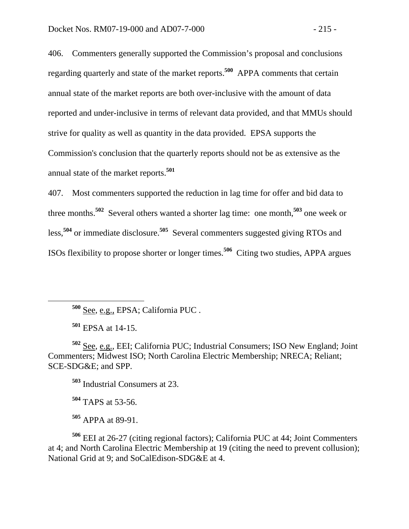406. Commenters generally supported the Commission's proposal and conclusions regarding quarterly and state of the market reports.**<sup>500</sup>** APPA comments that certain annual state of the market reports are both over-inclusive with the amount of data reported and under-inclusive in terms of relevant data provided, and that MMUs should strive for quality as well as quantity in the data provided. EPSA supports the Commission's conclusion that the quarterly reports should not be as extensive as the annual state of the market reports.**<sup>501</sup>**

407. Most commenters supported the reduction in lag time for offer and bid data to three months.**<sup>502</sup>** Several others wanted a shorter lag time: one month,**<sup>503</sup>** one week or less,**<sup>504</sup>** or immediate disclosure.**<sup>505</sup>** Several commenters suggested giving RTOs and ISOs flexibility to propose shorter or longer times.**<sup>506</sup>** Citing two studies, APPA argues

**<sup>500</sup>** See, e.g., EPSA; California PUC .

**<sup>501</sup>** EPSA at 14-15.

**<sup>502</sup>** See, e.g., EEI; California PUC; Industrial Consumers; ISO New England; Joint Commenters; Midwest ISO; North Carolina Electric Membership; NRECA; Reliant; SCE-SDG&E; and SPP.

**<sup>503</sup>** Industrial Consumers at 23.

**<sup>504</sup>** TAPS at 53-56.

**<sup>505</sup>** APPA at 89-91.

**<sup>506</sup>** EEI at 26-27 (citing regional factors); California PUC at 44; Joint Commenters at 4; and North Carolina Electric Membership at 19 (citing the need to prevent collusion); National Grid at 9; and SoCalEdison-SDG&E at 4.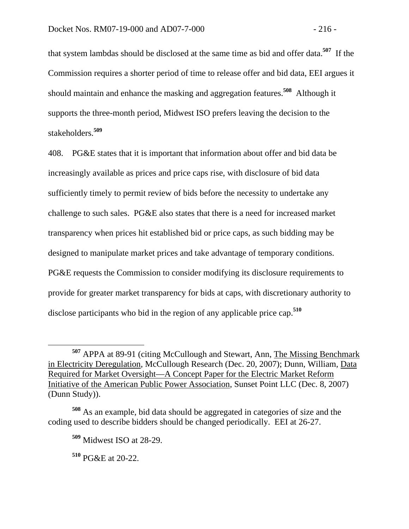that system lambdas should be disclosed at the same time as bid and offer data.**<sup>507</sup>** If the Commission requires a shorter period of time to release offer and bid data, EEI argues it should maintain and enhance the masking and aggregation features.**<sup>508</sup>** Although it supports the three-month period, Midwest ISO prefers leaving the decision to the stakeholders.**<sup>509</sup>**

408. PG&E states that it is important that information about offer and bid data be increasingly available as prices and price caps rise, with disclosure of bid data sufficiently timely to permit review of bids before the necessity to undertake any challenge to such sales. PG&E also states that there is a need for increased market transparency when prices hit established bid or price caps, as such bidding may be designed to manipulate market prices and take advantage of temporary conditions. PG&E requests the Commission to consider modifying its disclosure requirements to provide for greater market transparency for bids at caps, with discretionary authority to disclose participants who bid in the region of any applicable price cap.**<sup>510</sup>**

**<sup>507</sup>** APPA at 89-91 (citing McCullough and Stewart, Ann, The Missing Benchmark in Electricity Deregulation, McCullough Research (Dec. 20, 2007); Dunn, William, Data Required for Market Oversight—A Concept Paper for the Electric Market Reform Initiative of the American Public Power Association, Sunset Point LLC (Dec. 8, 2007) (Dunn Study)).

**<sup>508</sup>** As an example, bid data should be aggregated in categories of size and the coding used to describe bidders should be changed periodically. EEI at 26-27.

**<sup>509</sup>** Midwest ISO at 28-29.

**<sup>510</sup>** PG&E at 20-22.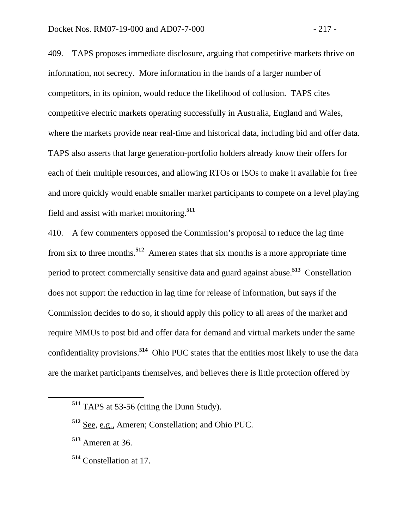409. TAPS proposes immediate disclosure, arguing that competitive markets thrive on information, not secrecy. More information in the hands of a larger number of competitors, in its opinion, would reduce the likelihood of collusion. TAPS cites competitive electric markets operating successfully in Australia, England and Wales, where the markets provide near real-time and historical data, including bid and offer data. TAPS also asserts that large generation-portfolio holders already know their offers for each of their multiple resources, and allowing RTOs or ISOs to make it available for free and more quickly would enable smaller market participants to compete on a level playing field and assist with market monitoring.**<sup>511</sup>**

410. A few commenters opposed the Commission's proposal to reduce the lag time from six to three months.**<sup>512</sup>** Ameren states that six months is a more appropriate time period to protect commercially sensitive data and guard against abuse.**<sup>513</sup>** Constellation does not support the reduction in lag time for release of information, but says if the Commission decides to do so, it should apply this policy to all areas of the market and require MMUs to post bid and offer data for demand and virtual markets under the same confidentiality provisions.**<sup>514</sup>** Ohio PUC states that the entities most likely to use the data are the market participants themselves, and believes there is little protection offered by

**<sup>514</sup>** Constellation at 17.

**<sup>511</sup>** TAPS at 53-56 (citing the Dunn Study).

**<sup>512</sup>** See, e.g., Ameren; Constellation; and Ohio PUC.

**<sup>513</sup>** Ameren at 36.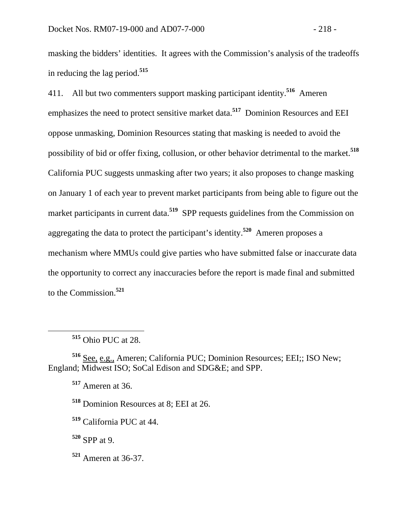masking the bidders' identities. It agrees with the Commission's analysis of the tradeoffs in reducing the lag period.**<sup>515</sup>**

411. All but two commenters support masking participant identity.**<sup>516</sup>** Ameren emphasizes the need to protect sensitive market data.**<sup>517</sup>** Dominion Resources and EEI oppose unmasking, Dominion Resources stating that masking is needed to avoid the possibility of bid or offer fixing, collusion, or other behavior detrimental to the market.**<sup>518</sup>** California PUC suggests unmasking after two years; it also proposes to change masking on January 1 of each year to prevent market participants from being able to figure out the market participants in current data.<sup>519</sup> SPP requests guidelines from the Commission on aggregating the data to protect the participant's identity.**<sup>520</sup>** Ameren proposes a mechanism where MMUs could give parties who have submitted false or inaccurate data the opportunity to correct any inaccuracies before the report is made final and submitted to the Commission.**<sup>521</sup>**

**<sup>520</sup>** SPP at 9.

**<sup>521</sup>** Ameren at 36-37.

**<sup>515</sup>** Ohio PUC at 28.

**<sup>516</sup>** See, e.g., Ameren; California PUC; Dominion Resources; EEI;; ISO New; England; Midwest ISO; SoCal Edison and SDG&E; and SPP.

**<sup>517</sup>** Ameren at 36.

**<sup>518</sup>** Dominion Resources at 8; EEI at 26.

**<sup>519</sup>** California PUC at 44.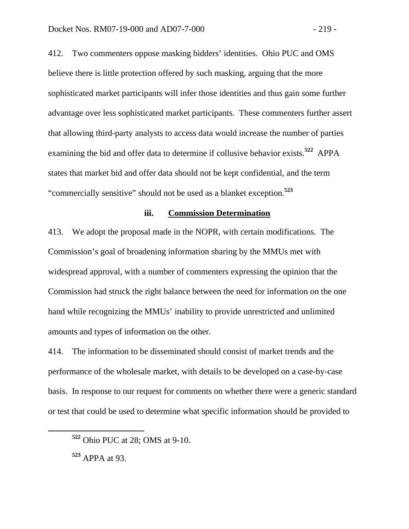412. Two commenters oppose masking bidders' identities. Ohio PUC and OMS believe there is little protection offered by such masking, arguing that the more sophisticated market participants will infer those identities and thus gain some further advantage over less sophisticated market participants. These commenters further assert that allowing third-party analysts to access data would increase the number of parties examining the bid and offer data to determine if collusive behavior exists.**<sup>522</sup>** APPA states that market bid and offer data should not be kept confidential, and the term "commercially sensitive" should not be used as a blanket exception.**<sup>523</sup>**

### **iii. Commission Determination**

413. We adopt the proposal made in the NOPR, with certain modifications. The Commission's goal of broadening information sharing by the MMUs met with widespread approval, with a number of commenters expressing the opinion that the Commission had struck the right balance between the need for information on the one hand while recognizing the MMUs' inability to provide unrestricted and unlimited amounts and types of information on the other.

414. The information to be disseminated should consist of market trends and the performance of the wholesale market, with details to be developed on a case-by-case basis. In response to our request for comments on whether there were a generic standard or test that could be used to determine what specific information should be provided to

**<sup>522</sup>** Ohio PUC at 28; OMS at 9-10.

**<sup>523</sup>** APPA at 93.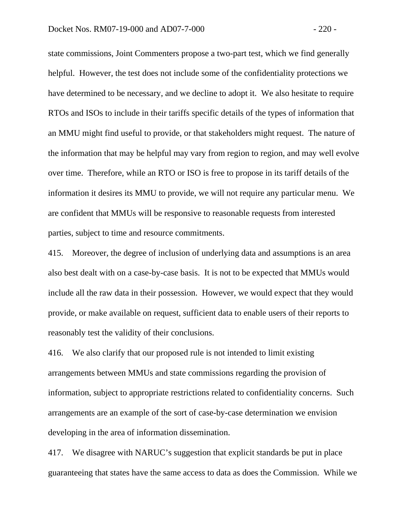state commissions, Joint Commenters propose a two-part test, which we find generally helpful. However, the test does not include some of the confidentiality protections we have determined to be necessary, and we decline to adopt it. We also hesitate to require RTOs and ISOs to include in their tariffs specific details of the types of information that an MMU might find useful to provide, or that stakeholders might request. The nature of the information that may be helpful may vary from region to region, and may well evolve over time. Therefore, while an RTO or ISO is free to propose in its tariff details of the information it desires its MMU to provide, we will not require any particular menu. We are confident that MMUs will be responsive to reasonable requests from interested parties, subject to time and resource commitments.

415. Moreover, the degree of inclusion of underlying data and assumptions is an area also best dealt with on a case-by-case basis. It is not to be expected that MMUs would include all the raw data in their possession. However, we would expect that they would provide, or make available on request, sufficient data to enable users of their reports to reasonably test the validity of their conclusions.

416. We also clarify that our proposed rule is not intended to limit existing arrangements between MMUs and state commissions regarding the provision of information, subject to appropriate restrictions related to confidentiality concerns. Such arrangements are an example of the sort of case-by-case determination we envision developing in the area of information dissemination.

417. We disagree with NARUC's suggestion that explicit standards be put in place guaranteeing that states have the same access to data as does the Commission. While we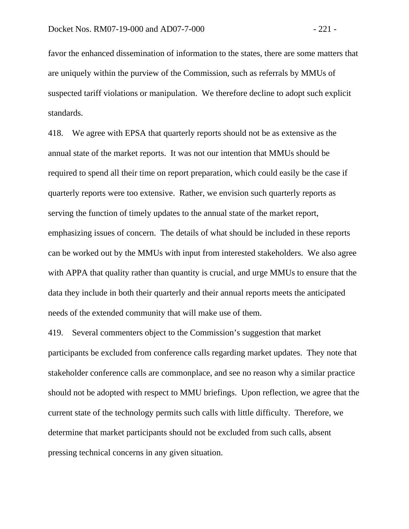favor the enhanced dissemination of information to the states, there are some matters that are uniquely within the purview of the Commission, such as referrals by MMUs of suspected tariff violations or manipulation. We therefore decline to adopt such explicit standards.

418. We agree with EPSA that quarterly reports should not be as extensive as the annual state of the market reports. It was not our intention that MMUs should be required to spend all their time on report preparation, which could easily be the case if quarterly reports were too extensive. Rather, we envision such quarterly reports as serving the function of timely updates to the annual state of the market report, emphasizing issues of concern. The details of what should be included in these reports can be worked out by the MMUs with input from interested stakeholders. We also agree with APPA that quality rather than quantity is crucial, and urge MMUs to ensure that the data they include in both their quarterly and their annual reports meets the anticipated needs of the extended community that will make use of them.

419. Several commenters object to the Commission's suggestion that market participants be excluded from conference calls regarding market updates. They note that stakeholder conference calls are commonplace, and see no reason why a similar practice should not be adopted with respect to MMU briefings. Upon reflection, we agree that the current state of the technology permits such calls with little difficulty. Therefore, we determine that market participants should not be excluded from such calls, absent pressing technical concerns in any given situation.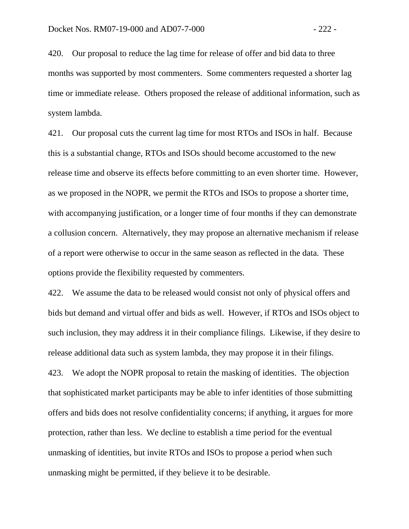420. Our proposal to reduce the lag time for release of offer and bid data to three months was supported by most commenters. Some commenters requested a shorter lag time or immediate release. Others proposed the release of additional information, such as system lambda.

421. Our proposal cuts the current lag time for most RTOs and ISOs in half. Because this is a substantial change, RTOs and ISOs should become accustomed to the new release time and observe its effects before committing to an even shorter time. However, as we proposed in the NOPR, we permit the RTOs and ISOs to propose a shorter time, with accompanying justification, or a longer time of four months if they can demonstrate a collusion concern. Alternatively, they may propose an alternative mechanism if release of a report were otherwise to occur in the same season as reflected in the data. These options provide the flexibility requested by commenters.

422. We assume the data to be released would consist not only of physical offers and bids but demand and virtual offer and bids as well. However, if RTOs and ISOs object to such inclusion, they may address it in their compliance filings. Likewise, if they desire to release additional data such as system lambda, they may propose it in their filings.

423. We adopt the NOPR proposal to retain the masking of identities. The objection that sophisticated market participants may be able to infer identities of those submitting offers and bids does not resolve confidentiality concerns; if anything, it argues for more protection, rather than less. We decline to establish a time period for the eventual unmasking of identities, but invite RTOs and ISOs to propose a period when such unmasking might be permitted, if they believe it to be desirable.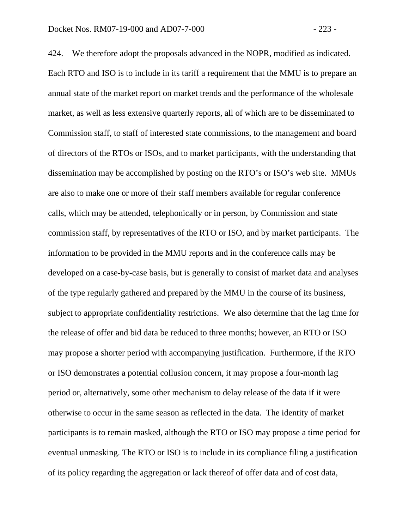424. We therefore adopt the proposals advanced in the NOPR, modified as indicated. Each RTO and ISO is to include in its tariff a requirement that the MMU is to prepare an annual state of the market report on market trends and the performance of the wholesale market, as well as less extensive quarterly reports, all of which are to be disseminated to Commission staff, to staff of interested state commissions, to the management and board of directors of the RTOs or ISOs, and to market participants, with the understanding that dissemination may be accomplished by posting on the RTO's or ISO's web site. MMUs are also to make one or more of their staff members available for regular conference calls, which may be attended, telephonically or in person, by Commission and state commission staff, by representatives of the RTO or ISO, and by market participants. The information to be provided in the MMU reports and in the conference calls may be developed on a case-by-case basis, but is generally to consist of market data and analyses of the type regularly gathered and prepared by the MMU in the course of its business, subject to appropriate confidentiality restrictions. We also determine that the lag time for the release of offer and bid data be reduced to three months; however, an RTO or ISO may propose a shorter period with accompanying justification. Furthermore, if the RTO or ISO demonstrates a potential collusion concern, it may propose a four-month lag period or, alternatively, some other mechanism to delay release of the data if it were otherwise to occur in the same season as reflected in the data. The identity of market participants is to remain masked, although the RTO or ISO may propose a time period for eventual unmasking. The RTO or ISO is to include in its compliance filing a justification of its policy regarding the aggregation or lack thereof of offer data and of cost data,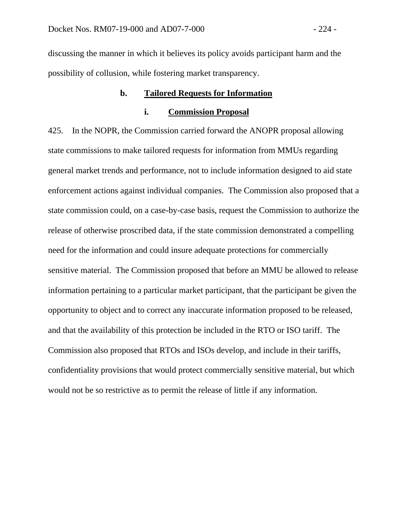discussing the manner in which it believes its policy avoids participant harm and the possibility of collusion, while fostering market transparency.

# **b. Tailored Requests for Information**

## **i. Commission Proposal**

425. In the NOPR, the Commission carried forward the ANOPR proposal allowing state commissions to make tailored requests for information from MMUs regarding general market trends and performance, not to include information designed to aid state enforcement actions against individual companies. The Commission also proposed that a state commission could, on a case-by-case basis, request the Commission to authorize the release of otherwise proscribed data, if the state commission demonstrated a compelling need for the information and could insure adequate protections for commercially sensitive material. The Commission proposed that before an MMU be allowed to release information pertaining to a particular market participant, that the participant be given the opportunity to object and to correct any inaccurate information proposed to be released, and that the availability of this protection be included in the RTO or ISO tariff. The Commission also proposed that RTOs and ISOs develop, and include in their tariffs, confidentiality provisions that would protect commercially sensitive material, but which would not be so restrictive as to permit the release of little if any information.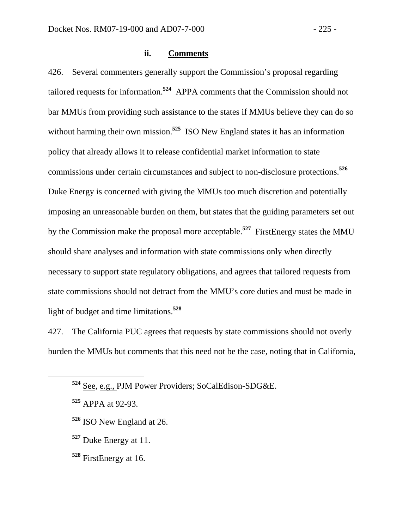#### **ii. Comments**

426. Several commenters generally support the Commission's proposal regarding tailored requests for information.**<sup>524</sup>** APPA comments that the Commission should not bar MMUs from providing such assistance to the states if MMUs believe they can do so without harming their own mission.<sup>525</sup> ISO New England states it has an information policy that already allows it to release confidential market information to state commissions under certain circumstances and subject to non-disclosure protections.**<sup>526</sup>** Duke Energy is concerned with giving the MMUs too much discretion and potentially imposing an unreasonable burden on them, but states that the guiding parameters set out by the Commission make the proposal more acceptable.**<sup>527</sup>** FirstEnergy states the MMU should share analyses and information with state commissions only when directly necessary to support state regulatory obligations, and agrees that tailored requests from state commissions should not detract from the MMU's core duties and must be made in light of budget and time limitations.**<sup>528</sup>**

427. The California PUC agrees that requests by state commissions should not overly burden the MMUs but comments that this need not be the case, noting that in California,

- **<sup>526</sup>** ISO New England at 26.
- **<sup>527</sup>** Duke Energy at 11.
- **<sup>528</sup>** FirstEnergy at 16.

**<sup>524</sup>** See, e.g., PJM Power Providers; SoCalEdison-SDG&E.

**<sup>525</sup>** APPA at 92-93.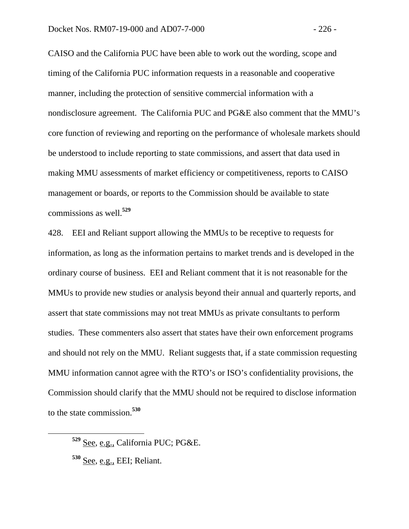CAISO and the California PUC have been able to work out the wording, scope and timing of the California PUC information requests in a reasonable and cooperative manner, including the protection of sensitive commercial information with a nondisclosure agreement. The California PUC and PG&E also comment that the MMU's core function of reviewing and reporting on the performance of wholesale markets should be understood to include reporting to state commissions, and assert that data used in making MMU assessments of market efficiency or competitiveness, reports to CAISO management or boards, or reports to the Commission should be available to state commissions as well.**<sup>529</sup>**

428. EEI and Reliant support allowing the MMUs to be receptive to requests for information, as long as the information pertains to market trends and is developed in the ordinary course of business. EEI and Reliant comment that it is not reasonable for the MMUs to provide new studies or analysis beyond their annual and quarterly reports, and assert that state commissions may not treat MMUs as private consultants to perform studies. These commenters also assert that states have their own enforcement programs and should not rely on the MMU. Reliant suggests that, if a state commission requesting MMU information cannot agree with the RTO's or ISO's confidentiality provisions, the Commission should clarify that the MMU should not be required to disclose information to the state commission.**<sup>530</sup>**

**<sup>529</sup>** See, e.g., California PUC; PG&E.

**<sup>530</sup>** See, e.g., EEI; Reliant.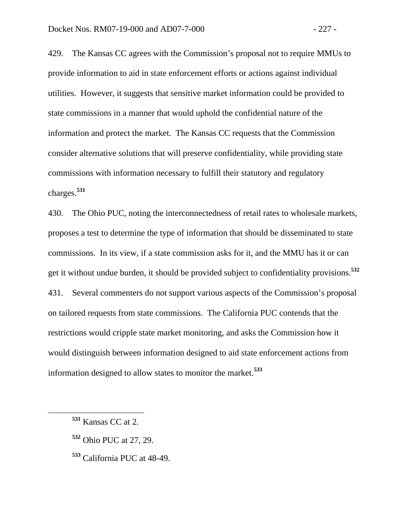429. The Kansas CC agrees with the Commission's proposal not to require MMUs to provide information to aid in state enforcement efforts or actions against individual utilities. However, it suggests that sensitive market information could be provided to state commissions in a manner that would uphold the confidential nature of the information and protect the market. The Kansas CC requests that the Commission consider alternative solutions that will preserve confidentiality, while providing state commissions with information necessary to fulfill their statutory and regulatory charges.**<sup>531</sup>**

430. The Ohio PUC, noting the interconnectedness of retail rates to wholesale markets, proposes a test to determine the type of information that should be disseminated to state commissions. In its view, if a state commission asks for it, and the MMU has it or can get it without undue burden, it should be provided subject to confidentiality provisions.**<sup>532</sup>** 431. Several commenters do not support various aspects of the Commission's proposal on tailored requests from state commissions. The California PUC contends that the restrictions would cripple state market monitoring, and asks the Commission how it would distinguish between information designed to aid state enforcement actions from information designed to allow states to monitor the market.**<sup>533</sup>**

- **<sup>532</sup>** Ohio PUC at 27, 29.
- **<sup>533</sup>** California PUC at 48-49.

**<sup>531</sup>** Kansas CC at 2.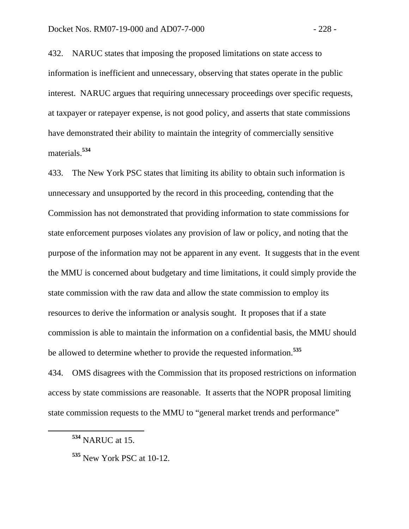432. NARUC states that imposing the proposed limitations on state access to information is inefficient and unnecessary, observing that states operate in the public interest. NARUC argues that requiring unnecessary proceedings over specific requests, at taxpayer or ratepayer expense, is not good policy, and asserts that state commissions have demonstrated their ability to maintain the integrity of commercially sensitive materials.**<sup>534</sup>**

433. The New York PSC states that limiting its ability to obtain such information is unnecessary and unsupported by the record in this proceeding, contending that the Commission has not demonstrated that providing information to state commissions for state enforcement purposes violates any provision of law or policy, and noting that the purpose of the information may not be apparent in any event. It suggests that in the event the MMU is concerned about budgetary and time limitations, it could simply provide the state commission with the raw data and allow the state commission to employ its resources to derive the information or analysis sought. It proposes that if a state commission is able to maintain the information on a confidential basis, the MMU should be allowed to determine whether to provide the requested information.**<sup>535</sup>**

434. OMS disagrees with the Commission that its proposed restrictions on information access by state commissions are reasonable. It asserts that the NOPR proposal limiting state commission requests to the MMU to "general market trends and performance"

**<sup>534</sup>** NARUC at 15.

**<sup>535</sup>** New York PSC at 10-12.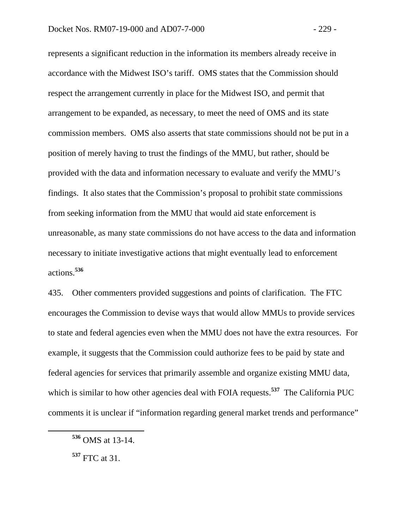represents a significant reduction in the information its members already receive in accordance with the Midwest ISO's tariff. OMS states that the Commission should respect the arrangement currently in place for the Midwest ISO, and permit that arrangement to be expanded, as necessary, to meet the need of OMS and its state commission members. OMS also asserts that state commissions should not be put in a position of merely having to trust the findings of the MMU, but rather, should be provided with the data and information necessary to evaluate and verify the MMU's findings. It also states that the Commission's proposal to prohibit state commissions from seeking information from the MMU that would aid state enforcement is unreasonable, as many state commissions do not have access to the data and information necessary to initiate investigative actions that might eventually lead to enforcement actions.**<sup>536</sup>**

435. Other commenters provided suggestions and points of clarification. The FTC encourages the Commission to devise ways that would allow MMUs to provide services to state and federal agencies even when the MMU does not have the extra resources. For example, it suggests that the Commission could authorize fees to be paid by state and federal agencies for services that primarily assemble and organize existing MMU data, which is similar to how other agencies deal with FOIA requests.<sup>537</sup> The California PUC comments it is unclear if "information regarding general market trends and performance"

**<sup>536</sup>** OMS at 13-14.

**<sup>537</sup>** FTC at 31.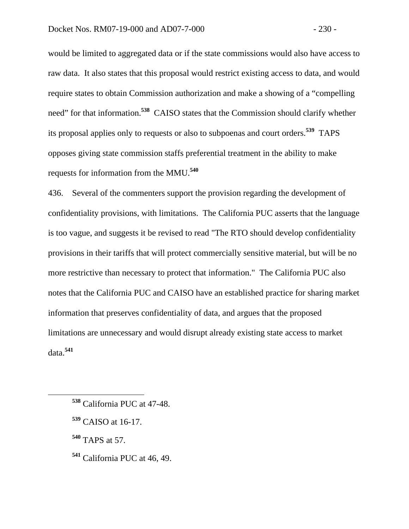would be limited to aggregated data or if the state commissions would also have access to raw data. It also states that this proposal would restrict existing access to data, and would require states to obtain Commission authorization and make a showing of a "compelling need" for that information.**<sup>538</sup>** CAISO states that the Commission should clarify whether its proposal applies only to requests or also to subpoenas and court orders.**<sup>539</sup>** TAPS opposes giving state commission staffs preferential treatment in the ability to make requests for information from the MMU.**<sup>540</sup>**

436. Several of the commenters support the provision regarding the development of confidentiality provisions, with limitations. The California PUC asserts that the language is too vague, and suggests it be revised to read "The RTO should develop confidentiality provisions in their tariffs that will protect commercially sensitive material, but will be no more restrictive than necessary to protect that information." The California PUC also notes that the California PUC and CAISO have an established practice for sharing market information that preserves confidentiality of data, and argues that the proposed limitations are unnecessary and would disrupt already existing state access to market data.**<sup>541</sup>**

- **<sup>538</sup>** California PUC at 47-48.
- **<sup>539</sup>** CAISO at 16-17.
- **<sup>540</sup>** TAPS at 57.
- **<sup>541</sup>** California PUC at 46, 49.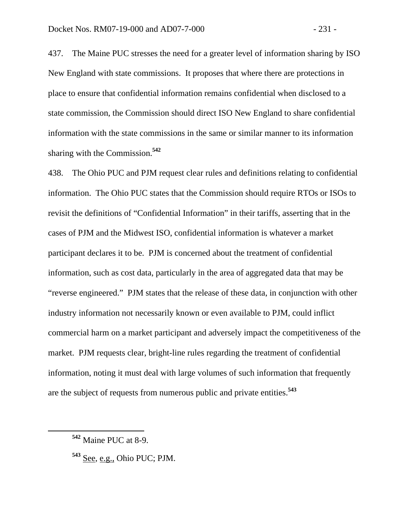437. The Maine PUC stresses the need for a greater level of information sharing by ISO New England with state commissions. It proposes that where there are protections in place to ensure that confidential information remains confidential when disclosed to a state commission, the Commission should direct ISO New England to share confidential information with the state commissions in the same or similar manner to its information sharing with the Commission.**<sup>542</sup>**

438. The Ohio PUC and PJM request clear rules and definitions relating to confidential information. The Ohio PUC states that the Commission should require RTOs or ISOs to revisit the definitions of "Confidential Information" in their tariffs, asserting that in the cases of PJM and the Midwest ISO, confidential information is whatever a market participant declares it to be. PJM is concerned about the treatment of confidential information, such as cost data, particularly in the area of aggregated data that may be "reverse engineered." PJM states that the release of these data, in conjunction with other industry information not necessarily known or even available to PJM, could inflict commercial harm on a market participant and adversely impact the competitiveness of the market. PJM requests clear, bright-line rules regarding the treatment of confidential information, noting it must deal with large volumes of such information that frequently are the subject of requests from numerous public and private entities.**<sup>543</sup>**

**<sup>542</sup>** Maine PUC at 8-9.

**<sup>543</sup>** See, e.g., Ohio PUC; PJM.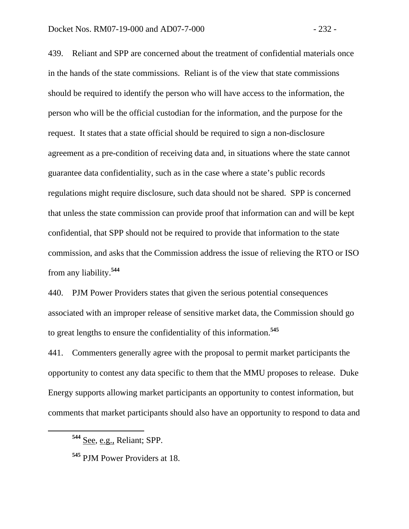439. Reliant and SPP are concerned about the treatment of confidential materials once in the hands of the state commissions. Reliant is of the view that state commissions should be required to identify the person who will have access to the information, the person who will be the official custodian for the information, and the purpose for the request. It states that a state official should be required to sign a non-disclosure agreement as a pre-condition of receiving data and, in situations where the state cannot guarantee data confidentiality, such as in the case where a state's public records regulations might require disclosure, such data should not be shared. SPP is concerned that unless the state commission can provide proof that information can and will be kept confidential, that SPP should not be required to provide that information to the state commission, and asks that the Commission address the issue of relieving the RTO or ISO from any liability.**<sup>544</sup>**

440. PJM Power Providers states that given the serious potential consequences associated with an improper release of sensitive market data, the Commission should go to great lengths to ensure the confidentiality of this information.**<sup>545</sup>**

441. Commenters generally agree with the proposal to permit market participants the opportunity to contest any data specific to them that the MMU proposes to release. Duke Energy supports allowing market participants an opportunity to contest information, but comments that market participants should also have an opportunity to respond to data and

**<sup>544</sup>** See, e.g., Reliant; SPP.

**<sup>545</sup>** PJM Power Providers at 18.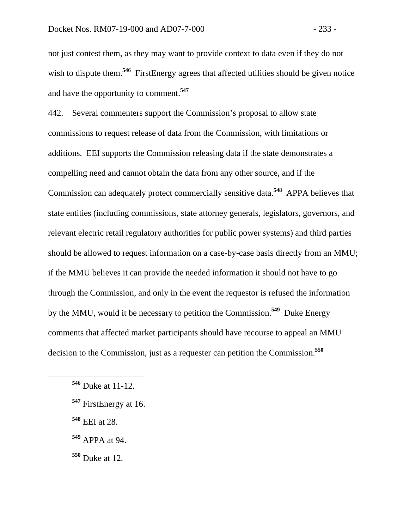not just contest them, as they may want to provide context to data even if they do not wish to dispute them.<sup>546</sup> FirstEnergy agrees that affected utilities should be given notice and have the opportunity to comment.**<sup>547</sup>**

442. Several commenters support the Commission's proposal to allow state commissions to request release of data from the Commission, with limitations or additions. EEI supports the Commission releasing data if the state demonstrates a compelling need and cannot obtain the data from any other source, and if the Commission can adequately protect commercially sensitive data.**<sup>548</sup>** APPA believes that state entities (including commissions, state attorney generals, legislators, governors, and relevant electric retail regulatory authorities for public power systems) and third parties should be allowed to request information on a case-by-case basis directly from an MMU; if the MMU believes it can provide the needed information it should not have to go through the Commission, and only in the event the requestor is refused the information by the MMU, would it be necessary to petition the Commission.**<sup>549</sup>** Duke Energy comments that affected market participants should have recourse to appeal an MMU decision to the Commission, just as a requester can petition the Commission.**<sup>550</sup>**

- **<sup>548</sup>** EEI at 28.
- **<sup>549</sup>** APPA at 94.

**<sup>550</sup>** Duke at 12.

**<sup>546</sup>** Duke at 11-12.

**<sup>547</sup>** FirstEnergy at 16.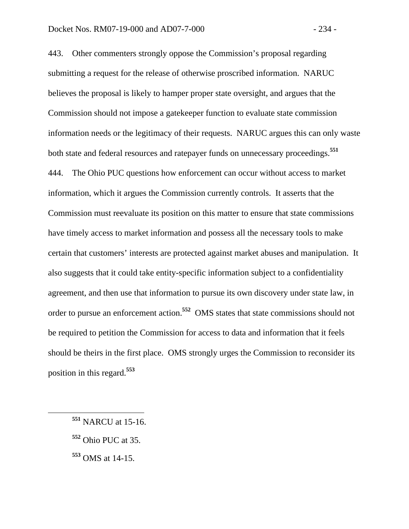443. Other commenters strongly oppose the Commission's proposal regarding submitting a request for the release of otherwise proscribed information. NARUC believes the proposal is likely to hamper proper state oversight, and argues that the Commission should not impose a gatekeeper function to evaluate state commission information needs or the legitimacy of their requests. NARUC argues this can only waste both state and federal resources and ratepayer funds on unnecessary proceedings.**<sup>551</sup>** 444. The Ohio PUC questions how enforcement can occur without access to market information, which it argues the Commission currently controls. It asserts that the Commission must reevaluate its position on this matter to ensure that state commissions have timely access to market information and possess all the necessary tools to make certain that customers' interests are protected against market abuses and manipulation. It also suggests that it could take entity-specific information subject to a confidentiality agreement, and then use that information to pursue its own discovery under state law, in order to pursue an enforcement action.**<sup>552</sup>** OMS states that state commissions should not be required to petition the Commission for access to data and information that it feels should be theirs in the first place. OMS strongly urges the Commission to reconsider its position in this regard.**<sup>553</sup>**

- **<sup>552</sup>** Ohio PUC at 35.
- **<sup>553</sup>** OMS at 14-15.

**<sup>551</sup>** NARCU at 15-16.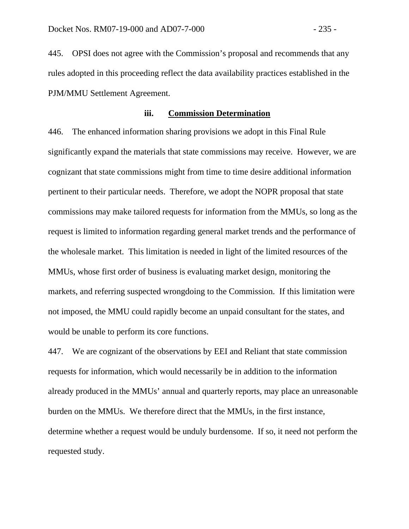445. OPSI does not agree with the Commission's proposal and recommends that any rules adopted in this proceeding reflect the data availability practices established in the PJM/MMU Settlement Agreement.

## **iii. Commission Determination**

446. The enhanced information sharing provisions we adopt in this Final Rule significantly expand the materials that state commissions may receive. However, we are cognizant that state commissions might from time to time desire additional information pertinent to their particular needs. Therefore, we adopt the NOPR proposal that state commissions may make tailored requests for information from the MMUs, so long as the request is limited to information regarding general market trends and the performance of the wholesale market. This limitation is needed in light of the limited resources of the MMUs, whose first order of business is evaluating market design, monitoring the markets, and referring suspected wrongdoing to the Commission. If this limitation were not imposed, the MMU could rapidly become an unpaid consultant for the states, and would be unable to perform its core functions.

447. We are cognizant of the observations by EEI and Reliant that state commission requests for information, which would necessarily be in addition to the information already produced in the MMUs' annual and quarterly reports, may place an unreasonable burden on the MMUs. We therefore direct that the MMUs, in the first instance, determine whether a request would be unduly burdensome. If so, it need not perform the requested study.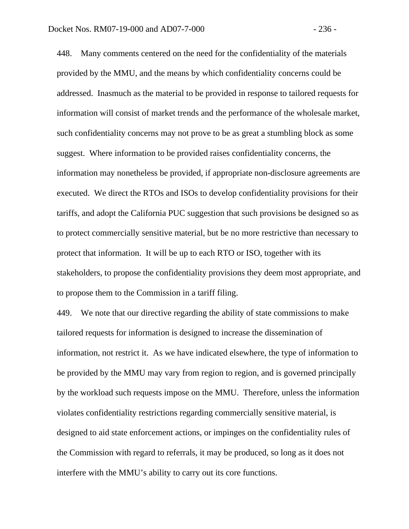448. Many comments centered on the need for the confidentiality of the materials provided by the MMU, and the means by which confidentiality concerns could be addressed. Inasmuch as the material to be provided in response to tailored requests for information will consist of market trends and the performance of the wholesale market, such confidentiality concerns may not prove to be as great a stumbling block as some suggest. Where information to be provided raises confidentiality concerns, the information may nonetheless be provided, if appropriate non-disclosure agreements are executed. We direct the RTOs and ISOs to develop confidentiality provisions for their tariffs, and adopt the California PUC suggestion that such provisions be designed so as to protect commercially sensitive material, but be no more restrictive than necessary to protect that information. It will be up to each RTO or ISO, together with its stakeholders, to propose the confidentiality provisions they deem most appropriate, and to propose them to the Commission in a tariff filing.

449. We note that our directive regarding the ability of state commissions to make tailored requests for information is designed to increase the dissemination of information, not restrict it. As we have indicated elsewhere, the type of information to be provided by the MMU may vary from region to region, and is governed principally by the workload such requests impose on the MMU. Therefore, unless the information violates confidentiality restrictions regarding commercially sensitive material, is designed to aid state enforcement actions, or impinges on the confidentiality rules of the Commission with regard to referrals, it may be produced, so long as it does not interfere with the MMU's ability to carry out its core functions.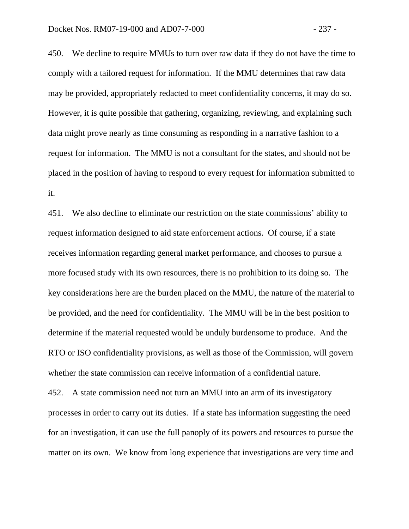450. We decline to require MMUs to turn over raw data if they do not have the time to comply with a tailored request for information. If the MMU determines that raw data may be provided, appropriately redacted to meet confidentiality concerns, it may do so. However, it is quite possible that gathering, organizing, reviewing, and explaining such data might prove nearly as time consuming as responding in a narrative fashion to a request for information. The MMU is not a consultant for the states, and should not be placed in the position of having to respond to every request for information submitted to it.

451. We also decline to eliminate our restriction on the state commissions' ability to request information designed to aid state enforcement actions. Of course, if a state receives information regarding general market performance, and chooses to pursue a more focused study with its own resources, there is no prohibition to its doing so. The key considerations here are the burden placed on the MMU, the nature of the material to be provided, and the need for confidentiality. The MMU will be in the best position to determine if the material requested would be unduly burdensome to produce. And the RTO or ISO confidentiality provisions, as well as those of the Commission, will govern whether the state commission can receive information of a confidential nature.

452. A state commission need not turn an MMU into an arm of its investigatory processes in order to carry out its duties. If a state has information suggesting the need for an investigation, it can use the full panoply of its powers and resources to pursue the matter on its own. We know from long experience that investigations are very time and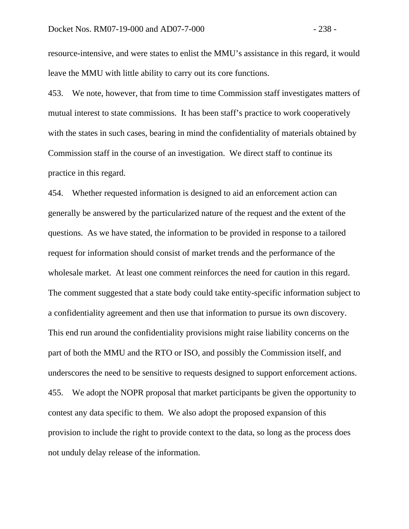resource-intensive, and were states to enlist the MMU's assistance in this regard, it would leave the MMU with little ability to carry out its core functions.

453. We note, however, that from time to time Commission staff investigates matters of mutual interest to state commissions. It has been staff's practice to work cooperatively with the states in such cases, bearing in mind the confidentiality of materials obtained by Commission staff in the course of an investigation. We direct staff to continue its practice in this regard.

454. Whether requested information is designed to aid an enforcement action can generally be answered by the particularized nature of the request and the extent of the questions. As we have stated, the information to be provided in response to a tailored request for information should consist of market trends and the performance of the wholesale market. At least one comment reinforces the need for caution in this regard. The comment suggested that a state body could take entity-specific information subject to a confidentiality agreement and then use that information to pursue its own discovery. This end run around the confidentiality provisions might raise liability concerns on the part of both the MMU and the RTO or ISO, and possibly the Commission itself, and underscores the need to be sensitive to requests designed to support enforcement actions. 455. We adopt the NOPR proposal that market participants be given the opportunity to contest any data specific to them. We also adopt the proposed expansion of this provision to include the right to provide context to the data, so long as the process does not unduly delay release of the information.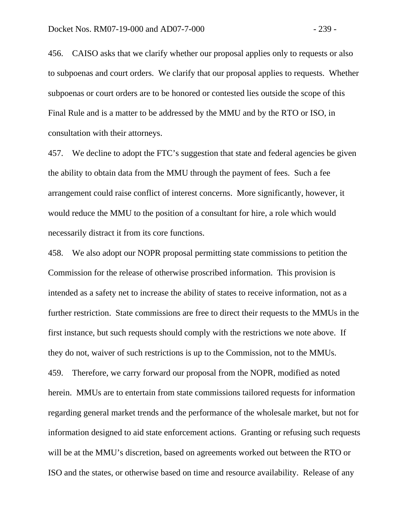456. CAISO asks that we clarify whether our proposal applies only to requests or also to subpoenas and court orders. We clarify that our proposal applies to requests. Whether subpoenas or court orders are to be honored or contested lies outside the scope of this Final Rule and is a matter to be addressed by the MMU and by the RTO or ISO, in consultation with their attorneys.

457. We decline to adopt the FTC's suggestion that state and federal agencies be given the ability to obtain data from the MMU through the payment of fees. Such a fee arrangement could raise conflict of interest concerns. More significantly, however, it would reduce the MMU to the position of a consultant for hire, a role which would necessarily distract it from its core functions.

458. We also adopt our NOPR proposal permitting state commissions to petition the Commission for the release of otherwise proscribed information. This provision is intended as a safety net to increase the ability of states to receive information, not as a further restriction. State commissions are free to direct their requests to the MMUs in the first instance, but such requests should comply with the restrictions we note above. If they do not, waiver of such restrictions is up to the Commission, not to the MMUs. 459. Therefore, we carry forward our proposal from the NOPR, modified as noted herein. MMUs are to entertain from state commissions tailored requests for information regarding general market trends and the performance of the wholesale market, but not for information designed to aid state enforcement actions. Granting or refusing such requests will be at the MMU's discretion, based on agreements worked out between the RTO or ISO and the states, or otherwise based on time and resource availability. Release of any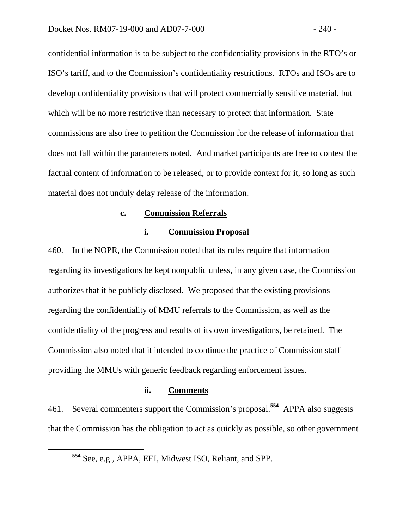confidential information is to be subject to the confidentiality provisions in the RTO's or ISO's tariff, and to the Commission's confidentiality restrictions. RTOs and ISOs are to develop confidentiality provisions that will protect commercially sensitive material, but which will be no more restrictive than necessary to protect that information. State commissions are also free to petition the Commission for the release of information that does not fall within the parameters noted. And market participants are free to contest the factual content of information to be released, or to provide context for it, so long as such material does not unduly delay release of the information.

## **c. Commission Referrals**

# **i. Commission Proposal**

460. In the NOPR, the Commission noted that its rules require that information regarding its investigations be kept nonpublic unless, in any given case, the Commission authorizes that it be publicly disclosed. We proposed that the existing provisions regarding the confidentiality of MMU referrals to the Commission, as well as the confidentiality of the progress and results of its own investigations, be retained. The Commission also noted that it intended to continue the practice of Commission staff providing the MMUs with generic feedback regarding enforcement issues.

## **ii. Comments**

461. Several commenters support the Commission's proposal.**<sup>554</sup>** APPA also suggests that the Commission has the obligation to act as quickly as possible, so other government

**<sup>554</sup>** See, e.g., APPA, EEI, Midwest ISO, Reliant, and SPP.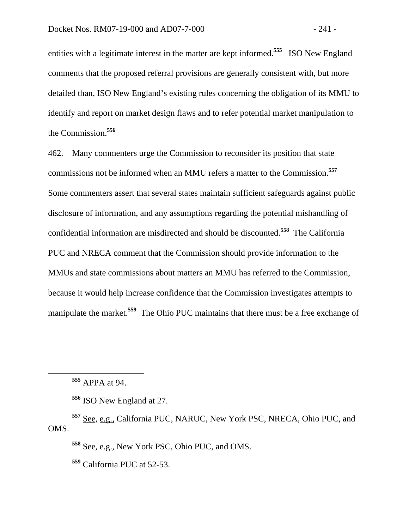entities with a legitimate interest in the matter are kept informed.**<sup>555</sup>** ISO New England comments that the proposed referral provisions are generally consistent with, but more detailed than, ISO New England's existing rules concerning the obligation of its MMU to identify and report on market design flaws and to refer potential market manipulation to the Commission.**<sup>556</sup>**

462. Many commenters urge the Commission to reconsider its position that state commissions not be informed when an MMU refers a matter to the Commission.**<sup>557</sup>** Some commenters assert that several states maintain sufficient safeguards against public disclosure of information, and any assumptions regarding the potential mishandling of confidential information are misdirected and should be discounted.**<sup>558</sup>** The California PUC and NRECA comment that the Commission should provide information to the MMUs and state commissions about matters an MMU has referred to the Commission, because it would help increase confidence that the Commission investigates attempts to manipulate the market.**<sup>559</sup>** The Ohio PUC maintains that there must be a free exchange of

**<sup>555</sup>** APPA at 94.

**<sup>556</sup>** ISO New England at 27.

**<sup>557</sup>** See, e.g., California PUC, NARUC, New York PSC, NRECA, Ohio PUC, and OMS.

**<sup>558</sup>** See, e.g., New York PSC, Ohio PUC, and OMS.

**<sup>559</sup>** California PUC at 52-53.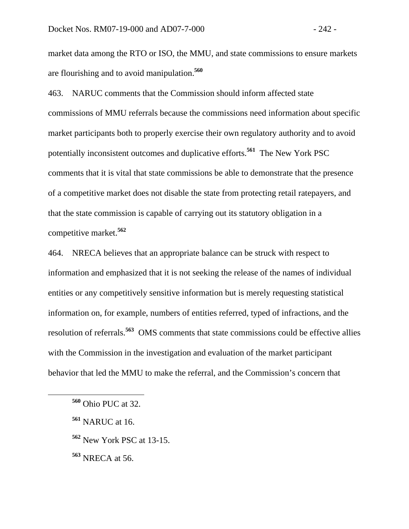market data among the RTO or ISO, the MMU, and state commissions to ensure markets are flourishing and to avoid manipulation.**<sup>560</sup>**

463. NARUC comments that the Commission should inform affected state commissions of MMU referrals because the commissions need information about specific market participants both to properly exercise their own regulatory authority and to avoid potentially inconsistent outcomes and duplicative efforts.**<sup>561</sup>** The New York PSC comments that it is vital that state commissions be able to demonstrate that the presence of a competitive market does not disable the state from protecting retail ratepayers, and that the state commission is capable of carrying out its statutory obligation in a competitive market.**<sup>562</sup>**

464. NRECA believes that an appropriate balance can be struck with respect to information and emphasized that it is not seeking the release of the names of individual entities or any competitively sensitive information but is merely requesting statistical information on, for example, numbers of entities referred, typed of infractions, and the resolution of referrals.**<sup>563</sup>** OMS comments that state commissions could be effective allies with the Commission in the investigation and evaluation of the market participant behavior that led the MMU to make the referral, and the Commission's concern that

- **<sup>561</sup>** NARUC at 16.
- **<sup>562</sup>** New York PSC at 13-15.
- **<sup>563</sup>** NRECA at 56.

**<sup>560</sup>** Ohio PUC at 32.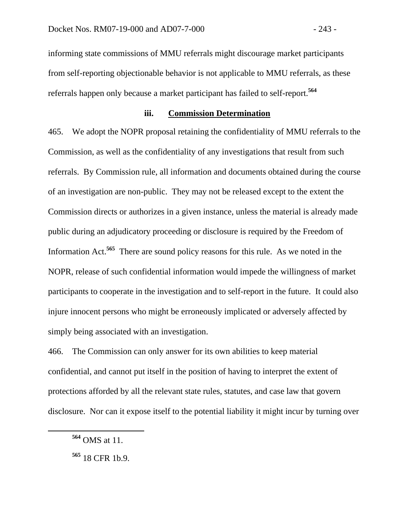informing state commissions of MMU referrals might discourage market participants from self-reporting objectionable behavior is not applicable to MMU referrals, as these referrals happen only because a market participant has failed to self-report.**<sup>564</sup>**

## **iii. Commission Determination**

465. We adopt the NOPR proposal retaining the confidentiality of MMU referrals to the Commission, as well as the confidentiality of any investigations that result from such referrals. By Commission rule, all information and documents obtained during the course of an investigation are non-public. They may not be released except to the extent the Commission directs or authorizes in a given instance, unless the material is already made public during an adjudicatory proceeding or disclosure is required by the Freedom of Information Act.**<sup>565</sup>** There are sound policy reasons for this rule. As we noted in the NOPR, release of such confidential information would impede the willingness of market participants to cooperate in the investigation and to self-report in the future. It could also injure innocent persons who might be erroneously implicated or adversely affected by simply being associated with an investigation.

466. The Commission can only answer for its own abilities to keep material confidential, and cannot put itself in the position of having to interpret the extent of protections afforded by all the relevant state rules, statutes, and case law that govern disclosure. Nor can it expose itself to the potential liability it might incur by turning over

**<sup>564</sup>** OMS at 11.

**<sup>565</sup>** 18 CFR 1b.9.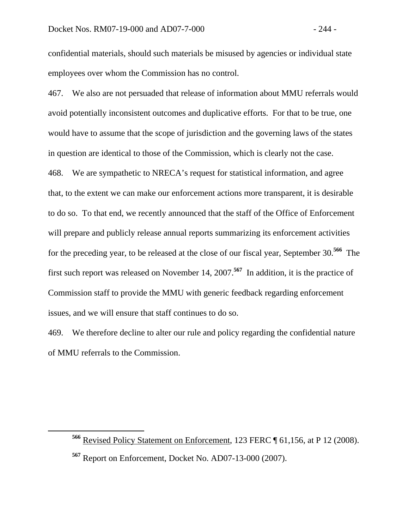confidential materials, should such materials be misused by agencies or individual state employees over whom the Commission has no control.

467. We also are not persuaded that release of information about MMU referrals would avoid potentially inconsistent outcomes and duplicative efforts. For that to be true, one would have to assume that the scope of jurisdiction and the governing laws of the states in question are identical to those of the Commission, which is clearly not the case. 468. We are sympathetic to NRECA's request for statistical information, and agree that, to the extent we can make our enforcement actions more transparent, it is desirable to do so. To that end, we recently announced that the staff of the Office of Enforcement will prepare and publicly release annual reports summarizing its enforcement activities for the preceding year, to be released at the close of our fiscal year, September 30.**<sup>566</sup>** The first such report was released on November 14, 2007.**<sup>567</sup>** In addition, it is the practice of Commission staff to provide the MMU with generic feedback regarding enforcement issues, and we will ensure that staff continues to do so.

469. We therefore decline to alter our rule and policy regarding the confidential nature of MMU referrals to the Commission.

**<sup>566</sup>** Revised Policy Statement on Enforcement, 123 FERC ¶ 61,156, at P 12 (2008). **<sup>567</sup>** Report on Enforcement, Docket No. AD07-13-000 (2007).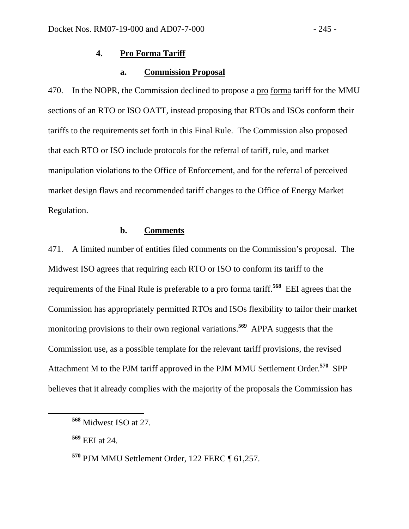# **4. Pro Forma Tariff**

## **a. Commission Proposal**

470. In the NOPR, the Commission declined to propose a pro forma tariff for the MMU sections of an RTO or ISO OATT, instead proposing that RTOs and ISOs conform their tariffs to the requirements set forth in this Final Rule. The Commission also proposed that each RTO or ISO include protocols for the referral of tariff, rule, and market manipulation violations to the Office of Enforcement, and for the referral of perceived market design flaws and recommended tariff changes to the Office of Energy Market Regulation.

## **b. Comments**

471. A limited number of entities filed comments on the Commission's proposal. The Midwest ISO agrees that requiring each RTO or ISO to conform its tariff to the requirements of the Final Rule is preferable to a pro forma tariff.**<sup>568</sup>** EEI agrees that the Commission has appropriately permitted RTOs and ISOs flexibility to tailor their market monitoring provisions to their own regional variations.**<sup>569</sup>** APPA suggests that the Commission use, as a possible template for the relevant tariff provisions, the revised Attachment M to the PJM tariff approved in the PJM MMU Settlement Order.**<sup>570</sup>** SPP believes that it already complies with the majority of the proposals the Commission has

**<sup>568</sup>** Midwest ISO at 27.

**<sup>569</sup>** EEI at 24.

**<sup>570</sup>** PJM MMU Settlement Order, 122 FERC ¶ 61,257.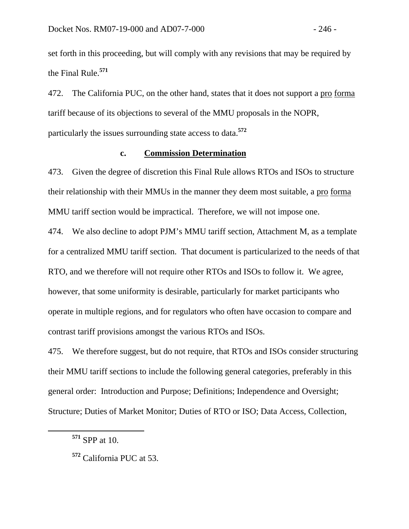set forth in this proceeding, but will comply with any revisions that may be required by the Final Rule.**<sup>571</sup>**

472. The California PUC, on the other hand, states that it does not support a pro forma tariff because of its objections to several of the MMU proposals in the NOPR, particularly the issues surrounding state access to data.**<sup>572</sup>**

## **c. Commission Determination**

473. Given the degree of discretion this Final Rule allows RTOs and ISOs to structure their relationship with their MMUs in the manner they deem most suitable, a pro forma MMU tariff section would be impractical. Therefore, we will not impose one.

474. We also decline to adopt PJM's MMU tariff section, Attachment M, as a template for a centralized MMU tariff section. That document is particularized to the needs of that RTO, and we therefore will not require other RTOs and ISOs to follow it. We agree, however, that some uniformity is desirable, particularly for market participants who operate in multiple regions, and for regulators who often have occasion to compare and contrast tariff provisions amongst the various RTOs and ISOs.

475. We therefore suggest, but do not require, that RTOs and ISOs consider structuring their MMU tariff sections to include the following general categories, preferably in this general order: Introduction and Purpose; Definitions; Independence and Oversight; Structure; Duties of Market Monitor; Duties of RTO or ISO; Data Access, Collection,

**<sup>571</sup>** SPP at 10.

**<sup>572</sup>** California PUC at 53.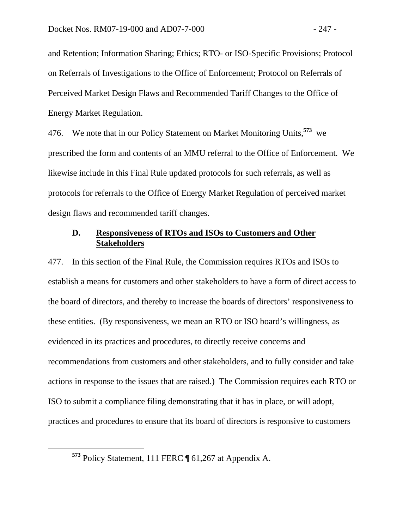and Retention; Information Sharing; Ethics; RTO- or ISO-Specific Provisions; Protocol on Referrals of Investigations to the Office of Enforcement; Protocol on Referrals of Perceived Market Design Flaws and Recommended Tariff Changes to the Office of Energy Market Regulation.

476. We note that in our Policy Statement on Market Monitoring Units,**<sup>573</sup>** we prescribed the form and contents of an MMU referral to the Office of Enforcement. We likewise include in this Final Rule updated protocols for such referrals, as well as protocols for referrals to the Office of Energy Market Regulation of perceived market design flaws and recommended tariff changes.

# **D. Responsiveness of RTOs and ISOs to Customers and Other Stakeholders**

477. In this section of the Final Rule, the Commission requires RTOs and ISOs to establish a means for customers and other stakeholders to have a form of direct access to the board of directors, and thereby to increase the boards of directors' responsiveness to these entities. (By responsiveness, we mean an RTO or ISO board's willingness, as evidenced in its practices and procedures, to directly receive concerns and recommendations from customers and other stakeholders, and to fully consider and take actions in response to the issues that are raised.) The Commission requires each RTO or ISO to submit a compliance filing demonstrating that it has in place, or will adopt, practices and procedures to ensure that its board of directors is responsive to customers

**<sup>573</sup>** Policy Statement, 111 FERC ¶ 61,267 at Appendix A.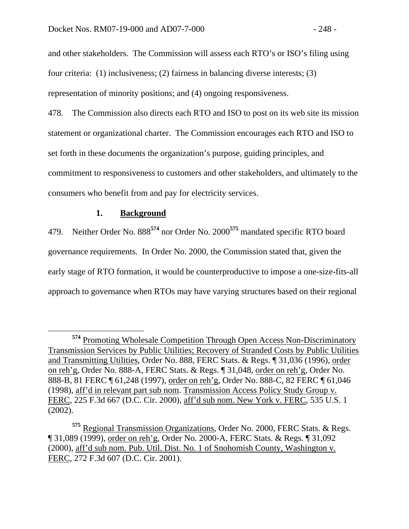and other stakeholders. The Commission will assess each RTO's or ISO's filing using four criteria: (1) inclusiveness; (2) fairness in balancing diverse interests; (3) representation of minority positions; and (4) ongoing responsiveness.

478. The Commission also directs each RTO and ISO to post on its web site its mission statement or organizational charter. The Commission encourages each RTO and ISO to set forth in these documents the organization's purpose, guiding principles, and commitment to responsiveness to customers and other stakeholders, and ultimately to the consumers who benefit from and pay for electricity services.

## **1. Background**

479. Neither Order No. 888**<sup>574</sup>** nor Order No. 2000**<sup>575</sup>** mandated specific RTO board governance requirements. In Order No. 2000, the Commission stated that, given the early stage of RTO formation, it would be counterproductive to impose a one-size-fits-all approach to governance when RTOs may have varying structures based on their regional

**<sup>574</sup>** Promoting Wholesale Competition Through Open Access Non-Discriminatory Transmission Services by Public Utilities; Recovery of Stranded Costs by Public Utilities and Transmitting Utilities, Order No. 888, FERC Stats. & Regs. ¶ 31,036 (1996), order on reh'g, Order No. 888-A, FERC Stats. & Regs. ¶ 31,048, order on reh'g, Order No. 888-B, 81 FERC ¶ 61,248 (1997), order on reh'g, Order No. 888-C, 82 FERC ¶ 61,046 (1998), aff'd in relevant part sub nom. Transmission Access Policy Study Group v. FERC, 225 F.3d 667 (D.C. Cir. 2000), aff'd sub nom. New York v. FERC, 535 U.S. 1 (2002).

**<sup>575</sup>** Regional Transmission Organizations, Order No. 2000, FERC Stats. & Regs. ¶ 31,089 (1999), order on reh'g, Order No. 2000-A, FERC Stats. & Regs. ¶ 31,092 (2000), aff'd sub nom. Pub. Util. Dist. No. 1 of Snohomish County, Washington v. FERC, 272 F.3d 607 (D.C. Cir. 2001).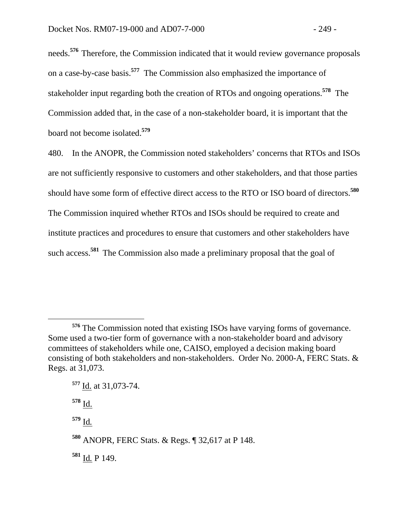needs.**576** Therefore, the Commission indicated that it would review governance proposals on a case-by-case basis.**<sup>577</sup>** The Commission also emphasized the importance of stakeholder input regarding both the creation of RTOs and ongoing operations.**<sup>578</sup>** The Commission added that, in the case of a non-stakeholder board, it is important that the board not become isolated.**<sup>579</sup>**

480. In the ANOPR, the Commission noted stakeholders' concerns that RTOs and ISOs are not sufficiently responsive to customers and other stakeholders, and that those parties should have some form of effective direct access to the RTO or ISO board of directors.**580**  The Commission inquired whether RTOs and ISOs should be required to create and institute practices and procedures to ensure that customers and other stakeholders have such access.<sup>581</sup> The Commission also made a preliminary proposal that the goal of

 $\overline{a}$ 

**<sup>579</sup>** Id*.*

**<sup>581</sup>** Id*.* P 149.

**<sup>576</sup>** The Commission noted that existing ISOs have varying forms of governance. Some used a two-tier form of governance with a non-stakeholder board and advisory committees of stakeholders while one, CAISO, employed a decision making board consisting of both stakeholders and non-stakeholders. Order No. 2000-A, FERC Stats. & Regs. at 31,073.

**<sup>577</sup>** Id. at 31,073-74.

**<sup>578</sup>** Id.

**<sup>580</sup>** ANOPR, FERC Stats. & Regs. ¶ 32,617 at P 148.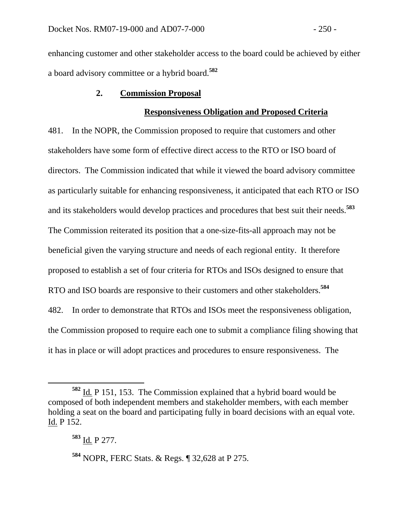enhancing customer and other stakeholder access to the board could be achieved by either a board advisory committee or a hybrid board.**<sup>582</sup>**

#### **2. Commission Proposal**

#### **Responsiveness Obligation and Proposed Criteria**

481. In the NOPR, the Commission proposed to require that customers and other stakeholders have some form of effective direct access to the RTO or ISO board of directors. The Commission indicated that while it viewed the board advisory committee as particularly suitable for enhancing responsiveness, it anticipated that each RTO or ISO and its stakeholders would develop practices and procedures that best suit their needs.**<sup>583</sup>** The Commission reiterated its position that a one-size-fits-all approach may not be beneficial given the varying structure and needs of each regional entity. It therefore proposed to establish a set of four criteria for RTOs and ISOs designed to ensure that RTO and ISO boards are responsive to their customers and other stakeholders.**<sup>584</sup>** 482. In order to demonstrate that RTOs and ISOs meet the responsiveness obligation, the Commission proposed to require each one to submit a compliance filing showing that it has in place or will adopt practices and procedures to ensure responsiveness. The

**<sup>582</sup>** Id*.* P 151, 153. The Commission explained that a hybrid board would be composed of both independent members and stakeholder members, with each member holding a seat on the board and participating fully in board decisions with an equal vote. Id. P 152.

**<sup>583</sup>** Id*.* P 277.

**<sup>584</sup>** NOPR, FERC Stats. & Regs. ¶ 32,628 at P 275.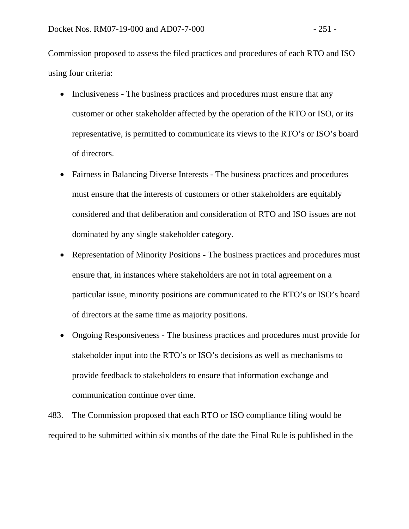Commission proposed to assess the filed practices and procedures of each RTO and ISO using four criteria:

- Inclusiveness The business practices and procedures must ensure that any customer or other stakeholder affected by the operation of the RTO or ISO, or its representative, is permitted to communicate its views to the RTO's or ISO's board of directors.
- Fairness in Balancing Diverse Interests The business practices and procedures must ensure that the interests of customers or other stakeholders are equitably considered and that deliberation and consideration of RTO and ISO issues are not dominated by any single stakeholder category.
- Representation of Minority Positions The business practices and procedures must ensure that, in instances where stakeholders are not in total agreement on a particular issue, minority positions are communicated to the RTO's or ISO's board of directors at the same time as majority positions.
- Ongoing Responsiveness The business practices and procedures must provide for stakeholder input into the RTO's or ISO's decisions as well as mechanisms to provide feedback to stakeholders to ensure that information exchange and communication continue over time.

483. The Commission proposed that each RTO or ISO compliance filing would be required to be submitted within six months of the date the Final Rule is published in the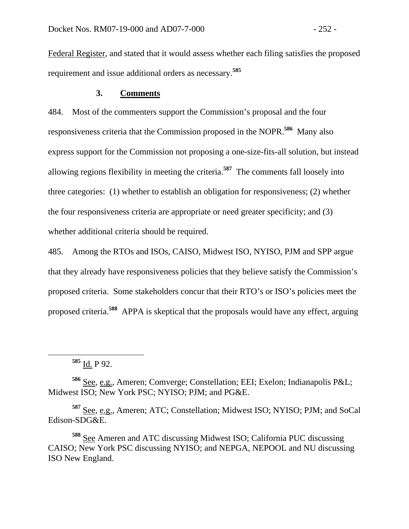Federal Register, and stated that it would assess whether each filing satisfies the proposed requirement and issue additional orders as necessary.**<sup>585</sup>**

## **3. Comments**

484. Most of the commenters support the Commission's proposal and the four responsiveness criteria that the Commission proposed in the NOPR.**<sup>586</sup>** Many also express support for the Commission not proposing a one-size-fits-all solution, but instead allowing regions flexibility in meeting the criteria.**<sup>587</sup>** The comments fall loosely into three categories: (1) whether to establish an obligation for responsiveness; (2) whether the four responsiveness criteria are appropriate or need greater specificity; and (3) whether additional criteria should be required.

485. Among the RTOs and ISOs, CAISO, Midwest ISO, NYISO, PJM and SPP argue that they already have responsiveness policies that they believe satisfy the Commission's proposed criteria. Some stakeholders concur that their RTO's or ISO's policies meet the proposed criteria.**<sup>588</sup>** APPA is skeptical that the proposals would have any effect, arguing

**<sup>586</sup>** See, e.g., Ameren; Comverge; Constellation; EEI; Exelon; Indianapolis P&L; Midwest ISO; New York PSC; NYISO; PJM; and PG&E.

**<sup>587</sup>** See, e.g., Ameren; ATC; Constellation; Midwest ISO; NYISO; PJM; and SoCal Edison-SDG&E.

**<sup>588</sup>** See Ameren and ATC discussing Midwest ISO; California PUC discussing CAISO; New York PSC discussing NYISO; and NEPGA, NEPOOL and NU discussing ISO New England.

**<sup>585</sup>** Id. P 92.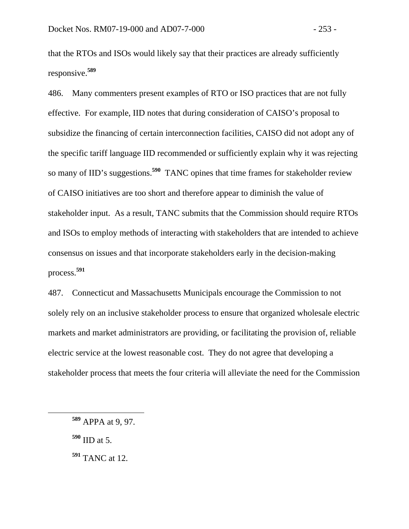that the RTOs and ISOs would likely say that their practices are already sufficiently responsive.**<sup>589</sup>**

486. Many commenters present examples of RTO or ISO practices that are not fully effective. For example, IID notes that during consideration of CAISO's proposal to subsidize the financing of certain interconnection facilities, CAISO did not adopt any of the specific tariff language IID recommended or sufficiently explain why it was rejecting so many of IID's suggestions.**<sup>590</sup>** TANC opines that time frames for stakeholder review of CAISO initiatives are too short and therefore appear to diminish the value of stakeholder input. As a result, TANC submits that the Commission should require RTOs and ISOs to employ methods of interacting with stakeholders that are intended to achieve consensus on issues and that incorporate stakeholders early in the decision-making process.**<sup>591</sup>**

487. Connecticut and Massachusetts Municipals encourage the Commission to not solely rely on an inclusive stakeholder process to ensure that organized wholesale electric markets and market administrators are providing, or facilitating the provision of, reliable electric service at the lowest reasonable cost. They do not agree that developing a stakeholder process that meets the four criteria will alleviate the need for the Commission

**<sup>590</sup>** IID at 5.

**<sup>589</sup>** APPA at 9, 97.

**<sup>591</sup>** TANC at 12.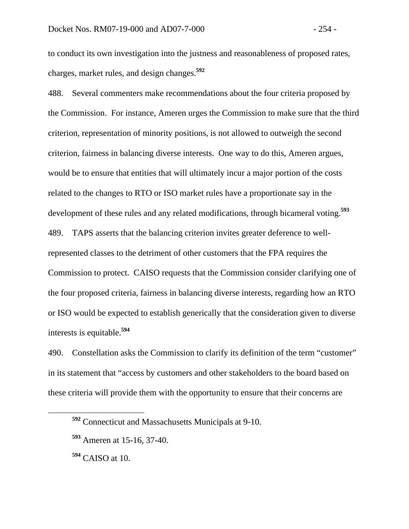to conduct its own investigation into the justness and reasonableness of proposed rates, charges, market rules, and design changes.**<sup>592</sup>**

488. Several commenters make recommendations about the four criteria proposed by the Commission. For instance, Ameren urges the Commission to make sure that the third criterion, representation of minority positions, is not allowed to outweigh the second criterion, fairness in balancing diverse interests. One way to do this, Ameren argues, would be to ensure that entities that will ultimately incur a major portion of the costs related to the changes to RTO or ISO market rules have a proportionate say in the development of these rules and any related modifications, through bicameral voting.**<sup>593</sup>** 489. TAPS asserts that the balancing criterion invites greater deference to wellrepresented classes to the detriment of other customers that the FPA requires the Commission to protect. CAISO requests that the Commission consider clarifying one of the four proposed criteria, fairness in balancing diverse interests, regarding how an RTO or ISO would be expected to establish generically that the consideration given to diverse interests is equitable.**<sup>594</sup>**

490. Constellation asks the Commission to clarify its definition of the term "customer" in its statement that "access by customers and other stakeholders to the board based on these criteria will provide them with the opportunity to ensure that their concerns are

**<sup>594</sup>** CAISO at 10.

**<sup>592</sup>** Connecticut and Massachusetts Municipals at 9-10.

**<sup>593</sup>** Ameren at 15-16, 37-40.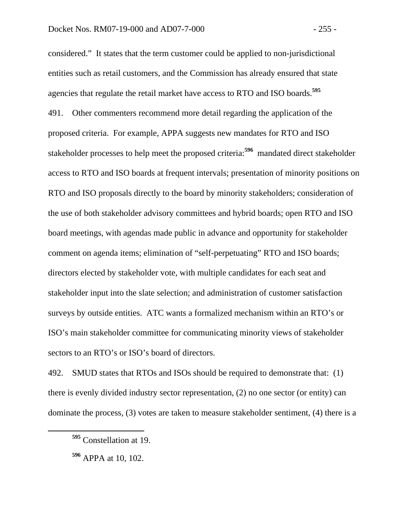considered." It states that the term customer could be applied to non-jurisdictional entities such as retail customers, and the Commission has already ensured that state agencies that regulate the retail market have access to RTO and ISO boards.**<sup>595</sup>** 491. Other commenters recommend more detail regarding the application of the proposed criteria. For example, APPA suggests new mandates for RTO and ISO stakeholder processes to help meet the proposed criteria:**<sup>596</sup>** mandated direct stakeholder access to RTO and ISO boards at frequent intervals; presentation of minority positions on RTO and ISO proposals directly to the board by minority stakeholders; consideration of the use of both stakeholder advisory committees and hybrid boards; open RTO and ISO board meetings, with agendas made public in advance and opportunity for stakeholder comment on agenda items; elimination of "self-perpetuating" RTO and ISO boards; directors elected by stakeholder vote, with multiple candidates for each seat and stakeholder input into the slate selection; and administration of customer satisfaction surveys by outside entities. ATC wants a formalized mechanism within an RTO's or ISO's main stakeholder committee for communicating minority views of stakeholder sectors to an RTO's or ISO's board of directors.

492. SMUD states that RTOs and ISOs should be required to demonstrate that: (1) there is evenly divided industry sector representation, (2) no one sector (or entity) can dominate the process, (3) votes are taken to measure stakeholder sentiment, (4) there is a

**<sup>595</sup>** Constellation at 19.

**<sup>596</sup>** APPA at 10, 102.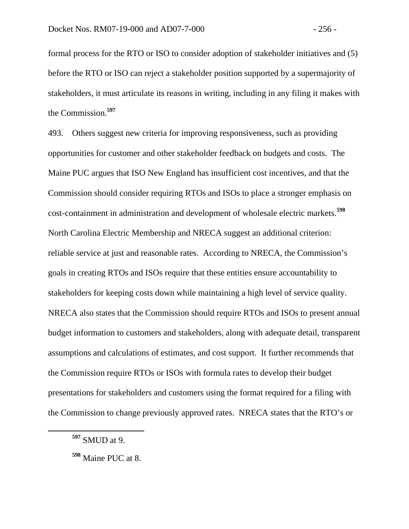formal process for the RTO or ISO to consider adoption of stakeholder initiatives and (5) before the RTO or ISO can reject a stakeholder position supported by a supermajority of stakeholders, it must articulate its reasons in writing, including in any filing it makes with the Commission.**<sup>597</sup>**

493. Others suggest new criteria for improving responsiveness, such as providing opportunities for customer and other stakeholder feedback on budgets and costs. The Maine PUC argues that ISO New England has insufficient cost incentives, and that the Commission should consider requiring RTOs and ISOs to place a stronger emphasis on cost-containment in administration and development of wholesale electric markets.**<sup>598</sup>** North Carolina Electric Membership and NRECA suggest an additional criterion: reliable service at just and reasonable rates. According to NRECA, the Commission's goals in creating RTOs and ISOs require that these entities ensure accountability to stakeholders for keeping costs down while maintaining a high level of service quality. NRECA also states that the Commission should require RTOs and ISOs to present annual budget information to customers and stakeholders, along with adequate detail, transparent assumptions and calculations of estimates, and cost support. It further recommends that the Commission require RTOs or ISOs with formula rates to develop their budget presentations for stakeholders and customers using the format required for a filing with the Commission to change previously approved rates. NRECA states that the RTO's or

**<sup>597</sup>** SMUD at 9.

**<sup>598</sup>** Maine PUC at 8.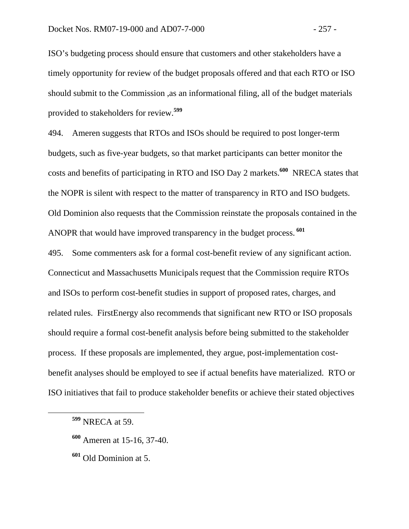ISO's budgeting process should ensure that customers and other stakeholders have a timely opportunity for review of the budget proposals offered and that each RTO or ISO should submit to the Commission ,as an informational filing, all of the budget materials provided to stakeholders for review.**<sup>599</sup>**

494. Ameren suggests that RTOs and ISOs should be required to post longer-term budgets, such as five-year budgets, so that market participants can better monitor the costs and benefits of participating in RTO and ISO Day 2 markets.**<sup>600</sup>** NRECA states that the NOPR is silent with respect to the matter of transparency in RTO and ISO budgets. Old Dominion also requests that the Commission reinstate the proposals contained in the ANOPR that would have improved transparency in the budget process.**<sup>601</sup>**

495. Some commenters ask for a formal cost-benefit review of any significant action. Connecticut and Massachusetts Municipals request that the Commission require RTOs and ISOs to perform cost-benefit studies in support of proposed rates, charges, and related rules. FirstEnergy also recommends that significant new RTO or ISO proposals should require a formal cost-benefit analysis before being submitted to the stakeholder process. If these proposals are implemented, they argue, post-implementation costbenefit analyses should be employed to see if actual benefits have materialized. RTO or ISO initiatives that fail to produce stakeholder benefits or achieve their stated objectives

- **<sup>600</sup>** Ameren at 15-16, 37-40.
- **<sup>601</sup>** Old Dominion at 5.

**<sup>599</sup>** NRECA at 59.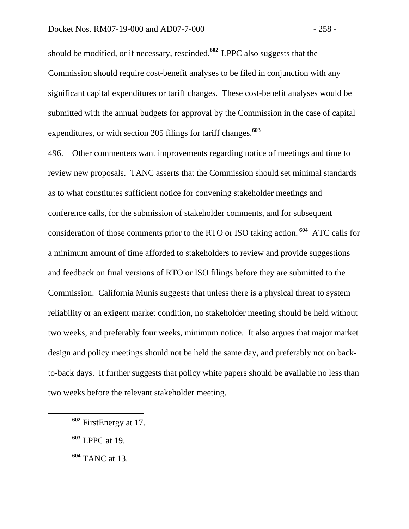should be modified, or if necessary, rescinded.**<sup>602</sup>** LPPC also suggests that the Commission should require cost-benefit analyses to be filed in conjunction with any significant capital expenditures or tariff changes. These cost-benefit analyses would be submitted with the annual budgets for approval by the Commission in the case of capital expenditures, or with section 205 filings for tariff changes.**<sup>603</sup>**

496. Other commenters want improvements regarding notice of meetings and time to review new proposals. TANC asserts that the Commission should set minimal standards as to what constitutes sufficient notice for convening stakeholder meetings and conference calls, for the submission of stakeholder comments, and for subsequent consideration of those comments prior to the RTO or ISO taking action.**<sup>604</sup>** ATC calls for a minimum amount of time afforded to stakeholders to review and provide suggestions and feedback on final versions of RTO or ISO filings before they are submitted to the Commission. California Munis suggests that unless there is a physical threat to system reliability or an exigent market condition, no stakeholder meeting should be held without two weeks, and preferably four weeks, minimum notice. It also argues that major market design and policy meetings should not be held the same day, and preferably not on backto-back days. It further suggests that policy white papers should be available no less than two weeks before the relevant stakeholder meeting.

**<sup>602</sup>** FirstEnergy at 17.

**<sup>603</sup>** LPPC at 19.

**<sup>604</sup>** TANC at 13.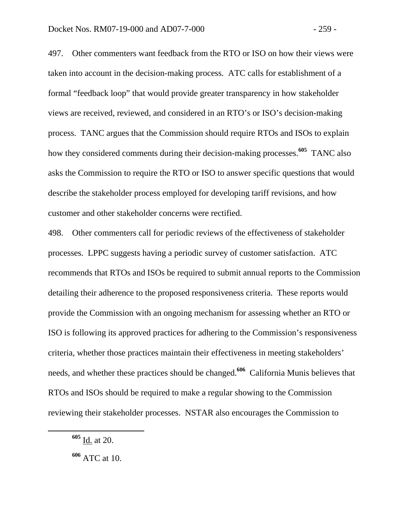497. Other commenters want feedback from the RTO or ISO on how their views were taken into account in the decision-making process. ATC calls for establishment of a formal "feedback loop" that would provide greater transparency in how stakeholder views are received, reviewed, and considered in an RTO's or ISO's decision-making process. TANC argues that the Commission should require RTOs and ISOs to explain how they considered comments during their decision-making processes.**<sup>605</sup>** TANC also asks the Commission to require the RTO or ISO to answer specific questions that would describe the stakeholder process employed for developing tariff revisions, and how customer and other stakeholder concerns were rectified.

498. Other commenters call for periodic reviews of the effectiveness of stakeholder processes. LPPC suggests having a periodic survey of customer satisfaction. ATC recommends that RTOs and ISOs be required to submit annual reports to the Commission detailing their adherence to the proposed responsiveness criteria. These reports would provide the Commission with an ongoing mechanism for assessing whether an RTO or ISO is following its approved practices for adhering to the Commission's responsiveness criteria, whether those practices maintain their effectiveness in meeting stakeholders' needs, and whether these practices should be changed.**<sup>606</sup>** California Munis believes that RTOs and ISOs should be required to make a regular showing to the Commission reviewing their stakeholder processes. NSTAR also encourages the Commission to

**<sup>605</sup>** Id. at 20.

**<sup>606</sup>** ATC at 10.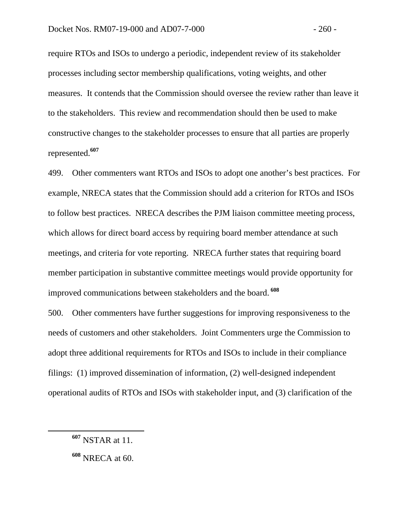require RTOs and ISOs to undergo a periodic, independent review of its stakeholder processes including sector membership qualifications, voting weights, and other measures. It contends that the Commission should oversee the review rather than leave it to the stakeholders. This review and recommendation should then be used to make constructive changes to the stakeholder processes to ensure that all parties are properly represented.**<sup>607</sup>**

499. Other commenters want RTOs and ISOs to adopt one another's best practices. For example, NRECA states that the Commission should add a criterion for RTOs and ISOs to follow best practices. NRECA describes the PJM liaison committee meeting process, which allows for direct board access by requiring board member attendance at such meetings, and criteria for vote reporting. NRECA further states that requiring board member participation in substantive committee meetings would provide opportunity for improved communications between stakeholders and the board.**<sup>608</sup>**

500. Other commenters have further suggestions for improving responsiveness to the needs of customers and other stakeholders. Joint Commenters urge the Commission to adopt three additional requirements for RTOs and ISOs to include in their compliance filings: (1) improved dissemination of information, (2) well-designed independent operational audits of RTOs and ISOs with stakeholder input, and (3) clarification of the

**<sup>607</sup>** NSTAR at 11.

**<sup>608</sup>** NRECA at 60.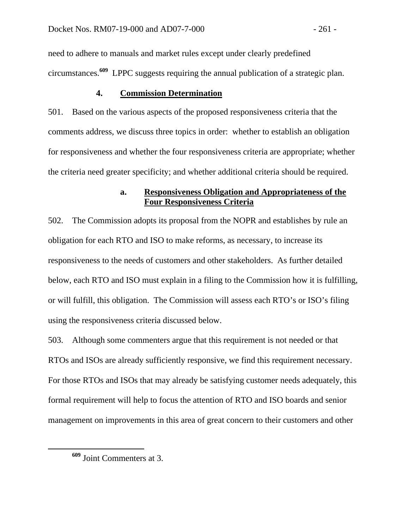need to adhere to manuals and market rules except under clearly predefined circumstances.**<sup>609</sup>** LPPC suggests requiring the annual publication of a strategic plan.

# **4. Commission Determination**

501. Based on the various aspects of the proposed responsiveness criteria that the comments address, we discuss three topics in order: whether to establish an obligation for responsiveness and whether the four responsiveness criteria are appropriate; whether the criteria need greater specificity; and whether additional criteria should be required.

## **a. Responsiveness Obligation and Appropriateness of the Four Responsiveness Criteria**

502. The Commission adopts its proposal from the NOPR and establishes by rule an obligation for each RTO and ISO to make reforms, as necessary, to increase its responsiveness to the needs of customers and other stakeholders. As further detailed below, each RTO and ISO must explain in a filing to the Commission how it is fulfilling, or will fulfill, this obligation. The Commission will assess each RTO's or ISO's filing using the responsiveness criteria discussed below.

503. Although some commenters argue that this requirement is not needed or that RTOs and ISOs are already sufficiently responsive, we find this requirement necessary. For those RTOs and ISOs that may already be satisfying customer needs adequately, this formal requirement will help to focus the attention of RTO and ISO boards and senior management on improvements in this area of great concern to their customers and other

**<sup>609</sup>** Joint Commenters at 3.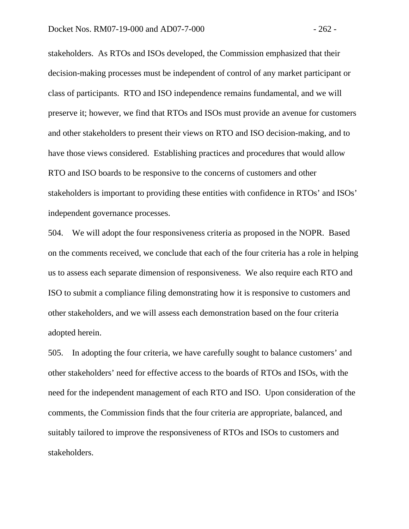stakeholders. As RTOs and ISOs developed, the Commission emphasized that their decision-making processes must be independent of control of any market participant or class of participants. RTO and ISO independence remains fundamental, and we will preserve it; however, we find that RTOs and ISOs must provide an avenue for customers and other stakeholders to present their views on RTO and ISO decision-making, and to have those views considered. Establishing practices and procedures that would allow RTO and ISO boards to be responsive to the concerns of customers and other stakeholders is important to providing these entities with confidence in RTOs' and ISOs' independent governance processes.

504. We will adopt the four responsiveness criteria as proposed in the NOPR. Based on the comments received, we conclude that each of the four criteria has a role in helping us to assess each separate dimension of responsiveness. We also require each RTO and ISO to submit a compliance filing demonstrating how it is responsive to customers and other stakeholders, and we will assess each demonstration based on the four criteria adopted herein.

505. In adopting the four criteria, we have carefully sought to balance customers' and other stakeholders' need for effective access to the boards of RTOs and ISOs, with the need for the independent management of each RTO and ISO. Upon consideration of the comments, the Commission finds that the four criteria are appropriate, balanced, and suitably tailored to improve the responsiveness of RTOs and ISOs to customers and stakeholders.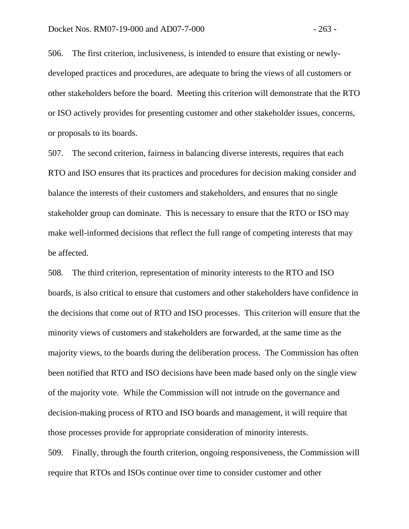506. The first criterion, inclusiveness, is intended to ensure that existing or newlydeveloped practices and procedures, are adequate to bring the views of all customers or other stakeholders before the board. Meeting this criterion will demonstrate that the RTO or ISO actively provides for presenting customer and other stakeholder issues, concerns, or proposals to its boards.

507. The second criterion, fairness in balancing diverse interests, requires that each RTO and ISO ensures that its practices and procedures for decision making consider and balance the interests of their customers and stakeholders, and ensures that no single stakeholder group can dominate. This is necessary to ensure that the RTO or ISO may make well-informed decisions that reflect the full range of competing interests that may be affected.

508. The third criterion, representation of minority interests to the RTO and ISO boards, is also critical to ensure that customers and other stakeholders have confidence in the decisions that come out of RTO and ISO processes. This criterion will ensure that the minority views of customers and stakeholders are forwarded, at the same time as the majority views, to the boards during the deliberation process. The Commission has often been notified that RTO and ISO decisions have been made based only on the single view of the majority vote. While the Commission will not intrude on the governance and decision-making process of RTO and ISO boards and management, it will require that those processes provide for appropriate consideration of minority interests.

509. Finally, through the fourth criterion, ongoing responsiveness, the Commission will require that RTOs and ISOs continue over time to consider customer and other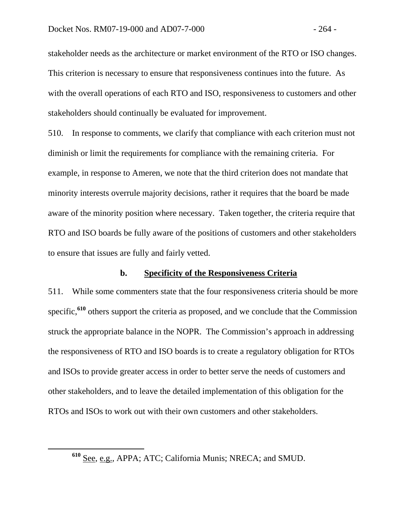stakeholder needs as the architecture or market environment of the RTO or ISO changes. This criterion is necessary to ensure that responsiveness continues into the future. As with the overall operations of each RTO and ISO, responsiveness to customers and other stakeholders should continually be evaluated for improvement.

510. In response to comments, we clarify that compliance with each criterion must not diminish or limit the requirements for compliance with the remaining criteria. For example, in response to Ameren, we note that the third criterion does not mandate that minority interests overrule majority decisions, rather it requires that the board be made aware of the minority position where necessary. Taken together, the criteria require that RTO and ISO boards be fully aware of the positions of customers and other stakeholders to ensure that issues are fully and fairly vetted.

## **b. Specificity of the Responsiveness Criteria**

511. While some commenters state that the four responsiveness criteria should be more specific,<sup>610</sup> others support the criteria as proposed, and we conclude that the Commission struck the appropriate balance in the NOPR. The Commission's approach in addressing the responsiveness of RTO and ISO boards is to create a regulatory obligation for RTOs and ISOs to provide greater access in order to better serve the needs of customers and other stakeholders, and to leave the detailed implementation of this obligation for the RTOs and ISOs to work out with their own customers and other stakeholders.

**<sup>610</sup>** See, e.g., APPA; ATC; California Munis; NRECA; and SMUD.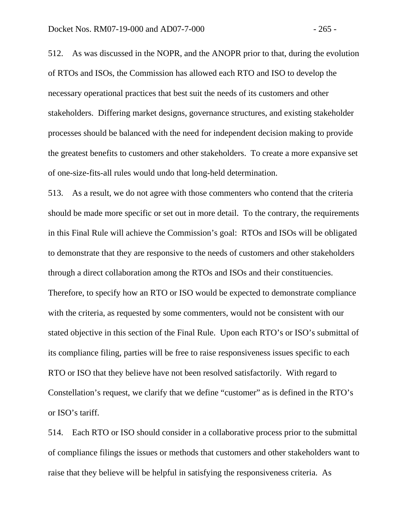512. As was discussed in the NOPR, and the ANOPR prior to that, during the evolution of RTOs and ISOs, the Commission has allowed each RTO and ISO to develop the necessary operational practices that best suit the needs of its customers and other stakeholders. Differing market designs, governance structures, and existing stakeholder processes should be balanced with the need for independent decision making to provide the greatest benefits to customers and other stakeholders. To create a more expansive set of one-size-fits-all rules would undo that long-held determination.

513. As a result, we do not agree with those commenters who contend that the criteria should be made more specific or set out in more detail. To the contrary, the requirements in this Final Rule will achieve the Commission's goal: RTOs and ISOs will be obligated to demonstrate that they are responsive to the needs of customers and other stakeholders through a direct collaboration among the RTOs and ISOs and their constituencies. Therefore, to specify how an RTO or ISO would be expected to demonstrate compliance with the criteria, as requested by some commenters, would not be consistent with our stated objective in this section of the Final Rule. Upon each RTO's or ISO's submittal of its compliance filing, parties will be free to raise responsiveness issues specific to each RTO or ISO that they believe have not been resolved satisfactorily. With regard to Constellation's request, we clarify that we define "customer" as is defined in the RTO's or ISO's tariff.

514. Each RTO or ISO should consider in a collaborative process prior to the submittal of compliance filings the issues or methods that customers and other stakeholders want to raise that they believe will be helpful in satisfying the responsiveness criteria. As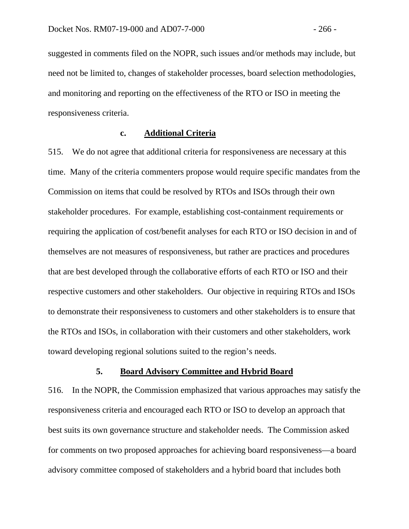suggested in comments filed on the NOPR, such issues and/or methods may include, but need not be limited to, changes of stakeholder processes, board selection methodologies, and monitoring and reporting on the effectiveness of the RTO or ISO in meeting the responsiveness criteria.

### **c. Additional Criteria**

515. We do not agree that additional criteria for responsiveness are necessary at this time. Many of the criteria commenters propose would require specific mandates from the Commission on items that could be resolved by RTOs and ISOs through their own stakeholder procedures. For example, establishing cost-containment requirements or requiring the application of cost/benefit analyses for each RTO or ISO decision in and of themselves are not measures of responsiveness, but rather are practices and procedures that are best developed through the collaborative efforts of each RTO or ISO and their respective customers and other stakeholders. Our objective in requiring RTOs and ISOs to demonstrate their responsiveness to customers and other stakeholders is to ensure that the RTOs and ISOs, in collaboration with their customers and other stakeholders, work toward developing regional solutions suited to the region's needs.

#### **5. Board Advisory Committee and Hybrid Board**

516. In the NOPR, the Commission emphasized that various approaches may satisfy the responsiveness criteria and encouraged each RTO or ISO to develop an approach that best suits its own governance structure and stakeholder needs. The Commission asked for comments on two proposed approaches for achieving board responsiveness—a board advisory committee composed of stakeholders and a hybrid board that includes both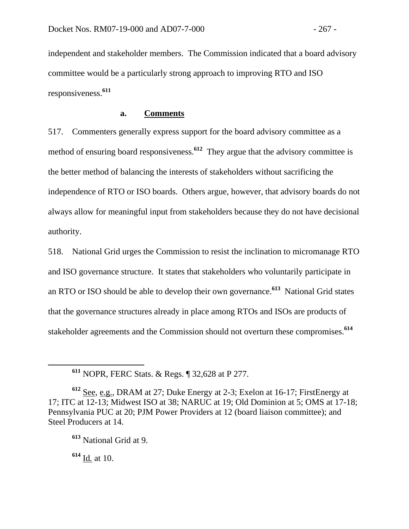independent and stakeholder members. The Commission indicated that a board advisory committee would be a particularly strong approach to improving RTO and ISO responsiveness.**<sup>611</sup>**

#### **a. Comments**

517. Commenters generally express support for the board advisory committee as a method of ensuring board responsiveness.<sup>612</sup> They argue that the advisory committee is the better method of balancing the interests of stakeholders without sacrificing the independence of RTO or ISO boards. Others argue, however, that advisory boards do not always allow for meaningful input from stakeholders because they do not have decisional authority.

518. National Grid urges the Commission to resist the inclination to micromanage RTO and ISO governance structure. It states that stakeholders who voluntarily participate in an RTO or ISO should be able to develop their own governance.**<sup>613</sup>** National Grid states that the governance structures already in place among RTOs and ISOs are products of stakeholder agreements and the Commission should not overturn these compromises.**<sup>614</sup>**

**<sup>614</sup>** Id*.* at 10.

**<sup>611</sup>** NOPR, FERC Stats. & Regs. ¶ 32,628 at P 277.

**<sup>612</sup>** See, e.g., DRAM at 27; Duke Energy at 2-3; Exelon at 16-17; FirstEnergy at 17; ITC at 12-13; Midwest ISO at 38; NARUC at 19; Old Dominion at 5; OMS at 17-18; Pennsylvania PUC at 20; PJM Power Providers at 12 (board liaison committee); and Steel Producers at 14.

**<sup>613</sup>** National Grid at 9.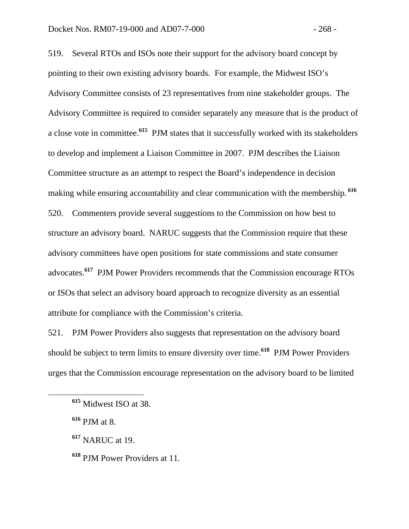519. Several RTOs and ISOs note their support for the advisory board concept by pointing to their own existing advisory boards. For example, the Midwest ISO's Advisory Committee consists of 23 representatives from nine stakeholder groups. The Advisory Committee is required to consider separately any measure that is the product of a close vote in committee.**<sup>615</sup>** PJM states that it successfully worked with its stakeholders to develop and implement a Liaison Committee in 2007. PJM describes the Liaison Committee structure as an attempt to respect the Board's independence in decision making while ensuring accountability and clear communication with the membership.**<sup>616</sup>** 520. Commenters provide several suggestions to the Commission on how best to structure an advisory board. NARUC suggests that the Commission require that these advisory committees have open positions for state commissions and state consumer advocates.**<sup>617</sup>** PJM Power Providers recommends that the Commission encourage RTOs or ISOs that select an advisory board approach to recognize diversity as an essential attribute for compliance with the Commission's criteria.

521. PJM Power Providers also suggests that representation on the advisory board should be subject to term limits to ensure diversity over time.**<sup>618</sup>** PJM Power Providers urges that the Commission encourage representation on the advisory board to be limited

**<sup>617</sup>** NARUC at 19.

**<sup>615</sup>** Midwest ISO at 38.

**<sup>616</sup>** PJM at 8.

**<sup>618</sup>** PJM Power Providers at 11.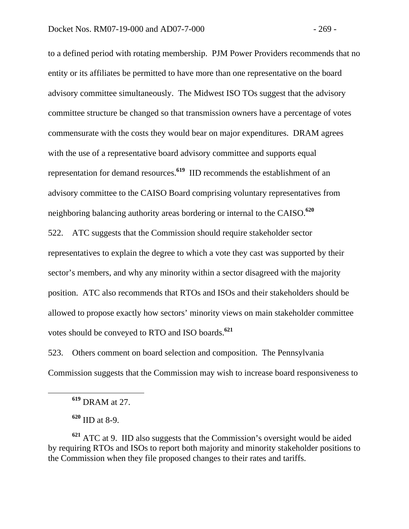to a defined period with rotating membership. PJM Power Providers recommends that no entity or its affiliates be permitted to have more than one representative on the board advisory committee simultaneously. The Midwest ISO TOs suggest that the advisory committee structure be changed so that transmission owners have a percentage of votes commensurate with the costs they would bear on major expenditures. DRAM agrees with the use of a representative board advisory committee and supports equal representation for demand resources.**<sup>619</sup>** IID recommends the establishment of an advisory committee to the CAISO Board comprising voluntary representatives from neighboring balancing authority areas bordering or internal to the CAISO.**<sup>620</sup>** 522. ATC suggests that the Commission should require stakeholder sector

representatives to explain the degree to which a vote they cast was supported by their sector's members, and why any minority within a sector disagreed with the majority position. ATC also recommends that RTOs and ISOs and their stakeholders should be allowed to propose exactly how sectors' minority views on main stakeholder committee votes should be conveyed to RTO and ISO boards.**<sup>621</sup>**

523. Others comment on board selection and composition. The Pennsylvania Commission suggests that the Commission may wish to increase board responsiveness to

**<sup>620</sup>** IID at 8-9.

**<sup>621</sup>** ATC at 9. IID also suggests that the Commission's oversight would be aided by requiring RTOs and ISOs to report both majority and minority stakeholder positions to the Commission when they file proposed changes to their rates and tariffs.

**<sup>619</sup>** DRAM at 27.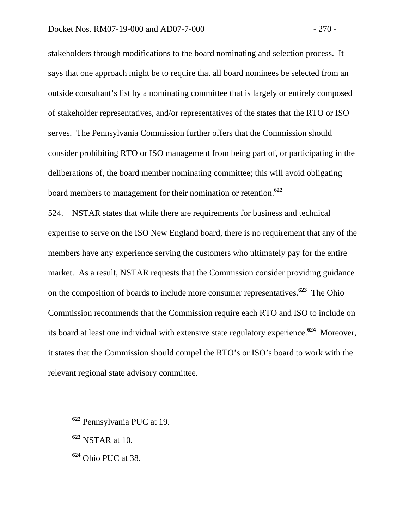stakeholders through modifications to the board nominating and selection process. It says that one approach might be to require that all board nominees be selected from an outside consultant's list by a nominating committee that is largely or entirely composed of stakeholder representatives, and/or representatives of the states that the RTO or ISO serves. The Pennsylvania Commission further offers that the Commission should consider prohibiting RTO or ISO management from being part of, or participating in the deliberations of, the board member nominating committee; this will avoid obligating board members to management for their nomination or retention.**<sup>622</sup>**

524. NSTAR states that while there are requirements for business and technical expertise to serve on the ISO New England board, there is no requirement that any of the members have any experience serving the customers who ultimately pay for the entire market. As a result, NSTAR requests that the Commission consider providing guidance on the composition of boards to include more consumer representatives.**<sup>623</sup>** The Ohio Commission recommends that the Commission require each RTO and ISO to include on its board at least one individual with extensive state regulatory experience.**<sup>624</sup>** Moreover, it states that the Commission should compel the RTO's or ISO's board to work with the relevant regional state advisory committee.

- **<sup>623</sup>** NSTAR at 10.
- **<sup>624</sup>** Ohio PUC at 38.

**<sup>622</sup>** Pennsylvania PUC at 19.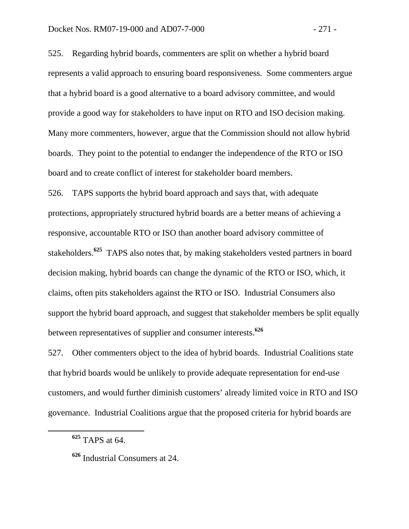525. Regarding hybrid boards, commenters are split on whether a hybrid board represents a valid approach to ensuring board responsiveness. Some commenters argue that a hybrid board is a good alternative to a board advisory committee, and would provide a good way for stakeholders to have input on RTO and ISO decision making. Many more commenters, however, argue that the Commission should not allow hybrid boards. They point to the potential to endanger the independence of the RTO or ISO board and to create conflict of interest for stakeholder board members.

526. TAPS supports the hybrid board approach and says that, with adequate protections, appropriately structured hybrid boards are a better means of achieving a responsive, accountable RTO or ISO than another board advisory committee of stakeholders.**<sup>625</sup>** TAPS also notes that, by making stakeholders vested partners in board decision making, hybrid boards can change the dynamic of the RTO or ISO, which, it claims, often pits stakeholders against the RTO or ISO. Industrial Consumers also support the hybrid board approach, and suggest that stakeholder members be split equally between representatives of supplier and consumer interests.**<sup>626</sup>**

527. Other commenters object to the idea of hybrid boards. Industrial Coalitions state that hybrid boards would be unlikely to provide adequate representation for end-use customers, and would further diminish customers' already limited voice in RTO and ISO governance. Industrial Coalitions argue that the proposed criteria for hybrid boards are

**<sup>625</sup>** TAPS at 64.

**<sup>626</sup>** Industrial Consumers at 24.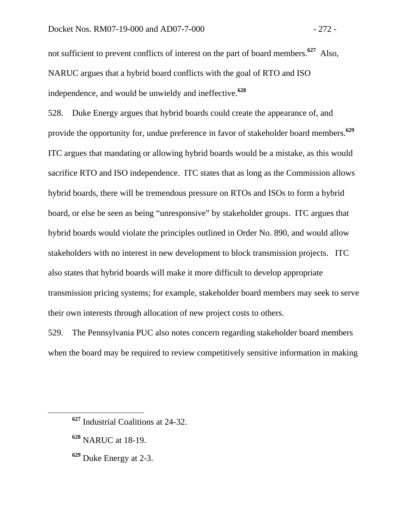not sufficient to prevent conflicts of interest on the part of board members.**<sup>627</sup>** Also, NARUC argues that a hybrid board conflicts with the goal of RTO and ISO independence, and would be unwieldy and ineffective.**<sup>628</sup>**

528. Duke Energy argues that hybrid boards could create the appearance of, and provide the opportunity for, undue preference in favor of stakeholder board members.**<sup>629</sup>** ITC argues that mandating or allowing hybrid boards would be a mistake, as this would sacrifice RTO and ISO independence. ITC states that as long as the Commission allows hybrid boards, there will be tremendous pressure on RTOs and ISOs to form a hybrid board, or else be seen as being "unresponsive" by stakeholder groups. ITC argues that hybrid boards would violate the principles outlined in Order No. 890, and would allow stakeholders with no interest in new development to block transmission projects. ITC also states that hybrid boards will make it more difficult to develop appropriate transmission pricing systems; for example, stakeholder board members may seek to serve their own interests through allocation of new project costs to others.

529. The Pennsylvania PUC also notes concern regarding stakeholder board members when the board may be required to review competitively sensitive information in making

- **<sup>628</sup>** NARUC at 18-19.
- **<sup>629</sup>** Duke Energy at 2-3.

**<sup>627</sup>** Industrial Coalitions at 24-32.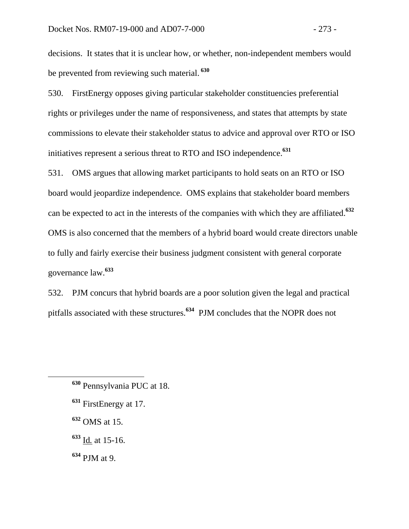decisions. It states that it is unclear how, or whether, non-independent members would be prevented from reviewing such material.**<sup>630</sup>**

530. FirstEnergy opposes giving particular stakeholder constituencies preferential rights or privileges under the name of responsiveness, and states that attempts by state commissions to elevate their stakeholder status to advice and approval over RTO or ISO initiatives represent a serious threat to RTO and ISO independence.**<sup>631</sup>**

531. OMS argues that allowing market participants to hold seats on an RTO or ISO board would jeopardize independence. OMS explains that stakeholder board members can be expected to act in the interests of the companies with which they are affiliated.**<sup>632</sup>** OMS is also concerned that the members of a hybrid board would create directors unable to fully and fairly exercise their business judgment consistent with general corporate governance law.**<sup>633</sup>**

532. PJM concurs that hybrid boards are a poor solution given the legal and practical pitfalls associated with these structures.**<sup>634</sup>** PJM concludes that the NOPR does not

- **<sup>631</sup>** FirstEnergy at 17.
- **<sup>632</sup>** OMS at 15.
- **<sup>633</sup>** Id*.* at 15-16.
- **<sup>634</sup>** PJM at 9.

**<sup>630</sup>** Pennsylvania PUC at 18.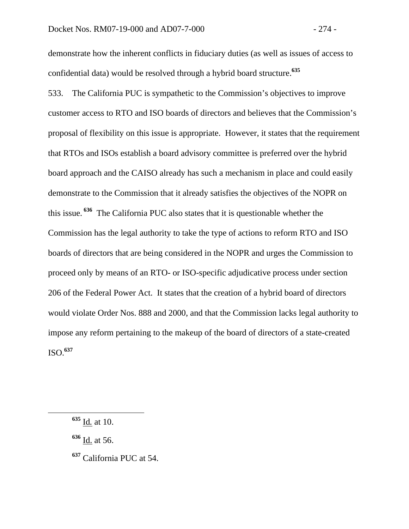demonstrate how the inherent conflicts in fiduciary duties (as well as issues of access to confidential data) would be resolved through a hybrid board structure.**<sup>635</sup>**

533. The California PUC is sympathetic to the Commission's objectives to improve customer access to RTO and ISO boards of directors and believes that the Commission's proposal of flexibility on this issue is appropriate. However, it states that the requirement that RTOs and ISOs establish a board advisory committee is preferred over the hybrid board approach and the CAISO already has such a mechanism in place and could easily demonstrate to the Commission that it already satisfies the objectives of the NOPR on this issue.**<sup>636</sup>** The California PUC also states that it is questionable whether the Commission has the legal authority to take the type of actions to reform RTO and ISO boards of directors that are being considered in the NOPR and urges the Commission to proceed only by means of an RTO- or ISO-specific adjudicative process under section 206 of the Federal Power Act. It states that the creation of a hybrid board of directors would violate Order Nos. 888 and 2000, and that the Commission lacks legal authority to impose any reform pertaining to the makeup of the board of directors of a state-created ISO.**<sup>637</sup>**

**<sup>636</sup>** Id. at 56.

**<sup>637</sup>** California PUC at 54.

**<sup>635</sup>** Id*.* at 10.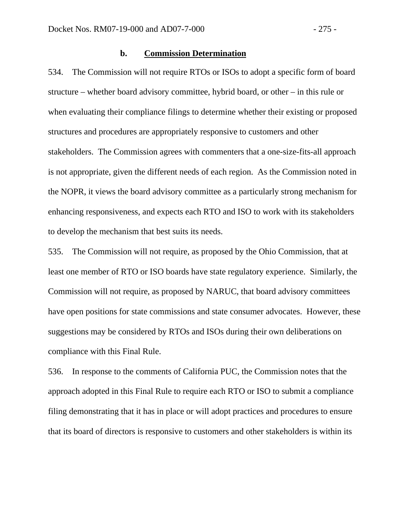#### **b. Commission Determination**

534. The Commission will not require RTOs or ISOs to adopt a specific form of board structure – whether board advisory committee, hybrid board, or other – in this rule or when evaluating their compliance filings to determine whether their existing or proposed structures and procedures are appropriately responsive to customers and other stakeholders. The Commission agrees with commenters that a one-size-fits-all approach is not appropriate, given the different needs of each region. As the Commission noted in the NOPR, it views the board advisory committee as a particularly strong mechanism for enhancing responsiveness, and expects each RTO and ISO to work with its stakeholders to develop the mechanism that best suits its needs.

535. The Commission will not require, as proposed by the Ohio Commission, that at least one member of RTO or ISO boards have state regulatory experience. Similarly, the Commission will not require, as proposed by NARUC, that board advisory committees have open positions for state commissions and state consumer advocates. However, these suggestions may be considered by RTOs and ISOs during their own deliberations on compliance with this Final Rule.

536. In response to the comments of California PUC, the Commission notes that the approach adopted in this Final Rule to require each RTO or ISO to submit a compliance filing demonstrating that it has in place or will adopt practices and procedures to ensure that its board of directors is responsive to customers and other stakeholders is within its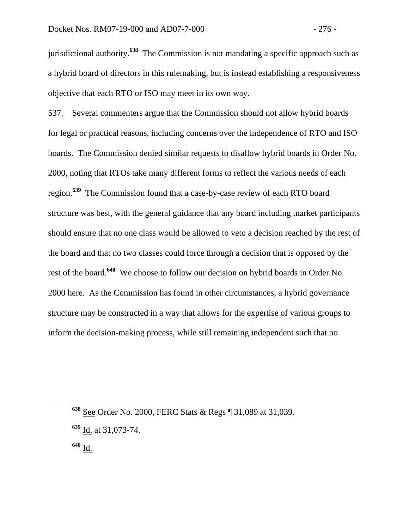jurisdictional authority.**<sup>638</sup>** The Commission is not mandating a specific approach such as a hybrid board of directors in this rulemaking, but is instead establishing a responsiveness objective that each RTO or ISO may meet in its own way.

537. Several commenters argue that the Commission should not allow hybrid boards for legal or practical reasons, including concerns over the independence of RTO and ISO boards. The Commission denied similar requests to disallow hybrid boards in Order No. 2000, noting that RTOs take many different forms to reflect the various needs of each region.**<sup>639</sup>** The Commission found that a case-by-case review of each RTO board structure was best, with the general guidance that any board including market participants should ensure that no one class would be allowed to veto a decision reached by the rest of the board and that no two classes could force through a decision that is opposed by the rest of the board.**<sup>640</sup>** We choose to follow our decision on hybrid boards in Order No. 2000 here. As the Commission has found in other circumstances, a hybrid governance structure may be constructed in a way that allows for the expertise of various groups to inform the decision-making process, while still remaining independent such that no

**<sup>638</sup>** See Order No. 2000, FERC Stats & Regs ¶ 31,089 at 31,039.

**<sup>639</sup>** Id. at 31,073-74.

**<sup>640</sup>** Id.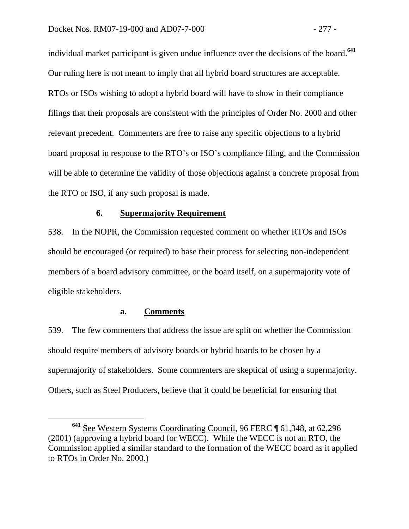individual market participant is given undue influence over the decisions of the board.**<sup>641</sup>** Our ruling here is not meant to imply that all hybrid board structures are acceptable. RTOs or ISOs wishing to adopt a hybrid board will have to show in their compliance filings that their proposals are consistent with the principles of Order No. 2000 and other relevant precedent. Commenters are free to raise any specific objections to a hybrid board proposal in response to the RTO's or ISO's compliance filing, and the Commission will be able to determine the validity of those objections against a concrete proposal from the RTO or ISO, if any such proposal is made.

#### **6. Supermajority Requirement**

538. In the NOPR, the Commission requested comment on whether RTOs and ISOs should be encouraged (or required) to base their process for selecting non-independent members of a board advisory committee, or the board itself, on a supermajority vote of eligible stakeholders.

## **a. Comments**

539. The few commenters that address the issue are split on whether the Commission should require members of advisory boards or hybrid boards to be chosen by a supermajority of stakeholders. Some commenters are skeptical of using a supermajority. Others, such as Steel Producers, believe that it could be beneficial for ensuring that

**<sup>641</sup>** See Western Systems Coordinating Council, 96 FERC ¶ 61,348, at 62,296 (2001) (approving a hybrid board for WECC). While the WECC is not an RTO, the Commission applied a similar standard to the formation of the WECC board as it applied to RTOs in Order No. 2000.)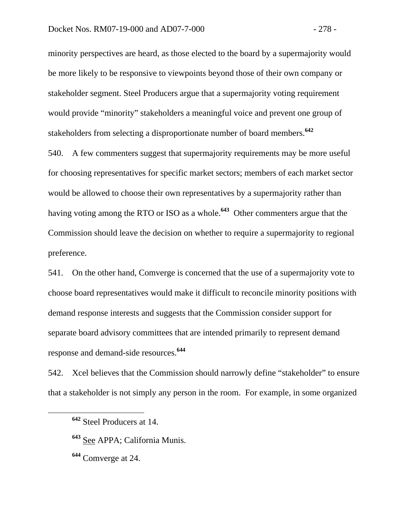minority perspectives are heard, as those elected to the board by a supermajority would be more likely to be responsive to viewpoints beyond those of their own company or stakeholder segment. Steel Producers argue that a supermajority voting requirement would provide "minority" stakeholders a meaningful voice and prevent one group of stakeholders from selecting a disproportionate number of board members.**<sup>642</sup>**

540. A few commenters suggest that supermajority requirements may be more useful for choosing representatives for specific market sectors; members of each market sector would be allowed to choose their own representatives by a supermajority rather than having voting among the RTO or ISO as a whole.**<sup>643</sup>** Other commenters argue that the Commission should leave the decision on whether to require a supermajority to regional preference.

541. On the other hand, Comverge is concerned that the use of a supermajority vote to choose board representatives would make it difficult to reconcile minority positions with demand response interests and suggests that the Commission consider support for separate board advisory committees that are intended primarily to represent demand response and demand-side resources.**<sup>644</sup>**

542. Xcel believes that the Commission should narrowly define "stakeholder" to ensure that a stakeholder is not simply any person in the room. For example, in some organized

**<sup>642</sup>** Steel Producers at 14.

**<sup>643</sup>** See APPA; California Munis.

**<sup>644</sup>** Comverge at 24.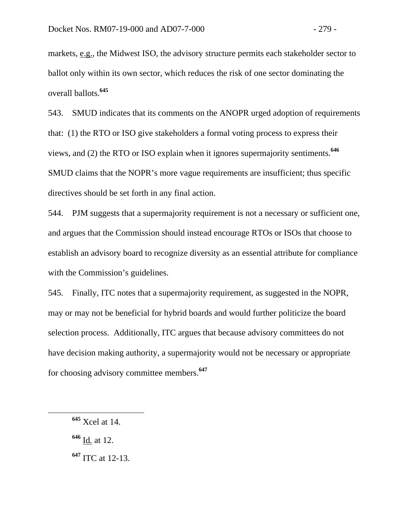markets, e.g., the Midwest ISO, the advisory structure permits each stakeholder sector to ballot only within its own sector, which reduces the risk of one sector dominating the overall ballots.**<sup>645</sup>**

543. SMUD indicates that its comments on the ANOPR urged adoption of requirements that: (1) the RTO or ISO give stakeholders a formal voting process to express their views, and (2) the RTO or ISO explain when it ignores supermajority sentiments.**<sup>646</sup>** SMUD claims that the NOPR's more vague requirements are insufficient; thus specific directives should be set forth in any final action.

544. PJM suggests that a supermajority requirement is not a necessary or sufficient one, and argues that the Commission should instead encourage RTOs or ISOs that choose to establish an advisory board to recognize diversity as an essential attribute for compliance with the Commission's guidelines.

545. Finally, ITC notes that a supermajority requirement, as suggested in the NOPR, may or may not be beneficial for hybrid boards and would further politicize the board selection process. Additionally, ITC argues that because advisory committees do not have decision making authority, a supermajority would not be necessary or appropriate for choosing advisory committee members.**<sup>647</sup>**

**<sup>646</sup>** Id*.* at 12.

**<sup>647</sup>** ITC at 12-13.

**<sup>645</sup>** Xcel at 14.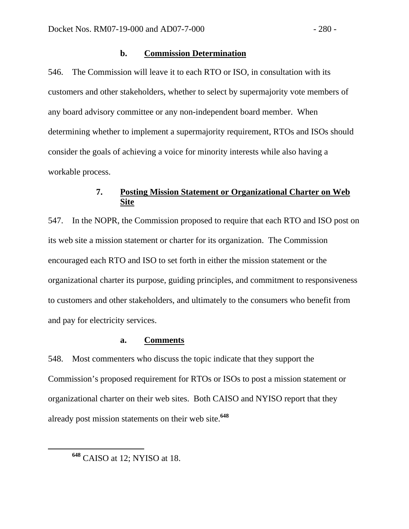### **b. Commission Determination**

546. The Commission will leave it to each RTO or ISO, in consultation with its customers and other stakeholders, whether to select by supermajority vote members of any board advisory committee or any non-independent board member. When determining whether to implement a supermajority requirement, RTOs and ISOs should consider the goals of achieving a voice for minority interests while also having a workable process.

# **7. Posting Mission Statement or Organizational Charter on Web Site**

547. In the NOPR, the Commission proposed to require that each RTO and ISO post on its web site a mission statement or charter for its organization. The Commission encouraged each RTO and ISO to set forth in either the mission statement or the organizational charter its purpose, guiding principles, and commitment to responsiveness to customers and other stakeholders, and ultimately to the consumers who benefit from and pay for electricity services.

#### **a. Comments**

548. Most commenters who discuss the topic indicate that they support the Commission's proposed requirement for RTOs or ISOs to post a mission statement or organizational charter on their web sites. Both CAISO and NYISO report that they already post mission statements on their web site.**<sup>648</sup>**

**<sup>648</sup>** CAISO at 12; NYISO at 18.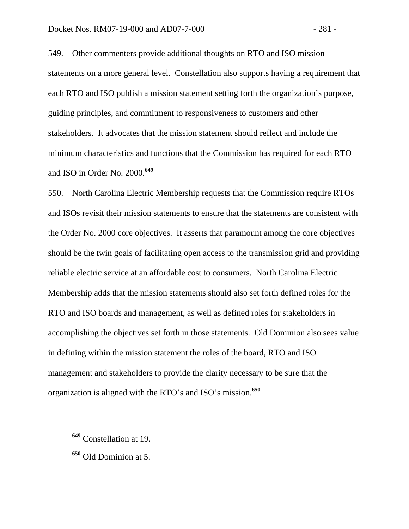549. Other commenters provide additional thoughts on RTO and ISO mission statements on a more general level. Constellation also supports having a requirement that each RTO and ISO publish a mission statement setting forth the organization's purpose, guiding principles, and commitment to responsiveness to customers and other stakeholders. It advocates that the mission statement should reflect and include the minimum characteristics and functions that the Commission has required for each RTO and ISO in Order No. 2000.**<sup>649</sup>**

550. North Carolina Electric Membership requests that the Commission require RTOs and ISOs revisit their mission statements to ensure that the statements are consistent with the Order No. 2000 core objectives. It asserts that paramount among the core objectives should be the twin goals of facilitating open access to the transmission grid and providing reliable electric service at an affordable cost to consumers. North Carolina Electric Membership adds that the mission statements should also set forth defined roles for the RTO and ISO boards and management, as well as defined roles for stakeholders in accomplishing the objectives set forth in those statements. Old Dominion also sees value in defining within the mission statement the roles of the board, RTO and ISO management and stakeholders to provide the clarity necessary to be sure that the organization is aligned with the RTO's and ISO's mission.**<sup>650</sup>**

**<sup>649</sup>** Constellation at 19.

**<sup>650</sup>** Old Dominion at 5.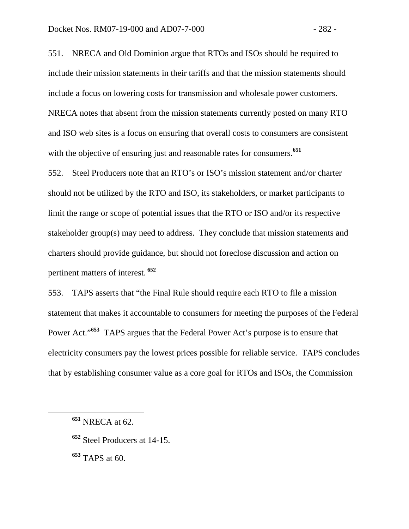551. NRECA and Old Dominion argue that RTOs and ISOs should be required to include their mission statements in their tariffs and that the mission statements should include a focus on lowering costs for transmission and wholesale power customers. NRECA notes that absent from the mission statements currently posted on many RTO and ISO web sites is a focus on ensuring that overall costs to consumers are consistent with the objective of ensuring just and reasonable rates for consumers.<sup>651</sup>

552. Steel Producers note that an RTO's or ISO's mission statement and/or charter should not be utilized by the RTO and ISO, its stakeholders, or market participants to limit the range or scope of potential issues that the RTO or ISO and/or its respective stakeholder group(s) may need to address. They conclude that mission statements and charters should provide guidance, but should not foreclose discussion and action on pertinent matters of interest.**<sup>652</sup>**

553. TAPS asserts that "the Final Rule should require each RTO to file a mission statement that makes it accountable to consumers for meeting the purposes of the Federal Power Act."<sup>653</sup> TAPS argues that the Federal Power Act's purpose is to ensure that electricity consumers pay the lowest prices possible for reliable service. TAPS concludes that by establishing consumer value as a core goal for RTOs and ISOs, the Commission

**<sup>652</sup>** Steel Producers at 14-15.

**<sup>653</sup>** TAPS at 60.

**<sup>651</sup>** NRECA at 62.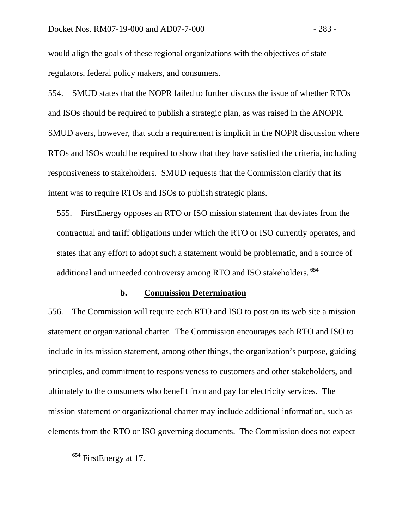would align the goals of these regional organizations with the objectives of state regulators, federal policy makers, and consumers.

554. SMUD states that the NOPR failed to further discuss the issue of whether RTOs and ISOs should be required to publish a strategic plan, as was raised in the ANOPR. SMUD avers, however, that such a requirement is implicit in the NOPR discussion where RTOs and ISOs would be required to show that they have satisfied the criteria, including responsiveness to stakeholders. SMUD requests that the Commission clarify that its intent was to require RTOs and ISOs to publish strategic plans.

555. FirstEnergy opposes an RTO or ISO mission statement that deviates from the contractual and tariff obligations under which the RTO or ISO currently operates, and states that any effort to adopt such a statement would be problematic, and a source of additional and unneeded controversy among RTO and ISO stakeholders.**<sup>654</sup>**

#### **b. Commission Determination**

556. The Commission will require each RTO and ISO to post on its web site a mission statement or organizational charter. The Commission encourages each RTO and ISO to include in its mission statement, among other things, the organization's purpose, guiding principles, and commitment to responsiveness to customers and other stakeholders, and ultimately to the consumers who benefit from and pay for electricity services. The mission statement or organizational charter may include additional information, such as elements from the RTO or ISO governing documents. The Commission does not expect

**<sup>654</sup>** FirstEnergy at 17.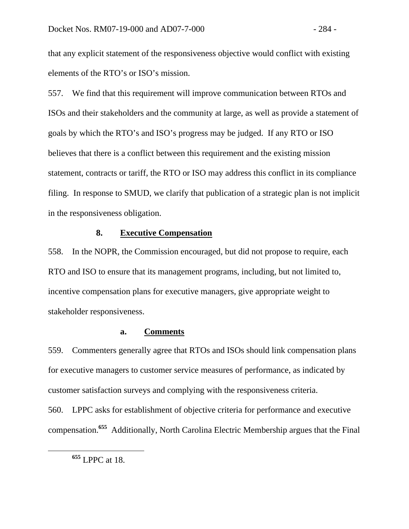that any explicit statement of the responsiveness objective would conflict with existing elements of the RTO's or ISO's mission.

557. We find that this requirement will improve communication between RTOs and ISOs and their stakeholders and the community at large, as well as provide a statement of goals by which the RTO's and ISO's progress may be judged. If any RTO or ISO believes that there is a conflict between this requirement and the existing mission statement, contracts or tariff, the RTO or ISO may address this conflict in its compliance filing. In response to SMUD, we clarify that publication of a strategic plan is not implicit in the responsiveness obligation.

# **8. Executive Compensation**

558. In the NOPR, the Commission encouraged, but did not propose to require, each RTO and ISO to ensure that its management programs, including, but not limited to, incentive compensation plans for executive managers, give appropriate weight to stakeholder responsiveness.

## **a. Comments**

559. Commenters generally agree that RTOs and ISOs should link compensation plans for executive managers to customer service measures of performance, as indicated by customer satisfaction surveys and complying with the responsiveness criteria.

560. LPPC asks for establishment of objective criteria for performance and executive compensation.**<sup>655</sup>** Additionally, North Carolina Electric Membership argues that the Final

**<sup>655</sup>** LPPC at 18.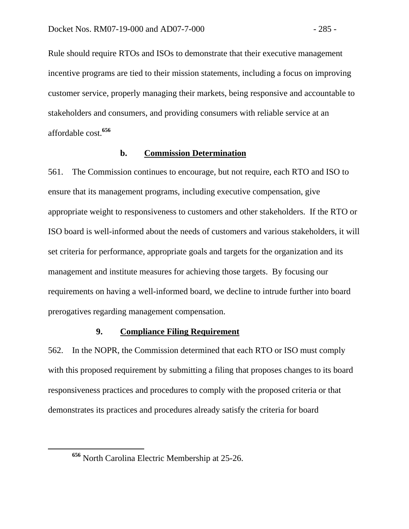Rule should require RTOs and ISOs to demonstrate that their executive management incentive programs are tied to their mission statements, including a focus on improving customer service, properly managing their markets, being responsive and accountable to stakeholders and consumers, and providing consumers with reliable service at an affordable cost.**<sup>656</sup>**

## **b. Commission Determination**

561. The Commission continues to encourage, but not require, each RTO and ISO to ensure that its management programs, including executive compensation, give appropriate weight to responsiveness to customers and other stakeholders. If the RTO or ISO board is well-informed about the needs of customers and various stakeholders, it will set criteria for performance, appropriate goals and targets for the organization and its management and institute measures for achieving those targets. By focusing our requirements on having a well-informed board, we decline to intrude further into board prerogatives regarding management compensation.

## **9. Compliance Filing Requirement**

562. In the NOPR, the Commission determined that each RTO or ISO must comply with this proposed requirement by submitting a filing that proposes changes to its board responsiveness practices and procedures to comply with the proposed criteria or that demonstrates its practices and procedures already satisfy the criteria for board

**<sup>656</sup>** North Carolina Electric Membership at 25-26.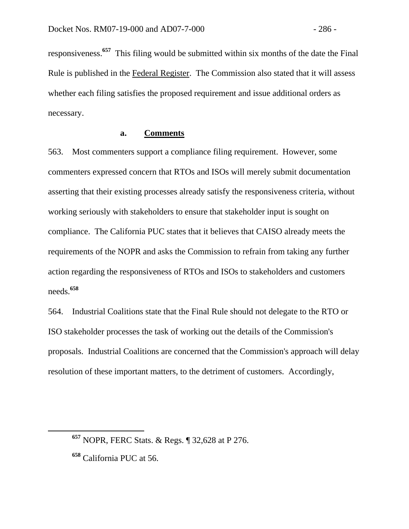responsiveness.**<sup>657</sup>** This filing would be submitted within six months of the date the Final Rule is published in the Federal Register. The Commission also stated that it will assess whether each filing satisfies the proposed requirement and issue additional orders as necessary.

#### **a. Comments**

563. Most commenters support a compliance filing requirement. However, some commenters expressed concern that RTOs and ISOs will merely submit documentation asserting that their existing processes already satisfy the responsiveness criteria, without working seriously with stakeholders to ensure that stakeholder input is sought on compliance. The California PUC states that it believes that CAISO already meets the requirements of the NOPR and asks the Commission to refrain from taking any further action regarding the responsiveness of RTOs and ISOs to stakeholders and customers needs.**<sup>658</sup>**

564. Industrial Coalitions state that the Final Rule should not delegate to the RTO or ISO stakeholder processes the task of working out the details of the Commission's proposals. Industrial Coalitions are concerned that the Commission's approach will delay resolution of these important matters, to the detriment of customers. Accordingly,

**<sup>657</sup>** NOPR, FERC Stats. & Regs. ¶ 32,628 at P 276.

**<sup>658</sup>** California PUC at 56.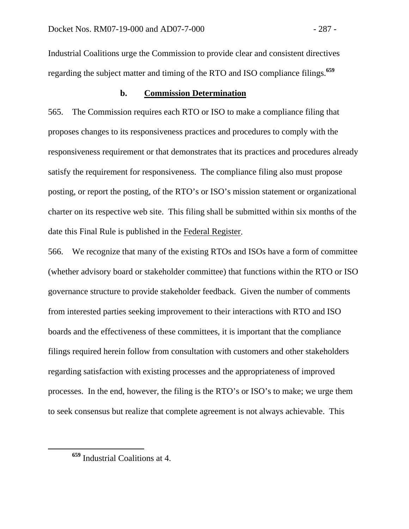Industrial Coalitions urge the Commission to provide clear and consistent directives regarding the subject matter and timing of the RTO and ISO compliance filings.**<sup>659</sup>**

## **b. Commission Determination**

565. The Commission requires each RTO or ISO to make a compliance filing that proposes changes to its responsiveness practices and procedures to comply with the responsiveness requirement or that demonstrates that its practices and procedures already satisfy the requirement for responsiveness. The compliance filing also must propose posting, or report the posting, of the RTO's or ISO's mission statement or organizational charter on its respective web site. This filing shall be submitted within six months of the date this Final Rule is published in the Federal Register.

566. We recognize that many of the existing RTOs and ISOs have a form of committee (whether advisory board or stakeholder committee) that functions within the RTO or ISO governance structure to provide stakeholder feedback. Given the number of comments from interested parties seeking improvement to their interactions with RTO and ISO boards and the effectiveness of these committees, it is important that the compliance filings required herein follow from consultation with customers and other stakeholders regarding satisfaction with existing processes and the appropriateness of improved processes. In the end, however, the filing is the RTO's or ISO's to make; we urge them to seek consensus but realize that complete agreement is not always achievable. This

**<sup>659</sup>** Industrial Coalitions at 4.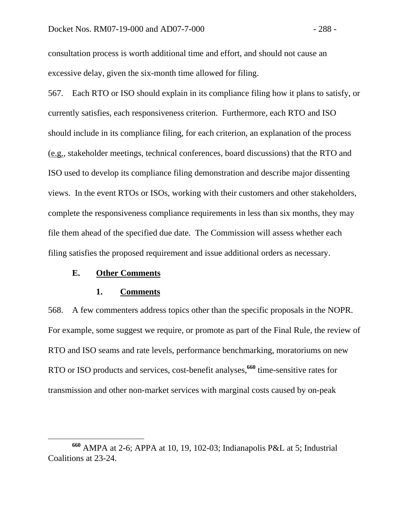consultation process is worth additional time and effort, and should not cause an excessive delay, given the six-month time allowed for filing.

567. Each RTO or ISO should explain in its compliance filing how it plans to satisfy, or currently satisfies, each responsiveness criterion. Furthermore, each RTO and ISO should include in its compliance filing, for each criterion, an explanation of the process (e.g., stakeholder meetings, technical conferences, board discussions) that the RTO and ISO used to develop its compliance filing demonstration and describe major dissenting views. In the event RTOs or ISOs, working with their customers and other stakeholders, complete the responsiveness compliance requirements in less than six months, they may file them ahead of the specified due date. The Commission will assess whether each filing satisfies the proposed requirement and issue additional orders as necessary.

## **E. Other Comments**

#### **1. Comments**

568. A few commenters address topics other than the specific proposals in the NOPR. For example, some suggest we require, or promote as part of the Final Rule, the review of RTO and ISO seams and rate levels, performance benchmarking, moratoriums on new RTO or ISO products and services, cost-benefit analyses,**<sup>660</sup>** time-sensitive rates for transmission and other non-market services with marginal costs caused by on-peak

**<sup>660</sup>** AMPA at 2-6; APPA at 10, 19, 102-03; Indianapolis P&L at 5; Industrial Coalitions at 23-24.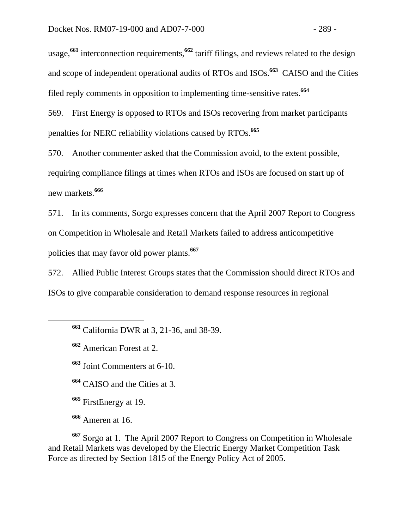usage,**<sup>661</sup>** interconnection requirements,**<sup>662</sup>** tariff filings, and reviews related to the design and scope of independent operational audits of RTOs and ISOs.**<sup>663</sup>** CAISO and the Cities filed reply comments in opposition to implementing time-sensitive rates.**<sup>664</sup>**

569. First Energy is opposed to RTOs and ISOs recovering from market participants penalties for NERC reliability violations caused by RTOs.**<sup>665</sup>**

570. Another commenter asked that the Commission avoid, to the extent possible, requiring compliance filings at times when RTOs and ISOs are focused on start up of new markets.**<sup>666</sup>**

571. In its comments, Sorgo expresses concern that the April 2007 Report to Congress on Competition in Wholesale and Retail Markets failed to address anticompetitive policies that may favor old power plants.**<sup>667</sup>**

572. Allied Public Interest Groups states that the Commission should direct RTOs and ISOs to give comparable consideration to demand response resources in regional

**<sup>662</sup>** American Forest at 2.

**<sup>663</sup>** Joint Commenters at 6-10.

**<sup>664</sup>** CAISO and the Cities at 3.

**<sup>665</sup>** FirstEnergy at 19.

**<sup>666</sup>** Ameren at 16.

**<sup>667</sup>** Sorgo at 1. The April 2007 Report to Congress on Competition in Wholesale and Retail Markets was developed by the Electric Energy Market Competition Task Force as directed by Section 1815 of the Energy Policy Act of 2005.

**<sup>661</sup>** California DWR at 3, 21-36, and 38-39.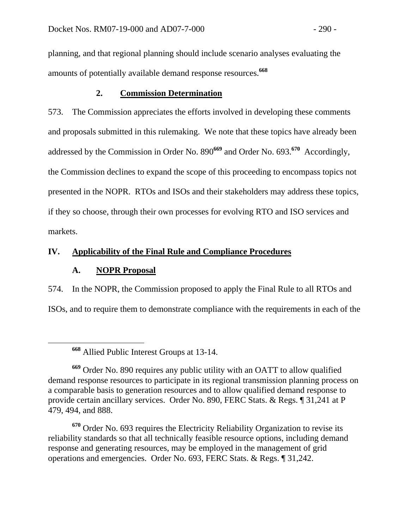planning, and that regional planning should include scenario analyses evaluating the amounts of potentially available demand response resources.**<sup>668</sup>**

## **2. Commission Determination**

573. The Commission appreciates the efforts involved in developing these comments and proposals submitted in this rulemaking. We note that these topics have already been addressed by the Commission in Order No. 890**<sup>669</sup>** and Order No. 693.**<sup>670</sup>** Accordingly, the Commission declines to expand the scope of this proceeding to encompass topics not presented in the NOPR. RTOs and ISOs and their stakeholders may address these topics, if they so choose, through their own processes for evolving RTO and ISO services and markets.

# **IV. Applicability of the Final Rule and Compliance Procedures**

## **A. NOPR Proposal**

574. In the NOPR, the Commission proposed to apply the Final Rule to all RTOs and ISOs, and to require them to demonstrate compliance with the requirements in each of the

**<sup>670</sup>** Order No. 693 requires the Electricity Reliability Organization to revise its reliability standards so that all technically feasible resource options, including demand response and generating resources, may be employed in the management of grid operations and emergencies. Order No. 693, FERC Stats. & Regs. ¶ 31,242.

**<sup>668</sup>** Allied Public Interest Groups at 13-14.

**<sup>669</sup>** Order No. 890 requires any public utility with an OATT to allow qualified demand response resources to participate in its regional transmission planning process on a comparable basis to generation resources and to allow qualified demand response to provide certain ancillary services. Order No. 890, FERC Stats. & Regs. ¶ 31,241 at P 479, 494, and 888.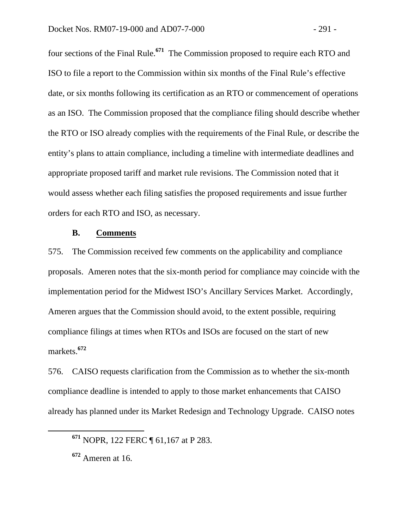four sections of the Final Rule.**<sup>671</sup>** The Commission proposed to require each RTO and ISO to file a report to the Commission within six months of the Final Rule's effective date, or six months following its certification as an RTO or commencement of operations as an ISO. The Commission proposed that the compliance filing should describe whether the RTO or ISO already complies with the requirements of the Final Rule, or describe the entity's plans to attain compliance, including a timeline with intermediate deadlines and appropriate proposed tariff and market rule revisions. The Commission noted that it would assess whether each filing satisfies the proposed requirements and issue further orders for each RTO and ISO, as necessary.

## **B. Comments**

575. The Commission received few comments on the applicability and compliance proposals. Ameren notes that the six-month period for compliance may coincide with the implementation period for the Midwest ISO's Ancillary Services Market. Accordingly, Ameren argues that the Commission should avoid, to the extent possible, requiring compliance filings at times when RTOs and ISOs are focused on the start of new markets.**<sup>672</sup>**

576. CAISO requests clarification from the Commission as to whether the six-month compliance deadline is intended to apply to those market enhancements that CAISO already has planned under its Market Redesign and Technology Upgrade. CAISO notes

**<sup>671</sup>** NOPR, 122 FERC ¶ 61,167 at P 283.

**<sup>672</sup>** Ameren at 16.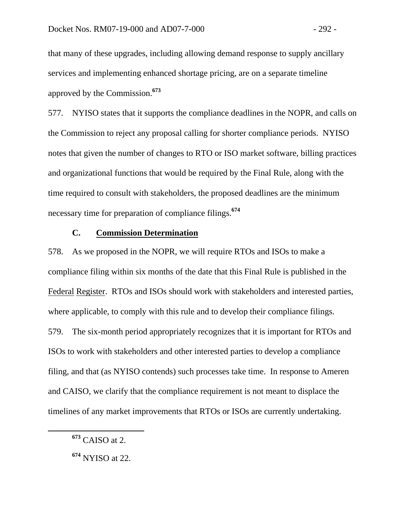that many of these upgrades, including allowing demand response to supply ancillary services and implementing enhanced shortage pricing, are on a separate timeline approved by the Commission.**<sup>673</sup>**

577. NYISO states that it supports the compliance deadlines in the NOPR, and calls on the Commission to reject any proposal calling for shorter compliance periods. NYISO notes that given the number of changes to RTO or ISO market software, billing practices and organizational functions that would be required by the Final Rule, along with the time required to consult with stakeholders, the proposed deadlines are the minimum necessary time for preparation of compliance filings.**<sup>674</sup>**

# **C. Commission Determination**

578. As we proposed in the NOPR, we will require RTOs and ISOs to make a compliance filing within six months of the date that this Final Rule is published in the Federal Register. RTOs and ISOs should work with stakeholders and interested parties, where applicable, to comply with this rule and to develop their compliance filings. 579. The six-month period appropriately recognizes that it is important for RTOs and ISOs to work with stakeholders and other interested parties to develop a compliance filing, and that (as NYISO contends) such processes take time. In response to Ameren and CAISO, we clarify that the compliance requirement is not meant to displace the timelines of any market improvements that RTOs or ISOs are currently undertaking.

**<sup>673</sup>** CAISO at 2.

**<sup>674</sup>** NYISO at 22.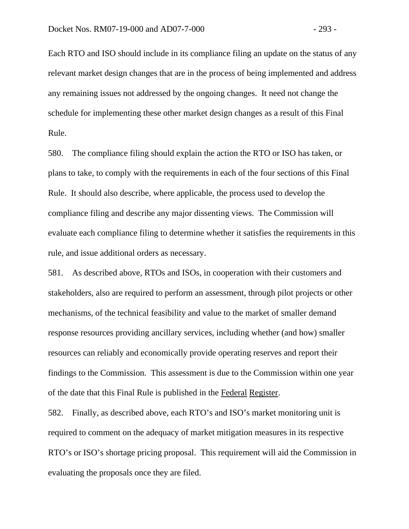Each RTO and ISO should include in its compliance filing an update on the status of any relevant market design changes that are in the process of being implemented and address any remaining issues not addressed by the ongoing changes. It need not change the schedule for implementing these other market design changes as a result of this Final Rule.

580. The compliance filing should explain the action the RTO or ISO has taken, or plans to take, to comply with the requirements in each of the four sections of this Final Rule. It should also describe, where applicable, the process used to develop the compliance filing and describe any major dissenting views. The Commission will evaluate each compliance filing to determine whether it satisfies the requirements in this rule, and issue additional orders as necessary.

581. As described above, RTOs and ISOs, in cooperation with their customers and stakeholders, also are required to perform an assessment, through pilot projects or other mechanisms, of the technical feasibility and value to the market of smaller demand response resources providing ancillary services, including whether (and how) smaller resources can reliably and economically provide operating reserves and report their findings to the Commission. This assessment is due to the Commission within one year of the date that this Final Rule is published in the Federal Register.

582. Finally, as described above, each RTO's and ISO's market monitoring unit is required to comment on the adequacy of market mitigation measures in its respective RTO's or ISO's shortage pricing proposal. This requirement will aid the Commission in evaluating the proposals once they are filed.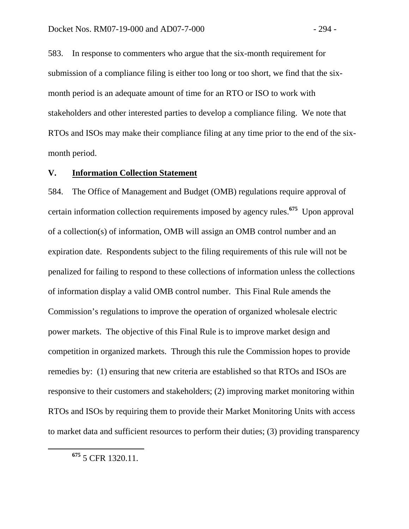583. In response to commenters who argue that the six-month requirement for submission of a compliance filing is either too long or too short, we find that the sixmonth period is an adequate amount of time for an RTO or ISO to work with stakeholders and other interested parties to develop a compliance filing. We note that RTOs and ISOs may make their compliance filing at any time prior to the end of the sixmonth period.

## **V. Information Collection Statement**

584. The Office of Management and Budget (OMB) regulations require approval of certain information collection requirements imposed by agency rules.**<sup>675</sup>** Upon approval of a collection(s) of information, OMB will assign an OMB control number and an expiration date. Respondents subject to the filing requirements of this rule will not be penalized for failing to respond to these collections of information unless the collections of information display a valid OMB control number. This Final Rule amends the Commission's regulations to improve the operation of organized wholesale electric power markets. The objective of this Final Rule is to improve market design and competition in organized markets. Through this rule the Commission hopes to provide remedies by: (1) ensuring that new criteria are established so that RTOs and ISOs are responsive to their customers and stakeholders; (2) improving market monitoring within RTOs and ISOs by requiring them to provide their Market Monitoring Units with access to market data and sufficient resources to perform their duties; (3) providing transparency

**<sup>675</sup>** 5 CFR 1320.11.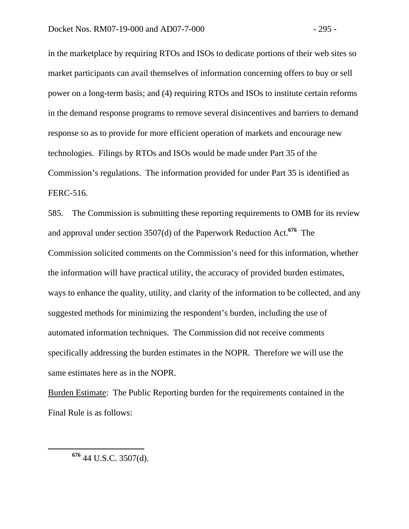in the marketplace by requiring RTOs and ISOs to dedicate portions of their web sites so market participants can avail themselves of information concerning offers to buy or sell power on a long-term basis; and (4) requiring RTOs and ISOs to institute certain reforms in the demand response programs to remove several disincentives and barriers to demand response so as to provide for more efficient operation of markets and encourage new technologies. Filings by RTOs and ISOs would be made under Part 35 of the Commission's regulations. The information provided for under Part 35 is identified as FERC-516.

585. The Commission is submitting these reporting requirements to OMB for its review and approval under section 3507(d) of the Paperwork Reduction Act.**<sup>676</sup>** The Commission solicited comments on the Commission's need for this information, whether the information will have practical utility, the accuracy of provided burden estimates, ways to enhance the quality, utility, and clarity of the information to be collected, and any suggested methods for minimizing the respondent's burden, including the use of automated information techniques. The Commission did not receive comments specifically addressing the burden estimates in the NOPR. Therefore we will use the same estimates here as in the NOPR.

Burden Estimate:The Public Reporting burden for the requirements contained in the Final Rule is as follows:

**<sup>676</sup>** 44 U.S.C. 3507(d).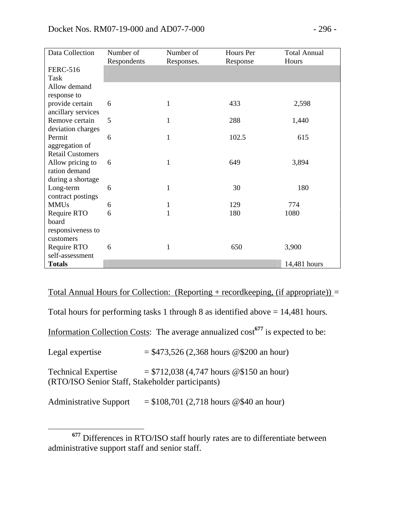| Data Collection         | Number of   | Number of    | Hours Per | <b>Total Annual</b> |
|-------------------------|-------------|--------------|-----------|---------------------|
|                         | Respondents | Responses.   | Response  | Hours               |
| <b>FERC-516</b>         |             |              |           |                     |
| Task                    |             |              |           |                     |
| Allow demand            |             |              |           |                     |
| response to             |             |              |           |                     |
| provide certain         | 6           | 1            | 433       | 2,598               |
| ancillary services      |             |              |           |                     |
| Remove certain          | 5           | 1            | 288       | 1,440               |
| deviation charges       |             |              |           |                     |
| Permit                  | 6           | 1            | 102.5     | 615                 |
| aggregation of          |             |              |           |                     |
| <b>Retail Customers</b> |             |              |           |                     |
| Allow pricing to        | 6           | 1            | 649       | 3,894               |
| ration demand           |             |              |           |                     |
| during a shortage       |             |              |           |                     |
| Long-term               | 6           | 1            | 30        | 180                 |
| contract postings       |             |              |           |                     |
| <b>MMUs</b>             | 6           | 1            | 129       | 774                 |
| Require RTO             | 6           | $\mathbf{1}$ | 180       | 1080                |
| board                   |             |              |           |                     |
| responsiveness to       |             |              |           |                     |
| customers               |             |              |           |                     |
| Require RTO             | 6           | 1            | 650       | 3,900               |
| self-assessment         |             |              |           |                     |
| <b>Totals</b>           |             |              |           | 14,481 hours        |

Total Annual Hours for Collection: (Reporting + recordkeeping, (if appropriate)) *=* 

Total hours for performing tasks 1 through 8 as identified above  $= 14,481$  hours.

Information Collection Costs: The average annualized cost**<sup>677</sup>** is expected to be:

Legal expertise  $= $473,526 (2,368 \text{ hours } @ $200 \text{ an hour})$ 

Technical Expertise  $= $712,038 (4,747 \text{ hours } @ $150 \text{ an hour})$ (RTO/ISO Senior Staff, Stakeholder participants)

Administrative Support  $= $108,701 (2,718)$  hours @\$40 an hour)

**<sup>677</sup>** Differences in RTO/ISO staff hourly rates are to differentiate between administrative support staff and senior staff.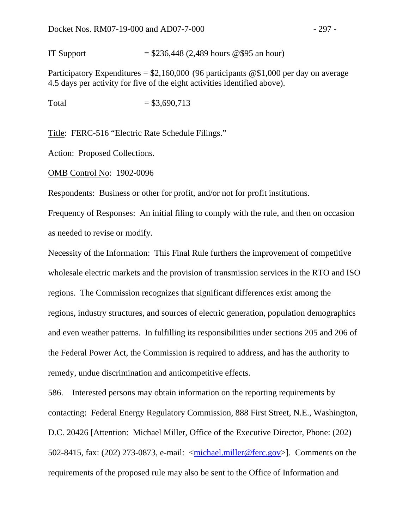IT Support  $= $236,448 (2,489 \text{ hours } @ $95 \text{ an hour})$ 

Participatory Expenditures =  $$2,160,000$  (96 participants @\$1,000 per day on average 4.5 days per activity for five of the eight activities identified above).

Total  $= $3,690,713$ 

Title:FERC-516 "Electric Rate Schedule Filings."

Action: Proposed Collections.

OMB Control No:1902-0096

Respondents:Business or other for profit, and/or not for profit institutions.

Frequency of Responses:An initial filing to comply with the rule, and then on occasion as needed to revise or modify.

Necessity of the Information:This Final Rule furthers the improvement of competitive wholesale electric markets and the provision of transmission services in the RTO and ISO regions. The Commission recognizes that significant differences exist among the regions, industry structures, and sources of electric generation, population demographics and even weather patterns. In fulfilling its responsibilities under sections 205 and 206 of the Federal Power Act, the Commission is required to address, and has the authority to remedy, undue discrimination and anticompetitive effects.

586. Interested persons may obtain information on the reporting requirements by contacting: Federal Energy Regulatory Commission, 888 First Street, N.E., Washington, D.C. 20426 [Attention: Michael Miller, Office of the Executive Director, Phone: (202) 502-8415, fax: (202) 273-0873, e-mail: <michael.miller@ferc.gov>]. Comments on the requirements of the proposed rule may also be sent to the Office of Information and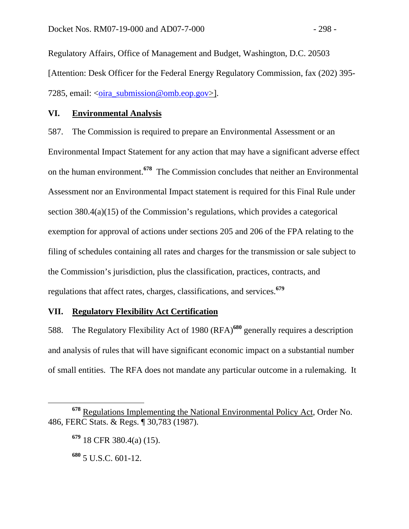Regulatory Affairs, Office of Management and Budget, Washington, D.C. 20503 [Attention: Desk Officer for the Federal Energy Regulatory Commission, fax (202) 395- 7285, email:  $\langle \text{oira} \rangle$  submission@omb.eop.gov>].

## **VI. Environmental Analysis**

587. The Commission is required to prepare an Environmental Assessment or an Environmental Impact Statement for any action that may have a significant adverse effect on the human environment.**<sup>678</sup>** The Commission concludes that neither an Environmental Assessment nor an Environmental Impact statement is required for this Final Rule under section 380.4(a)(15) of the Commission's regulations, which provides a categorical exemption for approval of actions under sections 205 and 206 of the FPA relating to the filing of schedules containing all rates and charges for the transmission or sale subject to the Commission's jurisdiction, plus the classification, practices, contracts, and regulations that affect rates, charges, classifications, and services.**<sup>679</sup>**

## **VII. Regulatory Flexibility Act Certification**

588. The Regulatory Flexibility Act of 1980 (RFA)**<sup>680</sup>** generally requires a description and analysis of rules that will have significant economic impact on a substantial number of small entities. The RFA does not mandate any particular outcome in a rulemaking. It

**<sup>678</sup>** Regulations Implementing the National Environmental Policy Act, Order No. 486, FERC Stats. & Regs. ¶ 30,783 (1987).

**<sup>679</sup>** 18 CFR 380.4(a) (15).

**<sup>680</sup>** 5 U.S.C. 601-12.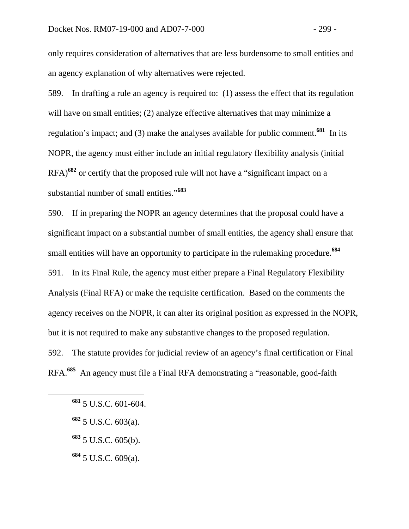only requires consideration of alternatives that are less burdensome to small entities and an agency explanation of why alternatives were rejected.

589. In drafting a rule an agency is required to: (1) assess the effect that its regulation will have on small entities; (2) analyze effective alternatives that may minimize a regulation's impact; and (3) make the analyses available for public comment.**<sup>681</sup>** In its NOPR, the agency must either include an initial regulatory flexibility analysis (initial RFA)**<sup>682</sup>** or certify that the proposed rule will not have a "significant impact on a substantial number of small entities."**<sup>683</sup>**

590. If in preparing the NOPR an agency determines that the proposal could have a significant impact on a substantial number of small entities, the agency shall ensure that small entities will have an opportunity to participate in the rulemaking procedure.**<sup>684</sup>** 591. In its Final Rule, the agency must either prepare a Final Regulatory Flexibility Analysis (Final RFA) or make the requisite certification. Based on the comments the agency receives on the NOPR, it can alter its original position as expressed in the NOPR, but it is not required to make any substantive changes to the proposed regulation. 592. The statute provides for judicial review of an agency's final certification or Final RFA.**<sup>685</sup>** An agency must file a Final RFA demonstrating a "reasonable, good-faith

- **<sup>682</sup>** 5 U.S.C. 603(a).
- **<sup>683</sup>** 5 U.S.C. 605(b).
- **<sup>684</sup>** 5 U.S.C. 609(a).

**<sup>681</sup>** 5 U.S.C. 601-604.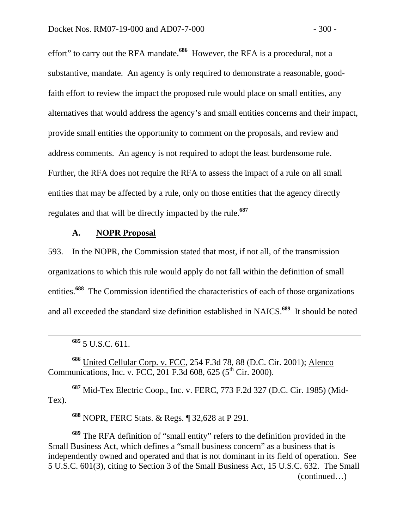effort" to carry out the RFA mandate.**<sup>686</sup>** However, the RFA is a procedural, not a substantive, mandate. An agency is only required to demonstrate a reasonable, goodfaith effort to review the impact the proposed rule would place on small entities, any alternatives that would address the agency's and small entities concerns and their impact, provide small entities the opportunity to comment on the proposals, and review and address comments. An agency is not required to adopt the least burdensome rule. Further, the RFA does not require the RFA to assess the impact of a rule on all small entities that may be affected by a rule, only on those entities that the agency directly regulates and that will be directly impacted by the rule.**<sup>687</sup>**

## **A. NOPR Proposal**

593. In the NOPR, the Commission stated that most, if not all, of the transmission organizations to which this rule would apply do not fall within the definition of small entities.**<sup>688</sup>** The Commission identified the characteristics of each of those organizations and all exceeded the standard size definition established in NAICS.**<sup>689</sup>** It should be noted

**<sup>686</sup>** United Cellular Corp. v. FCC*,* 254 F.3d 78, 88 (D.C. Cir. 2001); Alenco Communications, Inc. v. FCC, 201 F.3d 608, 625 ( $5<sup>th</sup>$  Cir. 2000).

**<sup>687</sup>** Mid-Tex Electric Coop., Inc. v. FERC, 773 F.2d 327 (D.C. Cir. 1985) (Mid-Tex).

**<sup>688</sup>** NOPR, FERC Stats. & Regs. ¶ 32,628 at P 291.

**<sup>689</sup>** The RFA definition of "small entity" refers to the definition provided in the Small Business Act, which defines a "small business concern" as a business that is independently owned and operated and that is not dominant in its field of operation. See 5 U.S.C. 601(3), citing to Section 3 of the Small Business Act, 15 U.S.C. 632. The Small (continued…)

**<sup>685</sup>** 5 U.S.C. 611.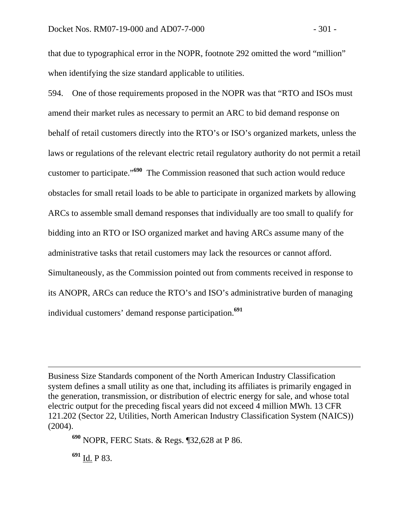that due to typographical error in the NOPR, footnote 292 omitted the word "million" when identifying the size standard applicable to utilities.

594. One of those requirements proposed in the NOPR was that "RTO and ISOs must amend their market rules as necessary to permit an ARC to bid demand response on behalf of retail customers directly into the RTO's or ISO's organized markets, unless the laws or regulations of the relevant electric retail regulatory authority do not permit a retail customer to participate."**<sup>690</sup>** The Commission reasoned that such action would reduce obstacles for small retail loads to be able to participate in organized markets by allowing ARCs to assemble small demand responses that individually are too small to qualify for bidding into an RTO or ISO organized market and having ARCs assume many of the administrative tasks that retail customers may lack the resources or cannot afford. Simultaneously, as the Commission pointed out from comments received in response to its ANOPR, ARCs can reduce the RTO's and ISO's administrative burden of managing individual customers' demand response participation.**<sup>691</sup>**

**<sup>691</sup>** Id. P 83.

Business Size Standards component of the North American Industry Classification system defines a small utility as one that, including its affiliates is primarily engaged in the generation, transmission, or distribution of electric energy for sale, and whose total electric output for the preceding fiscal years did not exceed 4 million MWh. 13 CFR 121.202 (Sector 22, Utilities, North American Industry Classification System (NAICS)) (2004).

**<sup>690</sup>** NOPR, FERC Stats. & Regs. ¶32,628 at P 86.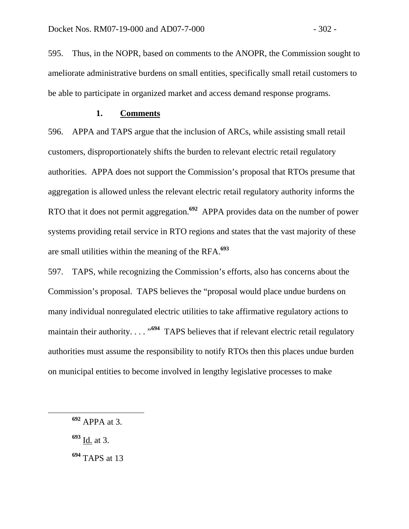595. Thus, in the NOPR, based on comments to the ANOPR, the Commission sought to ameliorate administrative burdens on small entities, specifically small retail customers to be able to participate in organized market and access demand response programs.

## **1. Comments**

596. APPA and TAPS argue that the inclusion of ARCs, while assisting small retail customers, disproportionately shifts the burden to relevant electric retail regulatory authorities. APPA does not support the Commission's proposal that RTOs presume that aggregation is allowed unless the relevant electric retail regulatory authority informs the RTO that it does not permit aggregation.**<sup>692</sup>** APPA provides data on the number of power systems providing retail service in RTO regions and states that the vast majority of these are small utilities within the meaning of the RFA.**<sup>693</sup>**

597. TAPS, while recognizing the Commission's efforts, also has concerns about the Commission's proposal. TAPS believes the "proposal would place undue burdens on many individual nonregulated electric utilities to take affirmative regulatory actions to maintain their authority. . . . "<sup>694</sup> TAPS believes that if relevant electric retail regulatory authorities must assume the responsibility to notify RTOs then this places undue burden on municipal entities to become involved in lengthy legislative processes to make

**<sup>693</sup>** Id. at 3.

**<sup>694</sup>** TAPS at 13

**<sup>692</sup>** APPA at 3.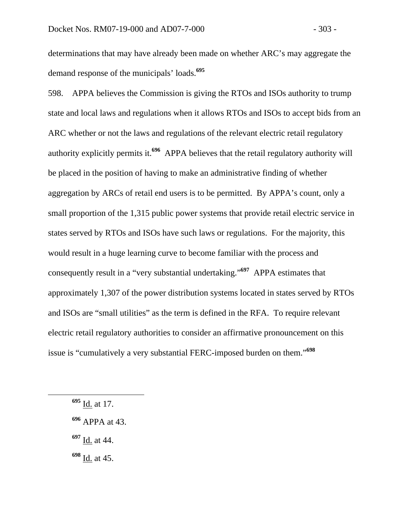determinations that may have already been made on whether ARC's may aggregate the demand response of the municipals' loads.**<sup>695</sup>**

598. APPA believes the Commission is giving the RTOs and ISOs authority to trump state and local laws and regulations when it allows RTOs and ISOs to accept bids from an ARC whether or not the laws and regulations of the relevant electric retail regulatory authority explicitly permits it.**<sup>696</sup>** APPA believes that the retail regulatory authority will be placed in the position of having to make an administrative finding of whether aggregation by ARCs of retail end users is to be permitted. By APPA's count, only a small proportion of the 1,315 public power systems that provide retail electric service in states served by RTOs and ISOs have such laws or regulations. For the majority, this would result in a huge learning curve to become familiar with the process and consequently result in a "very substantial undertaking."**<sup>697</sup>** APPA estimates that approximately 1,307 of the power distribution systems located in states served by RTOs and ISOs are "small utilities" as the term is defined in the RFA. To require relevant electric retail regulatory authorities to consider an affirmative pronouncement on this issue is "cumulatively a very substantial FERC-imposed burden on them."**<sup>698</sup>**

**<sup>697</sup>** Id. at 44.

**<sup>695</sup>** Id. at 17.

**<sup>696</sup>** APPA at 43.

**<sup>698</sup>** Id. at 45.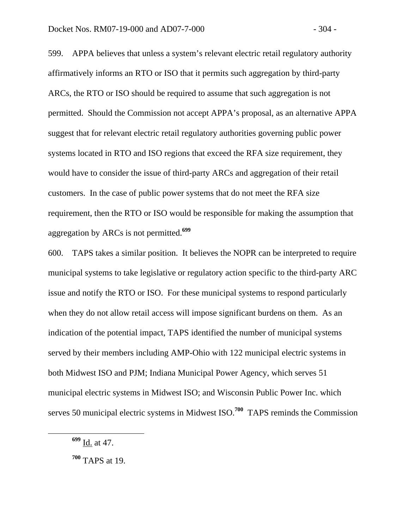599. APPA believes that unless a system's relevant electric retail regulatory authority affirmatively informs an RTO or ISO that it permits such aggregation by third-party ARCs, the RTO or ISO should be required to assume that such aggregation is not permitted. Should the Commission not accept APPA's proposal, as an alternative APPA suggest that for relevant electric retail regulatory authorities governing public power systems located in RTO and ISO regions that exceed the RFA size requirement, they would have to consider the issue of third-party ARCs and aggregation of their retail customers. In the case of public power systems that do not meet the RFA size requirement, then the RTO or ISO would be responsible for making the assumption that aggregation by ARCs is not permitted.**<sup>699</sup>**

600. TAPS takes a similar position. It believes the NOPR can be interpreted to require municipal systems to take legislative or regulatory action specific to the third-party ARC issue and notify the RTO or ISO. For these municipal systems to respond particularly when they do not allow retail access will impose significant burdens on them. As an indication of the potential impact, TAPS identified the number of municipal systems served by their members including AMP-Ohio with 122 municipal electric systems in both Midwest ISO and PJM; Indiana Municipal Power Agency, which serves 51 municipal electric systems in Midwest ISO; and Wisconsin Public Power Inc. which serves 50 municipal electric systems in Midwest ISO.**<sup>700</sup>** TAPS reminds the Commission

**<sup>699</sup>** Id. at 47.

**<sup>700</sup>** TAPS at 19.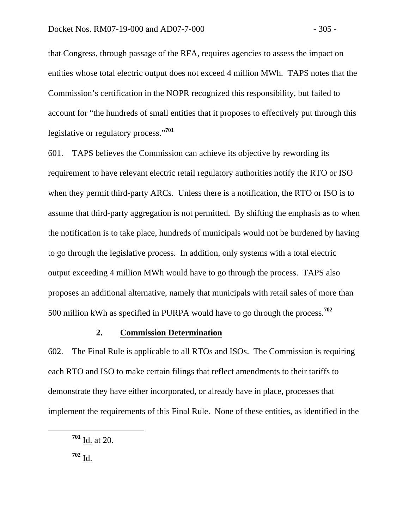that Congress, through passage of the RFA, requires agencies to assess the impact on entities whose total electric output does not exceed 4 million MWh. TAPS notes that the Commission's certification in the NOPR recognized this responsibility, but failed to account for "the hundreds of small entities that it proposes to effectively put through this legislative or regulatory process."**<sup>701</sup>**

601. TAPS believes the Commission can achieve its objective by rewording its requirement to have relevant electric retail regulatory authorities notify the RTO or ISO when they permit third-party ARCs. Unless there is a notification, the RTO or ISO is to assume that third-party aggregation is not permitted. By shifting the emphasis as to when the notification is to take place, hundreds of municipals would not be burdened by having to go through the legislative process. In addition, only systems with a total electric output exceeding 4 million MWh would have to go through the process. TAPS also proposes an additional alternative, namely that municipals with retail sales of more than 500 million kWh as specified in PURPA would have to go through the process.**<sup>702</sup>**

#### **2. Commission Determination**

602. The Final Rule is applicable to all RTOs and ISOs. The Commission is requiring each RTO and ISO to make certain filings that reflect amendments to their tariffs to demonstrate they have either incorporated, or already have in place, processes that implement the requirements of this Final Rule. None of these entities, as identified in the

**<sup>701</sup>** Id. at 20.

 $702 \underline{\mathsf{Id}}$ .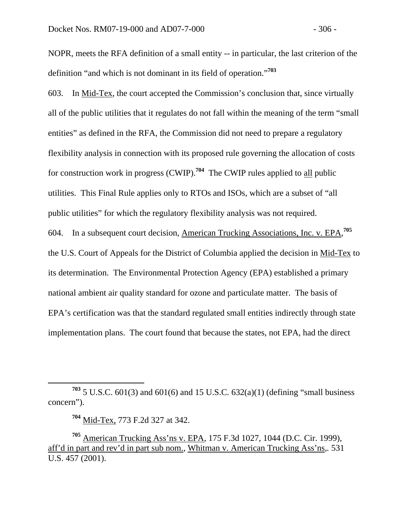NOPR, meets the RFA definition of a small entity -- in particular, the last criterion of the definition "and which is not dominant in its field of operation."**<sup>703</sup>**

603. In Mid-Tex, the court accepted the Commission's conclusion that, since virtually all of the public utilities that it regulates do not fall within the meaning of the term "small entities" as defined in the RFA, the Commission did not need to prepare a regulatory flexibility analysis in connection with its proposed rule governing the allocation of costs for construction work in progress (CWIP).**<sup>704</sup>** The CWIP rules applied to all public utilities. This Final Rule applies only to RTOs and ISOs, which are a subset of "all public utilities" for which the regulatory flexibility analysis was not required. 604. In a subsequent court decision, American Trucking Associations, Inc. v. EPA, **705** the U.S. Court of Appeals for the District of Columbia applied the decision in Mid-Tex to its determination. The Environmental Protection Agency (EPA) established a primary national ambient air quality standard for ozone and particulate matter. The basis of EPA's certification was that the standard regulated small entities indirectly through state implementation plans. The court found that because the states, not EPA, had the direct

**<sup>703</sup>** 5 U.S.C. 601(3) and 601(6) and 15 U.S.C. 632(a)(1) (defining "small business concern").

**<sup>704</sup>** Mid-Tex, 773 F.2d 327 at 342.

**<sup>705</sup>** American Trucking Ass'ns v. EPA*,* 175 F.3d 1027, 1044 (D.C. Cir. 1999), aff'd in part and rev'd in part sub nom., Whitman v. American Trucking Ass'ns,*.* 531 U.S. 457 (2001).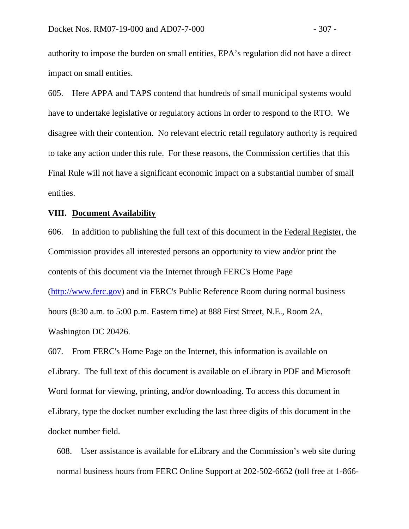authority to impose the burden on small entities, EPA's regulation did not have a direct impact on small entities.

605. Here APPA and TAPS contend that hundreds of small municipal systems would have to undertake legislative or regulatory actions in order to respond to the RTO. We disagree with their contention. No relevant electric retail regulatory authority is required to take any action under this rule. For these reasons, the Commission certifies that this Final Rule will not have a significant economic impact on a substantial number of small entities.

#### **VIII. Document Availability**

606. In addition to publishing the full text of this document in the Federal Register, the Commission provides all interested persons an opportunity to view and/or print the contents of this document via the Internet through FERC's Home Page (http://www.ferc.gov) and in FERC's Public Reference Room during normal business hours (8:30 a.m. to 5:00 p.m. Eastern time) at 888 First Street, N.E., Room 2A, Washington DC 20426.

607. From FERC's Home Page on the Internet, this information is available on eLibrary. The full text of this document is available on eLibrary in PDF and Microsoft Word format for viewing, printing, and/or downloading. To access this document in eLibrary, type the docket number excluding the last three digits of this document in the docket number field.

608. User assistance is available for eLibrary and the Commission's web site during normal business hours from FERC Online Support at 202-502-6652 (toll free at 1-866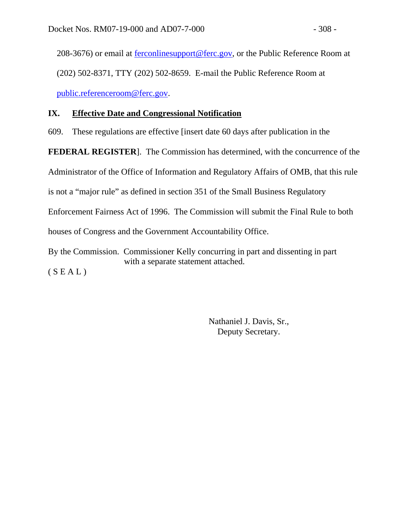208-3676) or email at **ferconlinesupport@ferc.gov**, or the Public Reference Room at (202) 502-8371, TTY (202) 502-8659. E-mail the Public Reference Room at public.referenceroom@ferc.gov.

# **IX. Effective Date and Congressional Notification**

609. These regulations are effective [insert date 60 days after publication in the

**FEDERAL REGISTER**]. The Commission has determined, with the concurrence of the

Administrator of the Office of Information and Regulatory Affairs of OMB, that this rule

is not a "major rule" as defined in section 351 of the Small Business Regulatory

Enforcement Fairness Act of 1996. The Commission will submit the Final Rule to both

houses of Congress and the Government Accountability Office.

By the Commission. Commissioner Kelly concurring in part and dissenting in part with a separate statement attached.  $(S E A L)$ 

> Nathaniel J. Davis, Sr., Deputy Secretary.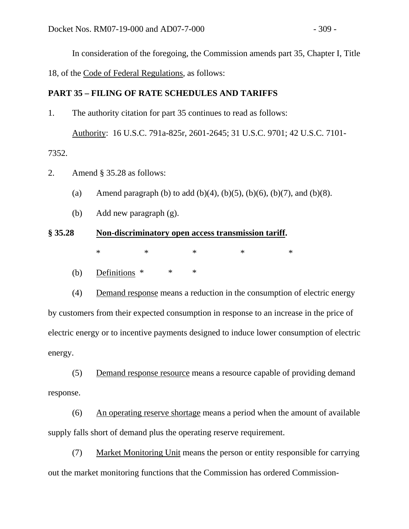In consideration of the foregoing, the Commission amends part 35, Chapter I, Title

18, of the Code of Federal Regulations, as follows:

# **PART 35 – FILING OF RATE SCHEDULES AND TARIFFS**

- 1. The authority citation for part 35 continues to read as follows: Authority: 16 U.S.C. 791a-825r, 2601-2645; 31 U.S.C. 9701; 42 U.S.C. 7101- 7352.
- 2. Amend § 35.28 as follows:
	- (a) Amend paragraph (b) to add (b)(4), (b)(5), (b)(6), (b)(7), and (b)(8).
	- (b) Add new paragraph (g).

# **§ 35.28 Non-discriminatory open access transmission tariff.**  $*$  \* \* \* \* \*

(b) Definitions \* \* \*

 (4) Demand response means a reduction in the consumption of electric energy by customers from their expected consumption in response to an increase in the price of electric energy or to incentive payments designed to induce lower consumption of electric energy.

(5) Demand response resource means a resource capable of providing demand response.

 (6) An operating reserve shortage means a period when the amount of available supply falls short of demand plus the operating reserve requirement.

(7) Market Monitoring Unit means the person or entity responsible for carrying out the market monitoring functions that the Commission has ordered Commission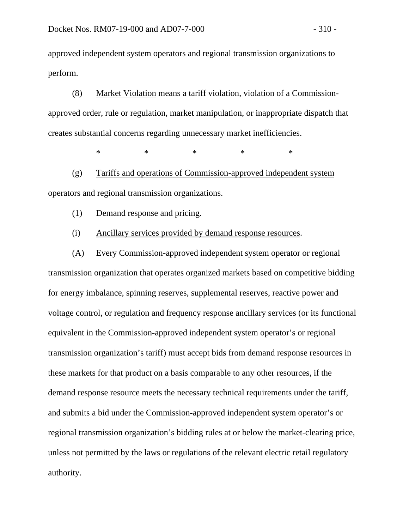approved independent system operators and regional transmission organizations to perform.

(8) Market Violation means a tariff violation, violation of a Commissionapproved order, rule or regulation, market manipulation, or inappropriate dispatch that creates substantial concerns regarding unnecessary market inefficiencies.

 $\begin{matrix} * & * \end{matrix}$  \* \* \* \* \* \*

(g) Tariffs and operations of Commission-approved independent system operators and regional transmission organizations.

(1) Demand response and pricing.

(i) Ancillary services provided by demand response resources.

(A) Every Commission-approved independent system operator or regional transmission organization that operates organized markets based on competitive bidding for energy imbalance, spinning reserves, supplemental reserves, reactive power and voltage control, or regulation and frequency response ancillary services (or its functional equivalent in the Commission-approved independent system operator's or regional transmission organization's tariff) must accept bids from demand response resources in these markets for that product on a basis comparable to any other resources, if the demand response resource meets the necessary technical requirements under the tariff, and submits a bid under the Commission-approved independent system operator's or regional transmission organization's bidding rules at or below the market-clearing price, unless not permitted by the laws or regulations of the relevant electric retail regulatory authority.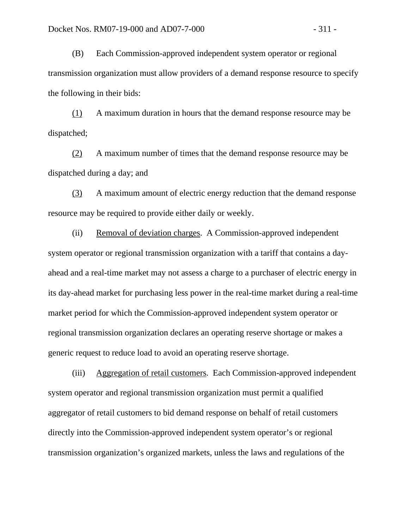(B) Each Commission-approved independent system operator or regional transmission organization must allow providers of a demand response resource to specify the following in their bids:

(1) A maximum duration in hours that the demand response resource may be dispatched;

(2) A maximum number of times that the demand response resource may be dispatched during a day; and

(3) A maximum amount of electric energy reduction that the demand response resource may be required to provide either daily or weekly.

(ii) Removal of deviation charges. A Commission-approved independent system operator or regional transmission organization with a tariff that contains a dayahead and a real-time market may not assess a charge to a purchaser of electric energy in its day-ahead market for purchasing less power in the real-time market during a real-time market period for which the Commission-approved independent system operator or regional transmission organization declares an operating reserve shortage or makes a generic request to reduce load to avoid an operating reserve shortage.

(iii) Aggregation of retail customers. Each Commission-approved independent system operator and regional transmission organization must permit a qualified aggregator of retail customers to bid demand response on behalf of retail customers directly into the Commission-approved independent system operator's or regional transmission organization's organized markets, unless the laws and regulations of the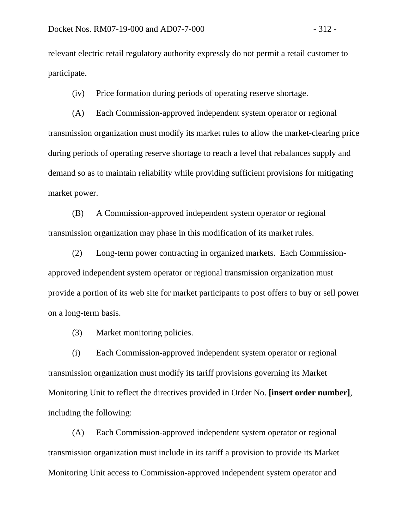relevant electric retail regulatory authority expressly do not permit a retail customer to participate.

(iv) Price formation during periods of operating reserve shortage.

(A) Each Commission-approved independent system operator or regional transmission organization must modify its market rules to allow the market-clearing price during periods of operating reserve shortage to reach a level that rebalances supply and demand so as to maintain reliability while providing sufficient provisions for mitigating market power.

(B) A Commission-approved independent system operator or regional transmission organization may phase in this modification of its market rules.

(2) Long-term power contracting in organized markets. Each Commissionapproved independent system operator or regional transmission organization must provide a portion of its web site for market participants to post offers to buy or sell power on a long-term basis.

(3) Market monitoring policies.

(i) Each Commission-approved independent system operator or regional transmission organization must modify its tariff provisions governing its Market Monitoring Unit to reflect the directives provided in Order No. **[insert order number]**, including the following:

(A) Each Commission-approved independent system operator or regional transmission organization must include in its tariff a provision to provide its Market Monitoring Unit access to Commission-approved independent system operator and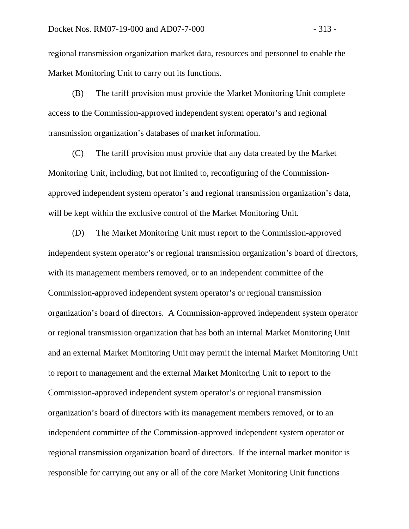regional transmission organization market data, resources and personnel to enable the Market Monitoring Unit to carry out its functions.

(B) The tariff provision must provide the Market Monitoring Unit complete access to the Commission-approved independent system operator's and regional transmission organization's databases of market information.

(C) The tariff provision must provide that any data created by the Market Monitoring Unit, including, but not limited to, reconfiguring of the Commissionapproved independent system operator's and regional transmission organization's data, will be kept within the exclusive control of the Market Monitoring Unit.

(D) The Market Monitoring Unit must report to the Commission-approved independent system operator's or regional transmission organization's board of directors, with its management members removed, or to an independent committee of the Commission-approved independent system operator's or regional transmission organization's board of directors. A Commission-approved independent system operator or regional transmission organization that has both an internal Market Monitoring Unit and an external Market Monitoring Unit may permit the internal Market Monitoring Unit to report to management and the external Market Monitoring Unit to report to the Commission-approved independent system operator's or regional transmission organization's board of directors with its management members removed, or to an independent committee of the Commission-approved independent system operator or regional transmission organization board of directors. If the internal market monitor is responsible for carrying out any or all of the core Market Monitoring Unit functions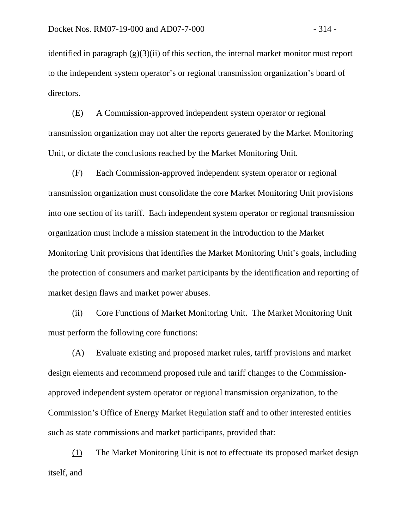identified in paragraph  $(g)(3)(ii)$  of this section, the internal market monitor must report to the independent system operator's or regional transmission organization's board of directors.

(E) A Commission-approved independent system operator or regional transmission organization may not alter the reports generated by the Market Monitoring Unit, or dictate the conclusions reached by the Market Monitoring Unit.

(F) Each Commission-approved independent system operator or regional transmission organization must consolidate the core Market Monitoring Unit provisions into one section of its tariff. Each independent system operator or regional transmission organization must include a mission statement in the introduction to the Market Monitoring Unit provisions that identifies the Market Monitoring Unit's goals, including the protection of consumers and market participants by the identification and reporting of market design flaws and market power abuses.

(ii) Core Functions of Market Monitoring Unit. The Market Monitoring Unit must perform the following core functions:

(A) Evaluate existing and proposed market rules, tariff provisions and market design elements and recommend proposed rule and tariff changes to the Commissionapproved independent system operator or regional transmission organization, to the Commission's Office of Energy Market Regulation staff and to other interested entities such as state commissions and market participants, provided that:

(1) The Market Monitoring Unit is not to effectuate its proposed market design itself, and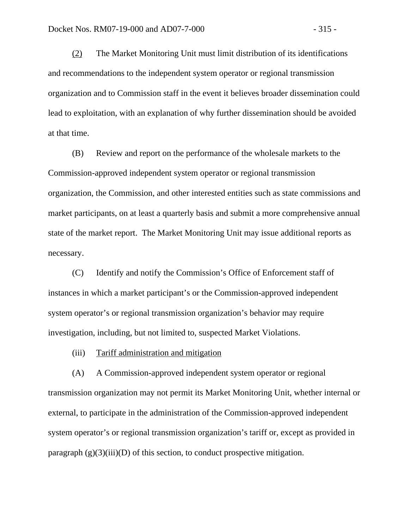(2) The Market Monitoring Unit must limit distribution of its identifications and recommendations to the independent system operator or regional transmission organization and to Commission staff in the event it believes broader dissemination could lead to exploitation, with an explanation of why further dissemination should be avoided at that time.

(B) Review and report on the performance of the wholesale markets to the Commission-approved independent system operator or regional transmission organization, the Commission, and other interested entities such as state commissions and market participants, on at least a quarterly basis and submit a more comprehensive annual state of the market report. The Market Monitoring Unit may issue additional reports as necessary.

(C) Identify and notify the Commission's Office of Enforcement staff of instances in which a market participant's or the Commission-approved independent system operator's or regional transmission organization's behavior may require investigation, including, but not limited to, suspected Market Violations.

(iii) Tariff administration and mitigation

(A) A Commission-approved independent system operator or regional transmission organization may not permit its Market Monitoring Unit, whether internal or external, to participate in the administration of the Commission-approved independent system operator's or regional transmission organization's tariff or, except as provided in paragraph  $(g)(3)(iii)(D)$  of this section, to conduct prospective mitigation.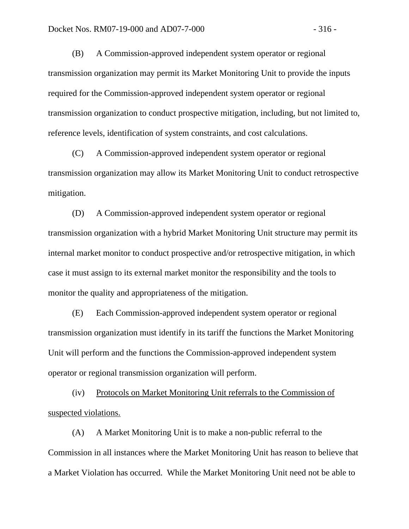(B) A Commission-approved independent system operator or regional transmission organization may permit its Market Monitoring Unit to provide the inputs required for the Commission-approved independent system operator or regional transmission organization to conduct prospective mitigation, including, but not limited to, reference levels, identification of system constraints, and cost calculations.

(C) A Commission-approved independent system operator or regional transmission organization may allow its Market Monitoring Unit to conduct retrospective mitigation.

(D) A Commission-approved independent system operator or regional transmission organization with a hybrid Market Monitoring Unit structure may permit its internal market monitor to conduct prospective and/or retrospective mitigation, in which case it must assign to its external market monitor the responsibility and the tools to monitor the quality and appropriateness of the mitigation.

(E) Each Commission-approved independent system operator or regional transmission organization must identify in its tariff the functions the Market Monitoring Unit will perform and the functions the Commission-approved independent system operator or regional transmission organization will perform.

(iv) Protocols on Market Monitoring Unit referrals to the Commission of suspected violations.

(A) A Market Monitoring Unit is to make a non-public referral to the Commission in all instances where the Market Monitoring Unit has reason to believe that a Market Violation has occurred. While the Market Monitoring Unit need not be able to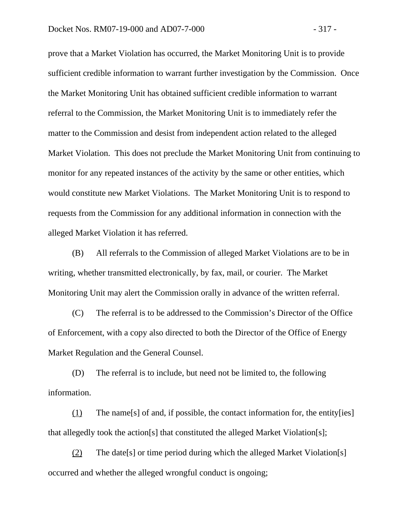prove that a Market Violation has occurred, the Market Monitoring Unit is to provide sufficient credible information to warrant further investigation by the Commission. Once the Market Monitoring Unit has obtained sufficient credible information to warrant referral to the Commission, the Market Monitoring Unit is to immediately refer the matter to the Commission and desist from independent action related to the alleged Market Violation. This does not preclude the Market Monitoring Unit from continuing to monitor for any repeated instances of the activity by the same or other entities, which would constitute new Market Violations. The Market Monitoring Unit is to respond to requests from the Commission for any additional information in connection with the alleged Market Violation it has referred.

(B) All referrals to the Commission of alleged Market Violations are to be in writing, whether transmitted electronically, by fax, mail, or courier. The Market Monitoring Unit may alert the Commission orally in advance of the written referral.

(C) The referral is to be addressed to the Commission's Director of the Office of Enforcement, with a copy also directed to both the Director of the Office of Energy Market Regulation and the General Counsel.

(D) The referral is to include, but need not be limited to, the following information.

(1) The name[s] of and, if possible, the contact information for, the entity[ies] that allegedly took the action[s] that constituted the alleged Market Violation[s];

(2) The date[s] or time period during which the alleged Market Violation[s] occurred and whether the alleged wrongful conduct is ongoing;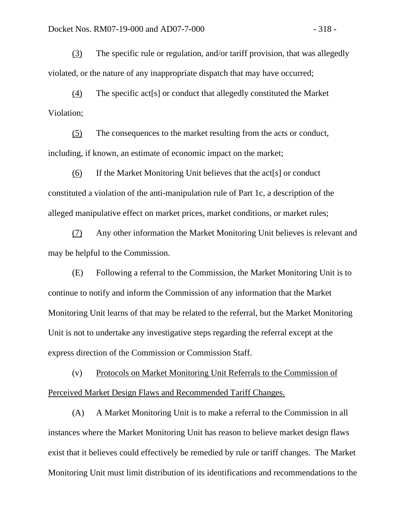(3) The specific rule or regulation, and/or tariff provision, that was allegedly violated, or the nature of any inappropriate dispatch that may have occurred;

(4) The specific act[s] or conduct that allegedly constituted the Market Violation;

(5) The consequences to the market resulting from the acts or conduct, including, if known, an estimate of economic impact on the market;

(6) If the Market Monitoring Unit believes that the act[s] or conduct constituted a violation of the anti-manipulation rule of Part 1c, a description of the alleged manipulative effect on market prices, market conditions, or market rules;

(7) Any other information the Market Monitoring Unit believes is relevant and may be helpful to the Commission.

(E) Following a referral to the Commission, the Market Monitoring Unit is to continue to notify and inform the Commission of any information that the Market Monitoring Unit learns of that may be related to the referral, but the Market Monitoring Unit is not to undertake any investigative steps regarding the referral except at the express direction of the Commission or Commission Staff.

(v) Protocols on Market Monitoring Unit Referrals to the Commission of Perceived Market Design Flaws and Recommended Tariff Changes.

(A) A Market Monitoring Unit is to make a referral to the Commission in all instances where the Market Monitoring Unit has reason to believe market design flaws exist that it believes could effectively be remedied by rule or tariff changes. The Market Monitoring Unit must limit distribution of its identifications and recommendations to the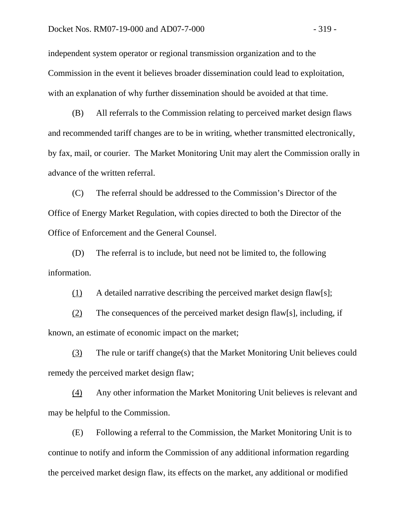independent system operator or regional transmission organization and to the Commission in the event it believes broader dissemination could lead to exploitation, with an explanation of why further dissemination should be avoided at that time.

(B) All referrals to the Commission relating to perceived market design flaws and recommended tariff changes are to be in writing, whether transmitted electronically, by fax, mail, or courier. The Market Monitoring Unit may alert the Commission orally in advance of the written referral.

(C) The referral should be addressed to the Commission's Director of the Office of Energy Market Regulation, with copies directed to both the Director of the Office of Enforcement and the General Counsel.

(D) The referral is to include, but need not be limited to, the following information.

(1) A detailed narrative describing the perceived market design flaw[s];

(2) The consequences of the perceived market design flaw[s], including, if known, an estimate of economic impact on the market;

(3) The rule or tariff change(s) that the Market Monitoring Unit believes could remedy the perceived market design flaw;

(4) Any other information the Market Monitoring Unit believes is relevant and may be helpful to the Commission.

(E) Following a referral to the Commission, the Market Monitoring Unit is to continue to notify and inform the Commission of any additional information regarding the perceived market design flaw, its effects on the market, any additional or modified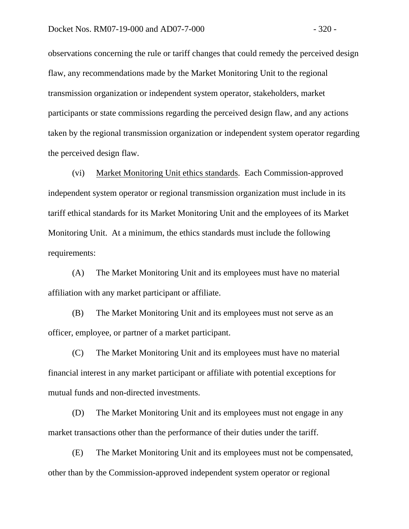observations concerning the rule or tariff changes that could remedy the perceived design flaw, any recommendations made by the Market Monitoring Unit to the regional transmission organization or independent system operator, stakeholders, market participants or state commissions regarding the perceived design flaw, and any actions taken by the regional transmission organization or independent system operator regarding the perceived design flaw.

(vi) Market Monitoring Unit ethics standards. Each Commission-approved independent system operator or regional transmission organization must include in its tariff ethical standards for its Market Monitoring Unit and the employees of its Market Monitoring Unit. At a minimum, the ethics standards must include the following requirements:

(A) The Market Monitoring Unit and its employees must have no material affiliation with any market participant or affiliate.

(B) The Market Monitoring Unit and its employees must not serve as an officer, employee, or partner of a market participant.

(C) The Market Monitoring Unit and its employees must have no material financial interest in any market participant or affiliate with potential exceptions for mutual funds and non-directed investments.

(D) The Market Monitoring Unit and its employees must not engage in any market transactions other than the performance of their duties under the tariff.

(E) The Market Monitoring Unit and its employees must not be compensated, other than by the Commission-approved independent system operator or regional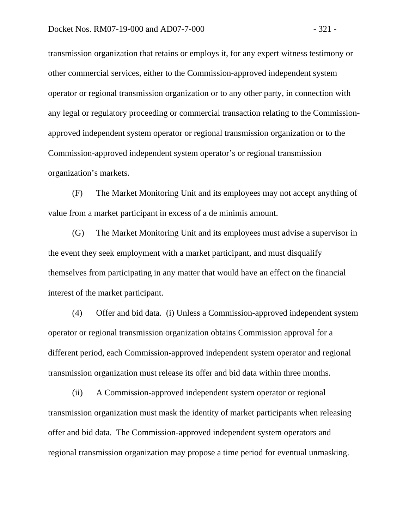transmission organization that retains or employs it, for any expert witness testimony or other commercial services, either to the Commission-approved independent system operator or regional transmission organization or to any other party, in connection with any legal or regulatory proceeding or commercial transaction relating to the Commissionapproved independent system operator or regional transmission organization or to the Commission-approved independent system operator's or regional transmission organization's markets.

(F) The Market Monitoring Unit and its employees may not accept anything of value from a market participant in excess of a de minimis amount.

(G) The Market Monitoring Unit and its employees must advise a supervisor in the event they seek employment with a market participant, and must disqualify themselves from participating in any matter that would have an effect on the financial interest of the market participant.

(4) Offer and bid data. (i) Unless a Commission-approved independent system operator or regional transmission organization obtains Commission approval for a different period, each Commission-approved independent system operator and regional transmission organization must release its offer and bid data within three months.

(ii) A Commission-approved independent system operator or regional transmission organization must mask the identity of market participants when releasing offer and bid data. The Commission-approved independent system operators and regional transmission organization may propose a time period for eventual unmasking.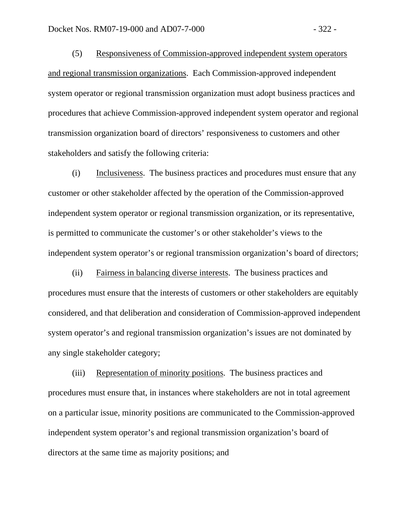(5) Responsiveness of Commission-approved independent system operators and regional transmission organizations. Each Commission-approved independent system operator or regional transmission organization must adopt business practices and procedures that achieve Commission-approved independent system operator and regional transmission organization board of directors' responsiveness to customers and other stakeholders and satisfy the following criteria:

(i) Inclusiveness. The business practices and procedures must ensure that any customer or other stakeholder affected by the operation of the Commission-approved independent system operator or regional transmission organization, or its representative, is permitted to communicate the customer's or other stakeholder's views to the independent system operator's or regional transmission organization's board of directors;

(ii) Fairness in balancing diverse interests. The business practices and procedures must ensure that the interests of customers or other stakeholders are equitably considered, and that deliberation and consideration of Commission-approved independent system operator's and regional transmission organization's issues are not dominated by any single stakeholder category;

(iii) Representation of minority positions. The business practices and procedures must ensure that, in instances where stakeholders are not in total agreement on a particular issue, minority positions are communicated to the Commission-approved independent system operator's and regional transmission organization's board of directors at the same time as majority positions; and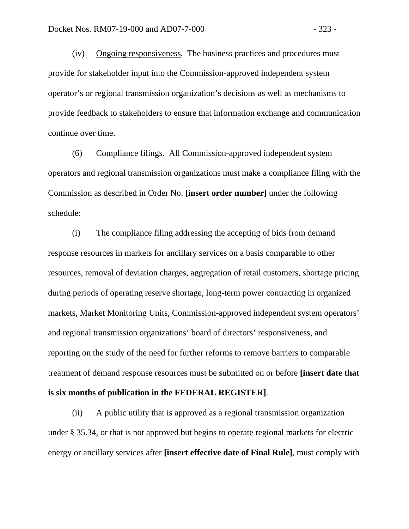(iv) Ongoing responsiveness. The business practices and procedures must provide for stakeholder input into the Commission-approved independent system operator's or regional transmission organization's decisions as well as mechanisms to provide feedback to stakeholders to ensure that information exchange and communication continue over time.

(6) Compliance filings. All Commission-approved independent system operators and regional transmission organizations must make a compliance filing with the Commission as described in Order No. **[insert order number]** under the following schedule:

(i) The compliance filing addressing the accepting of bids from demand response resources in markets for ancillary services on a basis comparable to other resources, removal of deviation charges, aggregation of retail customers, shortage pricing during periods of operating reserve shortage, long-term power contracting in organized markets, Market Monitoring Units, Commission-approved independent system operators' and regional transmission organizations' board of directors' responsiveness, and reporting on the study of the need for further reforms to remove barriers to comparable treatment of demand response resources must be submitted on or before **[insert date that is six months of publication in the FEDERAL REGISTER]**.

 (ii) A public utility that is approved as a regional transmission organization under § 35.34, or that is not approved but begins to operate regional markets for electric energy or ancillary services after **[insert effective date of Final Rule]**, must comply with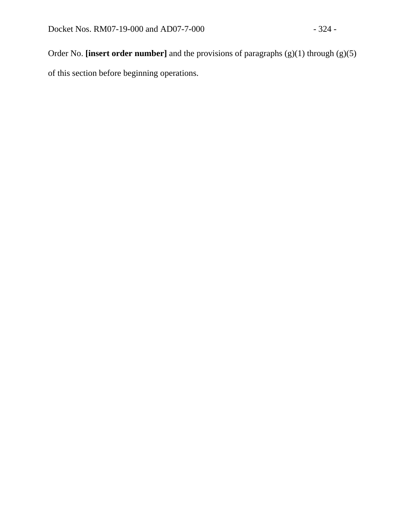Order No. **[insert order number]** and the provisions of paragraphs (g)(1) through (g)(5) of this section before beginning operations.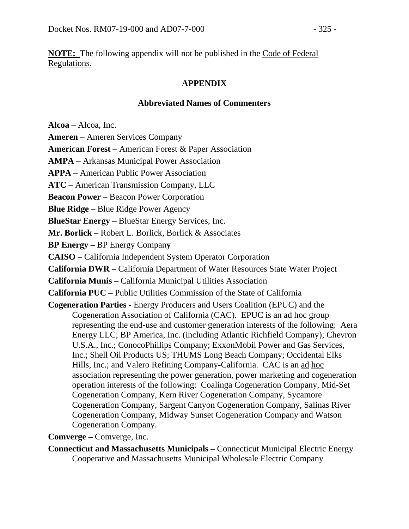**NOTE:** The following appendix will not be published in the Code of Federal Regulations.

## **APPENDIX**

## **Abbreviated Names of Commenters**

**Alcoa** – Alcoa, Inc.

**Ameren** – Ameren Services Company

**American Forest** – American Forest & Paper Association

**AMPA** – Arkansas Municipal Power Association

**APPA** – American Public Power Association

**ATC** – American Transmission Company, LLC

**Beacon Power** – Beacon Power Corporation

**Blue Ridge** – Blue Ridge Power Agency

**BlueStar Energy** – BlueStar Energy Services, Inc.

**Mr. Borlick** – Robert L. Borlick, Borlick & Associates

**BP Energy –** BP Energy Compan**y** 

**CAISO** – California Independent System Operator Corporation

**California DWR** – California Department of Water Resources State Water Project

**California Munis** – California Municipal Utilities Association

**California PUC** – Public Utilities Commission of the State of California

**Cogeneration Parties** - Energy Producers and Users Coalition (EPUC) and the Cogeneration Association of California (CAC). EPUC is an ad hoc group representing the end-use and customer generation interests of the following: Aera Energy LLC; BP America, Inc. (including Atlantic Richfield Company); Chevron U.S.A., Inc.; ConocoPhillips Company; ExxonMobil Power and Gas Services, Inc.; Shell Oil Products US; THUMS Long Beach Company; Occidental Elks Hills, Inc.; and Valero Refining Company-California. CAC is an ad hoc association representing the power generation, power marketing and cogeneration operation interests of the following: Coalinga Cogeneration Company, Mid-Set Cogeneration Company, Kern River Cogeneration Company, Sycamore Cogeneration Company, Sargent Canyon Cogeneration Company, Salinas River Cogeneration Company, Midway Sunset Cogeneration Company and Watson Cogeneration Company.

**Comverge** – Comverge, Inc.

**Connecticut and Massachusetts Municipals** – Connecticut Municipal Electric Energy Cooperative and Massachusetts Municipal Wholesale Electric Company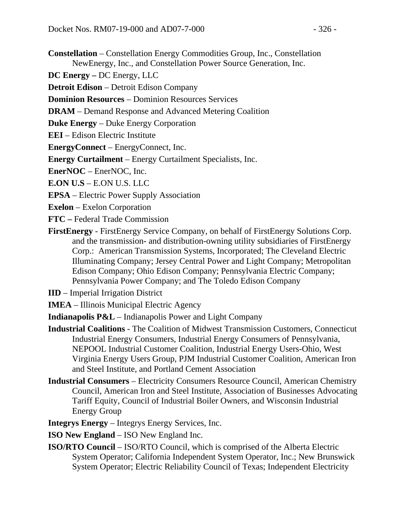- **Constellation** Constellation Energy Commodities Group, Inc., Constellation NewEnergy, Inc., and Constellation Power Source Generation, Inc.
- **DC Energy –** DC Energy, LLC
- **Detroit Edison** Detroit Edison Company
- **Dominion Resources** Dominion Resources Services
- **DRAM** Demand Response and Advanced Metering Coalition
- **Duke Energy** Duke Energy Corporation
- **EEI** Edison Electric Institute
- **EnergyConnect** EnergyConnect, Inc.
- **Energy Curtailment** Energy Curtailment Specialists, Inc.
- **EnerNOC** EnerNOC, Inc.
- **E.ON U.S** E.ON U.S. LLC
- **EPSA** Electric Power Supply Association
- **Exelon** Exelon Corporation
- **FTC** Federal Trade Commission
- **FirstEnergy** FirstEnergy Service Company, on behalf of FirstEnergy Solutions Corp. and the transmission- and distribution-owning utility subsidiaries of FirstEnergy Corp.: American Transmission Systems, Incorporated; The Cleveland Electric Illuminating Company; Jersey Central Power and Light Company; Metropolitan Edison Company; Ohio Edison Company; Pennsylvania Electric Company; Pennsylvania Power Company; and The Toledo Edison Company
- **IID**  Imperial Irrigation District
- **IMEA**  Illinois Municipal Electric Agency
- **Indianapolis P&L**  Indianapolis Power and Light Company
- **Industrial Coalitions**  The Coalition of Midwest Transmission Customers, Connecticut Industrial Energy Consumers, Industrial Energy Consumers of Pennsylvania, NEPOOL Industrial Customer Coalition, Industrial Energy Users-Ohio, West Virginia Energy Users Group, PJM Industrial Customer Coalition, American Iron and Steel Institute, and Portland Cement Association
- **Industrial Consumers**  Electricity Consumers Resource Council, American Chemistry Council, American Iron and Steel Institute, Association of Businesses Advocating Tariff Equity, Council of Industrial Boiler Owners, and Wisconsin Industrial Energy Group
- **Integrys Energy** Integrys Energy Services, Inc.
- **ISO New England**  ISO New England Inc.
- **ISO/RTO Council**  ISO/RTO Council, which is comprised of the Alberta Electric System Operator; California Independent System Operator, Inc.; New Brunswick System Operator; Electric Reliability Council of Texas; Independent Electricity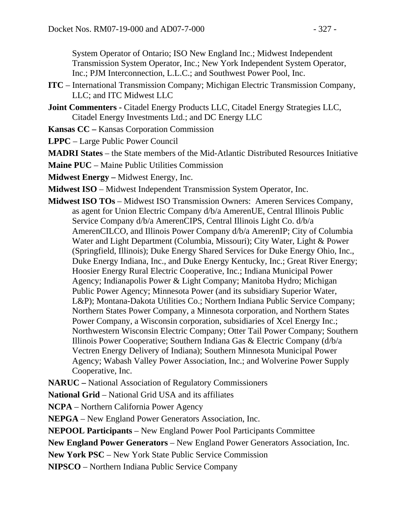System Operator of Ontario; ISO New England Inc.; Midwest Independent Transmission System Operator, Inc.; New York Independent System Operator, Inc.; PJM Interconnection, L.L.C.; and Southwest Power Pool, Inc.

- **ITC** International Transmission Company; Michigan Electric Transmission Company, LLC; and ITC Midwest LLC
- Joint Commenters Citadel Energy Products LLC, Citadel Energy Strategies LLC, Citadel Energy Investments Ltd.; and DC Energy LLC
- **Kansas CC –** Kansas Corporation Commission

**LPPC** – Large Public Power Council

**MADRI States** – the State members of the Mid-Atlantic Distributed Resources Initiative

**Maine PUC** – Maine Public Utilities Commission

**Midwest Energy –** Midwest Energy, Inc.

**Midwest ISO** – Midwest Independent Transmission System Operator, Inc.

**Midwest ISO TOs** – Midwest ISO Transmission Owners: Ameren Services Company, as agent for Union Electric Company d/b/a AmerenUE, Central Illinois Public Service Company d/b/a AmerenCIPS, Central Illinois Light Co. d/b/a AmerenCILCO, and Illinois Power Company d/b/a AmerenIP; City of Columbia Water and Light Department (Columbia, Missouri); City Water, Light & Power (Springfield, Illinois); Duke Energy Shared Services for Duke Energy Ohio, Inc., Duke Energy Indiana, Inc., and Duke Energy Kentucky, Inc.; Great River Energy; Hoosier Energy Rural Electric Cooperative, Inc.; Indiana Municipal Power Agency; Indianapolis Power & Light Company; Manitoba Hydro; Michigan Public Power Agency; Minnesota Power (and its subsidiary Superior Water, L&P); Montana-Dakota Utilities Co.; Northern Indiana Public Service Company; Northern States Power Company, a Minnesota corporation, and Northern States Power Company, a Wisconsin corporation, subsidiaries of Xcel Energy Inc.; Northwestern Wisconsin Electric Company; Otter Tail Power Company; Southern Illinois Power Cooperative; Southern Indiana Gas & Electric Company (d/b/a Vectren Energy Delivery of Indiana); Southern Minnesota Municipal Power Agency; Wabash Valley Power Association, Inc.; and Wolverine Power Supply Cooperative, Inc.

**NARUC –** National Association of Regulatory Commissioners

**National Grid** – National Grid USA and its affiliates

**NCPA** – Northern California Power Agency

**NEPGA** – New England Power Generators Association, Inc.

**NEPOOL Participants** – New England Power Pool Participants Committee

**New England Power Generators** – New England Power Generators Association, Inc.

**New York PSC** – New York State Public Service Commission

**NIPSCO** – Northern Indiana Public Service Company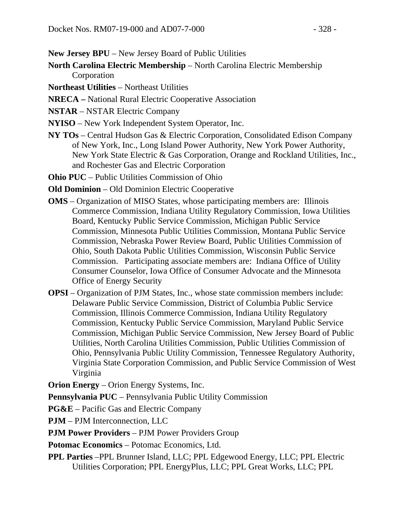**New Jersey BPU** – New Jersey Board of Public Utilities

- **North Carolina Electric Membership** North Carolina Electric Membership Corporation
- **Northeast Utilities** Northeast Utilities
- **NRECA –** National Rural Electric Cooperative Association
- **NSTAR** NSTAR Electric Company
- **NYISO**  New York Independent System Operator, Inc.
- **NY TOs**  Central Hudson Gas & Electric Corporation, Consolidated Edison Company of New York, Inc., Long Island Power Authority, New York Power Authority, New York State Electric & Gas Corporation, Orange and Rockland Utilities, Inc., and Rochester Gas and Electric Corporation
- **Ohio PUC** Public Utilities Commission of Ohio
- **Old Dominion** Old Dominion Electric Cooperative
- **OMS** Organization of MISO States, whose participating members are: Illinois Commerce Commission, Indiana Utility Regulatory Commission, Iowa Utilities Board, Kentucky Public Service Commission, Michigan Public Service Commission, Minnesota Public Utilities Commission, Montana Public Service Commission, Nebraska Power Review Board, Public Utilities Commission of Ohio, South Dakota Public Utilities Commission, Wisconsin Public Service Commission. Participating associate members are: Indiana Office of Utility Consumer Counselor, Iowa Office of Consumer Advocate and the Minnesota Office of Energy Security
- **OPSI**  Organization of PJM States, Inc., whose state commission members include: Delaware Public Service Commission, District of Columbia Public Service Commission, Illinois Commerce Commission, Indiana Utility Regulatory Commission, Kentucky Public Service Commission, Maryland Public Service Commission, Michigan Public Service Commission, New Jersey Board of Public Utilities, North Carolina Utilities Commission, Public Utilities Commission of Ohio, Pennsylvania Public Utility Commission, Tennessee Regulatory Authority, Virginia State Corporation Commission, and Public Service Commission of West Virginia

**Orion Energy** – Orion Energy Systems, Inc.

**Pennsylvania PUC** – Pennsylvania Public Utility Commission

**PG&E** – Pacific Gas and Electric Company

**PJM** – PJM Interconnection, LLC

**PJM Power Providers** – PJM Power Providers Group

**Potomac Economics** – Potomac Economics, Ltd.

**PPL Parties** –PPL Brunner Island, LLC; PPL Edgewood Energy, LLC; PPL Electric Utilities Corporation; PPL EnergyPlus, LLC; PPL Great Works, LLC; PPL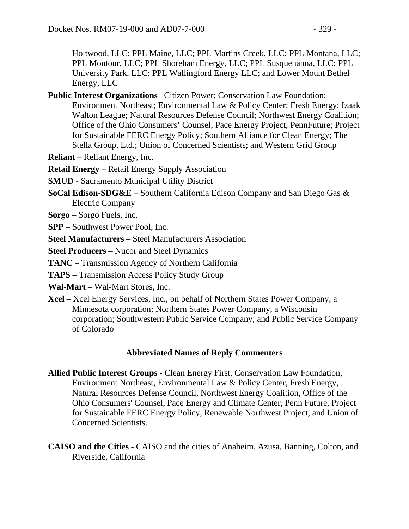Holtwood, LLC; PPL Maine, LLC; PPL Martins Creek, LLC; PPL Montana, LLC; PPL Montour, LLC; PPL Shoreham Energy, LLC; PPL Susquehanna, LLC; PPL University Park, LLC; PPL Wallingford Energy LLC; and Lower Mount Bethel Energy, LLC

- **Public Interest Organizations** –Citizen Power; Conservation Law Foundation; Environment Northeast; Environmental Law & Policy Center; Fresh Energy; Izaak Walton League; Natural Resources Defense Council; Northwest Energy Coalition; Office of the Ohio Consumers' Counsel; Pace Energy Project; PennFuture; Project for Sustainable FERC Energy Policy; Southern Alliance for Clean Energy; The Stella Group, Ltd.; Union of Concerned Scientists; and Western Grid Group
- **Reliant** Reliant Energy, Inc.

**Retail Energy** – Retail Energy Supply Association

- **SMUD** Sacramento Municipal Utility District
- **SoCal Edison-SDG&E** Southern California Edison Company and San Diego Gas & Electric Company
- **Sorgo**  Sorgo Fuels, Inc.
- **SPP** Southwest Power Pool, Inc.
- **Steel Manufacturers** Steel Manufacturers Association

**Steel Producers** – Nucor and Steel Dynamics

- **TANC**  Transmission Agency of Northern California
- **TAPS** Transmission Access Policy Study Group
- **Wal-Mart**  Wal-Mart Stores, Inc.
- **Xcel** Xcel Energy Services, Inc., on behalf of Northern States Power Company, a Minnesota corporation; Northern States Power Company, a Wisconsin corporation; Southwestern Public Service Company; and Public Service Company of Colorado

## **Abbreviated Names of Reply Commenters**

- **Allied Public Interest Groups** Clean Energy First, Conservation Law Foundation, Environment Northeast, Environmental Law & Policy Center, Fresh Energy, Natural Resources Defense Council, Northwest Energy Coalition, Office of the Ohio Consumers' Counsel, Pace Energy and Climate Center, Penn Future, Project for Sustainable FERC Energy Policy, Renewable Northwest Project, and Union of Concerned Scientists.
- **CAISO and the Cities** CAISO and the cities of Anaheim, Azusa, Banning, Colton, and Riverside, California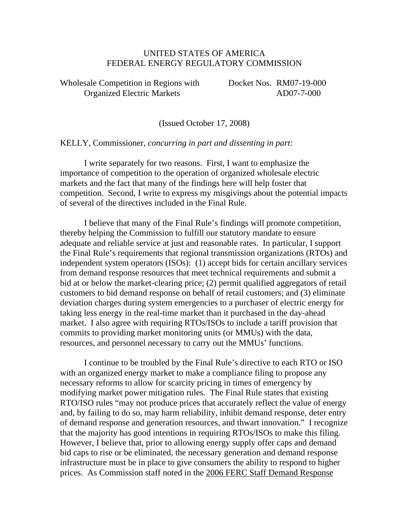## UNITED STATES OF AMERICA FEDERAL ENERGY REGULATORY COMMISSION

Wholesale Competition in Regions with Docket Nos. RM07-19-000 Organized Electric Markets AD07-7-000

(Issued October 17, 2008)

KELLY, Commissioner, *concurring in part and dissenting in part:*

 I write separately for two reasons. First, I want to emphasize the importance of competition to the operation of organized wholesale electric markets and the fact that many of the findings here will help foster that competition. Second, I write to express my misgivings about the potential impacts of several of the directives included in the Final Rule.

 I believe that many of the Final Rule's findings will promote competition, thereby helping the Commission to fulfill our statutory mandate to ensure adequate and reliable service at just and reasonable rates. In particular, I support the Final Rule's requirements that regional transmission organizations (RTOs) and independent system operators (ISOs): (1) accept bids for certain ancillary services from demand response resources that meet technical requirements and submit a bid at or below the market-clearing price; (2) permit qualified aggregators of retail customers to bid demand response on behalf of retail customers; and (3) eliminate deviation charges during system emergencies to a purchaser of electric energy for taking less energy in the real-time market than it purchased in the day-ahead market. I also agree with requiring RTOs/ISOs to include a tariff provision that commits to providing market monitoring units (or MMUs) with the data, resources, and personnel necessary to carry out the MMUs' functions.

 I continue to be troubled by the Final Rule's directive to each RTO or ISO with an organized energy market to make a compliance filing to propose any necessary reforms to allow for scarcity pricing in times of emergency by modifying market power mitigation rules. The Final Rule states that existing RTO/ISO rules "may not produce prices that accurately reflect the value of energy and, by failing to do so, may harm reliability, inhibit demand response, deter entry of demand response and generation resources, and thwart innovation." I recognize that the majority has good intentions in requiring RTOs/ISOs to make this filing. However, I believe that, prior to allowing energy supply offer caps and demand bid caps to rise or be eliminated, the necessary generation and demand response infrastructure must be in place to give consumers the ability to respond to higher prices. As Commission staff noted in the 2006 FERC Staff Demand Response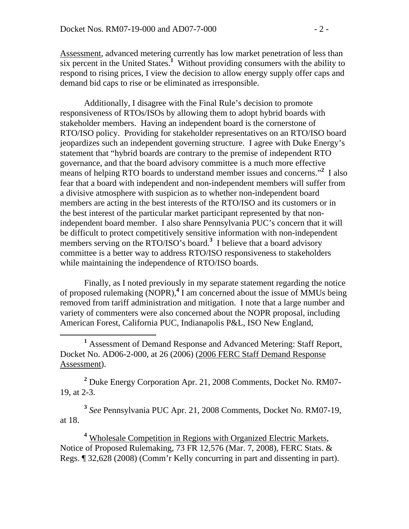Assessment, advanced metering currently has low market penetration of less than six percent in the United States.<sup>1</sup> Without providing consumers with the ability to respond to rising prices, I view the decision to allow energy supply offer caps and demand bid caps to rise or be eliminated as irresponsible.

 Additionally, I disagree with the Final Rule's decision to promote responsiveness of RTOs/ISOs by allowing them to adopt hybrid boards with stakeholder members. Having an independent board is the cornerstone of RTO/ISO policy. Providing for stakeholder representatives on an RTO/ISO board jeopardizes such an independent governing structure. I agree with Duke Energy's statement that "hybrid boards are contrary to the premise of independent RTO governance, and that the board advisory committee is a much more effective means of helping RTO boards to understand member issues and concerns."<sup>2</sup> I also fear that a board with independent and non-independent members will suffer from a divisive atmosphere with suspicion as to whether non-independent board members are acting in the best interests of the RTO/ISO and its customers or in the best interest of the particular market participant represented by that nonindependent board member. I also share Pennsylvania PUC's concern that it will be difficult to protect competitively sensitive information with non-independent members serving on the RTO/ISO's board.**<sup>3</sup>** I believe that a board advisory committee is a better way to address RTO/ISO responsiveness to stakeholders while maintaining the independence of RTO/ISO boards.

 Finally, as I noted previously in my separate statement regarding the notice of proposed rulemaking (NOPR),**<sup>4</sup>** I am concerned about the issue of MMUs being removed from tariff administration and mitigation. I note that a large number and variety of commenters were also concerned about the NOPR proposal, including American Forest, California PUC, Indianapolis P&L, ISO New England,

 $\frac{1}{1}$ <sup>1</sup> Assessment of Demand Response and Advanced Metering: Staff Report, Docket No. AD06-2-000, at 26 (2006) (2006 FERC Staff Demand Response Assessment).

**2** Duke Energy Corporation Apr. 21, 2008 Comments, Docket No. RM07- 19, at 2-3.

**<sup>3</sup>** *See* Pennsylvania PUC Apr. 21, 2008 Comments, Docket No. RM07-19, at 18.

<sup>4</sup> Wholesale Competition in Regions with Organized Electric Markets, Notice of Proposed Rulemaking, 73 FR 12,576 (Mar. 7, 2008), FERC Stats. & Regs. ¶ 32,628 (2008) (Comm'r Kelly concurring in part and dissenting in part).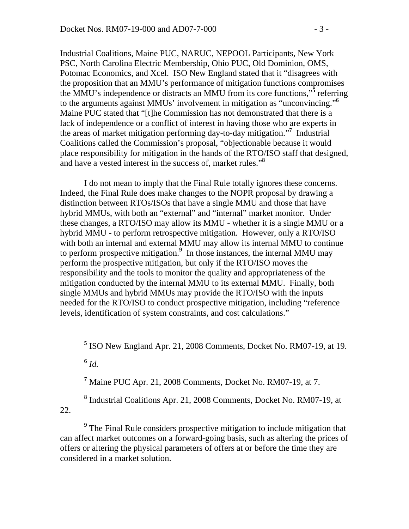Industrial Coalitions, Maine PUC, NARUC, NEPOOL Participants, New York PSC, North Carolina Electric Membership, Ohio PUC, Old Dominion, OMS, Potomac Economics, and Xcel. ISO New England stated that it "disagrees with the proposition that an MMU's performance of mitigation functions compromises the MMU's independence or distracts an MMU from its core functions,"<sup>5</sup> referring to the arguments against MMUs' involvement in mitigation as "unconvincing."**<sup>6</sup>** Maine PUC stated that "[t]he Commission has not demonstrated that there is a lack of independence or a conflict of interest in having those who are experts in the areas of market mitigation performing day-to-day mitigation."**<sup>7</sup>** Industrial Coalitions called the Commission's proposal, "objectionable because it would place responsibility for mitigation in the hands of the RTO/ISO staff that designed, and have a vested interest in the success of, market rules."**<sup>8</sup>**

 I do not mean to imply that the Final Rule totally ignores these concerns. Indeed, the Final Rule does make changes to the NOPR proposal by drawing a distinction between RTOs/ISOs that have a single MMU and those that have hybrid MMUs, with both an "external" and "internal" market monitor. Under these changes, a RTO/ISO may allow its MMU - whether it is a single MMU or a hybrid MMU - to perform retrospective mitigation. However, only a RTO/ISO with both an internal and external MMU may allow its internal MMU to continue to perform prospective mitigation.**<sup>9</sup>** In those instances, the internal MMU may perform the prospective mitigation, but only if the RTO/ISO moves the responsibility and the tools to monitor the quality and appropriateness of the mitigation conducted by the internal MMU to its external MMU. Finally, both single MMUs and hybrid MMUs may provide the RTO/ISO with the inputs needed for the RTO/ISO to conduct prospective mitigation, including "reference levels, identification of system constraints, and cost calculations."

**<sup>6</sup>** *Id.*

**7** Maine PUC Apr. 21, 2008 Comments, Docket No. RM07-19, at 7.

**8** Industrial Coalitions Apr. 21, 2008 Comments, Docket No. RM07-19, at 22.

<sup>9</sup> The Final Rule considers prospective mitigation to include mitigation that can affect market outcomes on a forward-going basis, such as altering the prices of offers or altering the physical parameters of offers at or before the time they are considered in a market solution.

**<sup>5</sup>** <sup>5</sup> ISO New England Apr. 21, 2008 Comments, Docket No. RM07-19, at 19.